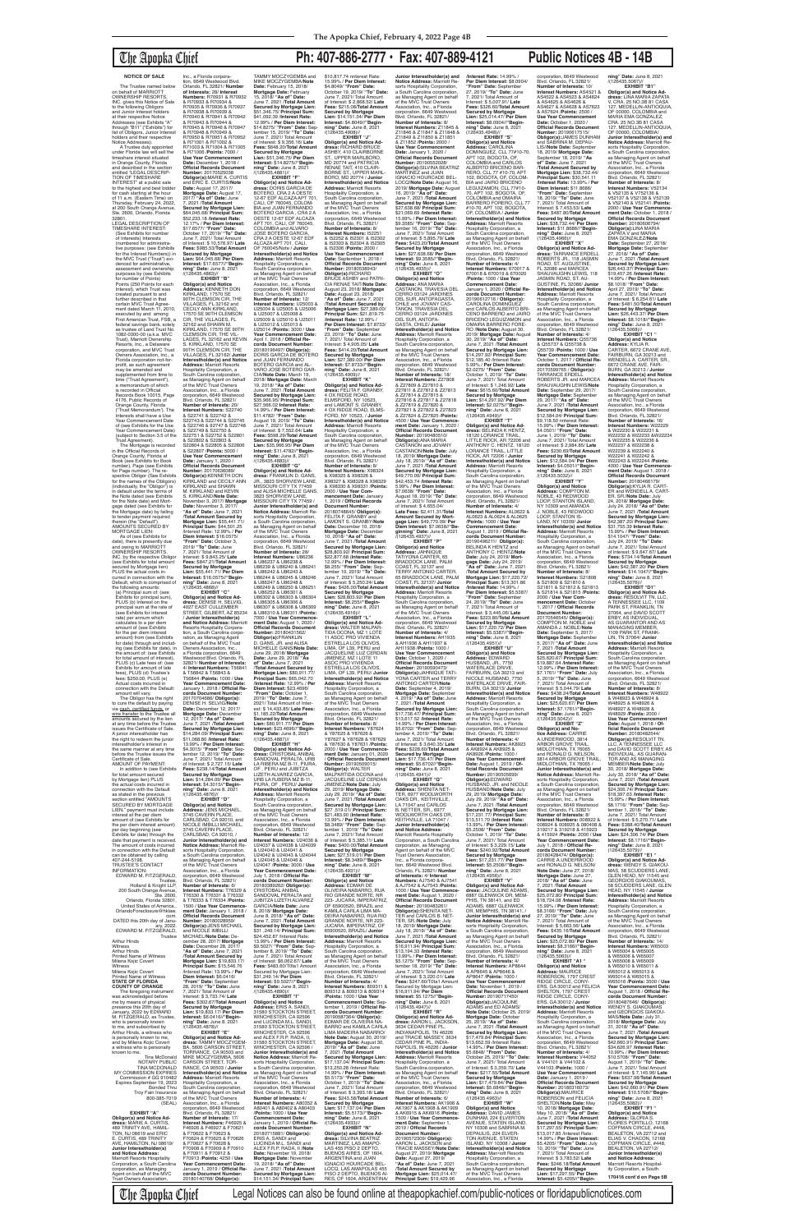## The Apopka Chief **Ph: 407-886-2777 • Fax: 407-889-4121 Public Notices 4B - 14B**

### **NOTICE OF SALE**

The Trustee named below on behalf of MARRIOTT OWNERSHIP RESORTS, INC. gives this Notice of Sale to the following Obligors and Junior Interest holders at their respective Notice Addresses (see Exhibits "A" through "B11" ("Exhibits") for list of Obligors, Junior Interest holders and their respective Notice Addresses).

A Trustee duly appointed under Florida law will sell the timeshare interest situated in Orange County, Florida and described in the section entitled "LEGAL DESCRIP-TION OF TIMESHARE INTEREST" at a public sale to the highest and best bidder for cash starting at the hour of 11 a.m. (Eastern Time) on Thursday, February 24, 2022, at 200 South Orange Avenue Ste. 2600, Orlando, Florida<br>32801 32801. LEGAL DESCRIPTION OF TIMESHARE INTEREST: (See Exhibits for number of Interests) Interests (numbered for administrative purposes: (see Exhibits for the Interest Numbers)) the MVC Trust ("Trust") evi-denced for administrative, assessment and ownership purposes by (see Exhibits<br>for number of Points) Points (250 Points for each Interest), which Trust was created pursuant to and further described in that certain MVC Trust Agree-ment dated March 11, 2010, executed by and among First American Trust, FSB, a federal savings bank, solely as trustee of Land Trust No. 1082-0300-00 (a.k.a. MVC Trust), Marriott Ownership Resorts, Inc., a Delaware corporation, and MVC Trust Owners Association, Inc., a Florida corporation not-forprofit, as such agreement may be amended and supplemented from time to time ("Trust Agreement"), a memorandum of which is recorded in Official Records Book 10015, Page 4176, Public Records of Orange County, Florida ("Trust Memorandum'). The Interests shall have a Use Year Commencement Date of (see Exhibits for the Use Year Commencement Date) (subject to Section 3.5 of the Trust Agreement). The Mortgage is recorded

in the Official Records of Orange County, Florida at Book (see Exhibits for Book number), Page (see Exhibits for Page number). The re-spective Obligor (See Exhibits for the names of the Obligors) (individually, the "Obligor") is in default under the terms of the Note dated (see Exhibits for the Note date) and Mort-gage dated (see Exhibits for the Mortgage date) by failing to tender payment required therein (the "Default"). AMOUNTS SECURED BY MORTGAGE LIEN: As of (see Exhibits for

date), there is presently due and owing to MARRIOTT OWNERSHIP RESORTS, INC. by the respective Obligor (see Exhibits for total amount secured by Mortgage lien) PLUS the actual costs incurred in connection with the Default, which is comprised of the following amounts: (a) Principal sum of: (see Exhibits for principal sum),

PLUS (b) Interest on the principal sum at the rate of (see Exhibits for interest rate) per annum which calculates to a per diem amount of (see Exhibits for the per diem interest amount) from (see Exhibits for date) through and includ-ing (see Exhibits for date), in the amount of: (see Exhibits for total amount of interest), PLUS (c) Late fees of: (see Exhibits for amount of late fees), PLUS (d) Trustee's fees: \$250.00, PLUS (e) Actual costs incurred in connection with the Default: amount will vary. The Obligor has the right to cure the default by paying via <u>cash, certified funds,</u> or<br><u>wire fransfer</u> to the Trustee all<br>amounts secured by the lien at any time before the Trustee issues the Certificate of Sale. A junior interestholder has the right to redeem the junior interestholder's interest in the same manner at any time before the Trustee issues the Certificate of Sale.<br>AMOUNT OF PAYMENT: AMOUNT OF PAYMENT: In addition to (see Exhibits for total amount secured by Mortgage lien) PLUS the actual costs incurred in connection with the Default as stated in the previous<br>section entitled "AMOUNTS section entitled "AMOUNTS SECURED BY MORTGAGE LIEN," payment must include interest at the per diem amount of (see Exhibits for<br>the ner diem interest amount) the per diem interest amount) per day beginning (see Exhibits for date) through the date that payment is received. The amount of costs incurred in connection with the Default can be obtained by calling<br>407-244-5198 407-244-5198. TRUSTEE'S CONTACT INFORMATION: EDWARD M. FITZGERALD, **Trustee** Holland & Knight LLP, 200 South Orange Avenue, Ste. 2600, Orlando, Florida 32801, United States of America., OrlandoForeclosure@hklaw. com. DATED this 20th day of Janu ary, 2022. EDWARD M. FITZGERALD, **Trustee** Arthur Hinds Witness Arthur Hinds Printed Name of Witness Milena Kojic Covert **Witness** Milena Kojic Covert Printed Name of Witness **STATE OF FLORIDA COUNTY OF ORANGE** The foregoing instrun was acknowledged before me by means of physical presence this 20th day of January, 2022 by EDWARD<br>M. FITZGERALD, as Trustee, who is personally known to me, and subscribed by Arthur Hinds, a witness who is personally known to me and by Milena Kojic Covert a witness who is personally known to me. Tina McDonald NOTARY PUBLIC TINA MCDONALD MY COMMISSION EXPIRES Commission # GG 910482 Expires September 19, 2023 Bonded Thru Troy Fain Insurance 800-385-7019 (SEAL) **EXHIBIT "A" Obligor(s) and Notice Address:** MARIE A. CURTIS,<br>489 TRINITY AVE, HAMIL-TON, NJ 08619 and ERIC E. CURTIS, 489 TRINITY AVE, HAMILTON, NJ 08619/ **Junior Interestholder(s) and Notice Address:** Marriott Resorts Hospitality Corporation, a South Carolina corporation, as Managing Agent on behalf of the MVC Trust Owners Association, 4027 EAST CULLEMBER STREET, GILBERT, AZ 85234 / **Junior Interestholder(s) and Notice Address:** Marriott Resorts Hospitality Corpora-tion, a South Carolina corporation, as Managing Agent on behalf of the MVC Trust Owners Association, Inc.,<br>a Florida corporation, 6649<br>Westwood Blvd. Orlando, FL<br>32821/ **Number of Interests:** 4/ **Interest Numbers:** T56841 & T56842 & T56843 & T56844 /**Points:** 1000 / **Use Year Commencement Date:** January 1, 2018 / **Official Records Document Number:** 20170704686/ **Obligor(s):** DENISE H. SELVIG/**Note Date:** December 12, 2017/ **Mortgage Date:** December 12, 2017/ **"As of" Date:** June 7, 2021 /**Total Amount Secured by Mortgage Lien:** \$14,284.09/ **Principal Sum:** \$11,068.80 /**Interest Rate:** 13.99% / **Per Diem Interest:** \$4.3015/ **"From" Date:** Sep-tember 12, 2019/ **"To" Date:** June 7, 2021/ Total Arnount of Interest: \$ 2,727.15/ **Late Fees:** \$238.14/**Total Amount Secured by Mortgage Lien:** \$14,284.09/ **Per Diem Interest:** \$4.3015//**"Beginning" Date:** June 8, 2021<br>/(126435.4876)// **EXHIBIT "D" Obligor(s) and Notice Address:** JENS MICHAEL, 3745 CAVERN PLACE, CARLSBAD, CA 92010, and NICOLE IMBILLI MICHAEL, 3745 CAVERN PLACE,<br>CARLSBAD, CA 92010, /<br>**Junior Interestholder(s) and<br><b>Notice Address:** Marriott Resorts Hospitality Corporation, a South Carolina corporation, as Managing Agent on behalf of the MVC Trust Owners Association, Inc., a Florida corporation, 6649 Westwood Blvd. Orlando, FL 32821/<br>Number of Interests: 6/ **Number of Interests:** 6/ **Interest Numbers:** T76329 & T76330 & T76331 & T76332 & T76333 & T76334 /**Points:** 1500 / **Use Year Commencement Date:** January 1, 2018 / **Official Records Document Number:** 20180028959/<br>**Obligor(s):**JENS MICHAEL<br>and NICOLE IMBILLI<br>MICHAEL/**Note Date:** December 28, 2017/ **Mortgage Date:** December 28, 2017/ **"As of" Date:** June 7, 2021 /**Total Amount Secured by Mortgage Lien:** \$19,833.17/ **Principal Sum:** \$15,546.76 /lnterest Rate: 13.99% / **Per Diem Interest:** \$6.0416/ **"From" Date:** September 28, 2019/ **"To" Date:** June 7, 2021/ Total Amount of lnterest: \$ 3,733.74/ **Late Fees:** \$302.67/**Total Amount Secured by Mortgage Lien:** \$19,833.17/ **Per Diem Interest:** \$6.0416//**"Begin-ning" Date:** June 8, 2021 /(126435.4878)//<br>"EXHIBIT "E **EXHIBIT "E"<br>
<b>Obligor(s) and Notice Ad-<br>
dress: TAMMY MOCZYGEM-<br>BA, 5606 CARSON STREET,<br>
TORRANCE, CA 90503 and** MIKE MOCZYGEMBA, 5606 CARSON STREET, TOR-RANCE, CA 90503 / **Junior Interestholder(s) and Notice**<br>**Address:** Marriott Resorts<br>Hospitality Corporation, a South Carolina corporation, as Managing Agent on behalf of the MVC Trust Owners Association, Inc., a Florida corporation, 6649 Westwood Blvd. Orlando, FL 32821/ **Number of Interests:** 17/ **Interest Numbers:** F46925 & F46926 & F46927 & F70621 & F70622 & F70623 & F70624 & F70625 & F70626 & F70627 & F70628 & F70908 & F70909 & F70910 & F70911 & F70912 & F70913 /**Points:** 4250 / **Use Year Commencement Date:** January 1, 2019 / **Official Re-cords Document Number:** 20180140768/ **Obligor(s):**

2019/ **"To" Date:** June 7, 2021/ Total Amount of Interest: \$ 9,843.25/ **Late Fees:** \$847.21/**Total Amount Secured by Mortgage Lien:** \$55,441.71/ **Per Diem Interest:** \$16.0575//**"Beginning" Date:** June 8, 2021 /(126435.4868)// **EXHIBIT "C" Obligor(s) and Notice Ad-dress:** DENISE H. SELVIG,

**ning" Date:** June 8, 2021<br>/(126435.4883)// **EXHIBIT "G" Obligor(s) and Notice Ad-dress:** FRANKLIN D. GANS, JR., 3823 SHORVIEW LANE, MISSOURI CITY TX 77459 and ALISA MICHELLE GANS, 3823 SHORVIEW LANE, MISSOURI CITY TX 77459 / **Junior Interestholder(s) and Notice Address:** Marriott Resorts Hospitality Corporation,<br>a South Carolina corporation, as Managing Agent on behalf<br>of the MVC Trust Owners<br>Association, Inc., a Florida<br>corporation, 6649 Westwood Blvd. Orlando, FL 32821/ **Number of Interests:** 28/ **Interest Numbers:** U86236<br>& U86237 & U86238 &<br>U86239 & U86240 & U86241 & U86242 & U86243 & U86244 & U86245 & U86246 & U86247 & U86248 & U86249 & U86250 & U86251<br>& U86252 & U86301 &<br>U86302 & U86303 & U86304<br>& U86305 & U86306 & U86307 & U86308 & U86309 & U86310 & U86311 /**Points:** 7000 / **Use Year Commence-ment Date:** August 1, 2020 / **Official Records Document Number:** 20180431562/ **Obligor(s):**FRANKLIN<br>D. GANS, JR. and ALISA MICHELLE GANS/**Note Date:** June 29, 2018/ **Mortgage Date:** June 29, 2018/ **"As of" Date:** June 7, 2021 /**Total Amount Secured by Mortgage Lien:** \$80,911.77/ **Principal Sum:** \$65,042.70 /**Interest Rate:** 12.99% / **Per Diem Interest:** \$23.4696/ **"From" Date:** October 1, 2019/ **"To" Date:** June 7, 2021/ Total Amount of Interest: \$ 14,433.85/ **Late Fees:** \$1,185.22/**Total Amount Secured by Mortgage Lien:** \$80,911.77/ **Per Diem Interest:** \$23.4696//**"Beginning" Date:** June 8, 2021 /(126435.4887)// **EXHIBIT "H" Obligor(s) and Notice Ad-dress:** CRISTOBAL ANIBAL SANDOVAL PERALTA, URB<br>LA RIBERA MZ B-11, PIURA, OF , PERU and JUBITZA LIZETH ALVAREZ GARCIA, URB LA RJBERA MZ B-11, PIURA, OF , PERU/ **Junior Interestholder(s) and Notice Address:** Marriott Resorts Hospitality Corporation, a South Carolina corporation, as Managing Agent on behalf of the MVC Trust Owners Association, Inc., a Florida corporation, 6649 Westwood Blvd. Orlando, FL 32821/<br>**Number of Interests:** 12/<br>**Interest Numbers:** U24036 &<br>U24037 & U24038 & U24039 & U24040 & U24041 & U24042 & U24043 & U24044 & U24045 & U24046 & U24047 /**Points:** 3000 / **Use Year Commencement Date:** July 1, 2018 / **Official Records Document Number:** 20180389262/ **Obligor(s):** CRISTOBAL ANIBAL SANDOVAL PERALTA and JUBITZA LIZETH ALVAREZ GARCIA/**Note Date:** June 8, 2018/ **Mortgage Date:** June 8, 2018/ **"As of" Date:** June 7, 2021 **/Total Amoun Secured by Mortgage Lien:** \$31 ,249.14/ **Principal Sum:** \$24,452.87 /lnterest Rate: 13.99% / **Per Diem Interest:** \$9.5027/ **"From" Date:** September 8, 2019/ **"To" Date:** June 7, 2021/ Total Amount of Interest: \$6,062.67/ **Late Fees:** \$483.60/T0ta1 Amount Secured by Mortgage Lien: \$31,249.14/ **Per Diem Interest: \$9.5027//"Begin-<br><b>ning" Date:** June 8, 2021<br>/(126435.4890)// **EXHIBIT "I" Obligor(s) and Notice Address:** ERIS A. SANDI, 31580 STOCKTON STREET, WINCHESTER, CA 92596 and LUCINDA M.L. SANDI, 31580 STOCKTON STREET, WINCHESTER, CA 92596 and ALEX F.R.P. RADA, II, 31580 STOCKTON STREET, WINCHESTER, CA 92596 / **Junior Interestholder(s) and Notice Address:** Marriott Resorts Hospitality Corporation a South Carolina corporation, as Managing Agent on behalf<br>of the MVC Trust Owners<br>Association, Inc., a Florida<br>corporation, 6649 Westwood Blvd. Orlando, FL 32821/ **Number of Interests:** 4/ **Interest Numbers:** A80352 & A80401 & A80402 & A80403 /**Points:** 1000 / **Use Year Commencement Date:** January 1, 2019 / **Official Records Document Number:** 20180715881/ **Obligor(s):** ERIS A. SANDI and LUCINDA M.L. SANDI and ALEX F.R.P. RADA, II /**Note Date:** November 19, 2018/ **Mortgage Date:** November 19, 2018/ **"As of" Date:** June 7, 2021 /**Total Amount Secured by Mortgage Lien:** \$14,151.34/ **Principal Sum:**

Inc., a Florida corpora-tion, 6649 Westwood Blvd. Orlando, FL 32821/ **Number of Interests:** 28/ **Interest Numbers:** R70931 & R70932 & R70933 & R70934 & R70935 & R70936 & R70937 & R70938 & R70939 & R70940 & R70941 & R70942 & R70943 & R70944 & R70945 & R70946 & R70947 & R70948 & R70949 & R70950 & R70951 & R70952 & R71001 & R71002 & R71003 & R71004 & R71005 & R71006 /**Points:** 7000 / **Use Year Commencement Date:** December 1, 2018 / **Official Records Document Number:** 20170525038 **Obligor(s):**MARIE A. CURTIS and ERIC E. CURTIS/**Note Date:** August 17, 2017/ **Mortgage Date:** August 17,<br>2017/ "**As of" Date:** June<br>7, 2021 /**Total Amount Secured by Mortgage Lien:** \$64,045.68/ **Principal Sum:** \$52,233.18 /**Interest Rate:** 12.17% / **Per Diem Interest:** \$17.6577/ **"From" Date:** October 17, 2019/ **"To" Date:** June 7, 2021/ Total Amount of lnterest: \$ 10,576.97/ **Late Fees:** \$985.53/**Total Amount Secured by Mortgage Lien:** \$64,045.68/ **Per Diem Interest:** \$17.6577//**"Beginning" Date:** June 8, 2021 /(126435.4863)// **EXHIBIT "B" Obligor(s) and Notice<br><b>Address:** KENNETH DON<br>KIRKLAND, 17570 SE<br>90TH CLEMSON CIR, THE VILLAGES, FL 32162 and CECILY ANN KIRKLAND, 17570 SE 90TH CLEMSON<br>CIR, THE VILLAGES, FL<br>32162 and SHAWN M.<br>KIRKLAND, 17570 SE 90TH CLEMSON CIR, THE VIL-LAGES, FL 32162 and KEVIN S. KIRKLAND, 17570 SE 90TH CLEMSON CIR, THE VILLAGES, FL 32162/ **Junior Interestholder(s) and Notice Address:** Marriott Resorts Hospitality Corporation, a South Carolina colporation as Managing Agent on behalf of the MVC Trust Owners Association, Inc., a Florida corporation, 6649 Westwood Blvd. Orlando, FL 32821/ **Number of Interests:** 20/ **Interest Numbers:** S22740<br>& S22741 & S22742 &<br>S22743 & S22744 & S22745 & S22746 & 92747 & S22748 & S22749 & S22750 & S22751 & S22752 & S22801 & S22802 & S22803 & S22804 & S22805 & S22806 & S22807 /**Points:** 5000 / **Use Year Commencement Date:** January 1, 2020 / **Official Records Document<br><b>Number:** 20170636089/<br>**Obligor(s):**KENNETH DON<br>KIRKLAND and CECILY ANN KIRKLAND and SHAWN M. KIRKLAND and KEVIN S. KIRKLAND/**Note Date:** November 3, 2017/ **Mortgage Date:** November 3, 2017/ **"As of" Date:** June 7, 2021 /**Total Amount Secured by Mortgage Lien:** \$55,441.71/ **Principal Sum:** \$44,501.25 /lnterest Rate: 12.99% / **Per Diem Interest:** \$16.0575/ **"From" Date:** October 3, **Date:** February 15, 2018/ **Mortgage Date:** February 15, 2018/ **"As of" Date:**

14.99% / **Per Diem Interest:** \$11.4782/ **"From" Date:** August 19, 2019/ **"To" Date:** June 7, 2021/ Total Amount of Interest: \$ 7,552.64/ **Late Fees:** \$598.29/**Total Amount Secured by Mortgage Lien:** \$35,966.95/ **Per Diem Interest:** \$11.4782//**"Begin-**

TAMMY MOCZYGEMBA and MIKE MOCZYGEMBA/**Note**  June 7, 2021 /**Total Amount Secured by Mortgage Lien:** \$51,346.75/ **Principal Sum:** \$41,092.39 /**Interest Rate:** 12.99% / **Per Diem Interest:** \$14.8275/ **"From" Date:** Sep-\$10,817.74 nnterest Rate: 15.99% / **Per Diem Interest:** \$4.8049/ **"From" Date:** October 19, 2019/ **"To" Date:** June 7, 2021/ Total Amount of Interest: \$ 2,868.52/ **Late Fees:** \$215.08/**Total Amount Secured by Mortgage Lien:** \$14,151.34/ **Per Diem Interest:** \$4.8049//**"Begin-ning" Date:** June 8, 2021 /(126435.4908)//

tember 15, 2019/ **"To" Date:** June 7, 2021/ Total Amount of Interest: \$ 9,356.16/ **Late Fees:** \$648.20/**Total Amount Secured by Mortgage Lien:** \$51,346.75/ **Per Diem Interest:** \$14.8275//**"Begin-ning" Date:** June 8, 2021 /(126435.4881)// **EXHIBIT "F" Obligor(s) and Notice Ad-dress:** DORIS GARCIA DE BOTERO, CRA 2 A OESTE 12-67 EDF ALCAZA APT 701, CALI, OF 760045, COLOM-BIA and JUAN FERNANDO BOTERO GARCIA , CRA 2 A OESTE 12-67 EDF ALCAZA APT 701, CALI, OF 760045, COLOMBIA and ALVARO JOSE BOTERO GARCIA, CRA 2 A OESTE 12-67 EDF ALCAZA APT 701, CALI, OF 760045/Note / **Junior Interestholder(s) and Notice**<br>**Address:** Marriott Resorts<br>Hospitality Corporation, a South Carolina corporation, as Managing Agent on behalf of the MVC Trust Owners Association, Inc., a Florida<br>corporation, 6649 Westwood<br>Blvd. Orlando, FL 32821/<br>**Number of Interests:** 12/ **Interest Numbers:** U25003 & U25004 & U25005 & U25006 & U25007 & U25008 & U25009 & U25010 & U25011 & U25012 & U25013 & U25014 /**Points:** 3000 / **Use Year Commencement Date:** April 1, 2018 / **Official Records Document Number:<br>20180196497/ <b>Obligor(s):**<br>DORIS GARCIA DE BOTERO<br>and JUAN FERNANDO BOTERO GARCIA and AL-VARO JOSE BOTERO GAR-CIA/**Note Date:** March 19, 2018/ **Mortgage Date:** March 19, 2018/ **"As of" Date:** June 7, 2021 /**Total Amount Secured by Mortgage Lien:** \$35,966.95/ **Principal Sum:** \$27,566.02 **Interest Rate: EXHIBIT "J" Obligor(s) and Notice Ad-dress:** RICHARD BRUCE ASHBY, 410 CLAIRBORNE ST., UPPER MARLBORO, MD 20774 and PATRICIA RENAE TAIT, 410 CLAIR-BORNE ST., UPPER MARL-BORO, MD 20774 / **Junior Interestholder(s) and Notice Address:** Marriott Resorts Hospitality Corporation, a South Carolina corporation, as Managing Agent on behalf of the MVC Trust Owners Association, Inc., a Florida corporation, 6649 Westwood Blvd. Orlando, FL 32821/ **Number:** 20180538943/

**Obligor(s):**JAMES DUNHAM and SABRINA M. DEPAU-LIS//**Note Date:** September 18, 2019/ **Mortgage Date:** September 18, 2019/ **"As of" Date:** June 7, 2021<br>/**Total Amount Secured by<br><b>Mortgage Lien:** \$38,732.44/<br><mark>Principal Sum:</mark> \$30,541.11

**EXHIBIT "L" Obligor(s) and Notice Ad-dress:** WALTER MALPAR-TIDA OCONA, MZ 1 LOTE 11 ASOC PRO VIVIENDA ESTRELLA LOS OLIVOS, LIMA, OF L39, PERU and JACQUELINE LUZ CERDAN JIMENEZ, MZ I LOTE 11 ASOC PRO VIVIENDA ESTRELLA LOS OLIVOS, LIMA, OF L39, PERU/ **Junior Interestholder(s) and Notice<br><b>Address:** Marriott Resorts<br>Hospitality Corporation, a South Carolina corporation,

**EXHIBIT "C1 "<br><b>Address:** KYLIA R.<br>**Address:** KYLIA R.<br>CARTER, 6672 CRANE AVE,<br>FAIRBURN, GA 30213 and<br>WENDELL A. CARTER, SR., 6672 CRANE AVE, FAIR-BURN, GA 30213 / **Junior Interestholder(s) and Notice<br><b>Address:** Marriott Resorts<br>Hospitality Corporation, a South Carolina corporation, as Managing Agent on behalf of the MVC Trust Owners Association, Inc., a Florida corporation, 6649 Westwood Blvd. Orlando, FL 32821/ **Number of Interests:** 16/ **Interest Numbers:** W22229 & W22230 & W22231 & W22232 & W22233 &W22234 & W22235 & W22236 & W22237 & W22238 & W22239 & W22240 & W22241 & W22242 & W22243 & W22244 /**Points:** 4000 / **Use Year Commence-ment Date:** August 1, 2018 / **Official Records Document Number:** 20180466179/ **Obligor(s):**KYLIA R. CART-ER and WENDELL A. CART-ER, SR./**Note Date:** July 24, 2018/ **Mortgage Date:** July 24, 2018/ **"As of" Date:** June 7, 2021 /**Total Amount Secured by Mortgage Lien:** \$42,387.20/ **Principal Sum:** \$31,755.39 **Interest Rate:** 15.99% / **Per Diem Interest:** \$14.1047/ **"From" Date:** July 24, 2019/ **"To" Date:** June 7, 2021/ Total Amount of lnterest: \$ 9,647.67/ **Late Fees:** \$734.14/**Total Amount Secured by Mortgage Lien:** \$42,387.20/ **Per Diem Interest:** \$14.1047//**"Beginning" Date:** June 8, 2021<br>(126435.5076)// **EXHIBIT "D1" Obligor(s) and Notice Ad-dress:** RESOLVIT TN, LLC, A TENNESSEE LLC, 1109 PARK ST, FRANKLIN, TN 37064, and DAVID SCOTT

ERBY, AS INDIVIDUAL,<br>AS GUARANTOR AND AS<br>MANAGING MEMBER,<br>1109 PARK ST, FRANK-LIN, TN 37064/ **Junior Interestholder(s) and Notice Address:** Marriott Resorts Hospitality Corporation, a South Carolina corporation, as Managing Agent on behalf of the MVC Trust Owners Association, Inc., a Florida corporation, 6649 Westwood Blvd. Orlando, FL 32821/ **Number of Interests:** 8/ **Interest Numbers:** W48922 & W48923 & W48924 & W48925 & W48926 & W48927 & W48928 & W48929 /**Points:** 2000 / **Use Year Commencement Date:** August 1, 2018 / **Official Records Document Number:** 20180482544/ **Obligor(s):**RESOLVIT TN,<br>LLC, A TENNESSEE LLC<br>and DAVID SCOTT ERBY, AS INDIVIDUAL, AS GUARAN-TOR AND AS MANAGING MEMBER/**Note Date:** July 30, 2018/ **Mortgage Date:** July 30, 2018/ **"As of" Date:** June 7, 2021 /**Total Amount Secured by Mortgage Lien:** \$24,306.74/ **Principal Sum:** \$18,397.63 /**Interest Rate:** 15.99% / **Per Diem Interest:** \$8.1716/ **"From" Date:** Sep-tember 1, 2018/ **"To" Date:** June 7, 2021/ Total Amount of lnterest: \$ 5,270.71/ **Late Fees:** \$388.40/**Total Amount Secured by Mortgage Lien:** \$24,306.74/ **Per Diem Interest:** \$8.1716//**"Beginning" Date:** June 8, 2021 (126435.5079)// **EXHIBIT "E1 " Obligor(s) and Notice Ad-dress:** WENDY S. GIAKOU-MAS, 58 SCUDDERS LANE, GLEN HEAD, NY 11545 and GEORGIOS GIAKOUMAS, 58 SCUDDERS LANE, GLEN<br>HEAD. NY 11545 / **Junior** HEAD, NY 11545 / **Junior Interestholder(s) and Notice Address:** Marriott Resorts Hospitality Corporation, a South Carolina corporation, as Managing Agent on behalfof the MVC Trust Owners of the MVC Trust Owners Association, Inc., a Florida corporation, 6649 Westwood Blvd. Orlando, FL 32821/ **Number of Interests:** 14/ **Interest Numbers:** W65003 & W65004 & W65005 & W65006 & W65007 & W65008 & W65009 & W65010 & W65011 & W65012 & W65013 & W65014 & W65015 & W65016 /**Points:** 3500 / **Use Year Commencement Date:** August 1, 2018 / **Official Records Document Number:** 20180487646/ **Obligor(s):** WENDY S. GIAKOUMAS and GEORGIOS GIAKOU-MAS/**Note Date:** July 31, 2018/ **Mortgage Date:** July 31, 2018/ **"As of" Date:** June 7, 2021 /**Total Amount Secured by Mortgage Lien:** \$42,660.91/ **Principal Sum:** \$34,626.97 /**Interest Rate:** 10.99% / **Per Diem Interest:** \$10.5708/ **"From" Date:** August 1, 2019/ **"To" Date:** June 7, 2021/ Total Amount of Interest: \$ 7,145.96/ **Late Fees:** \$637.98/**Total Amount Secured by Mortgage Lien:** \$42,660.91/ **Per Diem Interest:** \$10.5708//**"Begin-ning" Date:** June 8, 2021 (126435.5082)// **EXHIBIT "F1 " Obligor(s) and Notice Address:** GLORIA S. FLORES PORTILLO, 12168 COFFMAN CIRCLE, #448, BEALETON, VA 22712 and ELIAS V. CHACON, 12168 COFFMAN CIRCLE, #448, BEALETON, VA 22712/ **Junior Interestholder(s) and Notice Address:** Marriott Resorts Hospital-

**Junior Interestholder(s) and Notice Address:** Marriott Resorts Hospitality Corporation, a South Carolina corporation, as Managing Agent on behalf of the MVC Trust Owners Association, Inc., a Florida corporation, 6649 Westwood Blvd. Orlando, FL 32821/ **Number of Interests:** 8/ **Interest Numbers:** Z11845 & Z11846 & Z11847 & Z11848 & Z11849 & Z11850 & Z11851 & Z11852 /**Points:** 2000 / **Use Year Commencement Date:** January 1, 2020 / **Official Records Document Number:** 20190552028/<br>**Obligor(s):**SILVINA BEATRIZ<br>MARTINEZ and JUAN<br>IGNACIO HOURCADE BEL-LOCQ/**Note Date:** August 16, 2019/ **Mortgage Date:** August 16, 2019/ **"As of" Date:** June 7, 2021 /**Total Amount Secured by Mortgage Lien:** \$27,638.68/ **Principal Sum:** \$21,069.69 /**Interest Rate:** 15.99% / **Per Diem Interest:** \$9.3585/ **"From" Date:** Sep-tember 16, 2019/ **"To" Date:** June 7, 2021/ Total Amount of Interest: \$ 5,895.79/ **Late**  /(126435.4935)// **EXHIBIT "O" Obligor(s) and Notice**  Hospitality Corporation, a South Carolina corporation, **Number of Interests:** 18/ **Number:** 20190480510/ \$7.0638/ **"From" Date:**

**Number of Interests:** 8/ **Interest Numbers:** I52251 & I52252 & I52301 & I52302 & I52303 & I52304 & I52305 & I52306 /**Points:** 2000 / Use Year Commencement **Date:** September 1, 2018 / **Official Records Document Obligor(s):**RICHARD<br>BRUCE ASHBY and PATRI-CIA RENAE TAIT/**Note Date:** August 23, 2018/ **Mortgage Date:** August 23, 2018/ **"As of" Date:** June 7, 2021 /**Total Amount Secured by Mortgage Lien:** \$27,389.00/ **Principal Sum:** \$21,819.75 /**Interest Rate:** 12.99% / **Per Diem Interest:** \$7.8733/ **"From" Date:** September 23, 2019/ **"To" Date:** June 7, 2021/ Total Amount of Interest: \$ 4,905.05/ **Late Fees:** \$414.20/**Total Amount Secured by Mortgage Lien:** \$27,389.00/ **Per Diem Interest:** \$7.8733//**"Begin-ning" Date:** June 8, 2021 /(126435.4909)// **EXHIBIT "K" Obligor(s) and Notice Ad-dress:** FELITA F. GRANBY, 4 OX RIDGE ROAD, ELMSFORD, NY 10523, and LAMONT S. GRANBY,<br>4 OX RIDGE ROAD, ELMS-<br>FORD, NY 10523, / **Junior Interestholder(s) and Notice Address: Marriott Resorts**<br>**Hospitality Corporation** Hospitality Corporation, a South Carolina corporation, as Managing Agent on behalf of the MVC Trust Owners Association, Inc., a Florida corporation, 6649 Westwood Blvd. Orlando, FL 32821/ **Number of Interests:** 8/ **Interest Numbers:** X98324 & X98325 & X98326 & X98327 & X98328 & X98329 & X98330 & X98331 /**Points:** 2000 / **Use Year Commencement Date:** January 1, 2019 / **Official Records Document Number:** 20180748645/ **Obligor(s):** FELITA F. GRANBY and LAMONT S. GRANBY/**Note Date:** December 10, 2018/ **Mortgage Date:** December 10, 2018/ **"As of" Date:** June 7, 2021 /**Total Amount Secured by Mortgage Lien:** \$28,803.92/ **Principal Sum:** \$22,877.68 (**Interest Rate:** 12.99% / **Per Diem Interest:** \$8.255/ **"From" Date:** Sep-tember 10, 2019/ **"To" Date:** June 7, 2021/ Total Amount<br>of Interest: \$ 5,250.24/ Late of Interest: \$ 5,250.24/ Late<br>Fees: \$426.00/Total Amount<br>Secured by Mortgage<br>Lien: \$28,803.92/ Per Diem<br>Interest: \$8.255//"Begin-<br>ning" Date: June 8, 2021<br>/(126435.4916)// as Managing Agent on behalf of the MVC Trust Owners Association, Inc., a Florida corporation, 6649 Westwood Blvd. Orlando, FL 32821/ **Number of Interests:** 8/ **Interest Numbers:** Y87624 & Y87625 & Y87626 & Y87627 & Y87628 & Y87629 & Y87630 & Y87631 /**Points:** 2000 / **Use Year Commencement Date:** January 01, 2020 / **Official Records Document Number:** 20190509015/ **Obligor(s):** WALTER<br>MALPARTIDA OCONA and<br>JACQUELINE LUZ CERDAN JIMENEZ/**Note Date:** July 29, 2019/ **Mortgage Date:** July 29, 2019/ **"As of" Date:** June 7, 2021 /**Total Amount Secured by Mortgage Lien:** \$27 ,519.01/ **Principal Sum:** \$21,483.90 (**Interest Rate:** 13.99% / **Per Diem Interest:** \$8.3489/ **"From" Date:** Sep-tember 1, 2019/ **"To" Date:** June 7, 2021/ Total Amount of Interest: \$ 5,385.11/ **Late Fees:** \$400.00/**Total Amount Secured by Mortgage Lien:** \$27,519.01/ **Per Diem Interest:** \$8.3489//**"Begin-ning" Date:** June 8, 2021 /(126435.4931)// **EXHIBIT "M" Obligor(s) and Notice Address:** EDMAR DE OLIVEIRA NABARRO, RUA RIO GRANDE NORTE, NR 223- JUCARA, IMPERATRIZ, OF 65900520, BRAZIL and KAMILA CARLA LIMA MA-DEIRA NABARRO, RUA RIO GRANDE NORTE, NR 223- JUCARA, IMPERATRIZ, OF 65900520, BRAZIL/ **Junior Interestholder(s) and Notice Address:** Marriott Resorts Hospitality Corporation, a South Carolina corporation as Managing Agent on behalf of the MVC Trust Owners Association, Inc., a Florida corporation, 6649 Westwood Blvd. Orlando, FL 32821/ **Number of Interests:** 4/ **Interest Numbers:** 809311 & 809312 & 809313 & 809314 /**Points:** 1000 / **Use Year Commencement Date:** Sep-tember 1, 2019 / **Official Records Document Number:<br>20190587364/ <b>Obligor(s):**<br>EDMAR DE OLIVEIRA NA-<br>BARRO and KAMILA CARLA LIMA MADEIRA NABARRO/ **Note Date:** August 30, 2019/ **Mortgage Date:** August 30, 2019/ **"As of" Date:** June 7, 2021 /**Total Amount Secured by Mortgage Lien:** \$17,137.04/ **Principal Sum:** \$13,250.28 / Interest Rate:<br>14 99% / Per Diem Interest 14.99% / **Per Diem Interest:** \$5.5173/ **"From" Date:** October 1, 2019/ **"To" Date:** June 7, 2021/ Total Amount of Interest: \$ 3,393.18/ **Late Fees:** \$243.58/**Total Amount Secured by Mortgage Lien:** \$17,137.04/ **Per Diem Interest:** \$5.5173//**"Beginning" Date:** June 8, 2021 /(126435.4933)// **EXHIBIT "N" Obligor(s) and Notice Ad-dress:** SILVINA BEATRIZ MARTINEZ, LAS AMAPO-LAS 455 PISO 2 DEPTO, BUENOS AIRES, OF 1604, ARGENTINA and JUAN IGNACIO HOURCADE BEL-LOCQ, LAS AMAPOLAS 455 PISO 2 DEPTO, BUENOS AI-RES, OF 1604, ARGENTINA/ **Fees: \$423.20/Total Amoun Secured by Mortgage Lien:** \$27,638.68/ **Per Diem Interest:** \$9.3585//**"Begin-ning" Date:** June 8, 2021 **Address:** ANA MARIA<br>CASTANON, TRAVESIA DEL<br>CERRO 03124 JARDINES<br>DEL SUR, ANTOFAGASTA, CHILE and JOVANY CAS-TANON, TRAVESIA DEL CERRO 03124 JARDINES DEL SUR, ANTOFA-GASTA, CHILE/ **Junior Interestholder(s) and Notice Address:** Marriott Resorts as Managing Agent on behalf of the MVC Trust Owners Association, Inc., a Florida corporation, 6649 Westwood Blvd. Orlando, FL 32821/ **Interest Numbers:** Z27808 & Z27809 & Z27810 & & Z27809 & Z27810 &<br>Z27811 & Z27812 & Z27813 & Z27814 & Z27815 & Z27816 & Z27817 & Z27818 & Z27819 & Z27820 & Z27821 & Z27822 & Z27823 & Z27824 & Z27825 /**Points:** 4500 / **Use Year Commencement Date:** January 1, 2020 / **Official Records Document Obligor(s):**ANA MARIA CASTANON and JOVANY CASTANON/**Note Date:** July 18, 2019/ **Mortgage Date:** July 18, 2019/ **"As of" Date:** June 7, 2021 /**Total Amount Secured by Mortgage Lien:** \$49,770.09/ **Principal Sum:** \$42,453.74 /**Interest Rate:** 5.99% / **Per Diem Interest:** August 18, 2019/ **"To" Date:** June 7, 2021/ Total Amount of lnterest: \$ 4,655.04/ **Late Fees:** \$2,411.31/**Total Amount Secured by Mort-gage Lien:** \$49,770.09/ **Per Diem Interest:** \$7.0638//**"Be-ginning" Date:** June 8, 2021 /(126435.4937)// **EXHIBIT "P" Obligor(s) and Notice Address:** JAHNIQUE TATIYONA CARTER, 65 BRADDOCK LANE, PALM COAST, FL 32137 and TERRY ANTONIO CARTER, 65 BRADDOCK LANE, PALM COAST, FL 32137/ **Junior Interestholder(s) and Notice<br><b>Address:** Marriott Resorts<br>Hospitality Corporation, a<br>South Carolina corporation, as Managing Agent on behalf of the MVC Trust Owners Association, Inc., a Florida corporation, 6649 Westwood Blvd. Orlando, FL 32821/ **Number of Interests:** 4/ **Interest Numbers:** AH1935 & AH1936 & AH11937 & AH11938 /**Points:** 1000 / **Use Year Commencement Date:** October 1, 2020 / **Official Records Document Number:** 20190590473/ **Obligor(s):**JAHNIQUE TATI-YONA CARTER and TERRY ANTONIO CARTER/**Note Date:** September 4, 2019/ **Mortgage Date:** September 4, 2019/ **"As of" Date:** June 7, 2021 /**Total Amount Secured by Mortgage Lien:** \$17,736.47/ **Principal Sum:** \$13,617.52 /**Interest Rate:** 14.99% / **Per Diem Interest:** \$5.6702/ **"From" Date:** Sep-tember 4, 2019/ **"To" Date:** June  $7, 2021$ / Total Amount of Interest: \$ 3,640.35/ **Late Fees:** \$228.60/**Total Amount Secured by Mortgage Lien:** \$17,736.47/ **Per Diem Interest:** \$5.6702//**"Beginning" Date:** June 8, 2021 /(126435.4941)// **EXHIBIT "Q" Obligor(s) and Notice Address:** SHENITA NET-TER, 6977 WOOLWORTH OAKS DR., KEITHVILLE, LA 71047 and CARLOS B. NETTER, SR., 6977 WOOLWORTH OAKS DR, KEITHVILLE, LA 71047 / **Junior Interestholder(s) and Notice Address:** Marriott Resorts Hospitality Corporation, a South Carolina corporation, as Managing Agent on behalf of the MVC Trust Owners Association,<br>Inc., a Florida corpora-<br>tion, 6649 Westwood Blvd.<br>Orlando, FL 32821/ **Number of Interests:** 4/ **Interest Numbers:** AJ7540 & AJ7541 & AJ7542 & AJ7543 /**Points:** 1000 / Use Year Comment **ment Date:** August 1, 2020 / **Official Records Document Number:** 20190483261/ **Obligor(s):**SHENITA NET-TER and CARLOS B. NET-TER, SR./**Note Date:** July 18, 2019/ **Mortgage Date:** July 18, 2019/ **"As of" Date:** June 7, 2021 /**Total Amount Secured by Mortgage Lien:** \$16,911.94/ **Principal Sum:** \$13,194.33 /**Interest Rate:** 13.99% / **Per Diem Interest:** \$5.1275/ **"From" Date:** September 18, 2019/ **"To" Date:** June 7, 2021/ Total Amount of lnterest: \$ 3,220.01/ **Late Fees:** \$247.60/T0ta1 Amount Secured by Mortgage Lien: \$16,911.94/ **Per Diem Interest:** \$5.1275//**"Beginning" Date:** June 8, 2021<br>/(126435.4947)// **EXHIBIT "R" Obligor(s) and Notice Ad-dress:** AARON L. JACKSON, 3634 CEDAR PINE PL, INDIANAPOLIS, TN 46226 and TRACIE MASSEY, 3634 CEDAR PINE PL, INDIA-NAPOLIS, IN 46226 / **Junior Interestholder(s) and Notice Address:** Marriott Resorts Hospitality Corporation, a South Carolina corporation, as Managing Agent on behalf of the MVC Trust Owners Association, Inc., a Florida corporation, 6649 Westwood Blvd. Orlando, FL 32821/ **Number of Interests:** 6/ **Interest Numbers:** AK1906 & AK1907 & AK1908 & AK1909 & AK6915 & AK6916 /**Points:** 1500 / **Use Year Commencement Date:** September 1, 2019 / **Official Records Document Number:** 20190572309/ **Obligor(s):** AARON L. JACKSON and TRACIE MASSEY/**Note Date:** August 27, 2019/ **Mortgage Date:** August 27, 2019/ **"As of" Date:** June 7, 2021 /**Total Amount Secured by Mortgage Lien:** \$25,014.47/ **Principal Sum:** \$19,429.96 2019/ **Mortgage Date:** August 30, 2019/ **"As of" Date:** June 7, 2021 /**Total Amount Secured by Mortgage Lien:** \$14,297.92/ **Principal Sum:** \$12,185.40 /lnterest Rate: 5.99% / **Per Diem Interest:** \$2.0275/ **"From" Date:** October 1, 2019/ **"To" Date:** June 7, 2021/ Total Amount of Interest: \$ 1,246.92/ **Late Fees: \$615.60/Total Amoun Secured by Mortgage Lien:** \$14,297.92/ **Per Diem Interest:** \$2.0275//**"Begin-ning" Date:** June 8, 2021 /(126435.4949)// **EXHIBIT "T" Obligor(s) and Notice Ad-dress:** BELINDA K HENTZ, 18120 LORANCE TRAIL,<br>LITTLE ROCK, AR 72206 and<br>ANTHONY C. HENTZ, 18120 LORANCE TRAIL, LITTLE ROCK, AR 72206 / **Junior Interestholder(s) and Notice Address:** Marriott Resorts Hospitality Corporation, a South Carolina corporation, as Managing Agent on behalf of the MVC Trust Owners Association, Inc., a Florida corporation, 6649 Westwood Blvd. Orlando, FL 32821/ **Number of Interests:** 4/ **Interest Numbers:** AL0622 & AL0623 & AL0624 & AL0625 /**Points:** 1000 / **Use Year Commencement Date:** August 1, 2019 / **Official Re-cords Document Number:** 20190496211/ **Obligor(s):** BELINDA K HENTZ and ANTHONY C. HENTZ/**Note Date:** July 24, 2019/ **Mort-gage Date:** July 24, 2019/ **"As of" Date:** June 7, 2021 /**Total Amount Secured by Mortgage Lien:** \$17,220.72/ **Principal Sum:** \$13,301.86 /**Interest Rate:** 14.99% / **Per Diem Interest:** \$5.5387/ **"From" Date:** September 24, 2019/ **"To" Date:** June 7, 2021/ Total Amount of Interest: \$ 3,445.06/ **Late Fees: \$223.80/Total Amount Secured by Mortgage Lien:** \$17,220.72/ **Per Diem Interest:** \$5.5387//**"Beginning" Date:** June 8, 2021<br>/(126435.4951)// **EXHIBIT "U" Obligor(s) and Notice Address:** EDWARD HUSBAND, JR., 7750 WATERLACE DRIVE,<br>FAIRBURN, GA 30213 and NICOLE HUSBAND, 7750 WATERLACE DRIVE, FAIR-BURN, GA 30213/ **Junior Interestholder(s) and Notice Hospitality Corporation** a Hospitality Corporation, a South Carolina corporation, as Managing Agent on behalf of the MVC Trust Owners Association, Inc., a Florida corporation, 6649 Westwood Blvd. Orlando, FL 32821/ **Number of Interests:** 4/ **Interest Numbers:** AK8923 & AK8924 & AK8925 & AK8926 /**Points:** 1000 / **Use Year Commencement Date:** August 1, 2019 / **Official Records Docum Number:** 20190505699/ **Obligor(s):**EDWARD HUSBAND, JR. and NICOLE HUSBAND/**Note Date:** July 29, 2019/ **Mortgage Date:** July 29, 2019/ **"As of" Date:** June 7, 2021 /**Total Amount Secured by Mortgage Lien:** \$17,231.77/ **Principal Sum:** \$13,511.70 (**Interest Rate:** 13.99% / **Per Diem Interest:** \$5.2508/ "**From" Date:**<br>October 1, 2019/ "**To" Date:**<br>June 7, 2021/ Total Amount of Interest: \$ 3,229.15/ **Late Fees: \$240.92/Total Amoun Secured by Mortgage Lien:** \$17,231.77/ **Per Diem Interest:** \$5.2508//**"Begin-ning" Date:** June 8, 2021 /(126435.4956)// **EXHIBIT "V" Obligor(s) and Notice Ad-dress:** JACQULINE ADAMS, 6887 GLENWICK DR, MEM-PHIS, TN 38141, and ED ADAMS, 6887 GLENWICK DR, MEMPHIS, TN 38141, **Junior Interestholder(s) and Notice Address:** Marriott Resorts Hospitality Corporation, a South Carolina corporation, as Managing Agent on behalf of the MVC Trust Owners Association, Inc., a Florida corporation, 6649 Westwo Blvd. Orlando, FL 32821/ **Number of Interests:** 4/ **Interest Numbers:** AP8644 & AP8645 & AP8646 & AP8647 /**Points:** 1000 / Use Year Commence **Date:** November 1, 2019 / **Official Records Document Number:** 20190717450/ **Obligor(s):**JACQULINE<br>ADAMS and ED ADAMS/ **Note Date:** October 25, 2019/ **Mortgage Date:** October<br>25, 2019/ "**As of" Date:**<br>June 7, 2021 /**Total Amount Secured by Mortgage Lien:** \$17,479.84/ **Principal Sum:** \$13,652.59 /lnterest Rate: 14.99% / **Per Diem Interest:** \$5.6848/ **"From" Date:** October 25, 2019/ **"To" Date:** June 7, 2021/ Total Amount of Interest: \$ 3,359.70/ **Late Fees: \$217.55/Total Amount Secured by Mortgage Lien:** \$17,479.84/ **Per Diem Interest:** \$5.6848//**"Beginning" Date:** June 8, 2021<br>/(126435.4963)// **EXHIBIT "W" Obligor(s) and Notice Address:** DAVID JAMES DUNHAM, 224 ELVERTON AVENUE, STATEN ISLAND, NY 10308 and SABRINA M.<br>DEPAULIS 224 FLVER-DEPAULIS, 224 ELVER-TON AVENUE, STATEN ISLAND, NY 10308 / **Junior Interestholder(s) and Notice Address:** Man•iott Resorts Hospitality Corporation, a South Carolina corporation, as Managing Agent on behalf of the MVC Trust Owners Association, Inc., a Florida

/**Interest Rate:** 14.99% / **Per Diem Interest:** \$8.0904/ **"From" Date:** September 27, 2019/ **"To" Date:** June 7, 2021/ Total Amount of lnterest: \$ 5,007.91/ **Late Fees:** \$326.60/**Total Amount Secured by Mortgage Lien:** \$25,014.47/ **Per Diem Interest:** \$8.0904//**"Begin-ning" Date:** June 8, 2021 (126435.4948)// **EXHIBIT "S" Obligor(s) and Notice Address:** CAROLINA DOMINGUEZ, CLL 77#10-70, APT 102, BOGOTA, OF, APT 102, BOGOTA, OF,<br>COLOMBIA and CARLOS<br>ALBERTO BRICENO BAR-<br>RERO, CLL 77 #10-70, APT<br>102, BOGOTA, OF, COLOM-<br>BIA and JAIRO BRICENO<br>BIA and JAIRO BRICENO<br>LEGUIZAMON, CLL 77#10-70, APT 102, BOGOTA, OF, COLOMBIA and OMAIRA BARRERO FORERO, CLL 77 #10-70, APT 102, BOGOTA, OF, COLOMBIA / **Junior Interestholder(s) and Notice Address:** Marriott Resorts<br>Hospitality Corporation, a<br>South Carolina corporation, as Managing Agent on behalf of the MVC Trust Owners Association, Inc., a Florida corporation, 6649 Westwood Blvd. Orlando, FL 32821/ **Number of Interests:** 4/ **Interest Numbers:** 670017 & 670018 & 670019 & 670020 /**Points:** 1000 / **Use Year Commencement Date:** January 1, 2020 / **Official Re-cords Document Number:** 20190612716 / **Obligor(s):** CAROLINA DOMINGUEZ<br>and CARLOS ALBERTO BRI-CENO BARRERO and JAIRO BRICENO LEGUIZAMON and OMAIRA BARRERO FORE-RO /**Note Date:** August 30,

corporation, 6649 Westwood Blvd. Orlando, FL 32821/ **Number of Interests:** 10/ **Interest Numbers:** AS4521 & AS4522 & AS4523 & AS4624 & AS4625 & AS4626 & AS4627 & AS4628 & AS7623 & AS7624 /**Points:** 2500 / **Use Year Commencement Date:** October 1, 2020 / **Official Records Document Number:** 20190617515/

/**Interest Rate:** 13.99% / **Per Diem Interest:** \$11.8686/ **"From" Date:** September 18, 2019/ **"To" Date:** June 7, 2021/ Total Amount of Interest: \$ 7,453.53/ **Late Fees:** \$487.80/**Total Amount Secured by Mortgage Lien:** \$38,732.44/ **Per Diem Interest:** \$11.8686//**"Begin-ning" Date:** June 8, 2021 (126435.4966)// **EXHIBIT "X"<br>
<b>Obligor(s) and Notice Ad-<br>
dress: TARRANCE ERDELL<br>
ROBERTS JR., 118 JASMIN<br>
ROAD, ST. AUGUSTINE,** FL 32086 and MARCEA SHAUVAUGHN LEWIS, 118 JASMIN ROAD, ST. AU-GUSTINE, FL 32086/ **Junior Interestholder(s) and Notice Address:** Marriott Resorts Hospitality Corporation, a South Carolina corporation, as Managing Agent on behalf of the MVC Trust Owners Association, Inc., a Florida corporation, 6649 Westwood Blvd. Orlando, FL 32821/ **Number of Interests:** 4/ **Interest Numbers: Q55736**<br>& Q55737 & Q55738 & & Q55737 & Q55738 & Q55739 /**Points:** 1000 / **Use Year Commencement Date:** October 1, 2017 / **Official Records Document Number:** 20170599765 / **Obligor(s):** TARRANCE ERDELL ROBERTS JR. and MARCEA SHAUVAUGHN LEWIS/**Note Date:** September 29, 2017/ **Mortgage Date:** September 29, 2017/ **"As of" Date:** June 7, 2021 /**Total Amount Secured by Mortgage Lien:** \$12,584.04/ **Principal Sum:** \$9,118.50 nnterest Rate: 15.99% / **Per Diem Interest:** \$4.0501/ **"From" Date:** June 1, 2019/ **"To" Date:** June 7, 2021/ Total Amount of lnterest: \$ 2,984.85/ **Late Fees:** \$230.69/**Total Amount Secured by Mortgage Lien:** \$12,584.04/ **Per Diem Interest:** \$4.0501//**"Begin-ning" Date:** June 8, 2021 /(126435.5032)// **EXHIBIT "Y" Obligor(s) and Notice Address:** COMPTON M. NOBLE, 43 REDWOOD LOOP, STANTON ISLAND, NY 10309 and AMANDA J. NOBLE, 43 REDWOOD LOOP, STANTON IS-LAND, NY 10309/ **Junior Interestholder(s) and Notice Address:** Marriott Resorts Hospitality Corporation, a South Carolina corporation, as Managing Agent on behalf of the MVC Trust Owners Association, Inc., a Florida corporation, 6649 Westwood Blvd. Orlando, FL 32821/ **Number of Interests:** 8/ **Interest Numbers:** S21808 & S21809 & S21810 & S21811 & S21812 & S21813 & S21814 & S21815 /**Points:** 2000 / **Use Year Commencement Date:** October 1, 2017 / **Official Records Document Number:** 20170546545/ **Obligor(s):** COMPTON M. NOBLE and AMANDA J. NOBLE/**Note Date:** September 5, 2017/ **Mortgage Date:** September 5, 2017/ **"As of" Date:** June 7, 2021 /**Total Amount Secured by Mortgage Lien:** \$25,620.67/ **Principal Sum:** \$19,887.64 /**Interest Rate:** 12.99% / **Per Diem Interest:** \$7.1761/ **"From" Date:** July 5, 2019/ **"To" Date:** June 7, 2021/ Total Amount of Interest: \$ 5,044.79/ **Late Fees:** \$438.24/**Total Amount Secured by Mortgage Lien:** \$25,620.67/ **Per Diem Interest:** \$7.1761//**"Beginning" Date:** June 8, 2021<br>/(126435.5042)// **EXHIBIT "Z" Obligor(s) and No-tice Address:** CARRIE A.UNDERWOOD, 3814 ARBOR GROVE TRAIL, MIDLOTHIAN, TX 76065 and RONALD G. NELSON 3814 ARBOR GROVE TRAIL, MIDLOTHIAN, TX 76065 / **Junior Interestholder(s) and Notice Address:** Marriott Re-sorts Hospitality Corporation, a South Carolina corporation, as Managing Agent on behalf of the MVC Trust Owners Association, Inc., a Florida corporation, 6649 Westwood Blvd. Orlando, FL 32821/ **Number of Interests:** 8/ **Interest Numbers:** 008922 & 008924 & 008925 & 080408 & 319217 & 319218 & 415923 & 415924 /**Points:** 2000 / **Use Year Commencement Date:** July 1, 2018 / **Official Records Document Number:** 20180428474/ **Obligor(s):** CARRIE A.UNDERWOOD and RONALD G. NELSON/ **Note Date:** June 27, 2018/ **Mortgage Date:** June 27, 2018/ **"As of" Date:** June 7, 2021 /**Total Amount Secured by Mortgage Lien:** \$25,072.80/ **Principal Sum:** \$18,724.08 /**Interest Rate:** 15.99% / **Per Diem Interest:** \$8.3166/ **"From" Date:** July 27, 2019/ **"To" Date:** June 7, 2021/ Total Amount of lnterest: \$ 5,663.56/ **Late Fees:** \$435.16/**Total Amount Secured by Mortgage Lien:** \$25,072.80/ **Per Diem Interest:** \$8.3166//**"Beginning" Date:** June 8, 2021 (126435.5063)// **EXHIBIT "A1 " Obligor(s) and Notice Address:** MAURICE ROBERSON, 1797 CREST RIDGE CIRCLE, CONY-ERS, GA 30012 and FELICIA SHELTON, 1797 CREST RIDGE CIRCLE, CONY-ERS, GA 30012 / **Junior Interestholder(s) and Notice Address:** Marriott Resorts Hospitality Corporation, a South Carolina corporation, as Managing Agent on behalf of the MVC Trust Owners Association, Inc., a Florida corporation, 6649 Westwood Blvd. Orlando, FL 32821/ **Number of Interests:** 4/ **Interest Numbers:** V44052 & V44101 & V44102 & V44103 /**Points:** 1000 / Use Year Commenc **Date:** January 1, 2019 / **Official Records Document Number:** 20180316073/ **Obligor(s):**MAURICE ROBERSON and FELICIA SHELTON/**Note Date:** May 10, 2018/ **Mortgage Date:** May 10, 2018/ **"As of" Date:** June 7, 2021 /**Total Amount Secured by Mortgage Lien:** \$17,297.55/ **Principal Sum:** \$13,017.85 /lnterest Rate: 14.99% / **Per Diem Interest:** \$5.4205/ **"From" Date:** July 10, 2019/ **"To" Date:** June 7, 2021/ Total Amount of Interest: \$ 3,783.52/ **Late Fees: \$246.18/Total Amount Secured by Mortgage Lien:** \$17,297.55/ **Per Diem Interest:** \$5.4205//**"Begin**ity Corporation, a South **170416 cont'd on Page 5B**

**ning" Date:** June 8, 2021<br>/(126435.5067)// **EXHIBIT "B1" Obligor(s) and Notice Ad-dress:** LINA MARIA ZAPATA V, CRA. 25 NO.3B 81 CASA 127, MEDELLIN-ANTIOQUIA, OF 00000, COLOMBIA and MARIA EMA GONZALEZ, CRA. 25 NO.3B 81 CASA 127, MEDELLIN-ANTIOQUIA, OF 00000, COLOMBIA/ **Junior Interestholder(s) and Notice Address:** Marriott Resorts Hospitality Corporation, a South Carolina corporation, as Managing Agent on behalf of the MVC Trust Owners Association, Inc., a Florida corporation, 6649 Westwood Blvd. Orlando, FL 32821/ **Number of Interests:** 8/ **Interest Numbers:** V52134<br>& V52135 & V752136 &<br>V52137 & V52138 & V52139<br>& V52140 & V52141 /**Points:** 2000 / **Use Year Commencement Date: October 1, 2018 Official Records Document Number:** 20180606794/ **Obligor(s):**LINA MARIA ZAPATA V and MARIA EMA GONZALEZ/**Note**  Date: September 27, 2018/<br>**Mortgage Date:** September<br>27, 2018/ **"As of" Date:**<br>June 7, 2021 /**Total Amount**<br>**Secured by Mortgage Lien:**<br>\$26,443.37/ **Principal Sum**: \$19,457.26 /**lnterest Rate:** 14.99% / **Per Diem Interest:** \$8.1018/ **"From" Date:** April 27, 2019/ **"To" Date:** June 7, 2021/ Total Amount of Interest: \$ 6,254.61/ **Late Fees:** \$481.50/**Total Amount Secured by Mortgage Lien:** \$26,443.37/ **Per Diem Interest:** \$8.1018//**"Begin-ning" Date:** June 8, 2021  $(12\bar{6}435.5068)/\ell$ EXHIBIT "C1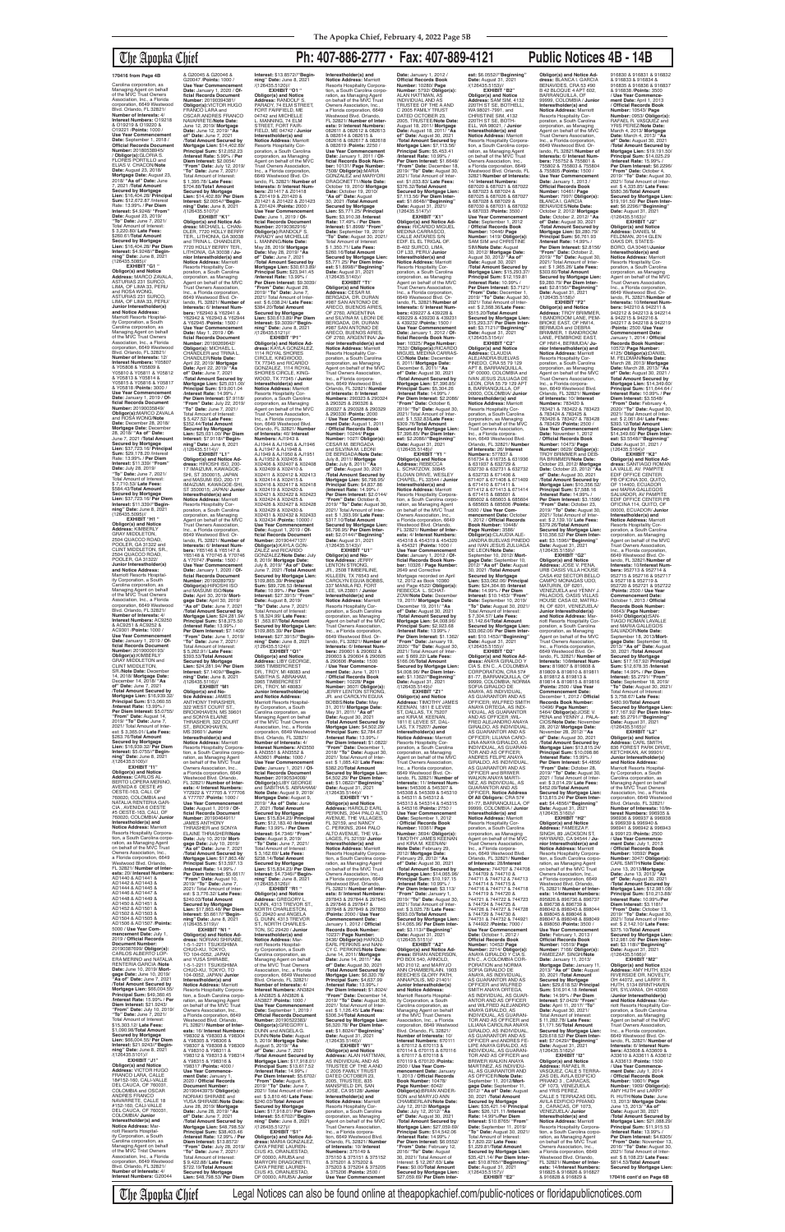## The Apopka Chief **Ph: 407-886-2777 • Fax: 407-889-4121 Public Notices 4B - 14B**

**EXHIBIT "G1 " Obligor(s) and Notice Address:** MARCO ZAVALA, ASTURIAS 231 SURCO, LIMA, OF LIMA 33, PERU and ROSA WONG, ASTURIAS 231 SURCO, LIMA, OF LIMA 33, PERU/ **Junior Interestholder(s) and Notice Address:** Marriott Resorts Hospital-ity Corporation, a South Carolina corporation, as Managing Agent on behalf<br>of the MVC Trust Owners of the MVC Trust Owners Association, Inc., a Florida corporation, 6649 Westwood Blvd. Orlando, FL 32821/ **Number of Interests:** 12/ **Interest Numbers:** Y05807 & Y05808 & Y05809 & Y05810 & Y05811 & Y05812<br>& Y05813 & Y05814 &<br>Y05815 & Y05816 & Y05817<br>& Y05818 /**Points:** 3000 / **Use Year Commencement Date:** January 1, 2019 / **Official Records Document<br><b>Number:** 20190035849/<br>**Obligor(s):**MARCO ZAVALA<br>and ROSA WONG/**Note** Date: December 28, 2018/<br>**Mortgage Date:** December<br>28, 2018/ "**As of" Date:**<br>June 7, 2021 /**Total Amount<br>Secured by Mortgage<br>Lien: \$37,723.16/ Principal Sum:** \$29,178.20 /Interest Rate: 13.99% / **Per Diem Interest:** \$11.339/ **"From" Date:** July 28, 2019/ **"To" Date:** June 7, 2021/ Total Amount of Interest: \$ 7,710.53/ **Late Fees:** \$584.43/**Total Amount Secured by Mortgage Lien:** \$37,723.16/ **Per Diem Interest:** \$11.339//**"Beginning" Date:** June 8, 2021 EXHIBIT "H<sub>1</sub> "

Carolina corporation, as Managing Agent on behalf of the MVC Trust Owners Association, Inc., a Florida corporation, 6649 Westwood Blvd. Orlando, FL 32821/ **Number of Interests:** 4/ **Interest Numbers:** O19218 & O19219 & O19220 & O19221 /**Points:** 1000 / Use Year Commencement<br>Date: September 1, 2018 **Date:** September 1, 2018 / **Official Records Document Number:** 20180538945/ / **Obligor(s):**GLORIA S. FLORES PORTILLO and ELIAS V. CHACON/**Note Date:** August 23, 2018/ **Mortgage Date:** August 23, 2018/ **"As of" Date:** June 7, 2021 /**Total Amount Secured by Mortgage Lien:** \$16,404.28/ **Principal Sum:** \$12,672.87 /lnterest Rate: 13.99% / **Per Diem Interest:** \$4.9248/ **"From" Date:** August 23, 2019/<br>"To" Date: June 7, 2021/ **"To" Date:** June 7, 2021/ Total Amount of Interest: \$ 3,220.80/ **Late Fees:** \$260.61/**Total Amount Secured by Mortgage Lien:** \$16,404.28/ **Per Diem Interest:** \$4.9248//**"Begin-ning" Date:** June 8, 2021 (126435.5085)//

(126435.5095)// **Obligor(s) and Notice Address:** KIMBERLY GRAY MIDDLETON, 2504 QUACCO ROAD POOLER, GA 31322 and CLINT MIDDLETON, SR., 2504 QUACCO ROAD, POOLER, GA 31322/ **Junior Interestholder(s) and Notice Address:** Marriott Resorts Hospital-ity Corporation, a South Carolina corporation, as Managing Agent on behalf of the MVC Trust Owners Association, Inc., a Florida corporation, 6649 Westwood Blvd. Orlando, FL 32821/ **Number of Interests:** 4/ **Interest Numbers:** AC9250 & AC9251 & AC9252 & AC9301 /**Points:** 1000 / **Use Year Commencement Date:** January 1, 2019 / **Of-ficial Records Document Number:** 20190000193/<br>**Obligor(s):**KIMBERLY<br>GRAY MIDDLETON and CLINT MIDDLETON, SR./**Note Date:** December 14, 2018/ **Mortgage Date:** December 14, 2018/ **"As of" Date:** June 7, 2021 /**Total Amount Secured by Mortgage Lien:** \$16,939.32/ **Principal Sum:** \$13,060.55 /**Interest Rate:** 13.99% / **Per Diem Interest:** \$5.0755/ **"From" Date:** August 14, 2019/ **"To" Date:** June 7, 2021/ Total Amount of lnter-est: \$ 3,365.01/ **Late Fees:** \$263.76/**Total Amount Secured by Mortgage Lien:** \$16,939.32/ **Per Diem Interest:** \$5.0755//**"Beginning" Date:** June 8, 2021<br>/(126435.5100)// **EXHIBIT "I1" Obligor(s) and Notice Address:** CARLOS AL-BERTO LOPERA MERINO, AVENIDA 6 OESTE #5 OESTE-163, CALI, OF 760020, COLOMBIA and NATALIA RENTERIA GAR-CIA , AVENIDA 6 OESTE #5 OESTE-163, CALI, OF 760020, COLOMBIA/ **Junior Interestholder(s) and Notice Address:** Marriott<br>Resorts Hospitality Corpora-<br>tion, a South Carolina corporation, as Managing Agent<br>on behalf of the MVC Trust<br>Owners Association, Inc., a Florida corporation, 6649 Westwood Blvd. Orlando, FL 32821/ **Number of Interests:** 20/ **Interest Numbers:** AD1440 & AD1441 & AD1442 & AD1443 & AD1444 & AD1445 & AD1446 & AD1447 & AD1448 & AD1449 & AD1450 & AD1451 & AD1452 & AD1501 & AD1502 & AD1503 & AD1504 & AD1505 & AD1506 & AD1507 /**Points:** 5000 / **Use Year Commencement Date:** July 1, 2019 / **Official Records Document Number:** 20190387699/ **Obligor(s):** CARLOS ALBERTO LOP-ERA MERINO and NATALIA RENTERIA GARCIA /**Note Date:** June 10, 2019/ **Mort-gage Date:** June 10, 2019/ **"As of" Date:** June 7, 2021 /**Total Amount Secured by Mortgage Lien:** \$66,004.55/ **Principal Sum:** \$49,360.45 /**Interest Rate:** 15.99% / **Per Diem Interest:** \$21.9243/ **"From" Date:** July 10, 2019/ **"To" Date:** June 7, 2021/ Total Amount of Interest: \$15,303.12/ **Late Fees:** \$1,090.98/**Total Amount**  Secured by Mortgage<br>Lien: \$66,004,55/ Per Diem **Lien:** \$66,004.55/ **Per Diem Interest:** \$21.9243//**"Begin-ning" Date:** June 8, 2021 /(126435.5101)// **EXHIBIT "J1"<br><b>Obligor(s) and Notice**<br>**Address:** VICTOR HUGO<br>FRANCO LARA, CALLE<br>18#152-160, CALI-VALLE<br>DEL CAUCA, OF 760031, COLOMBIA and OSCAR ANDRES FRANCO NAVARRETE, CALLE 18 #152-160, CALI-VALLE DEL CAUCA, OF 760031, COLOMBIA/ **Junior Interestholder(s) and Notice Address:** Marriott Resorts Hospitality Corporation, a South Carolina corporation, as Managing Agent on behalf of the MVC Tnlst Owners Association, Inc., a Florida corporation, 6649 Westwood Blvd. Orlando, FL 32821/ **Number of Interests:** 4/ **Interest Numbers:** G20044

& G20045 & G20046 & G20047 /**Points:** 1000 / **Use Year Commencement Date:** January 1, 2020 / **Of-ficial Records Document Number:** 20190394381/ **Obligor(s):**VICTOR HUGO FRANCO LARA and OSCAR ANDRES FRANCO NAVARRETE/**Note Date:** June 12, 2019/ **Mortgage Date:** June 12, 2019/ **"As of" Date:** June 7, 2021 /**Total Amount Secured by Mortgage Lien:** \$14,402.89/ **Principal Sum:** \$12,052.23 /**Interest Rate:** 5.99% / **Per Diem Interest:** \$2.0054/ **"From" Date:** July 12, 2019/ **"To" Date:** June 7, 2021/ Total Amount of Interest:<br>\$ 1.395.78/ Late Fees: \$ 1,395.78/ **Late Fees:** \$704.88/**Tota1 Amount Secured by Mortgage Lien:** \$14,402.89/ **Per Diem Interest:** \$2.0054//**"Begin-ning" Date:** June 8, 2021 /(126435.5107)// **EXHIBIT "K1" Obligor(s) and Notice Ad-dress:** MICHAEL L. CHAN-DLER, 7720 HOLLY BERRY TER., LITHONIA, GA 30038 and TRINA L. CHANDLER,<br>7720 HOLLY BERRY TER.,<br>LITHONIA, GA 30038 / **Junior Interestholder(s) and Notice Address:** Marriott Resorts Hospitality Corporation, a South Carolina corporation, as Managing Agent on behalf of the MVC Trust Owners Association, Inc., a Florida corporation, 6649 Westwood Blvd. Orlando, FL 32821/ **Number of Interests:** 6/ **Interest Num-bers:** Y62940 & Y62941 & Y62942 & Y62943 & Y62944 & Y62945 /**Points:** 1500 / **Use Year Commencement Date:** May 1, 2019 / **Of-ficial Records Document Number:** 20190269642/ **Obligor(s):** MICHAEL L. CHANDLER and TRINA L. CHANDLER/**Note Date:** April 22, 2019/ **Mortgage Date:** April 22, 2019/ **"As of" Date:** June 7, 2021 /**Total Amount Secured by Mortgage Lien:** \$25,031.00/ **Principal Sum:** \$19,001.04 /**Interest Rate:** 14.99% / **Per Diem Interest:** \$7.9118/ **"From" Date:** July 22, 2019/ **"To" Date:** June 7, 2021/ Total Amount of lnterest: \$ 5,427.52/ **Late Fees:** \$352.44/**Total Amount Secured by Mortgage Lien:** \$25,031.00/ **Per Diem Interest:** \$7.9118//**"Beginning" Date:** June 8, 2021<br>/(126435.5114)// **EXHIBIT "L1" Obligor(s) and Notice Ad-dress:** HIROSHI ISO, 200- 17 IMAIZUMI, KAWAGOE-SHI, ST 3500015, JAPAN and MASUMI ISO, 200-17 IMAIZUMI, KAWAGOE-SHI, ST 3500015; JAPAN/ **Junior Interestholder(s) and Notice Address:** Marriott Resorts Hospitality Cor-poration, a South Carolina corporation, as Managing Agent on behalf of the MVC Trust Owners Association, Inc., a Florida corporation, 6649 Westwood Blvd. Or-lando, FL 32821/ **Number of Interests:** 6/ **Interest Num-bers:** Y65146 & Y65147 & Y65148 & Y70745 & Y70746 & Y70747 /**Points:** 1500 / **Use Year Commencement Date:** January 1, 2020 / **Of-ficial Records Document Number:** 20190289793/ **Obligor(s):**HIROSHI ISO and MASUMI ISO/**Note Date:** April 30, 2019/ **Mortgage Date:** April 30, 2019/ **"As of" Date:** June 7, 2021 /**Total Amount Secured by Mortgage Lien:** \$24,281.94/ **Principal Sum:** \$18,375.50 (**Interest Rate:** 13.99% / **Per Diem Interest:** \$7.1409/ **"From" Date:** June 1, 2019/ **"To" Date:** June 7, 2021/ Total Amount of Interest: \$ 5,262.91/ **Late Fees:** \$393.53/**Total Amount Secured by Mortgage**<br>Lien: \$24,281,94/ Per Diem **Lien:** \$24,281.94/ **Per Diem Interest:** \$7.1409//**"Begin-ning" Date:** June 8, 2021 /(126435.5116)// **EXHIBIT "M1<br><b>Obligor(s) and No-**<br>**tice Address:** JAMES<br>ANTHONY THRASHER,<br>322 WEST COURT ST.,<br>BROOKHAVEN, MS 39601 and SONYA ELAINE<br>THRASHER, 322 COURT ST., BROOKHAVEN, MS 39601/ **Junior Interestholder(s) and Notice Address:** Marriott Resorts Hospitality Corpora-tion, a South Carolina corporation, as Managing Agent<br>on behalf of the MVC Trust<br>Owners Association, Inc., a Florida corporation, 6649 Westwood Blvd. Orlando, FL 32821/ **Number of Interests:** 4/ **Interest Numbers:** Y72922 & Y77705 & Y77706 & Y77707 /**Points:** 1000 / **Use Year Commencement Date:** August 1, 2019 / **Of-ficial Records Document Number:** 20190464911/<br>JAMES ANTHONY<br>THRASHER and SONYA<br>ELAINE THRASHERf**Note Date:** July 10, 2019/ **Mortgage Date:** July 10, 2019/ **"As of" Date:** June 7, 2021 /**Total Amount Secured by Mortgage Lien:** \$17,863.48/ **Principal Sum:** \$13,597.13 /**Interest Rate:** 14.99% / **Per Diem Interest:** \$5.6617/ **"From" Date:** August 10, 2019/ **"To" Date:** June 7, 2021/ Total Amount of lnter-est: \$ 3,776.32/ **Late Fees:** \$240.03/**Total Amount Secured by Mortgage Lien:** \$17,863.48/ **Per Diem Interest:** \$5.6617//**"Begin-ning" Date:** June 8, 2021 /(126435.5119)// **EXHIBIT "N1 " Obligor(s) and Notice Ad-dress:** NORIAKI SHIRABE, 1-5-1-2211 TSUKISHIMA CHUO-KU, TOKYO, TO 104-0052, JAPAN and YUSA SHIRABE,<br>1-5-1-2211 TSUKISHIMA CHUO-KU, TOKYO, TO 104-0052, JAPAN/ **Junior Interestholder(s) and Notice Address:** Marriott Resorts Hospitality Corporation, a South Carolina corporation, as Managing Agent<br>on behalf of the MVC Trust<br>Owners Association, Inc., a Florida corporation, 6649 Westwood Blvd. Orlando, FL 32821/ **Number of Interests:** 16/ **Interest Numbers:** Y98302 & Y98303 & Y98304 & Y98305 & Y98306 & Y98307 & Y98308 & Y98309 & Y98310 & Y98311 & Y98312 & Y98313 & Y98314 & Y98315 & Y98316 & Y98317 /**Points:** 4000 / **Use Year Commencement Date:** January 1, 2020 / **Official Records Document Number:** 20190443975/ **Obligor(s):** NORIAKI SHIRABE and YUSA SHIRABE/**Note Date:** June 28, 2019/ **Mortgage Date:** June 28, 2019/ **"As of" Date:** June 7, 2021 /**Total Amount Secured by Mortgage Lien:** \$48,798.53/ **Principal Sum:** \$38,403.46 /**Interest Rate:** 12.99% / **Per Diem Interest:** \$13.8572/ **"From" Date:** July 28, 2019/ **"To" Date:** June 7, 2021/ Total Amount of lnterest: \$ 9,422.88/ **Late Fees:** \$722.19/**Total Amount Secured by Mortgage Lien:** \$48,798.53/ **Per Diem** 

**Interest:** \$13.8572//**"Beginning" Date:** June 8, 2021<br>/(126435.5120)// **EXHIBIT "O1 " Obligor(s) and Notice Address:** RANDOLF S. PARADY, 74 ELM STREET, FORT FAIRFIELD, ME 04742 and MICHELLE L. MANNING, 74 ELM STREET, FORT FAIR-FIELD, ME 04742 / **Junior Interestholder(s) and Notice Address:** Marriott Resorts Hospitality Corporation, a South Carolina corporation, as Managing Agent on behalf of the MVC Trust Owners Association, Inc., a Florida corporation, 6649 Westwood Blvd. Orlando, FL 32821/ **Number of Interests:** 8/ **Interest Num-bers:** Z01417 & Z01418 & Z01419 & Z01420 & Z01421 & Z01422 & Z01423 & Z01424 /**Points:** 2000 / **Use Year Commencement Date:** June 1, 2019 / **Of-ficial Records Document Number:** 20190362916/ **Obligor(s):**RANDOLF S. PARADY and MICHELLE L. MANNNG/**Note Date:** May 28, 2019/ **Mortgage Date:** May 28, 2019/ **"As of" Date:** June 7, 2021 /**Total Amount Secured by Mortgage Lien:** \$30,613.89/ **Principal Sum:** \$23,941.45 /**Interest Rate:** 13.99% / **Per Diem Interest:** \$9.3039/ **"From" Date:** August 28, 2019/ **"To" Date:** June 7, 2021/ Total Amount of Interest: \$ 6,038.24/ **Late Fees:** \$384.20/**Total Amount Secured by Mortgage Lien:** \$30,613.89/ **Per Diem Interest:** \$9.3039//**"Begin-ning" Date:** June 8, 2021 /(126435.5121)// **EXHIBIT "P1" Obligor(s) and Notice Ad-dress:** KAYLA GONZALEZ, 1114 ROYAL SHORES CIRCLE, KINGWOOD, TX 77345 and RICARDO GONZALEZ, 1114 ROYAL SHORES CIRCLE, KING-WOOD, TX 77345 / **Junior Interestholder(s) and Notice Address:** Marriott Resorts Hospitality Cor-poration, a South Carolina corporation, as Managing Agent on behalf of the MVC Trust Owners Association, Inc., a Florida corpora-<br>tion, 6649 Westwood Blvd. tion, 6649 Westwood Blvd.<br>Orlando, FL 32821/ **Number<br>of Interests:** 40/ **Interest<br>Numbers:** AJ1945 & AJ1946<br>AJ1944 & AJ1945 & AJ1946<br>& AJ1947 & AJ1948 & AJ1949 & AJ1950 & AJ1951 & AJ1952 & X02405 & X02406 & X02407 & X02408 & X02409 & X02410 & X02411 & X02412 & X02413 & X02414 & X02415 & X02416 & X02417 & X02418 & X02419 & X02420 & X02421 & X02422 & X02423 & X02424 & X02425 & X02426 & X02427 & X02428 & X02429 & X02430 & X02431 & X02432 & X02433 & X02434 /**Points:** 10000 / **Use Year Commencement Date:** August 1, 2019 / **Official Records Document Number:** 20190447137/ **Obligor(s):**KAYLA GON-ZALEZ and RICARDO GONZALEZ/**Note Date:** July 8, 2019/ **Mortgage Date:** July 8, 2019/ **"As of" Date:** June 7, 2021 /**TotaI Amount Secured by Mortgage Lien:** \$109,865.39/ **Principal Sum:** \$89,726.53 /**Interest Rate:** 10.99% / **Per Diem Interest:** \$27.3915/ **"From" Date:** August 8, 2019/ **"To" Date:** June 7, 2021/ Total Amount of Interest: \$ 18,324.99/ **Late Fees:** \$1 ,563.87/**Total Amount Secured by Mortgage Lien:** \$109,865.39/ **Per Diem Interest:** \$27.3915//**"Begin-ning" Date:** June 8, 2021 /(126435.5124)// **EXHIBIT "Q1" Obligor(s) and Notice Address:** LIBY GEORGE, 3965 TIMBERCREST DR., TROY, Ml 48083 and SABITHA S. ABRAHAM, 3965 TIMBERCREST DR., TROY, Ml 48083/ **Junior Interestholder(s) and Notice Address:** Marriott Resorts Hospital-ity Corporation, a South Carolina corporation, as Managing Agent on behalf of the MVC Trust Owners Association, Inc., a Florida<br>corporation, 6649 Westwood<br>Blvd. Orlando, FL 32821/<br>**Number of Interests:** 4/ **Interest Numbers:** AN3550 & AN3551 & AN3552 & AN3601 /**Points:** 1000 / **Use Year Commencement Date:** January 1, 2021 / **Official Records Document Number:** 20190534008/ **Obligor(s):**LIBY GEORGE and SABITHA S. ABRAHAM/ **Note Date:** August 9, 2019/ **Mortgage Date:** August 9, 2019/ **"As of" Date:** June 7, 2021 /**Total Amount Secured by Mortgage Lien:** \$15,834.23/ **Principal Sum:** \$12,183.40 /**Interest Rate:** 13.99% / **Per Diem Interest:** \$4.7346/ **"From" Date:** August 9, 2019/ **"To" Date:** June 7, 2021/ Total Amount of Interest: \$ 3,162.69/ **Late Fees:** \$238.14/**Total Amount Secured by Mortgage Lien:** \$15,834.23/ **Per Diem Interest:** \$4.7346//**"Begin-ning" Date:** June 8, 2021 /(126435.5126)// **EXHIBIT "R1 " Obligor(s) and Notice Address:** GREGORY L.<br>DUNN, 4313 TREVOR ST., NORTH CHARLESTON, SC 29420 and ANGELA<br>G. DUNN, 4313 TREVOR<br>ST., NORTH CHARLES-TON, SC 29420 / **Junior Interestholder(s) and Notice Address:** Marriott Resorts Hospital-ity Corporation, a South Carolina corporation, as Managing Agent on behalf of the MVC Trust Owners Association, Inc., a Florida<br>corporation, 6649 Westwood<br>Blvd. Orlando, FL 32821/<br>**Number of Interests:** 4/ **Interest Numbers:** AN3824 & AN3825 & AN3826 & AN3827 /**Points:** 1000 / **Use Year Commencement Date:** September 1, 2019 / **Official Records Document Number:** 20190522383/ **Obligor(s):**GREGORY L. DUNN and ANGELA G. DUNN/**Note Date:** August 5, 2019/ **Mortgage Date:** August 5, 2019/ **"As of" Date:** June 7, 2021 /**Total Amount Secured by Mortgage Lien:** \$17,918.01/ **Principal Sum:** \$13,617.52 /**Interest Rate:** 14.99% / **Per Diem Interest:** \$5.6702/ **"From" Date:** August 5, 2019/ **"To" Date:** June 7, 2021/ Total Amount of Inter-est: \$ 3,810.46/ **Late Fees:** \$240.03/**Total Amount Secured by Mortgage Lien:** \$17,918.01/ **Per Diem Interest:** \$5.6702//**"Beginning" Date:** June 8, 2021 /(126435.5127)// **EXHIBIT "S1" Obligor(s) and Notice Address:** MARIA GONZALEZ, CAYA FRERE LAUREN-CIUS #3, ORANJESTAD, OF 00000, ARUBA and MARYORI DRAGONETTI, CAYA FRERE LAUREN-CIUS #3, ORANJESTAD, OF 00000, ARUBA/ **Junior**  /(126435.5143)//

**Interestholder(s) and Notice Address:** Marriott Resorts Hospitality Corporation, a South Carolina corporation, as Managing Agent<br>on behalf of the MVC Trust Owners Association, Inc., a Florida corporation, 6649 Westwood Blvd. Orlando, FL 32821/ **Number of Inter-ests:** 9/ **Interest Numbers:** 082611 & 082612 & 082613 & 082614 & 082615 & 082616 & 082617 & 082618 & 082619 /**Points:** 2250 / **Use Year Commencement Date:** January 1, 2011 / **Of-ficial Records Book Number:** 10131/ **Page Number:** 7508/ **Obligor(s):**MARIA GONZALEZ and MARYORI DRAGONETT1//**Note Date:** October 19, 2010/ **Mortgage Date:** October 19, 2010/ **"As of" Date:** August 30, 2021 /**Total Amount Secured by Mortgage Lien:** \$5,771.25/ **Principal Sum:** \$3,910.38 /**Interest Rate:** 17.49% / **Per Diem Interest:** \$1.8998/ **"From" Date:** September 19, 2019/ **"To" Date:** August 30, 2021/ Total Amount of Interest: \$ 1,350.71/ **Late Fees:** \$260.16/**Total Amount Secured by Mortgage Lien:** \$5,771.25/ **Per Diem Inter-est:** \$1.8998//**"Beginning" Date:** August 31, 2021 /(126435.5140)// **EXHIBIT "T1' Obligor(s) and Notice Address:** CESAR M. BERGADA, DR. DURAN #987 SAN ANTONIO DE ARECO, BUENOS AIRES, OF 2760, ARGENTINA and SILVINA M. LEONI DE BERGADA, DR. DURAN<br>#987 SAN ANTONIO DE ARECO, BUENOS AIRES, OF 2760, ARGENTINA/ **Ju-nior Interestholder(s) and Notice Address:** Marriott Resorts Hospitality Cor-poration, a South Carolina corporation, as Managing<br>Agent on behalf of the MVC<br>Trust Owners Association,<br>Inc., a Florida corporation, 6649 Westwood Blvd. Orlando, FL 32821/ **Number of Interests:** 8/ **Interest Numbers:** 290323 & 290324 & 290325 & 290326 & 290327 & 290328 & 290329 & 290330 /**Points:** 2000 / **Use Year Commencement Date:** August 1, 2011 / **Official Records Book Number:** 10244/ **Page Number:** 1027/ **Obligor(s):** CESAR M. BERGADA and SILVINA M. LEONI DE BERGADA/**Note Date:** July 8, 2011/ **Mortgage Date:** July 8, 2011/ **"As of" Date:** August 30, 2021 /**Total Amount Secured by Mortgage Lien:** \$6,798.95/ **Principal Sum:** \$4,837.86 (**Interest Rate:** 14.99% / **Per Diem Interest:** \$2.0144/ **"From" Date:** October 8, 2019/ **"To" Date:** August 30, 2021/ Total Amount of Interest: \$ 1,393.99/ **Late Fees:** \$317.10/**Total Amount Secured by Mortgage Lien:** \$6,798.95/ **Per Diem Interest:** \$2.0144//**"Beginning" Date:** August 31, 2021 **EXHIBIT "U1" Obligor(s) and No-tice Address:** JERRY LENTON STRONG,<br>JR., 2508 TIMBERLINE, KILLEEN, TX 76543 and CAROLYN EGUIA BOBBS, 337 MANILA RD, FORT LEE, VA 23801 / **Junior Interestholder(s) and Notice Address:** Marriott Resorts Hospitality Cor-poration, a South Carolina corporation, as Managing Agent on behalf of the MVC Trust Owners Association, Inc., a Florida corporation, 6649 Westwood Blvd. Or-lando, FL 32821/ **Number of Interests:** 6/ **Interest Num-bers:** 290601 & 290602 & 290603 & 290604 & 290605 & 290606 /**Points:** 1500 / **Use Year Commence-ment Date:** June 1, 2011 / **Official Records Book Number:** 10228/ **Page Number:** 3607/ **Obligor(s):** JERRY LENTON STRONG, JR. and CAROLYN EGUIA BOBBS/**Note Date:** May 31, 2011/ **Mortgage Date:** May 31, 2011/ **"As of" Date:** August 30, 2021 /**Total Amount Secured by Mortgage Lien:** \$4,502.29/<br>**Principal Sum:** \$2,784.67<br>/**Interest Rate:** 13.99% / **Per Diem Interest:** \$1.0822/ **"From" Date:** December 1, 2018/ **"To" Date:** August 30, 2021/ Total Amount of Interest: \$ 1,085.42/ **Late Fees:** \$382.20/**Total Amount Secured by Mortgage Lien:** \$4,502.29/ **Per Diem Interest:** \$1.0822//**"Beginning" Date:** August 31, 2021<br>/(126435.5144)//<br>**EXHIBIT "V1 "**<br>**Obligor(s) and Notice Address:** HAROLD EARL PERKINS, 2044 PALO ALTO AVENUE, THE VILLAGES, FL 32159, and NANCY C. PERKINS, 2044 PALO ALTO AVENUE, THE VIL-LAGES, FL 32159/ **Junior Interestholder(s) and<br><b>Resorts Hospitality Corpora-**<br>**Resorts Hospitality Corpora-**<br>tion, a South Carolina corpo-<br>con behalf of the MVC Trust<br>on behalf of the MVC Trust<br>Owners Association, Inc., a Florida corporation, 6649 Westwood Blvd. Orlando, FL 32821/ **Number of Interests:** 8/ **Interest Numbers:** 297843 & 297844 & 297845 & 297846 & 297847 & 297848 & 297849 & 297850 /**Points:** 2000 / **Use Year Commencement Date:** January 1, 2012 / **Official Records Book Number:** 10237/ **Page Number:** 3436/ **Obligor(s):**HAROLD EARL PERKINS and NAN-CY C. PERKINS/**Note Date:** June 14, 2011/ **Mortgage Date:** June 14, 2011/ **"As of" Date:** August 30, 2021 /**Total Amount Secured by Mortgage Lien:** \$6,320.78/ **Principal Sum:** \$4,637.99 /**lnterest Rate:** 13.99% / **Per Diem Interest:** \$1.8024/ **"From" Date:** December 14, 2019/ **"To" Date:** August 30, 2021/ Total Amount of Inter-est: \$ 1,126.45/ **Late Fees:** \$306.34/**Total Amount Secured by Mortgage Lien:** \$6,320.78/ **Per Diem Interest:** \$1.8024//**"Beginning"<br><b>Date:** August 31, 2021<br>/(126435.5146)//<br>**EXHIBIT "W1" Obligor(s) and Notice Address:** ALAN HATTMAN, AS INDIVIDUAL AND AS TRUSTEE OF THE A AND C 2005 FAMILY TRUST DATED OCTOBER 23, 2005, TRUSTEE, 835 MANSFIELD DR, SAN JOSE, CA 95128/ **Junior Interestholder(s) and Notice Address:** Marriott Resorts Hospitality Corporation, a South Carolina<br>corporation, as Managing corporation, as Managing Agent on behalf of the MVC Trust Owners Association, Inc., a Florida corporation, 6649 Westwood Blvd. Orlando, FL 32821/ **Number of Interests:** 10/ **Interest Numbers:** 375149 &<br>375150 & 375151 & 375152<br>& 375201 & 375202 & 375203 & 375204 & 375205 & 375206 /**Points:** 2500 / **Use Year Commencement Date:** January 1, 2012 / **Official Records Book Number:** 10280/ **Page Number:** 5792/ **Obligor(s):**<br>ALAN HATTMAN, AS<br>INDIVIDUAL AND AS<br>TRUSTEE OF THE A AND C 2005 FAMILY TRUST DATED OCTOBER 23, 2005, TRUSTEE/**Note Date:** August 18, 2011/ **Mortgage Date:** August 18, 2011/ **"As of" Date:** August 30, 2021 /**Total Amount Secured by Mortgage Lien:** \$7,113.56/ **Principal Sum:** \$5,453.41 /**Interest Rate:** 10.99% / **Per Diem Interest:** \$1.6648/ **"From" Date:** December 18, 2019/ **"To" Date:** August 30, 2021/ Total Amount of Interest: \$1,033.83/ **Late Fees:** \$376.32/**Total Amount Secured by Mortgage Lien:** \$7,113.56/ **Per Diem Interest:** \$1.6648//"**Beginning"**<br>**Date:** August 31, 2021/<br>(126435.5147)// **EXHIBIT "X1" Obligor(s) and Notice Ad-dress:** RICARDO MIGUEL MEDINA CARRASCO, CALLE ANTARES S/N EDIF. EL EL TRIGAL OF. B-402 SURCO, LIMA, OF L33, PERU/ **Junior Interestholder(s) and Notice Address:** Marriott Resorts Hospitality Corporation, a South Carolina corporation, as Managing Agent on behalf of the MVC Trust Owners Association, Inc., a Florida corporation, 6649 Westwood Blvd. Orlando, FL 32821/**Number of Interests:** 6/ **Interest Num-bers:** 439227 & 439228 & 439229 & 439230 & 439231 & 439232 /**Points:** 1500 / **Use Year Commencement Date:** January 1, 2012 / **Of-ficial Records Book Num-ber:** 10325/ **Page Number:** 7532/ **ObIigor(s):**RICARDO MIGUEL MEDINA CARRAS-CO/**Note Date:** December 6, 2011/ **Mortgage Date:** December 6, 2011/ **"As of" Date:** August 30, 2021 /**Total Amount Secured by Mortgage Lien:** \$7,396.85/ **Principal Sum:** \$5,304.26 /**Interest Rate:** 14.99% / **Per Diem Interest:** \$2.2086/ **"From" Date:** October 6, 2019/ **"To" Date:** August 30, 2021/ Total Amount of Inter-est: \$ 1,532.83/**Late Fees:** \$309.76/**Total Amount Secured by Mortgage Lien:** \$7,396.85/ **Per Diem Inter-est:** \$2.2086//**"Beginning" Date:** August 31, 2021<br>/(126435.5148)// **EXHIBIT "Y1 " Obligor(s) and Notice Address:** REBECCA L. SCHATZOW, 30845 ELOIAN DRIVE, WESLEY CHAPEL, FL 33544 / **Junior Interestholder(s) and Notice Address:** Marriott Resorts Hospitality Corpora-tion, a South Carolina corporation, as Managing Agent<br>on behalf of the MVC Trust Owners Association, Inc., a Florida corporation, 6649 Westwood Blvd. Orlando, FL 32821/ **Number of Interests:** 4/ **Interest Numbers:** 454318 & 454319 & 454320 & 454321 (**Points:** 1000 / **Use Year Commencement Date:** January 1, 2012 / **Official Records Book Number:** 10326 / **Page Number:** 2649 and Corrective Mortgage recorded on April<br>12, 2012 as Book 10360<br>and Page 4522/ **Obligor(s):**<br>REBECCA L. SCHAT-ZOW/**Note Date:** December 19, 2011/ **Mortgage Date:** December 19, 2011/ **"As of" Date:** August 30, 2021 /**Total Amount Secured by Mortgage Lien:** \$4,008.96/ **Principal Sum:** \$2,923.68 /**Interest Rate:** 13.99% / **Per Diem Interest:** \$1.1362/ **"From" Date:** January 19, 2020/ **"To" Date:** August 30, 2021/ Total Amount of Interest: \$ 669.22/ **Late Fees:** \$166.06/**Total Amount Secured by Mortgage Lien:** \$4,008.96/ **Per Diem Inter-est:** \$1.1362//**"Beginning" Date:** August 31, 2021 /(126435.5149)//<br>"EXHIBIT "Z1 **EXHIBIT "Z1" Obligor(s) and Notice Address:** TIMOTHY JAMES KEENAN, 1811 E LEVEE ST, DALLAS, TX 75207 and KIRA M. KEENAN, 1811 E LEVEE ST, DAL-LAS, TX 75207/ **Junior Interestholder(s) and Notice Address:** Marriott Resorts Hospitality Corporation, a South Carolina corporation, as Managing Agent on behalf of the MVC Trust Owners Association, Inc., a Florida corporation, 6649 Westwood Blvd. Orlando, FL 32821/ **Number of Interests: 11/ Interest Num**<br>**bers:** 545306 & 545307 & **bers:** 545306 & 545307 &<br>545308 & 545309 & 545310<br>& 545311 & 545312 &<br>545313 & 545314 & 545315 & 545316 /**Points:** 2750 / **Use Year Commencement Date:** September 1, 2012 / **Official Records Book Number:** 10361/ **Page Number:** 3694/ **Obligor(s):** TIMOTHY JAMES KEENAN and KIRA M. KEENAN/ **Note Date:** February 29, 2012/ **Mortgage Date:** February 29, 2012/ **"As of" Date:** August 30, 2021 /**Total Amount Secured by Mortgage Lien:** \$14,065.96/ **Principal Sum:** \$10,197.15 /**Interest Rate:** 10.99% / **Per Diem Interest:** \$3.113/ **"From" Date:** January 1, 2019/ **"To" Date:** August 30, 2021/ Total Amount of Interest: \$ 3,025.78/ **Late Fees:** \$593.03/**Total Amount Secured by Mortgage Lien:** \$14,065.96/ **Per Diem Interest:** \$3.113//**"Beginning" Date:** August 31, 2021 /(126435.5151)// **EXHIBIT "A2" Obligor(s) and Notice Ad-dress:** BRIAN ANDERSON, PO BOX 540, ARNOLD, MD 21012, and MARYJO ANN CHAMBERLAIN, 1903 BEECHES GLORY PATH, ANNAPOLIS, MD 21401/ **Junior Interestholder(s) and Notice Address:** Marriott Resorts Hospitality Corporation, a South Carolina corporation, as Managing Agent on behalf of the MVC Trust Owners Association, Inc., a Florida corporation, 6649 Westwood Blvd. Orlando, FL 32821/ **Number of Interests:** 10/ **Interest Numbers:** 670111 & 670112 & 670113 & 670114 & 670115 & 670116 & 670117 & 670118 &<br>670119 & 670120 / Points: 670119 & 670120 /**Points:** 2500 / **Use Year Com-mencement Date:** January 1, 2013 / **Official Records Book Number:** 10478/ **Page Number:** 6042/ **Obligor(s):**BRIAN ANDER-SON and MARYJO ANN CHAMBERLAIN/**Note Date:** July 12, 2012/ **Mortgage Date:** July 12, 2012/ **"As of" Date:** August 30, 2021 /**Total Amount Secured by Mortgage Lien:** \$27,059.69/ **Principal Sum:** \$14,542.06 /**Interest Rate:** 14.99% / **Per Diem Interest:** \$6.0552/ **"From" Date:** February 12, 2016/ **"To" Date:** August 30, 2021/ Total Amount of Interest: \$ 12,267.63/ **Late Fees:** \$0.00/**Total Amount Secured by Mortgage Lien:** \$27,059.69/ **Per Diem Inter-**

**est:** \$6.0552//**"Beginning" Date:** August 31, 2021<br>/(126435.5153)// **EXHIBIT "B2" Obligor(s) and Notice Address:** SAM SIM, 4132 220TH ST SE, BOTHELL, WA 98021-7991, and CHRISTINE SIM, 4132 220TH ST SE, BOTH-ELL, WA 98021, / **Junior Interestholder(s) and Notice Address:** Marriott Resorts Hospitality Corpora-tion, a South Carolina corporation, as Managing Agent<br>on behalf of the MVC Trust<br>Owners Association, Inc., a Florida corporation, 6649 Westwood Blvd. Orlando, FL 32821/**Number of Interests:** 14/ **Interest Numbers:** 687020 & 687021 & 687022 & 687023 & 687024 & 687025 & 687026 & 687027 & 687028 & 687029 & 687030 & 687031 & 687032 & 687033 /**Points:** 3500 / **Use Year Commencement Date:** September 1, 2012 / **Official Records Book Number:** 10446/ **Page Number:** 1419/ **Obligor(s):** SAM SIM and CHRISTINE SIM/**Note Date:** August 30, 2012/ **Mortgage Date:** August 30, 2012/ **"As of"**  Date: August 30, 2021<br>**Total Amount Secured by** /**Total Amount Secured by Mortgage Lien:** \$15,293.37/ **Principal Sum:** \$12,159.81 /**Interest Rate:** 10.99% / **Per Diem Interest:** \$3.7121/ **"From" Date:** December 1, 2019/ **"To" Date:** August 30, 2021/ Total Amount of Inter-est: \$ 2,368.36/**Late Fees:** \$515.20/**Total Amount Secured by Mortgage Lien:** \$15,293.37/ **Per Diem Inter-est:** \$3.7121//**"Beginning" Date:** August 31, 2021 /(126435.5154)// **EXHIBIT "C2" Obligor(s) and Notice Address:** CLAUDIA ALEJANDRA BUELVAS PINEDO, CRA 55 79 129 APT 8, BARRANQUILLA, OF 00000, COLOMBIA and IVAN JESUS ZULUAGA DE LEON, CRA 55 79 129 APT 8, BARRANQUILLA, OF 00000, COLOMBIA/ **Junior Interestholder(s) and Notice Address:** Marriott Resorts Hospitality Corporation, a South Carolina corporation, as Managing Agent on behalf of the MVC Trust Owners Association, Inc., a Florida corpora-tion, 6649 Westwood Blvd. Orlando, FL 32821/ **Number of Interests:** 26/ **Interest Numbers:** 577837 &<br>616734 & 616735 & 631936<br>& 631937 & 632729 & 632730 & 632731 & 632732 & 632733 & 671406 & 671407 & 671408 & 671409 & 671410 & 671411 &<br>671412 & 671413 & 671414<br>& 671415 & 685601 &<br>685602 & 685603 & 685604 & 685605 & 685606 /**Points:** 6500 / **Use Year Commencement Date:** October 1, 2012 / **Official Records Book Number:** 10448/ **Page Number:** 3586/ **Obligor(s):**CLAUDIA ALE-JANDRA BUELVAS PINEDO and IVAN JESUS ZULUAGA DE LEON/**Note Date:** September 10, 2012/ **Mort-gage Date:** September 10, 2012/ **"As of" Date:** August 30, 2021 /**Total Amount Secured by Mortgage Lien:** \$33,062.06/ **Principal Sum:** \$24,364.85 /**Interest Rate:** 14.99% / **Per Diem Interest:** \$10.1453/ **"From" Date:** September 10, 2019/ **"To" Date:** August 30, 2021/ Total Amount of Interest: \$ 7,304.57/ **Late Fees:** \$1,142.64/**Total Amount Secured by Mortgage Lien:** \$33,062.06/ **Per Diem Interest:** \$10.1453//**"Beginning" Date:** August 31, 2021<br>/(126435.5155)// **EXHIBIT "D2" Obligor(s) and Notice Ad-dress:** ANAYA GIRALDO Y CIA S. EN C., A COLOMBIA CORPORATION, CRA 57# 81-77, BARRANQUILLA, OF 99999, COLOMBIA; NORMA SOFIA GIRALDO DE ANAYA, AS INDIVIDUAL, AS GUARANTOR AND AS OFFICER; WILFRED SMITH ANAYA ORTEGA, AS INDI-VIDUAL, AS GUARANTOR AND AS OFFICER ;WIL-FRED ALEJANDRO ANAYA GIRALDO, AS INDIVIDUAL,<br>AS GUARANTOR AND AS<br>OFFICER; LILIANA CARO-<br>LINA ANAYA GIRALDO, AS INDIVIDUAL, AS GUARAN-TOR AND AS OFFICER; ANDRES FELIPE ANAYA GIRALDO, AS INDIVIDUAL, AS GUARANTOR AND AS OFFICER and BRIWER WALKIN ANAYA MARTI-NEZ, AS INDIVIDUAL, AS GUARANTOR AND AS OFFICER, **Notice Address Of All Obligors:** CRA 57# 81-77, BARRANQUILLA, OF 99999, COLOMBIA / **Junior Interestholder(s) and Notice Address:** Marriott Resorts Hospitality Cor-poration, a South Carolina corporation, as Managing Agent on behalf of the MVC Trust Owners Association, Inc., a Florida corpora-tion, 6649 Westwood Blvd. Orlando, FL 32821/ **Number of Interests:** 28/**Interest Numbers:** 744707 & 744708 & 744709 & 744710 & 744711 & 744712 & 744713 & 744714 & 744715 & 744716 & 744717 & 744718 & 744719 & 744720 & 744721 & 744722 & 744723 & 744724 & 744725 & 744726 & 744727 & 744728 & 744729 & 744730 & 744731 & 744732 & 744921 & 744922 /**Points:** 7000 / **Use Year Commencement Date:** October 1, 2012 / **Official Records Book Number:** 10452/ **Page Number:** 2214/ **Obligor(s):** ANAYA GIRALDO Y CIA S. EN C., A COLOMBIA COR-PORATION and NORMA SOFIA GIRALDO DE<br>ANAYA, AS INDIVIDUAL,<br>AS GUARANTOR AND AS OFFICER and WILFRED SMITH ANAYA ORTEGA, AS INDIVIDUAL, AS GUAR-<br>ANTOR AND AS OFFICER ANTOR AND AS OFFICER and WILFRED ALEJANDRO ANAYA GIRALDO, AS INDIVIDUAL, AS GUARAN-TOR AND AS OFFICER and LILIANA CAROLINA ANAYA GIRALDO, AS INDIVIDUAL,<br>AS GUARANTOR AND AS<br>OFFICER and ANDRES FE-<br>LIPE ANAYA GIRALDO, AS INDIVIDUAL, AS GUARAN-TOR AND AS OFFICER and BRIWER WALKIN ANAYA MARTINEZ, AS INDIVIDU-AL, AS GUARANTOR AND AS OFFICER/**Note Date:** September 11, 2012/**Mort-gage Date:** September 11, 2012/ **"As of" Date:** August 30, 2021 /**Total Amount Secured by Mortgage Lien:** \$35,421.14/ **Principal Sum:** \$26,121.11 /**Interest Rate:** 14.99%/**Per Diem Interest:** \$10.8765/ **"From" Date:** September 11, 2019/ **"To" Date:** August 30, 2021/ Total Amount of Interest: \$ 7,820.22/ **Late Fees:** \$1,229.81/**Total Amount Secured by Mortgage Lien:** \$35,421.14/ **Per Diem Inter-est:** \$10.8765//**"Beginning" Date:** August 31, 2021 /(126435.5157)// **EXHIBIT "E2"**

**Obligor(s) and Notice Address:** BLANCA I. GARCIA BENAVIDES, CRA 53 #90 BEHOM HIS 20, 21 HOT 602. BARRANQUILLA, OF 99999, COLOMBIA / **Junior Interestholder(s) and Notice Address:** Marriott Resorts Hospitality Corporation, a South Carolina corporation, as Managing Agent on behalf of the MVC Trust Owners Association, Inc., a Florida corporation, 6649 Westwood Blvd. Orlando, FL 32821/**Number of Interests:** 6/ **Interest Num-bers:** 755752 & 755801 & 755802 & 755803 & 755804 & 755805 /**Points:** 1500 / **Use Year Commencement Date:** January 1, 2013 / **Official Records Book Number:** 10461/ **Page Number:** 7997/ **Obligor(s):** BLANCA I. GARCIA BENAVIDES/**Note Date:** October 2, 2012/ **Mortgage Date:** October 2, 2012/ **"As of" Date:** August 30, 2021 /**Total Amount Secured by Mortgage Lien:** \$9,280.79/ **Principal Sum:** \$6,761.93 /**Interest Rate:** 14.99% / **Per Diem Interest:** \$2.8156/ **"From" Date:** October 2, 2019/ **"To" Date:** August 30, 2021/ Total Amount of Inter-est: \$ 1,965.26/ **Late Fees:** \$303.60/**Total Amount Secured by Mortgage Lien:** \$9,280.79/ **Per Diem Inter-est:** \$2.8156//**"Beginning" Date:** August 31, 2021<br>/(126435.5158)// **EXHIBIT "F2" Obligor(s) and Notice Address:** TROY BRIMMER, 1 BANDROOM LANE, PEM-BROKE EAST, OF HM14, BERMUDA and DEBRA BEHMODRANG DEBHA LANE, PEMBROKE EAST, OF HM14, BERMUDA/ **Junior Interestholder(s) and Notice Address:** Marriott Resorts Hospitality Corporation, a South Carolina corporation, as Managing Agent on behalf of the MVC Trust Owners Association, Inc., a Florida corpora-tion, 6649 Westwood Blvd. Orlando, FL 32821/ **Number of Interests:** 10/ **Interest Numbers:** 783420 & 783421 & 783422 & 783423 & 783424 & 783425 & 783426 & 783427 & 783428 & 783429 /**Points:** 2500 / Use Year Commencement<br>
Date: November 1, 2012 **Date:** November 1, 2012 / **Official Records Book Number:** 10473/ **Page Number:** 0629/ **Obligor(s):** TROY BRIMMER and DEB-RA BRIMMER/**Note Date:** October 23, 2012/ **Mortgage Date:** October 23, 2012/ **"As of" Date:** August 30, 2021 /**Total Amount Secured by Mortgage Lien:** \$10,356.52/ **Principal Sum:** \$7,588.16 /**Interest Rate:** 14.99% / **Per Diem Interest:** \$3.1596/ **"From" Date:** October 23, 2019/ **"To" Date:** August 30, 2021/ Total Amount of Inter-est: \$ 2,139.10/ **Late Fees:** \$379.26/**Total Amount Secured by Mortgage Lien:** \$10,356.52/ **Per Diem Inter-est:** \$3.1596//**"Beginning" Date:** August 31, 2021 /(126435.5159)// **EXHIBIT "G2" Obligor(s) and Notice Address:** JOSE V. PENA,<br>URB OASIS VILLA HOUSE CASA #02 SECTOR BELLO CAMPO MONAGAS UDO, MATURIN, OF 6201, VENEZUELA and YENNY J. PALACIOS, OASIS VILLAS<br>HOUSE CASA 02, MATRU-IN, OF 6201, VENEZUELA/ **Junior Interestholder(s) and Notice Address:** Mar-

riott Resorts Hospitality Corporation, a South Carolina<br>corporation, as Managing corporation, as Managing<br>Agent on behalf of the MVC<br>Trust Owners Association,<br>Inc., a Florida corporation, 6649 Westwood Blvd. Orlando, FL 32821/ **Number of Interests:** 10/**Interest Numbers:** 819807 & 819808 &<br>819809 & 819810 & 819811<br>& 819812 & 819813 & 819814 & 819815 & 819816 /**Points:** 2500 / **Use Year** 

**Commencement Date:** December 1, 2012 / **Official Records Book Number:** 10496/ **Page Number:** 5464/ **Obligor(s):**JOSE V. PENA and YENNY J. PALA-CIOS/**Note Date:** November 28, 2012/ **Mortgage Date:** November 28, 2012/ **"As of" Date:** August 30, 2021 /**Total Amount Secured by Mortgage Lien:** \$13,815.24/ **Principal Sum:** \$10,098.86 /**Interest Rate:** 15.99% / **Per Diem Interest:** \$4.4856/ **"From" Date:** October 28, 2019/ **"To" Date:** August 30, 2021 / Total Amount of Inter-est: \$ 3,014.29/ **Late Fees:** \$452.09/**Total Amount Secured by Mortgage Lien:** \$13,815.24/ **Per Diem Inter-est:** \$4.4856//**"Beginning" Date:** August 31, 2021<br>/(126435.5160)// **EXHIBIT "H2" Obligor(s) and Notice Address:** FAMEEZA F. SINGH, 89 JACKSON ST, HAYWARD, CA 94544 / **Junior Interestholder(s) and Notice Address:** Marriott Resorts Hospitality Corpora-tion, a South Carolina corporation, as Managing Agent<br>on behalf of the MVC Trust<br>Owners Association, Inc., a Florida corporation, 6649 Westwood Blvd. Orlando, FL 32821/ **Number of Interests:** 14/**Interest Numbers:** 895826 & 896736 & 896737 & 896738 & 896739 & 898042 & 898043 & 898044 & 898045 & 898046 & 898047 & 898048 & 898049 & 898050 /**Points:** 3500 / **Use Year Commencement Date:** February 1, 2013 / **Official Records Book Number:** 10519/ **Page Number:** 7166/ **Obligor(s):** FAMEEZAF. SINGH/**Note Date:** January 11, 2013/<br>**Mortgage Date:** January 11,<br>2013/ "**As of" Date:** August 30, 2021 /**Total Amount Secured by Mortgage Lien:** \$29,618.52/ **Principal Sum:** \$16,914.18 /**Interest Rate:** 14.99% / **Per Diem Interest:** \$7.0429/ **"From" Date:** April 11, 2017/ **"To" Date:** August 30, 2021/ Total Amount of Interest: \$ 11,282.78/ **Late Fees:** \$1,171.56/**Total Amount Secured by Mortgage Lien:** \$29,618.52/ **Per Diem Inter-est:** \$7.0429//**"Beginning" Date:** August 31, 2021 /(126435.5162)// **EXHIBIT "I2" Obligor(s) and Notice<br><b>Address:** RAFAEL R.<br>VASQUEZ, CALE 5 TERRA-<br>ZAS DEL AVILA EDIFICIO PRIANO 3 , CARACAS, OF 1073, VENEZUELA and YRIS PEREZ,<br>CALLE 5 TERRAZAS DEL<br>AVILA EDIFICIO PRIANO<br>3 , CARACAS, OF 1073, VENEZUELA/ **Junior Interestholder(s) and Notice Address:** Marriott Resorts Hospitality Corpora-tion, a South Carolina corporation, as Managing Agent<br>on behalf of the MVC Trust Owners Association, Inc., a Florida corporation, 6649 Westwood Blvd. Orlando, FL 32821/ **Number of Interests:** 14/**Interest Numbers:** 916825 & 916826 & 916827 & 916828 & 916829 &

916830 & 916831 & 916832 & 916833 & 916834 & 916835 & 916836 & 916837 & 916838 /**Points:** 3500 / **Use Year Commence-ment Date:** April 1, 2013 / **Official Records Book Number:** 10543/ **Page Number:** 0953/ **Obligor(s):** RAFAEL R. VASQUEZ and YRIS PEREZ/**Note Date:** March 4, 2013/ **Mortgage Date:** March 4, 2013/ **"As of" Date:** August 30, 2021 /**Total Amount Secured by Mortgage Lien:** \$19,191.50/ **Principal Sum:** \$14,025.29 /**Interest Rate:** 15.99% / **Per Diem Interest:** \$6.2296/ **"From" Date:** October 4, 2019/ **"To" Date:** August 30, 2021/ Total Amount of Inter-est: \$ 4,335.85/ **Late Fees:** \$580.36/**Total Amount Secured by Mortgage Lien:** \$19,191.50/ **Per Diem Inter-est:** \$6.2296//**"Beginning" Date:** August 31, 2021 /(126435.5163)// **EXHIBIT "J2" Obligor(s) and Notice Address:** DANIEL M. FELDMAN, 2014 GLEN OAKS DR, STATES-BORO, GA 30461/**Junior Interestholder(s) and Notice Address:** Marriott Resorts Hospitality Cor-poration, a South Carolina corporation, as Managing Agent on behalf of the MVC Trust Owners Association, Inc., a Florida corporation, 6649 Westwood Blvd. Or-lando, FL 32821/**Number of Interests:** 10/**Interest Num-bers:** 942210 & 942211 & 942212 & 942213 & 942214 & 942215 & 942216 & 942217 & 942218 & 942219 /**Points:** 2500 /**Use Year Commencement Date:** January 1, 2014 / **Official Records Book Number:** 10572/ **Page Number:** 4125/ **ObIigor(s):**DANIEL M. FELDMAN/**Note Date:** March 28, 2013/ **Mortgage Date:** March 28, 2013/ **"As of" Date:** August 30, 2021 / **Total Amount Secured by Mortgage Lien:** \$14,349.60/ **Principal Sum:** \$11,644.64 / **Interest Rate:** 10.99% / **Per Diem Interest:** \$3.5548/ **"From" Date:** February 4, 2020/ **"To" Date:** August 30, 2021/ Total Amount of Inter-est: \$ 2,061.84/ **Late Fees:** \$393.12/**Total Amount Secured by Mortgage Lien:** \$14,349.60/ **Per Diem Inter-est:** \$3.5548//**"Beginning" Date:** August 31, 2021 /<br>(126435.5164)// **EXHIBIT "K2"** EDIF OFFICE CENTER PB OFICINA 300, QUITO,

**Obligor(s) and Notice Ad-dress:** SANTIAGO ROMAN LA VALLE, AV. PAMPITE OF 114400, ECUADOR and MARIA GALLEGOS SALVADOR, AV PAMPITE EDIF OFFICE CENTER PB OFICINA 114, QUITO, OF 00000, ECUADOR/ **Junior Interestholder(s) and Notice Address:** Marriott Resorts Hospitality Cor poration, a South Carolina corporation, as Managing Agent on behalf of the MVC Trust Owners Association,<br>Inc., a Florida corporation,<br>6649 Westwood Blvd. Or-<br>lando, FL 32821/**Number of Interests:** 10/**Interest Num-bers:** 952713 & 952714 & 952715 & 952716 & 952717 & 952718 & 952719 & 952720 & 952721 & 952722 /**Points:** 2500 / **Use Year Commencement Date:** October 1, 2013 / **Official Records Book Number:** 10643/ **Page Number:** 8440/ **Obligor(s):**SAN-TIAGO ROMAN LAVALLE and MARIA GALLEGOS SALVADOR/**Note Date:** September 18, 2013/**Mortgage Date:** September 18, 2013/ **"As of" Date:** August 30, 2021 /**Total Amount Secured by Mortgage Lien:** \$17,167.92/ **Principal Sum:** \$12,678.35 /**Interest Rate:** 14.99% / **Per Diem Interest:** \$5.2791/ **"From" Date:** September 18, 2019/ **"To" Date:** August 30, 2021/ Total Amount of Interest:<br>\$ 3,758.67/ **Late Fees:<br>\$480.90/Total Amount<br><b>Secured by Mortgage Lien:**<br>\$17,167.92/ **Per Diem Interest:** \$5.2791//**"Beginning" Date:** August 31, 2021 /(126435.5165)// **EXHIBIT "L2" Obligor(s) and Notice Address:** CARL SMITH, 836 FOREST PARK DRIVE, KETCHIKAN, AK 99901/ **Junior Interestholder(s) and Notice Address:** Irriott Resorts Hospital ity Corporation, a South Carolina corporation, as Managing Agent on behalf<br>of the MVC Trust Owners of the MVC Trust Owners Association, Inc., a Florida corporation, 6649 Westwood Blvd. Orlando, FL 32821/ **Number of Interests:** 10/**Interest Numbers:** 996935 & 996936 & 996937 & 996938 & 996939 & 996940 & 996941 & 996942 & 996943 & 999123 /**Points:** 2500 / **Use Year Commencement Date:** July 1, 2013 / **Official Records Book Number:** 10592/ **Page Number:** 3047/ **Obligor(s):** CARL SMITH/**Note Date:** June 13, 2013/**Mortgage Date:** June 13, 2013/ **"As of" Date:** August 30, 2021 /**Total Amount Secured by Mortgage Lien:** \$12,981.08/ **Principal Sum:** \$10,213.88/ **Interest Rate:** 10.99%/**Per Diem Interest:** \$3.1181/ **"From" Date:** October 13, 2019/ **"To" Date:** August 30, 2021/ Total Amount of Inter-est: \$ 2,142.10/ **Late Fees:** \$375.10/**Total Amount Secured by Mortgage Lien:** \$12,981.08/ **Per Diem Inter-est:** \$3.118l//**"Beginning" Date:** August 31, 2021 /(126435.5166)// **EXHIBIT "M2" Obligor(s) and Notice Address:** AMY HUTH, 8324 RIVERSIDE DR, NOVELTY, OH 44072, and LARRY R. HUTH, 5134 BRINTHAVEN DR, SYLVANIA, OH 43560 /**Junior Interestholder(s) and Notice Address:** Mar-riott Resorts Hospitality Cor-poration, a South Carolina corporation, as Managing Agent on behalf of the MVC Trust Owners Association, Inc., a Florida corporation,<br>6649 Westwood Blvd. Or-<br>lando, FL 32821/ **Number of Interests:** 6/ **Interest Numbers:** A33608 & A33609 & A33610 & A33611 & A33612 & A33613 /**Points:** 1500 / **Use Year Commence-ment Date:** July 1, 2014 / **Official Records Book Number:** 10601/ **Page Number:** 1909/ **Obligor(s):** AMY HUTH and LARRY R. HUTH/**Note Date:** June 13, 2013/ **Mortgage Date:** June 13, 2013/ **"As of" Date:** August 30, 2021 /**Total Amount Secured by Mortgage Lien: \$21,088.29/<br><mark>Principal Sum:</mark> \$11,915.53<br>⁄Interest Rate: 13.99% / Per Diem Interest:** \$4.6305/ **"From" Date:** November 13, 2016/ **"To" Date:** August 30, 2021/ Total Amount of Inter-est: \$ 8,108.23/ **Late Fees:** \$814.53/**Total Amount** 

**Secured by Mortgage Lien:**

### **170416 from Page 4B**

**170416 cont'd on Page 6B**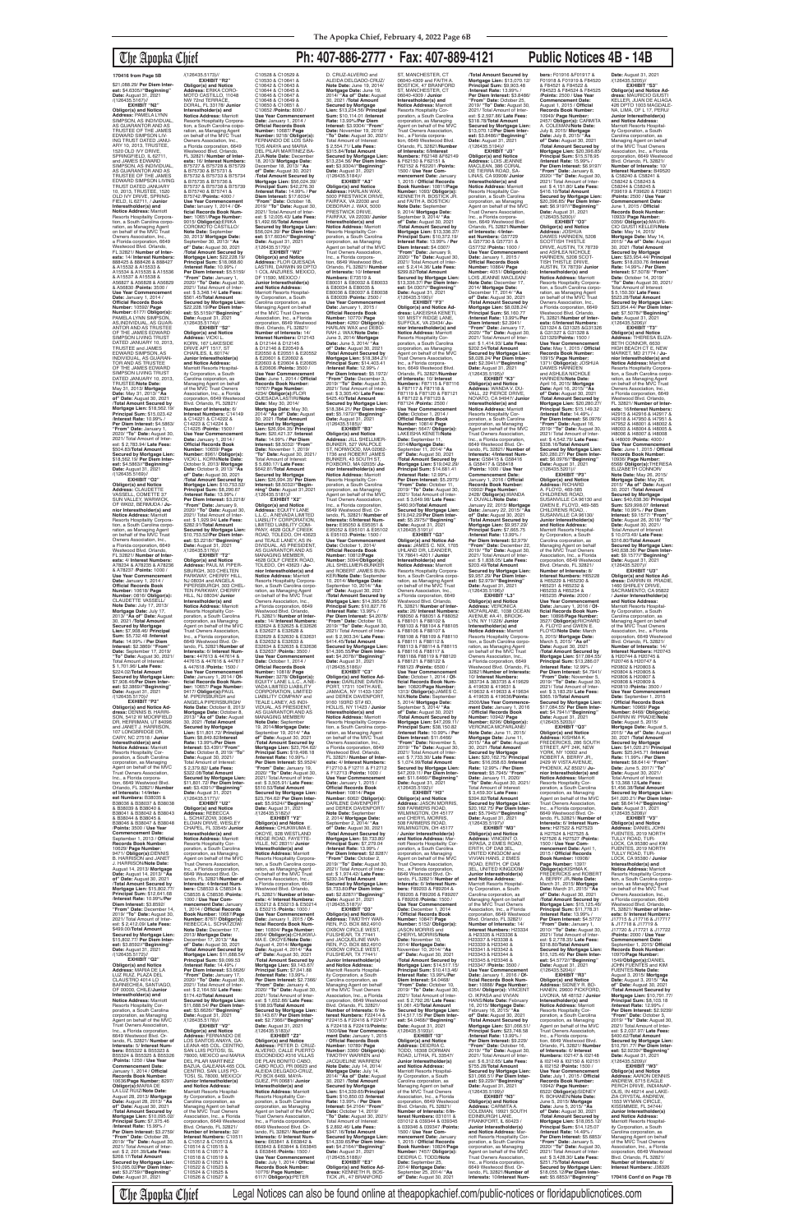\$21,088.29/ **Per Diem Interest:** \$4.6305//**"Beginning"<br><b>Date:** August 31, 2021<br>/(126435.5167)//

## The Apopka Chief **Ph: 407-886-2777 • Fax: 407-889-4121 Public Notices 4B - 14B**

**EXHIBIT "N2" Obligor(s) and Notice Address:** PAMELA LYNN SIMPSON, AS INDIVIDUAL AS GUARANTOR AND AS TRUSTEE OF THE JAMES EDWARD SIMPSON LIV-ING TRUST DATED JANU-ARY 10, 2013, TRUSTEE, 1520 OLD IVY DRIVE, SPRINGFIELD, IL 62711,<br>and JAMES EDWARD<br>SIMPSON, AS INDIVIDUAL, AS GUARANTOR AND AS TRUSTEE OF THE JAMES EDWARD SIMPSON LIVING<br>TRUST DATED JANUARY<br>10, 2013, TRUSTEE, 1520<br>OLD IVY DRIVE, SPRING-FIELD, IL 62711, / **Junior Interestholder(s) and Notice Address:** Marriott Resorts Hospitality Corpora-tion, a South Carolina corporation, as Managing Agent on behalf of the MVC Trust Owners Association, Inc. a Florida corporation, 6649 Westwood Blvd. Orlando, FL 32821/ **Number of Interests:** 14/ **Interest Numbers:** 888425 & 888426 & 888427 & A15532 & A15533 & A15534 & A15535 & A15536 & A15537 & A15538 & A56827 & A56828 & A56829 & A56830 /**Points:** 3500 / **Use Year Commencement Date:** January 1, 2014 / **Official Records Book Number:** 10592/ **Page Number:** 6177/ **Obligor(s):** PAMELA LYNN SIMPSON, AS,INDIVIDUAL, AS GUAR-ANTOR AND AS TRUSTEE OF THE JAMES EDWARD<br>SIMPSON LIVING TRUST<br>DATED JANUARY 10, 2013, TRUSTEE and JAMES EDWARD SIMPSON, AS INDIVIDUAL, AS GUARAN-TOR AND AS TRUSTEE OF THE JAMES EDWARD<br>SIMPSON LIVING TRUST<br>DATED JANUARY 10, 2013, TRUSTEE/**Note Date:** May 31, 2013/ **Mortgage Date:** May 31, 2013/ **"As of" Date:** August 30, 2021 /**Total Amount Secured by Mortgage Lien:** \$18,562.19/ **Principal Sum:** \$15,023.42 /**Interest Rate:** 10.99% / Per Diem Interest: \$4.5863 **"From" Date:** January 1, 2020/ **"To" Date:** August 30, 2021/ Total Amount of Interest: \$ 2,783.94/ **Late Fees:** \$504.83/**Total Amount Secured by Mortgage Lien:** \$18,562.19/ **Per Diem Inter-est:** \$4.5863//**"Beginning" Date:** August 31, 2021 /(126435.5169)// **EXHIBIT "O2"**

**Obligor(s) and Notice Address:** CLAUDETTE VASSELL, COMETTE 37 SUN VALLEY, WARWICK OF WK02, BERMUDA / **Junior Interestholder(s) and Notice Address:** Marriott Resorts Hospitality Corpora-tion, a South Carolina corporation, as Managing Agent on behalf of the MVC Trust Owners Association, Inc. a Florida corporation, 6649 Westwood Blvd. Orlando, FL 32821/ **Number of Interests:** 4/ **Interest Numbers:** A78234 & A78235 & A78236 & A78237 /**Points:** 1000 / **Use Year Commencement Date:** January 1, 2014 / **Official Records Book Number:** 10618/ **Page Number:** 0816/ **Obligor(s):** CLAUDETTE VASSELL/ **Note Date:** July 17, 2013/ **Mortgage Date:** July 17, 2013/ **"As of" Date:** August 30, 2021 /**Total Amount Secured by Mortgage Lien:** \$7,908.46/ **Principal Sum:** \$5,732.48 /**Interest Rate:** 14.99% / **Per Diem Interest:** \$2.3869/ **"From" Date:** September 17, 2019/ **"To" Date:** August 30, 2021/ Total Amount of Interest: \$ 1,701.96/ **Late Fees:** \$224.02/**Total Amount Secured by Mortgage Lien:** \$7,908.46/**Per Diem Interest:** \$2.3869//**"Beginning" Date:** August 31, 2021 /(126435.5170)// **EXHIBIT "P2" Obligor(s) and Notice Ad-dress:** DENNIS B. HARRI-SON, 5412 W MOORFIELD DR, HERRIMAN, UT 84096 and JANET J. HARRISON, 107 LONGBRIDGE DR, CARY, NC 27518 / **Junior Interestholder(s) and Notice Address:** Marriott Resorts Hospitality Cor-poration, a South Carolina corporation, as Managing Agent on behalf of the MVC Trust Owners Association, Inc., a Florida corpora-tion, 6649 Westwood Blvd. Orlando, FL 32821/ **Number of Interests:** 14/**Inter-est Numbers:** B38035 & B38036 & B38037 & B38038 & B38039 & B38040 & B38041 & B38042 & B38043 & B38044 & B38045 & B38046 & B38047 & B38048 /**Points:** 3500 / **Use Year Commencement Date:** September 1, 2013 / Officia **Records Book Number:** 10629/ **Page Number:** 9471/ **Obligor(s):**DENNIS B. HARRISON and JANET J. HARRISON/**Note Date:** August 14, 2013/ **Mortgage Date:** August 14, 2013/ **"As of" Date:** August 30, 2021 /**Total Amount Secured by Mortgage Lien:** \$15,802.77/ **Principal Sum:** \$12,641.68 /**Interest Rate:** 10.99%/**Per Diem Interest:** \$3.8592/ **"From" Date:** December 14, 2019/ **"To" Date:** August 30, 2021/ Total Amount of Inter-est: \$ 2,412.09/ **Late Fees:** \$499.00/**Total Amount Secured by Mortgage Lien:** \$15,802.77/ **Per Diem Inter-est:** \$3.8592//**"Beginning" Date:** August 31, 2021 /(126435.5172)// **EXHIBIT "Q2" Obligor(s) and Notice<br>Address: MARIA DE LA Address:** MARIA DE LA<br>LUZ RUIZ, PLAZA DEL<br>CLAUSTRO 4014 LO<br>BARNECHEA, SANTIAGO, OF 00000, CHILE/**Junior Interestholder(s) and Notice Address:** Marriott Resorts Hospitality Cor-poration, a South Carolina corporation, as Managing Agent on behalf of the MVC Trust Owners Association, Inc., a Florida corporation 6649 Westwood Blvd. Or-lando, FL 32821/ **Number of Interests:** 5/ **Interest Numbers:** B55322 & B55323 & B55324 & B55325 & B55326 /**Points:** 1250 / **Use Year Commencement Date:** January 1, 2014 / **Official Records Book Number:** 10636/**Page Number:** 8297/ **Obligor(s):**MARIA DE LA LUZ RUIZ/**Note Date:** August 28, 2013/ **Mortgage Date:** August 28, 2013/ **"As of" Date:** August 30, 2021 /**Total Amount Secured by Mortgage Lien:** \$10,095.02/ **Principal Sum:** \$7,375.46 /**Interest Rate:** 15.99% / **Per Diem Interest:** \$3.2759/ **"From" Date:** October 28, 2019/ **"To" Date:** August 30, 2021/ Total Amount of Interest: \$ 2, 201.39/**Late Fees:** \$268.17/**TotaI Amount Secured by Mortgage Lien:** \$10,095.02/**Per Diem Interest:** \$3.2759//**"Beginning" Date:** August 31, 2021

/(126435.5173)// **EXHIBIT "R2" Obligor(s) and Notice Address:** ERIKA CORO-MOTO CASTILLO, 11048 NW 72nd TERRACE, DORAL, FL 33178/ **Junior Interestholder(s) and Notice Address:** Marriott Resorts Hospitality Corpora-tion, a South Carolina coipo-ration, as Managing Agent on behalf of the MVC Trust Owners Association, Inc., a Florida corporation, 6649 Westwood Blvd. Orlando, FL 32821/ **Number of Inter-ests:** 16/ **Interest Numbers:** B75727 & B75728 & B75729 & B75730 & B75731 & B75732 & B75733 & B75734 & B75735 & B75736 & B75737 & B75738 & B75739 & B75740 & B75741 & B75742 /**Points:** 4000 / **Use Year Commencement Date:** lanuary 1, 2014 / **Official Records Book Num-<br><b>ber:** 10651/**Page Number:**<br>9015/ **Obligor(s):**ERIKA<br>COROMOTO CASTILLO/ **Note Date: September** 30, 2013/ **Mortgage Date:** September 30, 2013/ **"As of" Date:** August 30, 2021 /**Total Amount Secured by Mortgage Lien:** \$22,228.19/ **Principal Sum:** \$18,068.60 /**Interest Rate:** 10.99% / **Per Diem Interest:** \$5.5159/ **"From" Date:** January 1, 2020/ **"To" Date:** August 30, 2021/ Total Amount of Interest: \$ 3,348.14/ **Late Fees:** \$561.45/**Total Amount Secured by Mortgage Lien:** \$22,228.19/**Per Diem Inter-est:** \$5.5159//**"Beginning" Date:** August 31, 2021 /(126435.5174)//<br>**FXHIBIT** "S2" **EXHIBIT "S2" Obligor(s) and Notice Address:** VICKI L. KORN, 167 LAKESIDE DRIVE APT 1517, ST CHARLES, IL 60174/ **Junior Interestholder(s) and Notice Address:** Marriott Resorts Hospital-ity Corporation, a South Carolina coiporation, as Managing Agent on behalf of the MVC Trust Owners Association, Inc., a Florida corporation, 6649 Westwood Blvd. Orlando, FL 32821/ **Number of Interests:** 6/ **Interest Numbers:** C14149 & C14221 & C14222 & C14223 & C14224 & C14225 /**Points:** 1500 / **Use Year Commencement Date:** January 1, 2014 / **Official Records Book Number:** 10659/ **Page Number:** 8961/ **Obligor(s):** VICKI L. KORN/**Note Date:** October 9, 2013/ **Mortgage Date:** October 9, 2013/ **"As of" Date:** August 30, 2021 /**Total Amount Secured by Mortgage Lien:** \$10,753.52/ **Principal Sum:** \$8,290.67 /**Interest Rate:** 13.99% / **Per Diem Interest:** \$3.2218/ **"From" Date:** January 9, 2020/ **"To" Date:** August 30, 2021/ Total Amount of Inter-est: \$ 1,929.94/ **Late Fees:** \$282.91/**Total Amount Secured by Mortgage Lien:** \$10,753.52/**Per Diem Inter-est:** \$3.2218//**"Beginning" Date:** August 31, 2021 /(126435.5176)// **EXHIBIT "T2" Obligor(s) and Notice Address:** PAUL M. PIPER-SBURGH, 303 CHELTEN PARKWAY, CHERRY HILL, NJ 08034 and ANGELA PIPERSBURGH, 303 CHEL-TEN PARKWAY, CHERRY HILL, NJ 08034/ **Junior Interestholder(s) and<br>
Notice Address:** Marriot **Notice Address:** Marriott<br>Resorts Hospitality Cor-<br>poration, a South Carolina corporation, as Managing Agent on behalf of the MVC Trust Owners Association, Inc., a Florida corporation, 6649 Westwood Blvd. Or-lando, FL 32821/**Number of Interests:** 6/ **Interest Numbers:** 447613 & 447614 & 447615 & 447616 & 447617 & 447618 /**Points:** 1500 / **Use Year Commencement Date:** January 1, 2014 / **Of-ficial Records Book Number: 10657/ Page Number:<br>9417/ <b>Obligor(s):**PAUL<br>M. PIPERSBURGH and<br>ANGELA PIPERSBURGH/<br>**Note Date:** October 8, 2013/ **Mortgage Date:** October 8, 2013/ **"As of" Date:** August 30, 2021 /**Total Amount Secured by Mortgage Lien:** \$11,801.72/ **Principal Sum:** \$8,849.82/**Interest Rate:** 13.99%/**Per Diem Interest:** \$3.4391/**"From" Date:** October 8, 2019/ **"To" Date:** August 30, 2021/ Total Amount of Interest: \$ 2,379.82/ **Late Fees:** \$322.08/**Total Amoun Secured by Mortgage Lien:** \$11,801.72/ **Per Diem Interest:** \$3.4391//**"Beginning"<br><b>Date:** August 31, 2021<br>/(126435.5177)//<br>**EXHIBIT "U2" Obligor(s) and Notice Address:** REBECCA L. SCHATZOW, 30845 ELOIAN DRIVE, WESLEY CHAPEL, FL 33545/ **Junior Interestholder(s) and Notice Address:** Marriott Resorts Hospitality Corporation, a South Carolina corporation, as Managing Agent on behalf of the MVC Trust Owners Association, Inc., a Florida corporation, 6649 Westwood Blvd. Orlando, FL 32821/**Number of Interests:** 4/**Interest Num-bers:** C58533 & C58534 & C58535 & C58536 /**Points:** 1000 / **Use Year Commencement Date:** January 1, 2014 / **Official Records Book Number:** 10687/**Page Number:** 8767/ **Obligor(s):** REBECCA L. SCHATZOW/ **Note Date:** December 17, 2013/ **Mortgage Date:** December 17, 2013/ **"As of" Date:** August 30, 2021 /**Total Amount Secured by Mortgage Lien:** \$11,688.54/ **Principal Sum:** \$9,099.53 /**Interest Rate:** 14.49% / **Per Diem Interest:** \$3.6626/ **"From" Date:** January 17, 2020/ **"To" Date:** August 30, 2021/ Total Amount of Interest: \$ 2,164.59/ **Late Fees:** \$174.42/**Total Amount Secured by Mortgage Lien:** \$11,688.54/ **Per Diem Inter-est:** \$3.6626//**"Beginning" Date:** August 31, 2021 /(126435.5178)// **EXHIBIT "V2" Obligor(s) and Notice<br><b>Address:** FERNANDO DE<br>LOS SANTOS ANAYA, GA-<br>LEANA 465 COL. CENTRO, SAN LUIS POTOSI, SL 78000, MEXICO and MARIA DEL PILAR MARTINEZ<br>BAZUA, GALEANA 465 COL<br>CENTRO, SAN LUIS PO-<br>TOSI, SL 78000, MEXICO/ **Junior Interestholder(s) and Notice Address:**<br>Marriott Resorts Hospital-<br>ity Corporation, a South trolina corporation, as Managing Agent on behalf of the MVC Trust Owners Association, Inc., a Florida corporation, 6649 Westwood Blvd. Orlando, FL 32821/ **Number of Interests:** 32/ **Interest Numbers:** C10511 & C10512 & C10513 & C10514 & C10515 & C10516 & C10517 & C10518 & C10519 & C10520 & C10521 & C10522 & C10523 & C10524 & C10525 & C10526 & C10527 &

/**Total Amount Secured by Mortgage Lien:** \$13,070.12/ **Principal Sum:** \$9,903.48 /**Interest Rate:** 13.99% / **Per Diem Interest:** \$3.8486/ **"From" Date:** October 25, 2019/ **"To" Date:** August 30, 2021/ Total Amount of Inter-est: \$ 2,597.86/ **Late Fees:** \$318.78/**Total Amount Secured by Mortgage Lien:** \$13,070.12/**Per Diem Inter-est:** \$3.8486//**"Beginning" Date:** August 31, 2021<br>/(126435.5194)// **EXHIBIT "J3" Obligor(s) and Notice Address:** LOIS JEANNE MACLEAN, 386 CORAL DE TIERRA ROAD, SA-LINAS, CA 93908/ **Junior Interestholder(s) and Notice Address:** Marriott Resorts Hospitality Cor-poration, a South Carolina corporation, as Managing Agent on behalf of the MVC Trust Owners Association,<br>Inc., a Florida corpora-<br>tion, 6649 Westwood Blvd.<br>Orlando, FL 32821/**Number of Interests:** 4/**Inter-est Numbers:** G57729 & G57730 & G57731 & G57732 /**Points:** 1000 / **Use Year Commencement Date:** January 1, 2015 / **Official Records Book Number:** 10864/ **Page Number:** 4051/ **Obligor(s):** LOIS JEANNE MACLEAN/ **Note Date:** December 17, 2014/ **Mortgage Date:** December 17, 2014/ **"As of" Date:** August 30, 2021 /**Total Amount Secured by Mortgage Lien:** \$8,028.24/ **Principal Sum:** \$6,160.77 /**Interest Rate:** 13.99%/**Per Diem Interest:** \$2.3941/ **"From" Date:** January 17, 2020/ **"To" Date:** August 30, 2021/ Total Amount of Inter-est: \$ 1,414.93/ **Late Fees:** \$202.54/**Total Amount Secured by Mortgage Lien:** \$8,028.24/ **Per Diem Interest:** \$2.3941//**"Beginning"<br><b>Date:** August 31, 2021<br>/(126435.5195)//<br>**EXHIBIT "K3" Obligor(s) and Notice Address:** WANDA V. DU-VALL, 22 PIERCE DRIVE, NOVATO, CA 94947/ **Junior Interestholder(s) and Notice Address:** Marriott Resorts Hospitality Cor-poration, a South Carolina corporation, as Managing Agent on behalf of the MVC Trust Owners Association, Inc., a Florida corporation, 6649 Westwood Blvd. Or-lando, FL 32821/ **Number of Interests:** 4/**Interest Num-bers:** G58415 & G58416 & G58417 & G58418 /**Points:** 1000 / **Use Year Commencement Date:** January 1, 2016 / **Official Records Book Number:** 10902/ **Page Number:** 2428/ **Obligor(s):**WANDA V. DUVALL/**Note Date:** January 22, 2015/ **Mortgage Date:** January 22, 2015/ **"As of" Date:** August 30, 2021 /**Total Amount Secured by Mortgage Lien:** \$9,957.29/ **Principal Sum:** \$7,665.75 /**Interest Rate:** 13.99% / **Per Diem Interest:** \$2,979/ **"From" Date:** December 22, 2019/ **"To" Date:** August 30, 2021/ Total Amount of Inter-est: \$ 1,838.05/ **Late Fees:** \$203.49/**Total Amount Secured by Mortgage Lien:** \$9,957.29/ **Per Diem Inter-est:** \$2.979//**"Beginning" Date:** August 31, 2021 /(126435.5196)// **EXHIBIT "L3" Obligor(s) and Notice Address:** VERONICA MCFARLANE, 1038 OCEAN AVENUE #A 41, BROOK-LYN, NY 11226/ **Junior Interestholder(s) and Notice Address:** Marriott Resorts Hospitality Corpora-tion, a South Carolina corpo-ration, as Managing Agent on behalf of the MVC Trust Owners Association, Inc., a Florida corporation, 6649 Westwood Blvd. Orlando, FL<br>32821/**Number of Interests:**<br>10/ **Interest Numbers:**<br>383734 & 383735 & 419629

C10528 & C10529 & C10530 & C10641 & C10642 & C10643 & C10644 & C10645 & C10646 & C10647 & C10648 & C10649 & C10650 & C10651 & C10652 /**Points:** 8000 / Use Year Commencement<br>
Date: January 1, 2014 /<br> **Official Records Book<br>
Number: 10687/ Page<br>
Number: 9218/ Obligor(s):<br>
FERNANDO DE LOS SAN-<br>
FERNANDO DE LOS SAN-<br>
TOS ANAYA and MARIA** DEL PILAR MARTINEZ BA-ZUA/**Note Date:** December 18, 2013/ **Mortgage Date:** December 18, 2013/ **"As of" Date:** August 30, 2021 /**Total Amount Secured by Mortgage Lien:** \$56,024.39/ **Principal Sum:** \$42,276.30 /**Interest Rate:** 14.99% / **Per Diem Interest:** \$17.6034/ **"From" Date:** October 18, 2019/ **"To" Date:** August 30, 2021/ Total Amount of Inter-est: \$ 12,005.43/ **Late Fees:** \$1,492.66/**Total Amount Secured by Mortgage Lien:** \$56,024.39/ **Per Diem Interest:** \$17.6034//**"Beginning" Date:** August 31, 2021 /(126435.5179)// **EXHIBIT "W2" Obligor(s) and Notice Address:** FLOR QUESADA LASTIRI, DARWIN 99 DPTO 1 COL ANZURES, MEXICO, DF 11590, MEXICO / **Junior Interestholder(s) and Notice Address:** Marriott Resorts Hospitality Corporation, a South Carolina corporation, as Managing Agent on behalf of the MVC Trust Owners Association, Inc., a Florida corporation, 6649 Westwood Blvd. Orlando, FL 32821/ **Number of Interests:** 14/ **Interest Numbers:** D12143 & D12144 & D12145 & D12146 & E20549 & E20550 & E20551 & E20552 & E20601 & E20602 & E20603 & E20604 & E20605 & E20606 /**Points:** 3500 / **Use Year Commencement Date:** June 1, 2014 / **Official Records Book Number:** 10767/ **Page Number:** 4234/ **Obligor(s):**FLOR QUESADA LASTIRI/**Note Date:** May 30, 2014/ **Mortgage Date:** May 30, 2014/ **"As of" Date:** August 30, 2021 /**Total Amount Secured by Mortgage Lien:** \$26,994.35/ **Principal Sum:** \$20,421.37 /**Interest Rate:** 14.99% / **Per Diem Interest:** \$8.5032/ **"From" Date:** November 1, 2019/ **"To" Date:** August 30, 2021/ Total Amount of Interest: \$ 5,680.17/ **Late Fees:** \$642.81/**Total Amount Secured by Mortgage Lien:** \$26,994.35/ **Per Diem Interest:** \$8.5032//**"Begin-ning" Date:** August 31,2021 /(126435.5181)// **EXHIBIT "X2" Obligor(s) and Notice Obligor(s) and Notice<br>Address: EQUITY LANE** L.L.C., A NEVADA LIMITED LIABILITY CORPORATION, LIMITED LIABILITY COM-PANY, 4628 GOLF CREEK ROAD, TOLEDO, OH 43623 and TEALE LANEY, AS IN-DIVIDUAL, AS PRESIDENT,<br>AS GUARANTOR AND AS<br>MANAGING MEMBER,<br>4628 GOLF CREEK ROAD, TOLEDO, OH 43623 / **Junior Interestholder(s) and Notice Address:** Marriott<br>Resorts Hospitality Corpora-<br>tion, a South Carolina corporation, as Managing Agent on behalf of the MVC Trust Owners Association, Inc., a Florida corporation, 6649 Westwood Blvd. Orlando, FL 32821/ **Number of Interests:** 14/ **Interest Numbers:** E32624 & E32625 & E32626 & E32627 & E32628 & E32629 & E32630 & E32631 & E32632 & E32633 & E32634 & E32635 & E32636 & E32637 /**Points:** 3500 / **Use Year Commencement Date:** October 1, 2014 / **Official Records Book Number:** 10818/ **Page Number:** 3278/ **ObIigor(s):** EQUITY LANE L.L.C., A NE-VADA LIMITED LIABILITY CORPORATION, LIMITED LIABILITY COMPANY and TEALE LANEY, AS INDI-VIDUAL, AS PRESIDENT, AS GUARANTOR AND AS MANAGING MEMBER/<br>Note Date: Sentember **Note Date:** September 19, 2014/**Mortgage Date:** September 19, 2014/ **"As of" Date:** August 30, 2021 /**Total Amount Secured by Mortgage Lien:** \$23,764.62/ **Principal Sum:** \$19,498.18 /**Interest Rate:** 10.99% / **Per Diem Interest:** \$5.9524/ **"From" Date:** January 19, 2020/ **"To" Date:** August 30, 2021/ Total Amount of Inter-est: \$ 3,505.91/ **Late Fees:** \$510.53/**Total Amount Secured by Mortgage Lien:** \$23,764.62/ **Per Diem Interest:** \$5.9524//**"Beginning" Date:** August 31, 2021<br>/(126435.5182)// **EXHIBIT "Y2" Obligor(s) and Notice Address:** CHUKWUMA E. OKOYE, 928 WESTLAND RIDGE ROAD, FAYETTE-VILLE, NC 28311/ **Junior Interestholder(s) and Notice Address:** Marriott Resorts Hospitality Corporation, a South Carolina corporation, as Managing Agent on behalf of the MVC Trust Owners Association, Inc., a Florida corporation, 6649 Westwood Blvd. Orlando, FL 32821/ **Number of Interests:** 4/ **Interest Numbers:** E50212 & E50213 & E50214 & E50215 /**Points:** 1000 / **Use Year Commencement Date:** January 1, 2015 / **Of-ficial Records Book Number:** 10804/ **Page Number:** 2854/ **Obligor(s):**CHUKWU-MA E. OKOYE/**Note Date:** August 4, 2014/ **Mortgage Date:** August 4, 2014/ **"As of" Date:** August 30, 2021 /**Total Amount Secured by Mortgage Lien:** \$9,143.67/ **Principal Sum:** \$7,041.88 /**Interest Rate:** 13.99% / **Per Diem Interest:** \$2.7366/ **"From" Date:** January 4, 2020/ **"To" Date:** August 30, 2021/ Total Amount of Inter-est: \$ 1,652.86/ **Late Fees:** \$198.93/**Total Amount Secured by Mortgage Lien:** \$9,143.67/ **Per Diem Interest:** \$2.7366//**"Beginning" Date:** August 31, 2021 /(126435.5183)// **EXHIBIT "Z2" Obligor(s) and Notice Address:** PETER D. CRUZ-ALVERIO, CALLE PUERTO ESCONDIDO #316 VILLAS DE PLAN BONITO CABO, CABO ROJO, PR 00623 and ALEIDA DELGADO-CRUZ, PO BOX 6469, MAYA-GUEZ, PR 00681/ **Junior Interestholder(s) and Notice Address:** Marriott<br>Resorts Hospitality Cor-<br>poration, a South Carolina corporation, as Managing Agent on behalf of the MVC Trust Owners Association, Inc., a Florida corporation, 6649 Westwood Blvd. Or-lando, FL 32821/ **Number of Interests:** 6/ **Interest Numbers:** E63841 & E63842 & E63843 & E63844 & E63845 & E63846 /**Points:** 1500 / **Use Year Commencement Date:** July 1, 2014 / **Official Records Book Number:** 10776/ **Page Number:** 6117/ **ObIigor(s):**PETER D. CRUZ-ALVERIO and ALEIDA DELGADO-CRUZ/ **Note Date:** June 19, 2014/ **Mortgage Date:** June 19, 2014/ **"As of" Date:** August 30, 2021 /**Total Amount Secured by Mortgage Lien:** \$13,234.56/ **Principal Sum:** \$10,114.01 /**Interest Rate:** 13.99%/**Per Diem Interest:** \$3.9304/ **"From" Date:** November 19, 2019/ **"To" Date:** August 30, 2021/ Total Amount of Interest: \$ 2,554.71/ **Late Fees:** \$315.84/**Total Amount Secured by Mortgage Lien:** \$13,234.56/ **Per Diem Interest:** \$3.9304//**"Beginning" Date:** August 31, 2021<br>/(126435.5184)// **EXHIBIT "A3" Obligor(s) and Notice Address:** HARLAN WAX, 5000 PRESTWICK DRIVE, FAIRFAX, VA 22030 and DEBORAH J. WAX, 5000 PRESTWICK DRIVE, FAIRFAX, VA 22030/ **Junior Interestholder(s) and Notice Address:** Marriott Resorts Hospitality Cor-poration, a South Carolina corporation, as Managing Agent on behalf of the MVC Trust Owners Association, Inc., a Florida corporation, 6649 Westwood Blvd. Orlando, FL 32821/ **Number of Interests:** 10/ **Interest Numbers:** E73519 & E80031 & E80032 & E80033 & E80034 & E80035 & E80036 & E80037 & E80038 & E80039 /**Points:** 2500 / **Use Year Commencement Date:** January 1, 2015 / **Official Records Book Number:** 10770/ **Page Number:** 4260/ **Obligor(s):** HARLAN WAX and DEBO-RAH J. WAX/**Note Date:** June 3, 2014/ **Mortgage Date:** June 3, 2014/ **"As of" Date:** August 30, 2021 /**Total Amount Secured by Mortgage Lien:** \$18,384.21/ **Principal Sum:** \$14,403.41 /**Interest Rate:** 12.99% / **Per Diem Interest:** \$5.1972/ **"From" Date:** December 3, 2019/ **"To" Date:** August 30, 2021/ Total Amount of Interest: \$ 3,305.40/ **Late Fees:** \$425.40/**Total Amount Secured by Mortgage Lien:** \$18,384.21/ **Per Diem Interest:** \$5.1972//**"Beginning" Date:** August 31, 2021 /(126435.5185)// **EXHIBIT "B3" Obligor(s) and Notice Address:** JILL SHELLMER-BUNKER, 527 WALPOLE ST, NORWOOD, MA 02062- 1736 and ROBERT JAMES BUNKER, 43 SOUTH ST, FOXBORO, MA 02035/ **Ju-nior Interestholder(s) and Notice Address:** Marriott Resorts Hospitality Corporation, a South Carolina corporation, as Managing Agent on behalf of the MVC Trust Owners Association, Inc., a Florida corporation, 6649 Westwood Blvd. Orlando, FL 32821/ **Number of Interests:** 6/**Interest Num-bers:** E95050 & E95051 & E95052 & E95101 & E95102 & E95103 /**Points:** 1500 / **Use Year Commencement Date:** October 1, 2014/ **Official Records Book Number:** 10812/**Page Number:** 3094/**Obligor(s):** JILL SHELLMER-BUNKER and ROBERT JAMES BUN-KER/**Note Date:** September 10, 2014/ **Mortgage Date:** September 10, 2014/ **"As of" Date:** August 30, 2021 /**Total Amount Secured by Mortgage Lien:** \$14,395.55/ **Principal Sum:** \$10,827.76 /**Interest Rate:** 13.99% / **Per Diem Interest:** \$4.2078/ **"From" Date:** October 10, 2019/ **"To" Date:** August 30, 2021/ Total Amount of Inter-<br>est: \$ 2,903.34/ Late Fees:<br>\$414.45/Total Amount<br>Secured by Mortgage Lien:<br>\$14,395.55/Per Diem Inter-<br>est: \$4.2078/"Beginning"<br>Date: August 31, 2021 /(126435.5186)// **EXHIBIT "C3" Obligor(s) and Notice Ad-dress:** DARLENE DAVEN-PORT, 17311 104TH AVE, JAMAICA, NY 11433-1307 and DEREK DAVENPORT, 9160 193RD ST# 6D, HOLLIS, NY 11423 / **Junior Interestholder(s) and Notice Address:** Marriott Resorts Hospitality Corporation, a South Carolina corpo ration, as Managing Agent on behalf of the MVC Trust Owners Association, Inc., a Florida corporation, 6649 Westwood Blvd. Orlando, FL 32821/ **Number of Interests:** 4/ **Interest Numbers:** F12710 & F12711 & F12712 & F12713 /**Points:** 1000 / **Use Year Commencement Date:** January 1, 2015 / **Official Records Book Number:** 10814/ **Page Number:** 6062/ **Obligor(s):** DARLENE DAVENPORT and DEREK DAVENPORT/ **Note Date:** September 2, 2014/ **Mortgage Date:** September 2, 2014/ **"As of" Date:** August 30, 2021 /**Total Amount Secured by Mortgage Lien:** \$9,733.80/ **Principal Sum:** \$7,279.04 /**Interest Rate:** 13.99% / **Per Diem Interest:** \$2.8287/ **"From" Date:** October 2, 2019/ **"To" Date:** August 30, 2021/ Total Amount of Inter-est: \$ 1,974.42/ **Late Fees:** \$230.34/**TotaI Amount Secured by Mortgage Lien:** \$9,733.80/**Per Diem Interest:** \$2.8287//**"Beginning" Date:** August 31, 2021<br>/(126435.5187)// **EXHIBIT "D3" Obligor(s) and Notice Address:** TIMOTHY WAR-REN, P.O. BOX 882,4910 OXBOW CIRCLE WEST, FULSHEAR, TX 77441 and JACQUELINE WAR-REN, P.O. BOX 882,4910 OXBOW CIRCLE WEST, FULSHEAR, TX 77441/ **Junior Interestholder(s) and Notice Address:** Marriott Resorts Hospital ity Corporation, a South Carolina corporation, as Managing Agent on behalf of the MVC Trust Owners Association, Inc., a Florida corporation, 6649 Westwood Blvd. Orlando, FL 32821/ **Number of Interests:** 6/ **Interest Numbers:** F22414 & F22415 & F22416 & F22417 & F22418 & F22419/**Points:** 1500/**Use Year Commence-ment Date:** January 1, 2015 / **Official Records Book Number:** 10789/ **Page Number:** 3366/ **Obligor(s):** TIMOTHY WARREN and JACQUELINE WARREN/ **Note Date:** July 14, 2014/ **Mortgage Date:** July 14, 2014/ **"As of" Date:** August 30, 2021 /**Total Amount Secured by Mortgage Lien:** \$14,339.65/**Principal Sum:** \$10,850.03 /**Interest Rate:** 13.99% / **Per Diem Interest:** \$4.2164/ **"From" Date:** October 14, 2019/ **"To" Date:** August 30, 2021/ Total Amount of Interest: \$ 2,892.46/ **Late Fees:** \$347.16/**Total Amount Secured by Mortgage Lien:** \$14,339.65/**Per Diem Inter-est:** \$4.2164//**"Beginning" Date:** August 31, 2021 /(126435.5188)// **EXHIBIT "E3" Obligor(s) and Notice Address:** KENNETH R. BOS-TICK JR., 47 BRANFORD

ST, MANCHESTER, CT 06040-4309 and FAITH A. BOSTICK, 47 BRANFORD ST, MANCHESTER, CT 06040-4309 / **Junior Interestholder(s) and Notice Address:** Marriott Resorts Hospitality Cor-poration, a South Carolina corporation, as Managing Agent on behalf of the MVC Trust Owners Association, Inc., a Florida corporation, 6649 Westwood Blvd. Orlando, FL 32821/**Number of Interests:** 6/**Interest Numbers:** F62148 &F62149 & F62150 & F62151 & F62152 & F62201 /**Points:** 1500 / **Use Year Commencement Date: January<br>1 2015 / Official Records** 1, 2015 / **Official Records Book Number:** 10811/**Page Number:** 1093/ **Obligor(s):** KENNETH R. BOSTICK JR. and FAITH A. BOSTICK/ **Note Date:** September 9, 2014/ **Mortgage Date:** September 9, 2014/ **"As of" Date:** August 30, 2021 /**Total Amount Secured by Mortgage Lien:** \$13,336.37/ **Principal Sum:** \$10,372.19/ **Interest Rate:** 13.99% / **Per Diem Interest:** \$4.0307/ **"From" Date:** January 9, 2020/ **"To" Date:** August 30, 2021/ Total Amount of Inter-est: \$ 2,414.36/ **Late Fees:** \$299.82/**Total Amount Secured by Mortgage Lien:** \$13,336.37/ **Per Diem Inter-est:** \$4.0307//**"Beginning" Date:** August 31, 2021<br>/(126435.5190)// **EXHIBIT "F3" Obligor(s) and Notice Ad-dress:** LAKEISHA KENETI, 101 MISTY RIDGE LANE, SUFFOLK, VA 23434/ **Junior Interestholder(s) and Notice Address:** Marriott Resorts Hospitality Cor-poration, a South Carolina corporation, as Managing Agent on behalf of the MVC<br>Trust Owners Association, Trust Owners Association,<br>Inc., a Florida corpora-<br>tion, 6649 Westwood Blvd.<br>Orlando, FL 32821/**Number of Interests:** 10/ **Interest Numbers:** F87115 & F87116 & F87117 & F87118 & F87119 & F87120 & F87121 & F87122 & F87123 & F87124 /**Points:** 2500 / **Use Year Commencement Date:** October 1, 2014 / **Official Records Book Number:** 10814/ **Page Number:** 5647/ **Obligor(s):** LAKEISHA KENETI/**Note Date:** September 11, 2014/**Mortgage Date:** September 11, 2014/ **"As of" Date:** August 30, 2021 /**Total Amount Secured by Mortgage Lien:** \$19,042.29/ **Principal Sum:** \$14,681.41 /**Interest Rate:** 12.99% / **Per Diem Interest:** \$5.2975/ **"From" Date:** October 11, 2019/ **"To" Date:** August 30, 2021/ Total Amount of Inter-est: \$ 3,649.98/ **Late Fees:** \$460.90/**TotaI Amount Secured by Mortgage Lien:** \$19,042.29/**Per Diem Inter-est:** \$5.2975//**"Beginning" Date:** August 31, 2021 /(126435.5191)// **EXHIBIT "G3" Obligor(s) and Notice Address:** JAMES C. NIX, 1705 UHLAND DR, LEANDER,<br>TX 78641-4201 / **Junior**<br>**Interestholder(s) and Notice Address:** Marriott Resorts Hospitality Corporation, a South Carolina corporation, as Managing Agent on behalf of the MVC Trust Owners Association, Inc., a Florida corporation, 6649 Westwood Blvd. Orlando, FL 32821/ **Number of Inter-ests:** 26/ **Interest Numbers:** F88050 & F88051 & F88052 & F88101 & F88102 & F88103 & F88104 & F88105 & F88106 & F88107 & F88108 & F88109 & F88110 & F88111 & F88112 & F88113 & F88114 & F88115 & F88116 & F88117 & F88118& F88119 & F88120 & F88121 & F88122 &<br>F88123 / Points: 6500 / F88123 /**Points:** 6500 / **Use Year Commencement Date:** October 1, 2014 / **Of-ficial Records Book Number:** 10820/**Page Number:** 1313/ **Obligor(s):**JAMES C. NIX/**Note Date:** September 5, 2014/ **Mortgage Date:** September 5, 2014/ **"As of" Date:** August 30, 2021 /**Total Amount Secured by Mortgage Lien:** \$47,209.11/ **Principal Sum:** \$38,150.82 /**Interest Rate:** 10.99% / **Per Diem Interest:** \$11.6466/ **"From" Date:** November 5, 2019/ **"To" Date:** August 30, 2021/ Total Amount of Interest: \$ 7,733.30/ **Late Fees:** \$ 1,074.99/**Total Amount Secured by Mortgage Lien:** \$47,209.11/ **Per Diem Interest:** \$11.6466//**"Beginning" Date:** August 31, 2021 /(126435.5192)// **EXHIBIT "H3" Obligor(s) and Notice Address:** JASON MORRIS, 508 FARMERS ROAD, WILMINGTON, OH 45177 and CHERYL MORRIS,<br>508 FARMERS ROAD,<br>WILMINGTON, OH 45177 / **Junior Interestholder(s) and Notice Address:** Marriott Resorts Hospitality Corporation, a South Carolina corporation, as Managing Agent on behalf of the MVC Trust Owners Association, Inc., a Florida corporation, 6649 Westwood Blvd. Orlando, FL 32821/ **Number of Interests:** 6/ **Interest Num-bers:** F89203 & F89204 & F89205 & F89206 & F89207 & F89208 /**Points:** 1500 / **Use Year Commencement**<br> **Date:** December 1 2014 **Date:** December 1, 2014 / **Official Records Book Number:** 10847/ **Page Number:** 5152/ **Obligor(s):** JASON MORRIS and CHERYL MORRIS/**Note Date:** November 10, 2014/ **Mortgage Date:** November 10, 2014/ **"As of" Date:** August 30, 2021 /**Total Amount Secured by Mortgage Lien:** \$14,517.15/ **Principal Sum:** \$10,413.46/ **Interest Rate:** 13.99%/**Per Diem Interest:** \$4.0468/ **"From" Date:** October 10, 2019/ **"To" Date:** August 30, 2021/ Total Amount of Inter-<br>est: \$ 2.792.26/ Late Fees est: \$ 2,792.26/ **Late Fees:** \$1,061.43/**Total Amount Secured by Mortgage Lien:** \$14,517.15/ **Per Diem Interest:** \$4.0468//**"Beginning" Date:** August 31, 2021 /(126435.5193)//. **EXHIBIT "I3" Obligor(s) and Notice Address:** DEIDRIA C. TODD, 16308 DORMAN ROAD, LITHIA, FL 33547/ **Junior Interestholder(s) and Notice Address:** Marriott Resorts Hospitality Corporation, a South Carolina corporation, as<br>Managing Agent on behal Managing Agent on behalf<br>of the MVC Trust Owners<br>Association, Inc., a Florida<br>corporation, 6649 Westwood Blvd. Orlando, FL 32821/ **Number of Interests:** 6/**Interest Numbers:** 031011 & 031012 & 039344 & 039345 & 039346 & 039347 /**Points:** 1500 / **Use Year Commencement Date:** January 1, 2015 / **Official Records Book Number:** 10824/**Page Number:** 7457/ **Obligor(s):** DEIDRIA C. TODD/**Note Date:** September 25, 2014/ **Mortgage Date:** September 25, 2014/ **"As of" Date:** August 30, 2021 & 419630 & 419631 & 419632 & 419633 & 419634 lando, FL 32821/**Number of Interests:** 10/**Interest Num-**

& 419635 & 419636/**Points:** 2500/**Use Year Commence-ment Date:** January 1, 2016 / **Official Records Book Number:** 10942/ **Page Number:** 8296/ **Obligor(s):** VERONICA MCFARLANE/ **Note Date:** June 11, 2015/ **Mortgage Date:** June 11, 2015/ **"As of" Date:** August 30, 2021 /**Total Amount Secured by Mortgage Lien:** \$20,162.75/ **Principal Sum:** \$16,058.63 /**Interest Rate:** 12.99% / **Per Diem Interest:** \$5.7945/ **"From" Date:** January 11, 2020/ **"To" Date:** August 30, 2021/ Total Amount of Interest: \$ 3,459.30/ **Late Fees:** \$394.82/**Total Amount Secured by Mortgage Lien:** \$20,162.75/ **Per Diem Inter-est:** \$5.7945//**"Beginning" Date:** August 31, 2021 /(126435.5197)// **EXHIBIT "M3" Obligor(s) and Notice Address:** VINCENT O. IKPASA, 2 EMES ROAD, ERITH, OF DA8 3EL,<br>UNITED KINGDOM and<br>VIVIAN HANS, 2 EMES ROAD, ERITH, OF DA8 3EL, UNITED KINGDOM/ **Junior Interestholder(s) and Notice Address:**<br>Marriott Resorts Hospital-<br>ity Corporation, a South Carolina corporation, as Managing Agent on behalf of the MVC Trust Owners Association, Inc., a Florida corporation, 6649 Westwood Blvd. Orlando, FL 32821/ **Number of Interests:** 14/ **Interest Numbers:** H23334 & H23335 & H23336 & H23337 & H23338 & H23339 & H23340 & H23341 & H23342 & H23343 & H23344 & H23345 & H23346 & H23347 /**Points:** 3500 / **Use Year Commencement Date:** January 1, 2016 / **Of-ficial Records Book Number:** 10888/ **Page Number:** 6354/ **Obligor(s):** VINCENT O. IKPASA and VIVIAN HANS/**Note Date:** February 16, 2015/ **Mortgage Date:** February 16, 2015/ **"As of" Date:** August 30, 2021 /**Total Amount Secured by Mortgage Lien:** \$31,066.51/ **Principal Sum:** \$23,748.58 /**Interest Rate:** 13.99% / **Per Diem Interest:** \$9.229/ **"From" Date:** October 16, 2019/ **"To" Date:** August 30, 2021/ Total Amount of Inter<br>est: \$ 6,312.65/ Late Fees est: \$ 6,312.65/ **Late Fees:** \$755.28/**TotaI Amount Secured by Mortgage Lien:** \$31,066.51/ **Per Diem Interest:** \$9.229//**"Beginning" Date:** August 31, 2021 /(126435.5199)// **EXHIBIT "N3" Obligor(s) and Notice Address:** CARMITA A. COLEMAN, 19921 SOUTH EDINBURGH LANE, FRANKFORT IL 60423 **Junior Interestholder(s) and Notice Address:** Marriott Resorts Hospitality Corporation, a South Carolina<br>corporation, as Managing corporation, as Managing<br>Agent on behalf of the MVC<br>Trust Owners Association,<br>Inc., a Florida corporation, 6649 Westwood Blvd. Or-

## **bers:** F01916 &F01917 &

F01918 & F01919 & F84520 & F84521 & F84522 & F84523 & F84524 & F84525 /**Points:** 2500 / **Use Year Commencement Date:** August 1, 2015 / **Official Records Book Number:** 10949/ **Page Number:** 2457/ **Obligor(s):** CARMITA A. COLEMAN/**Note Date:** July 8, 2015/ **Mortgage Date:** July 8, 2015/ **"As of" Date:** August 30, 2021 /**Total Amount Secured by Mortgage Lien:** \$20,396.85/ **Principal Sum:** \$15,578.95 /**Interest Rate:** 15.99% / **Per Diem Interest:** \$6.9197/ **"From" Date:** January 8, 2020/ **"To" Date:** August 30, 2021/ Total Amount of Inter-est: \$ 4,151.80/ **Late Fees:** \$416.10/**Total Amount Secured by Mortgage Lien:** \$20,396.85/ **Per Diem Inter-est:** \$6.9197//**"Beginning" Date:** August 31, 2021 /(126435.5200)// **EXHIBIT "O3" Obligor(s) and Notice Address:** JOSHUA DAWES HARNDEN, 5208 SCOTTISH THISTLE<br>DRIVE, AUSTIN, TX 78739<br>and ASHLEA NICHOLE<br>HARNDEN, 5208 SCOT-TISH THISTLE DRIVE, AUSTIN, TX 78739/ **Junior Interestholder(s) and Notice Address:** Marriott Resorts Hospitality Corpora-tion, a South Carolina corporation, as Managing Agent on behalf of the MVC Trust On Denian University Contractors, Inc. a Florida corporation, 6649 Westwood Blvd. Orlando, FL 32821/**Number of Interests:** 6/**Interest Numbers:** G31324 & G31325 &G31326 & G31327 & G31328 & G31329/**Points:** 1500 / **Use Year Commencement Date:** May 1, 2015 / **Official Records Book Number:** 10915/ **Page Number:** 1371/ **Obligor(s):** JOSHUA DAWES HARNDEN and ASHLEA NICHOLE HARNDEN/**Note Date:** April 16, 2015/ **Mortgage Date:** April 16, 2015/ **"As of" Date:** August 30, 2021 /**Total Amount Secured by Mortgage Lien:** \$20,280.27/ **Principal Sum:** \$15,149.32 /**Interest Rate:** 14.49% / **Per Diem Interest:** \$6.0976/ **"From" Date:** August 16, 2019/ **"To" Date:** August 30, 2021/ Total Amount of Inter-est: \$ 4,542.79/ **Late Fees:** \$338.16/**Total Amount Secured by Mortgage Lien:** \$20,280.27/ **Per Diem Inter-est:** \$6.0976//**"Beginning" Date:** August 31, 2021 /(126435.5201)// **EXHIBIT "P3" Obligor(s) and Notice Address:** RICHARD A. FLOYD, 469-585 CHILDRENS ROAD, SUSANVILLE CA 96130 and GWEN E. FLOYD, 469-585 CHILDRENS ROAD, . SUSANVILLE CA 96130/ **Junior Interestholder(s) and Notice Address:** Marriott Resorts Hospitality Corporation, a South Carolina corporation, as Managing Agent on behalf of the MVC Trust Owners Association, Inc., a Florida corporation, 6649 Westwood Blvd. Orlando, FL 32821/ **Number of Interests:** 8/ **Interest Numbers:** H65228<br>& H65229 & H65230 &<br>H65231 & H65232 & H65233 & H65234 & H65235 /**Points:** 2000 / **Use Year Commencement Date:** January 1, 2016 / **Of-ficial Records Book Num-ber:** 10898/**Page Number:** 3527/ **Obligor(s):**RICHARD A. FLOYD and GWEN E. FLOYD/**Note Date:** March 5, 2015/ **Mortgage Date:** March 5, 2015/ **"As of" Date:** August 30, 2021 /**Total Amount Secured by Mortgage Lien:** \$17,084.55/ **Principal Sum:** \$13,286.07 /**Interest Rate:** 12.99% / **Per Diem Interest:** \$4.7941/ **"From" Date:** November 5, 2019/ **"To" Date:** August 30, 2021/ Total Amount of Interest: \$ 3,183.29/ **Late Fees:** \$365.19/**Total Amount Secured by Mortgage Lien:** \$17,084.55/ **Per Diem Inter-est:** \$4.7941//**"Beginning" Date:** August 31, 2021<br>/(126435.5203)// **EXHIBIT "Q3" Obligor(s) and Notice Address:** KISHMA K. FREDERICKS, 286 SOUTH STREET, APT 24K, NEW YORK, NY 10002 and ROBERT A. BERRY JR., 2429 W VISTA AVENUE, PHOENIX, AZ 85021/ **Junior Interestholder(s) and Notice Address:** Marriott Resorts Hospitality Corporation, a South Carolina corporation, as Managing Agent on behalf of the MVC Trust Owners Association, Inc., a Florida corporation, 6649 Westwood Blvd. Orlando, FL 32821/ **Number of Interests:** 6/ **Interest Num-bers:** H27522 & H27523 & H27524 & H27525 & H27526 & H27527 /**Points:** 1500 / **Use Year Commencement Date:** April 1, 2015 / **Official Records Book Number:** 10908/ **Page Number:** 1397/ **ObIigor(s):**KISHMA K. FREDERICKS and ROBERT A. BERRY JR./**Note Date:** March 31, 2015/ **Mortgage Date:** March 31, 2015/ **"As of" Date:** August 30, 2021 /**Total Amount Secured by Mortgage Lien:** \$15,125.46/ **Principal Sum:** \$11,778.31 /**Interest Rate:** 13.99% / **Per Diem Interest:** \$4.5772/ **"From" Date:** January 1, 2010/ **"To" Date:** August 30, 2021/ Total Amount of Interest: \$ 2,778.35/ **Late Fees:** \$318.80/**Total Amount Secured by Mortgage Lien:** \$15,125.46/ **Per Diem Interest:** \$4.5772//**"Beginning" Date:** August 31, 2021 /(126435.5204)// **EXHIBIT "R3" Obligor(s) and Notice Address:** SIDNEY R. BO-HANEN, 29600 PICKFORD, LIVONIA, MI 48152 / **Junior Interestholder(s) and Notice Address:** Marriott Resorts Hospitality Cor poration, a South Carolina corporation, as Managing Agent on behalf of the MVC Trust Owners Associatioh,<br>Inc., a Florida corpora-<br>tion, 6649 Westwood Blvd.<br>Orlando, FL 32821/ **Number of Interests:** 6/ **Interest Numbers:** 102147 & 102148<br>& 102149 & 102150 & 102151 & I02149 & I02150 & I02151 & I02152 /**Points:** 1500 / **Use Year Commencement Date:** July 1, 2015 / **Official Records Book Number:** 10942/ **Page Number:** 6522/ **Obligor(s):**SIDNEY R. BOHANEN/**Note Date:** June 5, 2015/ **Mortgage Date:** June 5, 2015/ **"As of" Date:** August 30, 2021 /**Total Amount Secured by Mortgage Lien:** \$18,055.12/ **Principal Sum:** \$14,125.07 /**Interest Rate:** 14.49% / **Per Diem Interest:** \$5.6853/ **"From" Date:** January 5, 2020/ **"To" Date:** August 30, 2021/ Total Amount of Inter-est: \$ 3,428.30/ **Late Fees:** \$251.75/**Total Amount Secured by Mortgage Lien: Interest Numbers:** J38326

\$18,055.12/**Per Diem Inter-est:** \$5.6853//**"Beginning"** 

**Date:** August 31, 2021 /(126435.5205)// **EXHIBIT "S3" Obligor(s) and Notice Ad-dress:** MAURICIO GIUSTI KELLER, JUAN DE ALIAGA 426 DPTO 1003 MAGDALE-NA, LIMA, OF L 17, PERU/ **Junior Interestholder(s) and Notice Address:** Marriott Resorts Hospital-ity Corporation, a South Carolina corporation, as Managing Agent on behalf of the MVC Trust Owners Association, Inc., a Florida corporation, 6649 Westwood Blvd. Orlando, FL 32821/ **Number of Interests:** 10/ **Interest Numbers:** B49520 & C58240 & C58241 & C58242 & C58243 & C58244 & C58245 & F39619 & F39620 & F39621 /**Points:** 2500 / **Use Year Commencement Date:** June 1, 2015 / **Official Records Book Number:** 10933/ **Page Number:** 0356/ **Obligor(s):**MAURI-CIO GIUSTI KELLER/**Note Date:** May 14, 2015/ **Mortgage Date:** May 14, 2015/ **"As of" Date:** August 30, 2021 /**Total Amount Secured by Mortgage Lien:** \$23,954.44/ **Principal Sum:** \$18,030.76 /**Interest Rate:** 14.99% / **Per Diem Interest:** \$7.5078/ **"From" Date:** October 14, 2019/ **"To" Date:** August 30, 2021/ Total Amount of Interest: \$ 5,150.30/ **Late Fees:** \$523.28/**Total Amount Secured by Mortgage Lien:** \$23,954.44/ **Per Diem Inter-est:** \$7.5078//**"Beginning" Date:** August 31, 2021<br>/(126435.5206)// **EXHIBIT "T3" Obligor(s) and Notice Address:** THERESA ELIZA-BETH CONNOR, 6630 HIGH BEACH CT E, NEW MARKET, MD 21774 / **Junior Interestholder(s) and Notice Address:** Marriott Resorts Hospitality Corpora-tion, a South Carolina corporation, as Managing Agent on behalf of the MVC Trust Owners Association, Inc., a Florida corporation, 6649 Westwood Blvd. Orlando, FL 32821/ **Number of Interests:** 16/**Interest Numbers:** I42915 & I42916 & I42917 & I42918 & I47950 & I47951 & I47952 & I48001 & I48002 & I48003 & I48004 & I48005 & I48006 & I48007 & I48008 & I48009 /**Points:** 4000 / **Use Year Commencement Date:** June 1, 2015 / **Official Records Book Number:** 10936/ **Page Number:** 6568/ **Obligor(s):**THERESA ELIZABETH CONNOR/ **Note Date:** May 26, 2015/ **Mortgage Date:** May 26, 2015/ **"As of" Date:** August 30, 2021 /**Total Amount Secured by Mortgage Lien:** \$40,638.36/ **Principal Sum:** \$29,998.07 /**Interest Rate:** 10.99% / **Per Diem Interest:** \$9.1577/ **"From" Date:** August 26, 2018/ **"To" Date:** August 30, 2021/ Total Amount of Interest: \$ 10,073.49/ **Late Fees:** \$316.80/**Total Amount Secured by Mortgage Lien:** \$40,638.36/ **Per Diem Inter-est:** \$9.1577//**"Beginning" Date:** August 31, 2021 /(126435.5207)// **EXHIBIT "U3"**

**Obligor(s) and Notice Ad-dress:** DARRIN W. PRADIE, 1460 SHIRLEY DRIVE, SACRAMENTO, CA 95822 / **Junior Interestholder(s) and Notice Address:** Marriott Resorts Hospitality Corporation, a South Carolina corporation, as Managing Agent on behalf of the MVC Trust Owners Association, Inc., a Florida coiporation, 6649 Westwood Blvd. Orlando, FL 32821/ **Number of Interests:** 14/ **Interest Numbers:** H20743 & H20744 & H20745 & FI20746 & H20747 & H20802 & H20803 & H20804 & H20805 & H20806 & H20807 & H20808 & H20809 & H20810 /**Points:** 3500 /

**Use Year Commencement Date:** September 1, 2015 / **Official Records Book Number:** 10969/ **Page Number:** 8468/ **Obligor(s):** DARRIN W. PRADIE/**Note Date:** August 5, 2015/ **Mortgage Date:** August 5, 2015/ **"As of" Date:** August 30, 2021 /**Total Amount Secured by Mortgage Lien:** \$41,020.21/ **Principal Sum:** \$25,945.71 /**Interest Rate:** 11.99% / **Per Diem Interest:** \$8.6414/ **"From" Date:** June 5, 2017/ **"To" Date:** August 30, 2021/ Total Amount of Interest: \$ 13,368.12/**Late Fees:** \$1,456.38/**Total Amount Secured by Mortgage Lien:** \$41,020.21/ **Per Diem Inter-est:** \$8.6414//**"Beginning" Date:** August 31, 2021<br>/(126435.5208)// **EXHIBIT "V3" Obligor(s) and Notice Address:** DANIEL JOHN FUENTES, 2019 NORTH TULLY ROAD, TUR-LOCK, CA 95380 and KIM FUENTES, 2019 NORTH TULLY ROAD, TUR-LOCK, CA 95380 / **Junior Interestholder(s) and Notice Address:** Marriott Resorts Hospitality Corporation, a South Carolina corp ration, as Managing Agent on behalf of the MVC Trust Owners Association, Inc., a Florida corporation, 6649 Westwood Blvd. Orlando, FL 32821/ **Number of Inter-ests:** 8/ **Interest Numbers:** J17715 & J17716 & J17717 & J17718 & J17719 & J17720 & J17721 & J17722 /**Points:** 2000 / **Use Year Commencement Date:** September 1, 2015/ **Official Records Book Number:** 10970/**Page Number:** 1549/**Obligor(s):**DANlEL JOHN FUENTES and KIM FUENTES/**Note Date:** August 3, 2015/ **Mortgage Date:** August 3, 2015/ **"As of" Date:** August 30, 2021 /**Total Amount Secured by Mortgage Lien:** \$10,791.77/ **Principal Sum:** \$8,103.18 /**Interest Rate:** 12.99% / **Per Diem Interest:** \$2.9239/ **"From" Date:** October 3, 2019/ **"To" Date:** August 30, 2021/ Total Amount of Interest: \$ 2,037.97/ **Late Fees:** \$400.62/**Total Amount Secured by Mortgage Lien:** \$10,791.77/ **Per Diem Interest:** \$2.9239//**"Beginning" Date:** August 31, 2021 /(126435.5209)// **EXHIBIT "W3" Obligor(s) and Notice Address:** AARON DENNIS ANDREW, 6715 EAGLE PERCH DRIVE, INDIANAP-OLIS, IN 46214 and LAKE-ZIA CRYSTAL ANDREW, 1553 WYMAN CIRCLE, KISSIMMEE, FL 34744/ **Junior Interestholder(s) and Notice Address:** Marriott Resorts Hospitality Corporation, a South Carolina corporation, as Managing Agent on behalf of the MVC Trust Owners Association, Inc., a Florida coiporation, 6649 Westwood Blvd. Orlando, FL 32821/ **Number of Interests:** 6/

### **170416 from Page 5B**

**170416 Cont'd on Page 7B**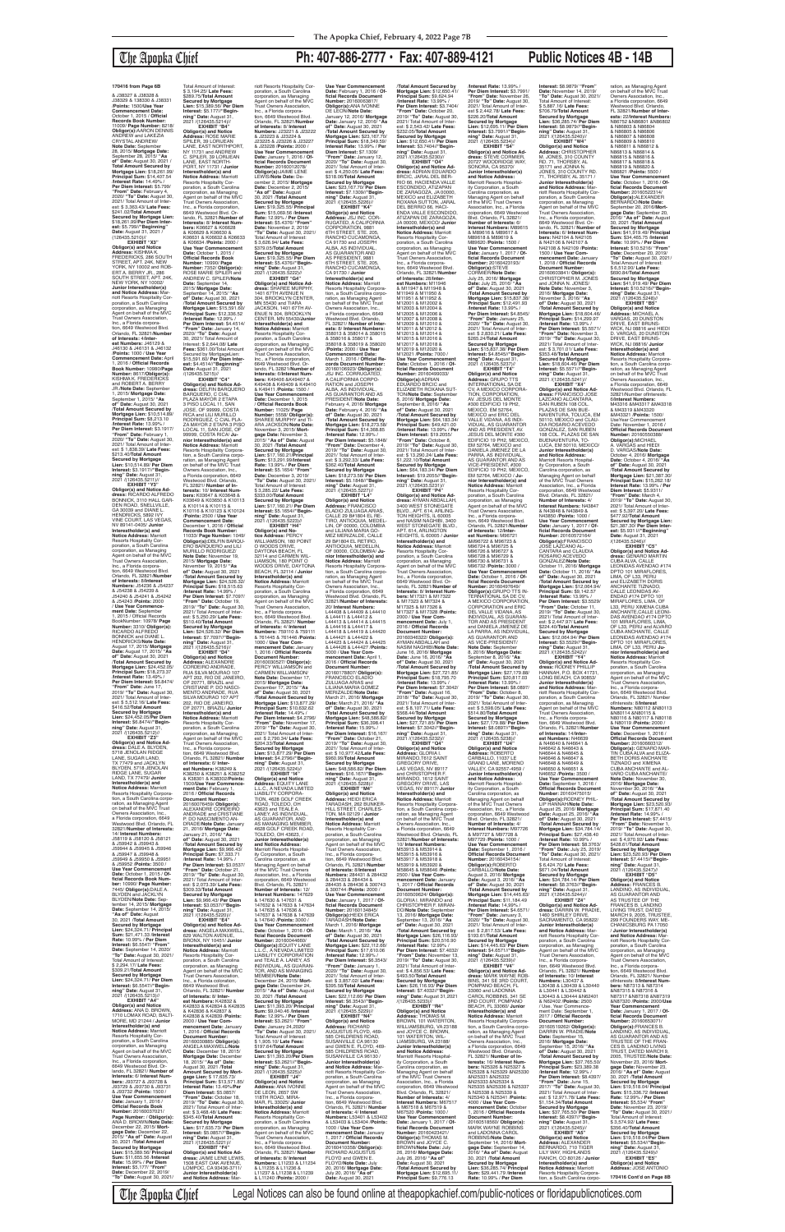## The Apopka Chief **Ph: 407-886-2777 • Fax: 407-889-4121 Public Notices 4B - 14B**

**EXHIBIT "X3" Obligor(s) and Notice Address:** KISHMA K. FREDERICKS, 286 SOUTH STREET, APT. 24K, NEW YORK, NY 10002 and ROB-ERT A. BERRY JR., 286 SOUTH STREET, APT. 24K, NEW YORK, NY 10002/ **Junior Interestholder(s) and Notice Address:** Mar-<br>poration, a South Carolina<br>poration, as Managing<br>Agent on behalf of the MVC<br>Trust Owners Association, Inc., a Florida corporation, 6649 Westwood Blvd. Orlando, FL 32821/**Number of Interests:** 4/**Interest Numbers:** J46129 & J46130 & J46131 & J46132 /**Points:** 1000 / **Use Year Commencement Date:** April 1, 2016 / **Official Records Book Number:** 10980/**Page Number:** 8617/**Obligor(s):** KISHMA K. FREDERICKS and ROBERT A. BERRY<br>JR./**Note Date:** September<br>1, 2015/ **Mortgage Date:**<br>September 1, 2015/ **"As<br>of" Date:** August 30, 2021<br>**/Total Amount Secured by Mortgage Lien:** \$10,514.89/ **Principal Sum:** \$8,213.10 /**Interest Rate:** 13.99% / **Per Diem Interest:** \$3.1917/ **"From" Date:** February 1, 2020/ **"To" Date:** August 30, 2021/ Total Amount of Interest: \$ 1,838.39/ **Late Fees:** \$213.40/**Total Amount Secured by Mortgage Lien:** \$10,514.89/ **Per Diem Interest:** \$3.1917//**"Beginning" Date:** August 31, 2021 /(126435.5211)//<br>**EXHIBIT "Y3"** 

J38329 & 138330 & J38331 /**Points:** 1500/**Use Year Commencement Date:** October 1, 2015 / **Official Records Book Number:<br>11009/ <b>Page Number:** 8218/<br>**Obligor(s):**AARON DENNIS<br>ANDREW and LAKEZIA<br>CRYSTAL ANDREW/ **Note Date:** September 28, 2015/ **Mortgage Date:** September 28, 2015/ **"As of" Date:** August 30, 2021 / **Total Amount Secured by Mortgage Lien:** \$18,261.99/ **Principal Sum:** \$14,407.54 /**Interest Rate:** 14.49% / **Per Diem Interest:** \$5.799/ **"From" Date:** February 4, 2020/ **"To" Date:** August 30, 2021/ Total Amount of Interest: \$ 3,363.43/ **Late Fees:** \$241.02/**Total Amount Secured by Mortgage Lien:** \$18,261.99/**Per Diem Inter-est:** \$5.799//**"Beginning" Date:** August 31, 2021 /<br>(126435.5210)// \$ 3,194.25/ **Late Fees:** \$289.75/**Total Amount Secured by Mortgage** 

**EXHIBIT "Y3" Obligor(s) and Notice Ad-dress:** RICARDO ALFREDO BONNICK, 3110 HALL GAR-DEN ROAD, SNELLVILLE, GA 30039 and DIANE L.<br>HENDRICKS, 5892 IVY HENDRICKS, 5892 IVY VINE COURT, LAS VEGAS, NV 89141-0405/ **Junior Interestholder(s) and Notice Address:** Marriott<br>Resorts Hospitality Cor-<br>poration, a South Carolina<br>corporation, as Managing<br>Agent on behalf of the MVC<br>Trust Owners Association, Inc., a Florida corpora-<br>tion, 6649 Westwood Blvd.<br>Orlando, FL 32821/**Number<br>of Interests: 8/Interest<br><b>Numbers:** J54236 & J54237<br>& J54238 & J54239 & J54240 & J54241 & J54242 & J54243 /**Points:** 2000 / **Use Year Commence-ment Date:** September 1, 2015 / Official Records BookNumber: 10978/ **Page Number:** 3310/ **Obligor(s):** RICARDO ALFREDO<br>BONNICK and DIANE L. HENDRICKS/**Note Date:** August 17, 2015/ **Mortgage Date:** August 17, 2015/ **"As of" Date:** August 30, 2021 /**Total Amount Secured by Mortgage Lien:** \$24,452.05/ **Principal Sum:** \$18,273.37 /**Interest Rate:** 13.49% / **Per Diem Interest:** \$6.8474/ **"From" Date:** June 17, 2019/ **"To" Date:** August 30, 2021/ Total Amount of Inter-est: \$ 5,512.16/ **Late Fees:** \$416.52/**Total Amount Secured by Mortgage Lien:** \$24,452.05/**Per Diem Interest:** \$6.8474//**"Begin-ning" Date:** August 31, 2021 /(126435.5212)// **EXHIBIT "Z3" Obligor(s) and Notice Address:** DALE A. BLYDEN, 5718 JENOLAN RIDGE<br>LANE, SUGAR LAND. LANE, SUGAR LAND,<br>TX 77479 and JACKLYN<br>BLYDEN, 5718 JENOLAN RIDGE LANE, SUGAR LAND, TX 77479/ **Junior Interestholder(s) and<br><b>Notice Address:** Marriott<br>Resorts Hospitality Corporation, a South Carolina corporation, as Managing Agent<br>on behalf of the MVC Trust on behalf of the MVC Trust Owners Association, Inc., a Florida corporation, 6649 Westwood Blvd. Orlando, FL 32821/**Number of Interests:** 14/ **Interest Numbers:** J58119 & J58120 & J58121 & J59942 & J59943 & J59944 & J59945 & J59946 & J59947 & J59948 & J59949 & J59950 & J59951 & J59952 /**Points:** 3500 / **Use Year Commencement Date:** October 1, 2015 / **Official Records Book Num-<br><b>ber:** 10990/ **Page Number:**<br>7445/ **Obligor(s):**DALE A.<br>BLYDEN and JACKLYN BLYDEN/**Note Date:** September 14, 2015/ **Mortgage Date:** September 14, 2015/ **"As of" Date:** August 30, 2021 /**Total Amount Secured by Mortgage Lien:** \$24,324.71/ **Principal Sum:** \$21,471.33 /**Interest Rate:** 10.99% / **Per Diem Interest:** \$6.5547/ **"From" Date:** September 14, 2020/ **"To" Date:** August 30, 2021/ Total Amount of Interest: \$ 2,294.17/ **Late Fees:** \$309.21/**Total Amount Secured by Mortgage Lien:** \$24,324.71/ **Per Diem Interest:** \$6.5547//**"Beginning" Date:** August 31, 2021 /(126435.5213)// **EXHIBIT "A4" Obligor(s) and Notice Address:** ANA D. BROWN, 1710 LOMAX ROAD, BALTI-MORE, MD 21244 / **Junior Interestholder(s) and Notice Address:** Marriott Resorts Hospitality Corporation, a South Carolina corporation, as Managing Agent on behalf of the MVC **Trust Owners Association**<br>Inc., a Florida corporation Inc., a Florida corporation, 6649 Westwood Blvd. Orlando, FL 32821/ **Number o Interests:** 6/ **Interest Numbers:** J93727 & J93728 & J93729 & J93730 & J93731 & J93732 /**Points:** 1500 / **Use Year Commencement Date:** January 1, 2016 / **Official Records Book Number:** 20160037021/ **Page Number:** / **Obligor(s):** ANA D. BROWN/**Note Date:** December 22, 2015/ **Mortgage Date:** December 22, 2015/ **"As of" Date:** August 30, 2021 /**Total Amount Secured by Mortgage Lien:** \$15,389.56/ **Principal Sum:** \$11,655.56 /**Interest Rate:** 15.99% / **Per Diem Interest:** \$5,177/ **"From" Date:** December 22, 2019/ **"To" Date:** August 30, 2021/

Total Amount of Interest:

**Lien:** \$15,389.56/ **Per Diem Interest:** \$5.177//**"Begin-ning" Date:** August 31, 2021 /(126435.5214)// **EXHIBIT "B4" Obligor(s) and Notice Address:** ROSE MARIE SPILER, 39 LORIJEAN LANE, EAST NORTHPORT, NY 11731 and ANDREW C. SPILER, 39 LORIJEAN LANE, EAST NORTH-PORT, NY 11731 / **Junior Interestholder(s) and Notice Address:** Marriott Resorts Hospitality Cor-poration, a South Carolina corporation, as Managing<br>Agent on behalf of the MVC<br>Trust Owners Association,<br>Inc., a Florida corporation, 6649 Westwood Blvd. Or-lando, FL 32821/**Number of Interests:** 8/ **Interest Numbers:** K06627 & K06628<br>& K06629 & K06630 & & K06629 & K06630 & K06631 & K06632 & K06633 & K06634 /**Points:** 2000 / **Use Year Commencement Date:** October 1, 2015 / **Official Records Book Number:** 10990/ **Page Number:** 7352/ **Obligor(s):** ROSE MARIE SPILER and ANDREW C. SPILER/**Note Date:** September 14, 2015/ **Mortgage Date:** September 14, 2015/ **"As of" Date:** August 30, 2021 /**Total Amount Secured by Mortgage Lien:** \$15,591.60/ **Principal Sum:** \$12,336.52 /**Interest Rate:** 12.99% / **Per Diem Interest:** \$4.4514/ **"From" Date:** January 14, 2020/ **"To" Date:** August 30, 2021/ Total Amount of Interest: \$ 2,644.08/ **Late Fees:** \$361.00/Total Amount Secured by MortgageLien: \$15,591.60/ **Per Diem Interest:** \$4.4514//"**Beginning"**<br>**Date:** August 31, 2021<br>/(126435.5215)// **EXHIBIT "C4" Obligor(s) and Notice Ad-dress:** DELFIN BARQUERO BARQUERO, C CIAL PLAZA MAYOR 2 ETAPA 3 PISO LOCAL 11, SAN JOSE, OF 99999, COSTA RICA and LILI MURILLO RODRIGUEZ, C CIAL PLA-ZA MAYOR 2 ETAPA 3 PISO LOCAL 11, SAN JOSE, OF 99999, COSTA RICA/ **Junior Interestholder(s) and Notice Address:** Marriott Resorts Hospitality Corporation, a South Carolina corporation, as Managing Agent on behalf of the MVC Trust Owners Association, Inc., a Florida corporation, 6649 Westwood Blvd. Orlando, FL 32821/ **Number of In-terests:** 10/ **Interest Num-bers:** K03647 & K03648 & K03649 & K03650 & K10113 & K10114 & K10115 & K10116 & K10123 & K10124 /**Points:** 2500 / **Use Year Commencement Date:** December 1, 2016 / **Official<br><b>Records Book Number:**<br>11033/ **Page Number:** 1049/<br>**Obligor(s):**DBLFIN BARQU-<br>ERO BARQUERO and LILI<br>MURILLO RODRIGUEZ/ **Note Date:** November 19, 2015/ **Mortgage Date:** November 19, 2015/ **"As of" Date:** August 30, 2021 /**Total Amount Secured by Mortgage Lien:** \$24,526.32/ **Principal Sum:** \$18,515.63 /**Interest Rate:** 14.99% / **Per Diem Interest:** \$7.7097/ **"From" Date:** October 19, 2019/ **"To" Date:** August 30, 2021/ Total Amount of Inter-est: \$ 5,250.29/ **Late Fees:** \$510.40/**TotaI Amount Secured by Mortgage Lien:** \$24,526.32/ **Per Diem Interest:** \$7.7097//**"Beginning" Date:** August 31, 2021 /(126435.5216)// **EXHIBIT "D4" Obligor(s) and Notice Address:** ALEXANDRE CORDEIRO ANDRADE, RUA SILVA MOURAO 107 APT 202, RIO DE JANEIRO, OF 20771, BRAZIL and CRISTIANE P. DO NASCI-MENTO ANDRADE, RUA SILVA MOURAO 107 APT 202, RIO DE JANEIRO, OF 20771, BRAZIL/ **Junior Interestholder(s) and Notice Address:** Marriott Resorts Hospitality Corporation, a South Carolina corporation, as Managing Agent on behalf of the MVC Trust Owners Association, Inc., a Florida corpora-tion, 6649 Westwood Blvd. Orlando, FL 32821/ **Number of Interests:** 6/ **Interest Numbers:** K38249 & K38250 & K38251 & K38252 & K38301 & K38302/**Points:** 1500/**Use Year Commencement Date:** February 1, 2016 / **Official Records Document Number:** 20160076459/ **Obligor(s):** ALEXANDRE CORDEIRO ANDRADE and CRISTIANE P. DO NASCIMENTO AN-DRADE/**Note Date:** January 21, 2016/ **Mortgage Date:** January 21, 2016/ **"As of" Date:** August 30, 2021 /**Total Amount Secured by Mortgage Lien:** \$9,966.43/ **Principal Sum:** \$7,333.71 /**Interest Rate:** 14.99% / **Per Diem Interest:** \$3.0537/ **"From" Date:** October 21, 2019/ **"To" Date:** August 30, 2021/ Total Amount of Inter-est: \$ 2,073.39/ **Late Fees:** \$309.33/**Total Amount Secured by Mortgage Lien:** \$9,966.43/ **Per Diem Interest:** \$3.0537//**"Beginning" Date:** August 31, 2021 /(126435.5220)// **EXHIBIT "E4" Obligor(s) and Notice Ad-dress:** ANGELA MAXWELL, 629 WALTON AVENUE BRONX, NY 10451/ **Junior Interestholder(s) and Notice Address:** Marriott Resorts Hospitality Cor-poration, a South Carolina corporation, as Managing Agent on behalf of the MVC Trust Owners Association, Inc., a Florida coloration, 6649 Westwood Blvd. Orlando, FL 32821/ **Number of Interests:** 8/ **Interest Numbers:** K42832 & K42833 & K42834 & K42835 & K42836 & K42837 & K42838 & K42839 /**Points:** 2000 / **Use Year Co mencement Date:** January 1, 2016 / **Official Records Document Number:** 20160030885/ **Obligor(s):** ANGELA MAXWELL/**Note Date:** December 18, 2015/ **Mortgage Date:** December 18, 2015/ **"As of" Date:** August 30, 2021 /**Total Amount Secured by Mortgage Lien:** \$ 17,635.73/ **Principal Sum:** \$13,571.85/ **Interest Rate:** 13.49%/**Per Diem Interest:** \$5.0857/ **"From" Date:** October 18, 2019/ **"To" Date:** August 30, 2021/ Total Amount of Inter-est: \$ 3,468.48/ **Late Fees:** \$345.40/**Total Amount Secured by Mortgage Lien:** \$17,635.73/ **Per Diem Interest:** \$5.0857//**"Beginning" Date:** August 31, 2021 /(126435.5221)// **EXHIBIT "F4" Obligor(s) and Notice Ad-dress:** JAIME LENE LEWIS, 1508 EAST OAK AVENUE, LOMPOC, CA 93436-3711/ **Junior Interestholder(s) and Notice Address:** Mar-

/**Interest Rate:** 13.99% / **Per Diem Interest:** \$3.7991/ **"From" Date:** November 26, 2019/ **"To" Date:** August 30, 2021/ Total Amount of Inter-est \$ 2,442.78/ **Late Fees:** \$226.20/**Total Amount Secured by Mortgage Lien:** \$12,695.11/ **Per Diem Interest:** \$3.7991//**"Beginning" Date:** August 31, 2021 /(126435.5234)// **EXHIBIT "S4" Obligor(s) and Notice Ad-dress:** STEVE CORMIER, 20727 WOODRIDGE WAY, SONORA, CA 95370/ **Junior Interestholder(s) and Notice Address:** Marriott Resorts Hospitality Corporation, a South Carolina corporation, as Managing Agent on behalf of the MVC Trust Owners Association, Inc., a Florida coiporation, 6649 Westwood Blvd. Orlando, FL 32821/ **Number of Interests:** 6/<br>**Interest Numbers:** M89615<br>& M89616 & M89617 & M89618 & M89619 & M89620 /**Points:** 1500 / **Use Year Commence Date:** January 1, 2017 / **Of**ficial Records Document **Number:** 20160423193/ **Obligor(s):**STEVE CORMIER/**Note Date:** July 25, 2016/ **Mortgage Date:** July 25, 2016/ **"As of" Date:** August 30, 2021 /**Total Amount Secured by Mortgage Lien:** \$15,837.38/ **Principal Sum:** \$12,491.93 /**Interest Rate:** 13.99% / **Per Diem Interest:** \$4.8545/<br>"**From" Date:** January 25,<br>2020/ "**To" Date:** August 30,<br>2021/ Total Amount of Inter-<br>est: \$ 2,830.21/ **Late Fees:**<br>\$265.24/**Total Amount Secured by Mortgage Lien:** \$15,837.38/ **Per Diem Interest:** \$4.8545//**"Begin-ning" Date:** August 31, 2021 /(126435.5237)// **EXHIBIT "T4" Obligor(s) and Notice Address:** GRUPO TTS INTERNATIONAL SA DE CV, A MEXICO CORPORA-TION, CORPORATION, AV. JESUS DEL MONTE #300 EDIFICIO 19 PH2,<br>MEXICO, EM 52764,<br>MEXICO, EM 52764,<br>VALLE VIDANA, AS INDI-<br>VIDUAL, AS GUARANTOR<br>AND AS PRESIDENT, AV.<br>AND AS PRESIDENT, 4V.<br>JESUS DEL MONTE #300

riott Resorts Hospitality Corporation, a South Carolina corporation, as Managing Agent on behalf of the MVC Trust Owners Association, Inc., a Florida corpora-tion, 6649 Westwood Blvd. Orlando, FL 32821/**Number of Interests:** 8/ **Interest Numbers:** J23221 & J23222 & J23223 & J23224 & J23225 & J23226 & J23227 & J23228 /**Points:** 2000 / **Use Year Commencement Date:** January 1, 2016 / **Official Records Document Number:** 20160012078/ **Obligor(s):**JAIME LENE LEWIS/**Note Date:** De-cember 2, 2015/ **Mortgage Date:** December 2, 2015/ **"As of" Date:** August 30, 2021 /**Total Amount Secured by Mortgage Lien:** \$19,325.55/ **Principal Sum:** \$15,069.56 /**Interest Rate:** 12.99% / **Per Diem Interest:** \$5.4376/ "**From"**<br> **Date:** November 2, 2019/<br>"To" Date: August 30, 2021/<br>
Total Amount of Interest:<br>\$3,626.94/ **Late Fees:**<br>\$379.05/**Total Amount Secured by Mortgage Lien:** \$19,325.55/ **Per Diem Interest:** \$5.4376//**"Beginning" Date:** August 31, 2021 /(126435.5222)// **EXHIBIT "G4" Obligor(s) and Notice Address:** SHAREE MURPHY, 1401 67TH AVENUE N 304, BROOKLYN CENTER, MN 55430 and TIARA JACKSON, 1401 67TH AV-ENUE N 304, BROOKLYN CENTER, MN 55430/**Junior Interestholder(s) and Notice Address:** Marriott Resorts Hospitality Cor-poration, a South Carolina corporation, as Managing Agent on behalf of the MVC Trust Owners Association, Inc., a Florida corporation, 6649 Westwood Blvd. Or-lando, FL 32821/**Number of Interests:** 6/**Interest Num-Use Year Commencement Date:** February 1, 2016 / **Of-ficial Records Document Number:** 20160063817/ **Obligor(s):**ANA IVONNE DE LEON/**Note Date:** January 12, 2016/ **Mortgage Date:** January 12, 2016/ **"As of" Date:** August 30, 2021 /**Total Amount Secured by Mortgage Lien:** \$23,167.70/ **Principal Sum:** \$18,349.59/ **Interest Rate:** 13.99% / **Per Diem Interest:** \$7.1309/ **"From" Date:** January 12, 2020/ **"To" Date:** August 30, 2021/ Total Amount of Inter-est: \$ 4,250.05/ **Late Fees:** \$318.06/**Total Amount Secured by Mortgage Lien:** \$23,167.70/ **Per Diem Interest:** \$7.1309//**"Beginning" Date:** August 31, 2021 /(126435.5226)// **EXHIBIT "K4" Obligor(s) and Notice Address:** JSJ INC. COR-RUGATED, A CALIFORNIA CORPORATION, 9881<br>6TH STREET, STE, 205 6TH STREET, STE. 205, RANCHO CUCAMONGA, CA 91730 and JOSEPH ALBA, AS INDIVIDUAL, AS GUARANTOR AND AS PRESIDENT, 9881<br>6TH STREET, STE, 205 6TH STREET, STE. 205, RANCHO CUCAMONGA, CA 91730 / **Junior Interestholder(s) and Notice Address:** Marriott Resorts Hospitality Corpora-tion, a South Carolina corpo-ration, as Managing Agent on behalf of the MVC Trust Owners Association, Inc. a Florida corporation, 6649 Westwood Blvd. Orlando,<br>FL 32821/ Number of Inter FL 32821/ **Number of Inter-ests:** 8/ **Interest Numbers:** 358013 & 358014 & 358015 & 358016 & 358017 & 358018 & 358019 & 358020 /**Points:** 2000 / **Use Year Commencement Date:** March 1, 2016 / **Official Re-**

**bers:** K49406 &K49407 & K49408 & K49409 & K49410 & K49411 /**Points:** 1500 / **Use Year Commencement Date:** December 1, 2015 / **Official Records Book Number:** 11025/ **Page Number:** 5558/ **Obligor(s):** SHAREE MURPHY and TI-ARA JACKSON/**Note Date:** November 3, 2015/ **Mortgage Date:** November 3,<br>2015/ **"As of" Date:** August<br>30, 2021 /**Total Amount Secured by Mortgage Lien:** \$17,160.21/**Principal Sum:** \$13,291.99/**Interest Rate:** 13.99% / **Per Diem Interest:** \$5.1654/ **"From" Date:** December 3, 2019/ **"To" Date:** August 30, 2021/ Total Amount of Interest: \$ 3,285.22/ **Late Fees:** \$333.00/**Total Amount Secured by Mortgage Lien:** \$17,160.21/ **Per Diem Interest:** \$5.1654//**"Begincords Document Number:** 20160106923/ **Obligor(s):** JSJ INC. CORRUGATED, A CALIFORNIA CORPO-RATION and JOSEPH ALBA, AS INDIVIDUAL, AS GUARANTOR AND AS PRESIDENT/**Note Date:** February 4, 2016/ **Mortgage Date:** February 4, 2016/ **"As of" Date:** August 30, 2021 /**Total Amount Secured by Mortgage Lien:** \$18,273.58/ **Principal Sum:** \$14,368.85 /**Interest Rate:** 12.99% / **Per Diem Interest:** \$5.1848/ **"From" Date:** December 4, 2019/ **"To" Date:** August 30, 2021/ Total Amount of Inter-est: \$ 3,292.33/ **Late Fees:** \$362.40/**Total Amount Secured by Mortgage Lien:** \$18,273.58/ **Per Diem Interest:** \$5.1848//**"Beginning" Date:** August 31, 2021 /(126435.5227)// **EXHIBIT "L4" Obligor(s) and Notice Address:** FRANCISCO ELADIO ZULUAGA ARIAS, CALLE 29 B#1804 EL RE-TIRO, ANTIOQUIA, MEDEL-

EDIFICIO 19 PH2, MEXICO,<br>EM 52764, MEXICO and<br>DANIELA JIMENEZ DE LA<br>PARRA, AS INDIVIDUAL,<br>AS GUARANTOR AND AS VICE-PRESIDENT, #300 EDIFICIO 19 PH2, MEXICO, EM 52764, MEXICO / **Junior Interestholder(s) and Notice Address:** Marriott Resorts Hospitality Cor-poration, a South Carolina corporation, as Managing Agent on behalf of the MVC Trust Owners Association, Inc., a Florida corpora-tion, 6649 Westwood Blvd. Orlando, FL 32821/**Numbe of Interests:** 12/**Inter-est Numbers:** M96721 &M96722 & M96723 & M96724 & M96725 & M96726 & M96727 & M96728 & M96729 & M96730 & M96731 & M96732 /**Points:** 3000 / **Use Year Commencement Date:** October 1, 2016 / **Of-ficial Records Document Number:** 20160497649/ **Obligor(s):**GRUPO TTS IN-TERNATIONAL SA DE CV, A MEXICO CORPORATION, CORPORATION and ERIC DEL VALLE VIDANA, AS INDIVIDUAL, AS GUARAN-TOR AND AS PRESIDENT<br>and DANIELA JIMENEZ DE and DANIELA JIMENEZ DE<br>LA PARRA, AS INDIVIDUAL,<br>AS GUARANTOR AND<br>AS VICE-PRESIDENT/ **Note Date:** September 8, 2016/ **Mortgage Date:** September 8, 2016/ **"As of" Date:** August 30, 2021 /**Total Amount Secured by Mortgage Lien:** \$27,179.88/ **Principal Sum:** \$20,817.03 /**Interest Rate:** 13.99% / **Per Diem Interest:** \$8.0897/ **"From" Date:** October 8, 2019/ **"To" Date:** August 30, 2021/ Total Amount of Interest: \$ 5,598.05/ **Late Fees:** \$514.80/**Total Amount Secured by Mortgage Lien:** \$27,179.88/ **Per Diem Interest:** \$8.0897//**"Beginning" Date:** August 31,<br>2021 /(126435.5238)// **EXHIBIT "U4" Obligor(s) and Notice Address:** ROBERTO CARBALLO, 11037 LE GRAND LANE, MORENO VALLEY, CA 92557-4959 / **Junior Interestholder(s) and Notice Address:** Marriott Resorts Hospitality Corporation, a South Carolina corporation, as Managing Agent on behalf of the MVC Trust Owners Association, Inc., a Florida corporation, 6649 Westwood Blvd. Orlando, FL 32821/ **Number of Interests:** 4/ **Interest Numbers:** M97726 & M97727 & M97728 & M97729 /**Points:** 1000 / **Use Year Commencer Date:** September 1, 2016 / **Official Records Document Number:** 20160434154/ **Obligor(s):**ROBERTO CARBALLO/**Note Date:** August 3, 2016/ **Mortgage Date:** August 3, 2016/ **"As of" Date:** August 30, 2021 /**Total Amount Secured by Mortgage Lien:** \$14,445.63/ **Principal Sum:** \$11,184.49 /**Interest Rate:** 14,99% / Per Diem Interest: \$4.6571. **"From" Date:** January 3, 2020/ **"To" Date:** August 30, 2021/ Total Amount of Inter-est: \$ 2,817.53/ **Late Fees:** \$193.61/**TotaI Amount Secured by Mortgage Lien:** \$14,445.63/ **Per Diem Interest:** \$4.6571//**"Beginning" Date:** August 31, 2021 /(126435.5239)// **EXHIBIT "V4" Obligor(s) and Notice Ad-dress:** MARK WAYNE ROB-BINS, 341 SE 3RD COURT, POMPANO BEACH, FL 33060 and LADONNA CAROL ROBBINS, 341 SE 3RD COURT, POMPANO BEACH, FL 33060/ **Junior Interestholder(s) and Notice Address:** Marriott<br>Resorts Hospitality Corpora-<br>tion, a South Carolina corporation, as Managing Agent<br>on behalf of the MVC Trust Owners Association, Inc., a Florida corporation, 6649 Westwood Blvd. Orlando, FL 32821/ **Number of Interests:** 16/ **Interest Numbers:** N25326 & N25327 & N25328 & N25329 &N25330 &N25331 &N25332 &N25333 &N25334 & N25335 &N25336 & N25337 & N25338 & N25339 & N25340 & N25341 /**Points:** 4000 / **Use Year Commencement Date:** October 1, 2016 / **Official Records Document Number:** 20160518560/ **Obligor(s):** MARK WAYNE ROBBINS and LADONNA CAROL ROBBINS/**Note Date:** September 14, 2016/ **Mort-gage Date:** September 14, 2016/ **"As of" Date:** August 30, 2021 /**Total Amount Secured by Mortgage Lien:** \$36,285.74/ **Principal Sum:** \$29,441.79 /**Interest Rate:** 10.99% / **Per Diem** 

**ning" Date:** August 31, 2021 /(126435.5223)// **EXHIBIT "H4" Obligor(s) and Notice Address:** PERCY<br>WILLIAMSON, 180 POINT<br>O WOODS DRIVE,<br>DAYTONA BEACH, FL 32114 and CARMEN WIL-LIAMSON, 180 POINT O WOODS DRIVE, DAYTONA BEACH, FL 32114 / **Junior Interestholder(s) and Notice Address:** Marriott Resorts Hospitality Corporation, a South Carolina corporation, as Managing Agent on behalf of the MVC Trust Owners Association, Inc., a Florida corporation, 6649 Westwood Blvd. Orlando, FL 32821/ **Number of Interests:** 4/ **Interest Numbers:** 759110 & 759111 & 761445 & 761446 /**Points:** 1000 / **Use Year Commencement Date:** January<br>**Document Number:**<br>20160030527/ **Obligor(s):**<br>20160030527/ **Obligor(s):**<br>PERCY WILLIAMSON and<br>CARMEN WILLIAMSON/ **Note Date:** December 17, 2015/ **Mortgage Date:** December 17, 2015/ **"As of" Date:** August 30, 2021 /**Total Amount Secured by Mortgage Lien:** \$13,877.29/ **Principal Sum:** \$10,632.62 /**Interest Rate:** 14.49% / **Per Diem Interest:** \$4.2796/ **"From" Date:** November 17, 2019/ **"To" Date:** August 30, 2021/ Total Amount of Inter-est: \$ 2,790.34/ **Late Fees:** \$204.33/**Total Amount Secured by Mortgage Lien:** \$13,877.29/ **Per Diem Interest:** \$4.2796//**"Beginning" Date:** August 31, 2021 /(126435.5224)// **EXHIBIT "I4" Obligor(s) and Notice<br><b>Address:** EQUITY LANE<br>L.L.C., A NEVADA LIMITED<br>LIABILITY CORPORA-TION, 4628 GOLF CREEK ROAD, TOLEDO, OH 43623 and TEALE A. LANEY, AS INDIVIDUAL, AS GUARANTOR, AND AS MANAGING MEMBER, 4628 GOLF CREEK ROAD, TOLEDO, OH 43623, / **Junior Interestholder(s) and Notice Address:** Marriott Resorts Hospitality Corporation, a South Carolina corporation, as Managing Agent on behalf of the MVC Trust Owners Association, Inc., a Florida corporation, 6649 Westwood Blvd. Orlando, FL 32821/ **Number of Interests:** 12/ **Interest Numbers:** 147629<br>& 147630 & 147631 &<br>147632 & 147633 & 147634 & 147635 & 147636 & 147637 & 147638 & 147639 & 147640 /**Points:** 3000 / **Use Year Commencement Date:** October 1, 2016 / **Official Records Document Number:** 20160044660/ **Obligor(s):**EQUITY LANE L.L.C., A NEVADA LIMITED LIABILITY CORPORATION and TEALE A. LANEY, AS INDIVIDUAL, AS GUARAN-TOR, AND AS MANAGING MEMBER/**Note Date:** December 24, 2015/ **Mortgage Date:** December 24, 2015/ **"As of" Date:** August 30, 2021 /**Total Amount Secured by Mortgage Lien:** \$11,393.20/ **Principal Sum:** \$9,040.46 /**Interest Rate:** 12.99% / **Per Diem Interest:** \$3.2621/ **"From" Date:** January 24,2020/ **"To" Date:** August 30, 2021/ Total Amount of Interest: \$ 1,905.10/ **Late Fees:** \$197.64/**Total Amount Secured by Mortgage Lien:** \$11,393.20/**Per Diem Interest:** \$3.2621//**"Beginning" Date:** August 31, 2021 /(126435.5225)// **EXHIBIT "J4" Obligor(s) and Notice Address:** ANA IVONNE DE LEON, 2657 SW 118TH ROAD, MIRA-MAR, FL 33025/ **Junior Interestholder(s) and Notice Address:** Marriott Resorts Hospitality Corporation, a South Carolina corporation, as Managing Agent on behalf of the MVC Trust Owners Association, Inc., a Florida corpora-tion, 6649 Westwood Blvd. Orlando, FL 32821/ **Number of Interests:** 8/ **Interest Numbers:** L11233 & L11234 & L11235 & L11236 & L11237 & L11238 & L11239 & L11240 /**Points:** 2000 / LIN, OF 00000, COLOMBIA<br>and LILIANA MARIA GO-<br>MEZ MERIZALDE, CALLE<br>29 B#1804 EL RETIRO,<br>ANTIOQUIA, MEDELLIN,<br>OF 00000, COLOMBIA/ **Junior Interestholder(s) and Notice Address:** Marriott<br>Resorts Hospitality Corpora-<br>tion, a South Carolina corporation, as Managing Agent on behalf of the MVC Trust Owners Association, Inc., a Florida corporation, 6649<br>Westwood Blvd. Orlando. FL Westwood Blvd. Orlando, FL<br>32821/**Number of Interests:**<br>20/ **Interest Numbers:**<br>L44408 & L44409 & L44410<br>& L44411 & L44412 & L44413 & L44414 & L44415<br>& L44416 & L44417 &<br>L44418 & L44419 & L44420<br>& L44421 & L44422 &<br>L44423 & L44424 & L44425 & L44426 & L44427 /**Points:** 5000 / **Use Year Com-mencement Date:** April 1, 2016 / **Official Records Document Number:** 20160178807/ **Obligor(s):** FRANCISCO ELADIO ZULUAGA ARIAS and LILIANA MARIA GOMEZ MERIZALDE/**Note Date:** March 21, 2016/ **Mortgage Date:** March 21, 2016/ **"As of" Date:** August 30, 2021 /**Total Amount Secured by Mortgage Lien:** \$48,586.82/ **Principal Sum:** \$36,398.41 /**Interest Rate:** 15.99% / **Per Diem Interest:** \$16,167/ **"From" Date:** October 21, 2019/ **"To" Date:** August 30, 2021/ Total Amount of Inter-est: \$ 10,977.42/**Late Fees:** \$960.99/**Total Amount Secured by Mortgage Lien:** \$48,586.82/ **Per Diem Interest:** \$16.167//**"Beginning" Date:** August 31, 2021 /(126435.5228)// **EXHIBIT "M4" Obligor(s) and Notice Address:** HEIDI ERICA TARADASH, 262 BUNKER-HILL STREET, CHARLES-TON, MA 02129 / **Junior Interestholder(s) and Notice Address:** Marriott Resorts Hospitality Corporation, a South Carolina corporation, as Managing Agent on behalf of the MVC Trust Owners Association, Inc., a Florida corporation, 6649 Westwood Blvd. Orlando, FL 32821/**Number of Interests:** 8/**Interest Numbers:** 284431 & 284432 & 284433 & 284434 & 284435 & 284436 & 300743 & 300744 /**Points:** 2000 / **Use Year Commencement Date:** January 1, 2017 / **Of-ficial Records Document Number:** 20160134845/ **Obligor(s):**HEIDI ERICA TARADASH/**Note Date:** March 1, 2016/ **Mortgage Date:** March 1, 2016/ **"As of" Date:** August 30, 2021 /**Total Amount Secured by Mortgage Lien:** \$22,112.66/ **Principal Sum:** \$17,610.06 /**Interest Rate:** 12.99% / **Per Diem Interest:** \$6.3543/ **"From" Date:** January 1, 2020/ **"To" Date:** August 30, 2021/ Total Amount of Interest: \$ 3,857.02/ **Late Fees:** \$395.58/**Total Amoun Secured by Mortgage Lien:** \$22,112.66/ **Per Diem Interest:** \$6.3543//**"Beginning" Date:** August 31, 2021 /(126435.5229)// **EXHIBIT "N4" Obligor(s) and Notice Address:** RICHARD AUGUSTUS FLOYD, 469- 585 CHILDRENS ROAD, SUSANVILLE CA 96130 and GWEN E. FLOYD, 469- 585 CHILDRENS ROAD, SUSANVILLE CA 96130 **Junior Interestholder(s) and Notice Address: Ma** riott Resorts Hospitality Corporation, a South Carolina<br>corporation, as Managing corporation, as Managing Agent on behalf of the MVC Trust Owners Association, Inc., a Florida corporation, 6649 Westwood Blvd. Orlando, FL 32821/ **Number of Interests:** 4/ **Interest Numbers:** L53401 & L53402 & L53403 & L53404 /**Points:** 1000 / **Use Year Commencement Date:** January 1, 2017 / **Official Records Document Number:** 20160410358/ **ObIigor(s):** RICHARD AUGUSTUS FLOYD and GWEN E. FLOYD/**Note Date:** July 20, 2016/ **Mortgage Date:** July 20, 2016/ **"As of" Date:** August 30, 2021

**ning" Date:** August 31, 2021 /(126435.5242)// **EXHIBIT "Y4" Obligor(s) and Notice Ad-dress:** RODNEY PHILLIP HANNAH, P.O. BOX 41731, LONG BEACH, CA 90853/ **Junior Interestholder(s) and Notice Address:** Marriott Resorts Hospitality Corporation, a South Carolina corporation, as Managing Agent on behalf of the MVC Trust Owners Association, Inc., a Florida corpora-tion, 6649 Westwood Blvd. Orlando, FL 32821/**Number of Interests:** 14/**Interest Numbers:** N46639 & N46640 & N46641 & N46642 & N46643 & N46644 & N46645 & N46646 & N46647 & N46648 & N46649 & N46650 & N46651 & N46652 /**Points:** 3500 / **Use Year Commencement Date:** September 1, 2016 / **Official Records Document Number:** 20160475015/ **Obligor(s):**RODNEY PHIL-LIP HANNAH/**Note Date:** August 25, 2016/ **Mortgage Date:** August 25, 2016/ **"As of" Date:** August 30, 2021 /**Total Amount Secured by Mortgage Lien:** \$34,784.14/ **Principal Sum:** \$27,438.40 /**Interest Rate:** 10.99% / **Per Diem Interest:** \$8.3763/ **"From" Date:** July 25, 2019/ **"To" Date:** August 30, 2021/ Total Amount of Interest: \$ 6,424.70/ **Late Fees:** \$671.04/**Total Amount Secured by Mortgage Lien:** \$34,784.14/ **Per Diem Interest:** \$8.3763//**"Beginning" Date:** August 31, 2021 /(126435.5244)/<br>"EXHIBIT "Z4" **EXHIBIT "Z4" Obligor(s) and Notice Ad-dress:** DARRIN W. PRADIE, 1460 SHIRLEY DRIVE SACRAMENTO, CA 95822/ **Junior Interestholder(s) and Notice Address:** Marriott Resorts Hospitality Corporation, a South Carolina corporation, as Managing Agent on behalf of the MVC Trust Owners Association, Inc., a Florida corpora-tion, 6649 Westwood Blvd. Orlando, FL 32821/ **Number of Interests:** 10/ **Interest Numbers:** L30437 & L30438 & L30439 & L30440 & L30441 & L30442 & L30443 & L30444 &N62401 & N62402 /**Points:** 2500 / Use. Year Commencement Date: September 1, 2017 / **Official Records Document Number:** 20160519262/ **Obligor(s):** DARRIN W. PRADIE/**Note Date:** September 15, 2016/ **Mortgage Date:** September 15, 2016/ **"As of" Date:** August 30, 2021 /**Total Amount Secured by Mortgage Lien:** \$37,765.50/ **Principal Sum:** \$23,389.38 /**Interest Rate:** 12.99% / **Per Diem Interest:** \$8.4397/ **"From" Date:** June 15, 2017/ **"To" Date:** August 30, 2021/ Total Amount of Inter-est: \$ 12,971.78/ **Late Fees:** \$1,154.34/**Total Amount Secured by Mortgage Lien:** \$37,765.50/ **Per Diem Interest:** \$8.4397//**"Beginning" Date:** August 31,<br>2021 /(126435.5245)// **EXHIBIT "A5" Obligor(s) and Notice Address:** ALEXANDER BERNARDO, 710 TIGER LILY WAY, HIGHLANDS RANCH, CO 80126 / **Junior Interestholder(s) and Notice Address:** Marriott<br>Resorts Hospitality Corpora-<br>tion, a South Carolina corpo-

ANCHANTE TIZNADO,<br>CALLE LEONIDAS AV-<br>ENDAO #174 DPTO 101<br>MIRAFLORES, LIMA, OF<br>L33, PERU XIMENA CUBA<br>ANCHANTE,CALLE LEONI-DAS AVENDAO #174 DPTO 101 MIRAFLORES, LIMA,<br>OF L33. PERU and ALVARO OF L33, PERU and ALVARO CUBA ANCHANTE, CALLE LEONIDAS AVENDAO #174 DPTO 101 MIRAFLORES, LIMA, OF L33, PERU **Junior Interestholder(s) and<br><b>Notice Address:** Marriott<br>Resorts Hospitality Corporation, a South Carolina corporation, as Managing Agent on behalf of the MVC Trust Owners Association, Inc., a Florida corpora-tion, 6649 Westwood Blvd. Orlando, FL 32821/Nu oflnterests: 8/**Interest Numbers:** N80112 &N80113 &N80114 &N80115 & N80116 & N80117 & N80118 & N80119 /**Points:** 2000 / **Use Year Commencem Date:** December 1, 2016 / **Official Records Document Number:** 20160660312/<br>**Obligor(s):** GENARO MAR-<br>TIN CUBA ALVA and ELIZA-BETH DORIS ANCHANTE TIZNADO and XIMENA CUBA ANCHANTE and AL-VARO CUBA ANCHANTE **Note Date:** November 30, 2016/ **Mortgage Date:** November 30, 2016/ **"As of" Date:** August 30, 2021 /**Total Amount Secured by Mortgage Lien:** \$23,520.93/ **Principal Sum:** \$17,871.40 /**Interest Rate:** 14.99% / **Per Diem Interest:** \$7.4415/ **"From" Date:** November 1, 2019/ **"To" Date:** August 30, 2021/ Total Amount of Inter-est: \$ 4,970.92/ **Late Fees:** \$428.61/**Total Amount Secured by Mortgage Lien:** \$23,520.93/ **Per Diem Interest:** \$7.4415//**"Beginning" Date:** August 31, 2021 /(126435.5247)// **EXHIBIT "D5 Obligor(s) and Notice Address:** FRANCES B. LANDINO, AS INDIVIDUAL, AS GUARANTOR AND AS TRUSTEE OF THE FRANCES B. LANDINO LIVING TRUST, DATED MARCH 9, 2005, TRUSTEE 299 FOUNDERS WAY, ME-CHANICSBURG PA 17050 / **Junior Interestholder(s) and Notice Address:** Marriott Resorts Hospitality Corporation, a South Carolina corporation, as Managing Agent on behalf of the MVC Trust Owners Association, Inc., a Florida corporation, 6649 Westwood Blvd. Orlando, FL 32821/ Number oflnterests: 8/**Interest Numbers:** N87313 & N87314 &N87315 & N87316 & N87317 &N87318 &N87319 &N87320 /**Points:** 2000/**Use Year Commencement Date:** January 1, 2017 / **Official Records Docum<br>Number:** 2016065307 **Number:** 20160653071/<br>**Obligor(s):**FRANCES B.<br>LANDINO, AS INDIVIDUAL,<br>AS GUARANTOR AND AS TRUSTEE OF THE FRAN-CES B. LANDINO LIVING<br>TRUST, DATED MARCH 9, 2005, TRUSTEE/**No** November 23, 2016/ **Mortgage Date:** November 23, 2016/ "As of" Date: August 30, 2021 /**Total Amount Secured by Mortgage Lien:** \$19,518.04/ **Principal Sum:** \$15,336.72 /**Interest Rate:** 12.99% / **Per Diem Interest:** \$5,534/ **"From" Date:** November 23, 2019/ **"To" Date:** August 30, 2021/ Total Amount of Interest: \$ 3,574.92/ **Late Fees:** \$356.40/**Total Amount Secured by Mortgage Lien:** \$19,518.04/**Per Diem Interest:** \$5.534//**"Beginning" Date:** August 31, 2021 /(126435.5249)// **EXHIBIT "E5" Obligor(s) and Notice** 

### & J38327 & J38328 & **170416 from Page 6B**

/**Total Amount Secured by Mortgage Lien:** \$12,650.41/ **Principal Sum:** \$9,624.94 /**Interest Rate:** 13.99% / **Per Diem Interest:** \$3.7404/ **"From" Date:** October 20, 2019/ **"To" Date:** August 30, 2021/ Total Amount of Inter-est: \$ 2,543.42/ **Late Fees:** \$232.05/**Total Amount Secured by Mortgage Lien:** \$12,650.41/ **Per Diem Interest:** \$3.7404//**"Beginning" Date:** August 31, 2021 /(126435.5230)// **CObligor(s) and Notice Ad-<br>
<b>dress:** ADRIAN EDUARDO<br>
BRCIC, JARAL DEL BER-<br>
RIO 66, HACIENDA VALLE<br>
ESCONDIDO, ATIZAPAN DE ZARAGOZA, JA 00000,<br>MEXICO and ELIZABETH<br>ROXANA SUTTON, JARAL<br>DEL BERRIO 66, HACI-<br>ENDA VALLE ESCONDIDO,<br>ATIZAPAN DE ZARAGOZA, JA 00000, MEXICO/ **Junior Interestholder(s) and Notice Address:** Marriott Resorts Hospitality Cor-poration, a South Carolina corporation, as Managing Agent on behalf of the MVC Trust Owners Association, Inc., a Florida corpora-tion, 6649 Westwood Blvd. Orlando, FL 32821/**Number of Interests:** 28/**Interest Numbers:** M11946<br>& M11947 & M11948 &<br>M11949 & M11950 &<br>M11951 & M12002 &<br>M12001 & M12004 & M12005 & M12006 & M12007 & M12008 & M12009 & M12010 & M12011 & M12012 & M12013 & M12014 & M12015 & M12016 & M12017 & M12018 & M12019 & M12020 & M12021 /**Points:** 7000 / **Use Year Commencement Date:** October 1, 2016 / **Of-ficial Records Document Number:** 20160499033/ **ObIigor(s):**ADRlAN EDUARDO BRCIC and ELIZABETH ROXANA SUT-TON/**Note Date:** September 8, 2016/ **Mortgage Date:** September 8, 2016/ **"As of" Date:** August 30, 2021 /**Total Amount Secured by Mortgage Lien:** \$64,183.34/ **Principal Sum:** \$49,421.00 /**Interest Rate:** 13.99% / **Per**  Diem Interest: \$19.2055/<br>"From" Date: October 8,<br>2019/ "To" Date: August 30,<br>2021/ Total Amount of Inter-<br>est: \$ 13,290.24/ **Late Fees:**<br>\$1,222.10/**Total Amount Secured by Mortgage Lien:** \$64,183.34/ **Per Diem Interest:** \$19.2055//**"Begin-ning" Date:** August 31, 2021 /(126435.5231)// **EXHIBIT "P4" Obligor(s) and Notice Ad-dress:** AYMAN ABDALLAH, 3400 WEST STONEGATE BLVD., APT. 614, ARLING-TON HEIGHTS, IL 60005 and NASIM NAGHIBI, 3400 WEST STONEGATE BLVD., APT. 614, ARLINGTON HEIGHTS, IL 60005 / **Junior Interestholder(s) and Notice Address:** Marriott Resorts Hospitality Cor-poration, a South Carolina corporation, as Managing Agent on behalf of the MVC Trust Owners Association, Inc., a Florida corporation, 6649 Westwood Blvd. Or-lando, FL 32821/**Number of Interests:** 8/ **Interest Num-bers:** M17321 & M17322 & M17323 & Ml7324 & M17325 & M17326 & M17327 & M17328 /**Points:** 2000 / **Use Year Commencement Date:** July 1, 2016 / **Official Records Document Number:** 20160346322/ **Obligor(s):** AYMAN ABDALLAH and NASIM NAGHIBI/**Note Date:** June 16, 2016/ **Mortgage Date:** June 16, 2016/ **"As of" Date:** August 30, 2021 /**Total Amount Secured by Mortgage Lien:** \$27,721.85/ **Principal Sum:** \$18,795.70 /**Interest Rate:** 13.99% / **Per Diem Interest:** \$7.3042/ **"From" Date:** August 16, 2018/ **"To" Date:** August 30, 2021/ Total Amount of Interest: \$ 8,107.71/ **Late Fees:** \$568.44/**Total Amount Secured by Mortgage Lien:** \$27,721.85/ **Per Diem Interest:** \$7.3042//**"Begin-ning" Date:** August 31, 2021 /(126435.5232)// **EXHIBIT "Q4" Obligor(s) and Notice Address:** GLORIA I. MIRANDO,T612 SAINT **GREGORY DRIVE** LAS VEGAS, NV 89117 and CHRISTOPHER F. MIRANDO, 1612 SAINT GREGORY DRIVE, LAS VEGAS, NV 89117/ **Junior Interestholder(s) and Notice Address:** Marriott Resorts Hospitality Corpora<br>tion, a South Carolina corpor tion, a South Carolina corpo-ration, as Managing Agent on behalf of the MVC Trust Owners Association, Inc., a Florida corporation, 6649 Westwood Blvd. Orlando, FL 32821/**Number of Interests:** 10/ **Interest Numbers:** M53913 & M53914 & M53915 & M53916 & M53917 & M53918 & M53919 & M53920 & M58645 & M58646 /**Points:** 2500 / **Use Year Commencement Date:** January 1, 2017 / **Official Records Document Number:** 20160509624/ **Obligor(s):** GLORIA I. MIRANDO and CHRISTOPHER F. MIRAN-DO/**Note Date:** September 13, 2016/ **Mortgage Date:** September 13, 2016/ **"As of" Date:** August 30, 2021 /**Total Amount Secured by Mortgage Lien:** \$26,116.93/ **Principal Sum:** \$20,516.90 /**Interest Rate:** 12.99% / **Per Diem Interest:** \$7.4032/<br>"**From" Date:** November 13,<br>2019/ "**To" Dat**e: August 30,<br>2021/ Total Amount of Inter-<br>est: \$ 4,856.53/ **Late Fees:**<br>\$493.50/**Total Amount Secured by Mortgage Lien:** \$26,116.93/ **Per Diem Interest:** \$7.4032//**"Beginning" Date:** August 31,2021 /(126435.5233)// **EXHIBIT "R4" Obligor(s) and Notice Address:** THOMAS M. BROWN, 101 WATERTON, WILLIAMSBURG, VA 23188 and JOYCE C. BROWN, 101 WATERTON, WIL-LIAMSBURG, VA 23188/ **Junior Interestholder(s) and Notice Address:** Marriott Resorts Hospitality Corporation, a South arolina corporation, as Managing Agent on behalf of the MVC Trust Owners Association, Inc., a Florida corporation, 6649 Westwood Blvd. Orlando, FL 32821/ **Number of Interests:** 4/ **Interest Numbers:** M67517 & M67518 & M67519 & M67520 /**Points:** 1000 / **Use Year Commencer Date:** January 1, 2017 / **Of-ficial Records Document Number:** 20160423421/ **Obligor(s):**THOMAS M. BROWN and JOYCE C. BROWN/**Note Date:** July 26, 2016/ **Mortgage Date:** July 26, 2016/ **"As of" Date:** August 30, 2021 /**Total Amount Secured by Mortgage Lien:** \$12,695.11/ **Principal Sum:** \$9,776.13

**Interest:** \$8.9879/ **"From" Date:** November 14, 2019/ **"To" Date:** August 30, 2021/ Total Amount of Interest: \$ 5,887.16/ **Late Fees:** \$706.79/**Total Amount Secured by Mortgage Lien:** \$36,285.74/ **Per Diem Interest:** \$8.9879//**"Beginning" Date:** August 31, 2021 /(126435.5240)// **EXHIBIT "W4" Obligor(s) and Notice Address:** CHRISTOPHER M. JONES, 310 COUNTY RD. 71, THORSBY, AL 35171 and JONNA N. JONES, 310 COUNTY RD. 71, THORSBY, AL 35171 / **Junior Interestholder(s) and Notice Address:** Marriott Resorts Hospitality Corporation, a South Carolina corporation, as Managing Agent on behalf of the MVC Trust Owners Association, Inc., a Florida corporation, 6649 Westwood Blvd. Orlando, FL 32821/ **Number of Interests:** 6/ **Interest Numbers:** N42104 & N42105 & N42106 & N42107 & N42108 & N42109 /**Points:** 1500 / **Use Year Com-mencement Date:** January 1, 2018 / **Official Records Document Number:** 20160603841/ **Obligor(s):** CHRISTOPHER M. JONES and JONNA N. JONES/<br>**Note Date:** November 3,<br>2016/ **Mortgage Date:**<br>November 3, 2016/ "**As<br>of" Date:** August 30, 2021<br>**/Total Amount Secured by Mortgage Lien:** \$18,604.46/ **Principal Sum:** \$14,299.97 /**Interest Rate:** 13.99% / **Per Diem Interest:** \$5.5571/ **"From" Date:** November 3, 2019/ **"To" Date:** August 30, 2021/ Total Amount of Interest: \$ 3,701.01/ **Late Fees:** \$353.48/**Total Amount Secured by Mortgage Lien:** \$18,604.46/ **Per Diem Interest:** \$5.5571//**"Beginning" Date:** August 31, 2021 /(126435.5241)// **EXHIBIT "X4" Obligor(s) and Notice Ad-dress:** FRANCISCO JOSE LAZCANO ALCANTARA, SAN RUBEN 108 COL. PLAZAS DE SAN BUE-NAVENTURA, TOLUCA, EM 50110, MEXICO and CLAU-DIA ROSARIO ACEVEDO<br>GONZALEZ, SAN RUBEN<br>108 COL. PLAZAS DE SAN BUENAVENTURA, TO-LUCA, EM 50110, MEXICO/ **Junior Interestholder(s) and Notice Address:** Marriott Resorts Hospitality Corporation, a South Carolina corporation, as Managing Agent on behalf of the MVC Trust Owners Association, Inc., a Florida corporation, 6649 Westwood Blvd. Orlando, FL 32821/ **Number of Interests:** 4/ **Interest Numbers:** N43847 & N43848 & N43849 & N43850 /**Points:** 1000 / **Use Year Commence Date:** January 1, 2017 / **Official Records Docume**<br>**Number:** 20160572164/ **Number:** 20160572164/<br>**Obligor(s):**FRANCISCO<br>JOSE LAZCANO AL-<br>CANTARA and CLAUDIA ROSARIO ACEVEDO GONZALEZ/**Note Date:** October 11, 2016/ **Mortgage Date:** October 11, 2016/ **"As of" Date:** August 30, 2021 /**Total Amount Secured by Mortgage Lien:** \$12,064.94/ **Principal Sum:** \$9,142.57 /**Interest Rate:** 13.99% / **Per Diem Interest:** \$3.5529/ **"From" Date:** October 11, 2019/ **"To" Date:** August 30, 2021/ Total Amount of Interest: \$ 2,447.97/ **Late Fees:** \$224.40/**Total Amount Secured by Mortgage Lien:** \$12,064.94/ **Per Diem Interest:** \$3.5529//**"Begin-**

ration, as Managing Agent on behalf of the MVC Trust Owners Association, Inc., a Florida corporation, 6649 Westwood Blvd. Orlando,<br>FL 32821/**Number of Inter** FL 32821/**Number of Inter-ests:** 22/**Interest Numbers:** N86752 &N86801 &N86802 & N86803 & N86804 & N86805 & N86806 & N86807 & N86808 & N86809 & N86810 & N86811 & N86812 & N86813 & N86814 & N86815 & N86816 & N86817 & N86818 & N86819 & N86820 & N86821 /**Points:** 5500 / Use Year Commence **Date:** October 1, 2016 / **Of-ficial Records Document Number:** 20160522314/ **Obligor(s):**ALEXANDER BERNARDO/**Note Date:** September 20, 2016/**Mortgage Date:** September 20, 2016/ **"As of" Date:** August 30, 2021 /**Total Amount Secured by Mortgage Lien:** \$41,919.49/ **Principal Sum:** \$34,465.75 /**Interest Rate:** 10.99% / **Per Diem Interest:** \$10.5216/ **"From" Date:** December 20, 2019/ **"To" Date:** August 30, 2021/ Total Amount of Interest: \$ 6,512.90/ **Late Fees:** \$690.84/**Total Amount Secured by Mortgage Lien:** \$41,919.49/ **Per Diem Interest:** \$10.5216//**"Begin-ning" Date:** August 31, 2021 /(126435.5248)// **EXHIBIT "B5" Obligor(s) and Notice Address:** MICHAEL A. VARGAS, 20 DUNSTON DRIVE, EAST BRUNS-WICK, NJ 08816 and HIEDI D. VARGAS, 20 DUNSTON DRIVE, EAST BRUNS-WICK, NJ 08816/ **Junior**<br>**Interestholder(s) and<br><b>Resorts Hospitality Corpora-**<br>Fesorts Hospitality Corpora-<br>tration, a South Carolina corpo-<br>ration, as Managing Agent<br>on behalf of the MVC Trust Owners Association, Inc., a Florida corporation, 6649 Westwood Blvd. Orlando, FL 32821/Number oflnterests: 6/**Interest Numbers:** M43316 &M43317 &M43318 & M43319 &M43320 &M43321 /**Points:** 1500/ UseYear Commenceme Date: November 1, 2016 / **Official Records Document Number:** 20160550388/

## **Obligor(s):**MICHAEL A. VARGAS and HIEDI D. VARGAS/**Note Date:** October 4, 2016/ **Mortgage Date:** October 4, 2016/ **"As of" Date:** August 30, 2021 /**Total Amount Secured by Mortgage Lien:** \$21,387.30/ **Principal Sum:** \$15,262.18/ **Interest Rate:** 13.99% / **Per Diem Interest:** \$5.9311/ **"From" Date:** March 4, 2019/ **"To" Date:** August 30, 2021/ Total Amount of Interest: \$ 5,397.20/ **Late Fees:** \$477.92/**Total Amount Secured by Mortgage Lien:** \$21,387.30/ **Per Diem Interest:** \$5.931 l//**"Beginning" Date:** August 31, 2021 /(126435.5246)// **EXHIBIT "C5" Obligor(s) and Notice Ad-dress:** GENARO MARTIN CUBA ALVA, CALLE LEONIDAS AVENDAO #174 DPTO 101 MIRAFLORES, LIMA, OF L33, PERU and ELIZABETH DORIS

**Address:** JOSE ANTONIO **170416 Cont'd on Page 8B**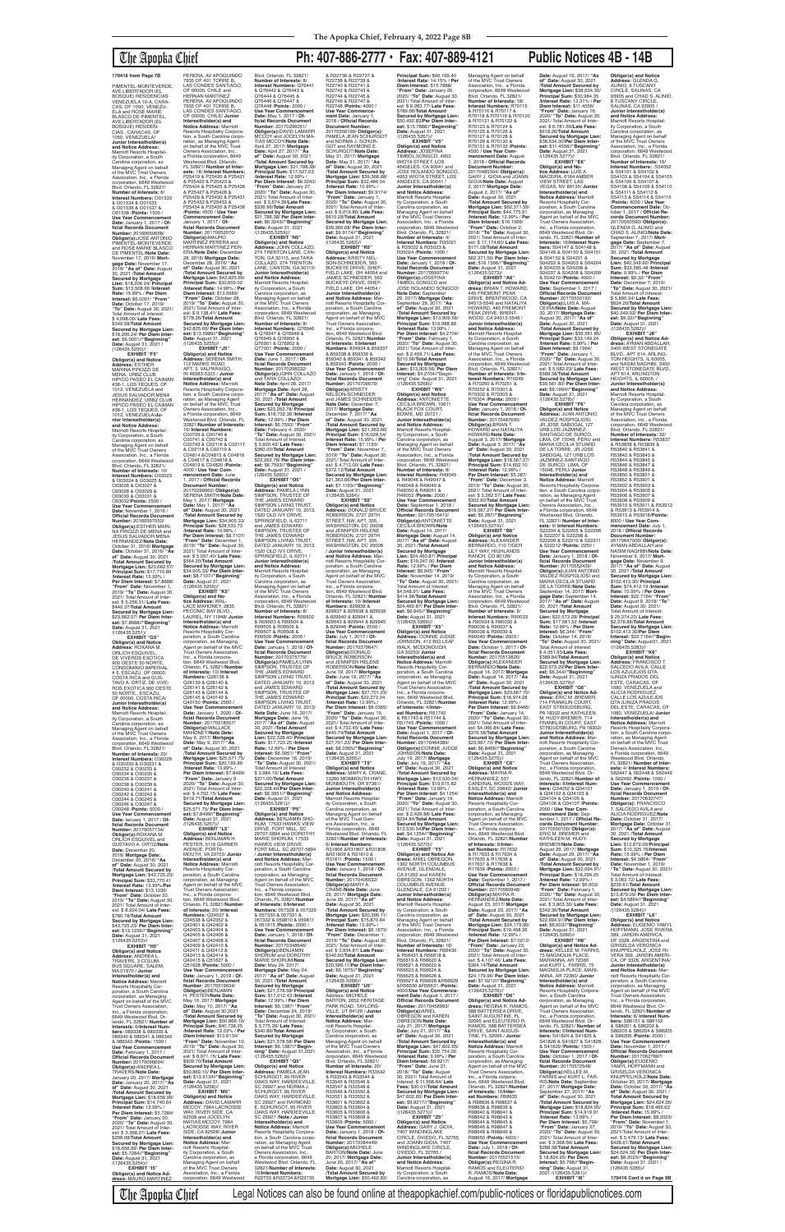## The Apopka Chief **Ph: 407-886-2777 • Fax: 407-889-4121 Public Notices 4B - 14B**

PIMENTEL-MONTEVERDE, AVE.LIBERTADOR (EL BOSQUE) RESIDENCIAS VENEZUELA 10-A, CARA-CAS, OF 1050, VENEZU-ELA and ROSE MARIE BLASCO DE PIMENTEL, AVE.LIBERTADOR (EL BOSQUE) RESIDEN-CIAS , CARACAS, OF 1050, VENEZUELA/ **Junior Interestholder(s) and Notice Address:** Marriott Resorts Hospitality Corporation, a South Corporation, as<br>rolina corporation, as<br>naging Agent on behalf Managing Agent on behalf of the MVC Tmst Owners Association, Inc., a Florida corporation, 6649 Westwood Blvd. Orlando, FL 32821/ **Number of Interests:** 6/ **Interest Numbers:** O01533 & O01534 & O01535 & O01536 & O01537 & O01538 /**Points:** 1500 / **Use Year Commencement Date:** January 1, 2017 / **Of-ficial Records Document Number:** 20160650668/ **Obligor(s):**JOSE ANTONIO PIMENTEL-MONTEVERDE and ROSE MARIE BLASCO DE PIMENTEL/**Note Date:** November 17, 2016/ **Mort-gage Date:** November 17, 2016/ **"As of" Date:** August 30, 2021 /**Total Amount Secured by Mortgage Lien:** \$18,206.24/ **Principal Sum:** \$13,508.66 /**Interest Rate:** 15.99% / **Per Diem Interest:** \$6.0001/ **"From" Date:** October 17, 2019/ **"To" Date:** August 30, 2021/ Total Amount of Interest: \$ 4,098.00/ **Late Fees:** \$349.58/**Total Amount Secured by Mortgage Lien:** \$18,206.24/ **Per Diem Interest:** \$6.0001//**"Beginning" Date:** August 31, 2021 /<br>(126435.5250)// **EXHIBIT "F5"**

**Obligor(s) and Notice Address:** ESTHER MARINA PIROZZI DE MENA, URBZ CLUB HIPICO PASEO EL CAIMAN #36-1, LOS TEQUES, OF 1012, VENEZUELA and JESUS SALVADOR MENA HERNANDEZ, URBZ CLUB HIPICO PASEO EL CAIMAN #36-1, LOS TEQUES, OF 1012, VENEZUELA/**Junior Interestholder(s) and Notice Address:** Marriott Resorts Hospitality Corporation, a South Carolina corporation, as Managing Agent on behalf of the MVC Trust Owners Association, Inc., a Florida corporation, 6649 Westwood Blvd. Orlando, FL 32821/<br>Number of Interests: 10/ **Number of Interests:** 10/ **Interest Numbers:** O03023 & O03024 & O03025 & O03026 & O03027 & O03028 & O03029 & O03030 & O03031 & O03032/**Points:** 2500 / **Use Year Commenceme Date:** November 1, 2016 / **Official Records Document Number:** 20160597053/ **Obligor(s):**ESTHER MARI-NA PIROZZI DE MENA and JESUS SALVADOR MENA HERNANDEZ/**Note Date:** October 31, 2016/ **Mortgage Date:** October 31, 2016/ **"As of" Date:** August 30, 2021 /**Total Amount Secured by**  Mortgage Lien: \$23,662. **Principal Sum:** \$17,715.89 /**Interest Rate:** 15.99% / **Per Diem Interest:** \$7.8688/ **"From" Date:** November 1, 2019/ **"To" Date:** August 30, 2021/ Total Amount of Interest: \$ 5,256.31/ **Late Fees:** \$440.37/**Total Amount Secured by Mortgage Lien:** \$23,662.57/ **Per Diem Inter-est:** \$7.8688//**"Beginning" Date:** August 31, 2021

PERERA, AV APOQUINDO 7935 OF 401 TORRE B,<br>LAS CONDES SANTIAGO, OF 00000, CHILE and HERNAN MARTINEZ PERERA, AV APOQUINDO 7935 OF 401 TORRE B, LAS CONDES SANTIAGO OF 00000, CHILE/ **Junior Interestholder(s) and Notice Address:** Marriott Resorts Hospitality Corporation, a South Carolina corporation, as Managing Agent on behalf of the MVC Trust Owners Association, Inc., a Florida corporation, 6649 Westwood Blvd. Orlando, FL 32821/ **Number of Interests:** 18/ **Interest Numbers:** P25419 & P25420 & P25421 & P25422 & P25423 & P25424 & P25425 & P25426 & P25427 & P25428 & P25429 & P25430 & P25431 & P25432 & P25433 & P25434 & P25435 & P25436 /**Points:** 4500 / **Use Year Commencement Date:** January 1, 2017 / **Official Records Document Number:** 20170052070/<br>**Obligor(s):**MAURO<br>MARTINEZ PERERA and<br>HERNAN MARTINEZ PER-ERA/**Note Date:** December 28, 2016/ **Mortgage Date:** December 28, 2016/ **"As of" Date:** August 30, 2021 /**Total Amount Secured by Mortgage Lien:** \$42,825.69/ **Principal Sum:** \$32,659.02 /**Interest Rate:** 14.99% / **Per Diem Interest: \$13.5989/<br>"From" Date: October 28. "From" Date:** October 28, 2019/ **"To" Date:** August 30, 2021/ Total Amount of Inter-est: \$ 9,138.41/ **Late Fees:** \$778.26/**Total Amount Secured by Mortgage Lien:** \$42,825.69/ **Per Diem Inter-est:** \$13.5989//**"Beginning" Date:** August 31, 2021 /(126435.5255)// **EXHIBIT "J5" Obligor(s) and Notice Address:** SERENA SMITH, 112 MARKS ROAD, APT. 3, VALPARAISO, IN 46383-5323 / **Junior Interestholder(s) and Notice Address:** Marriott<br>Resorts Hospitality Corpora-<br>tion, a South Carolina corporation, as Managing Agent<br>on behalf of the MVC Trust Owners Association, Inc., a Florida corporation, 6649 Westwood Blvd. Orlando, FL 32821/**Number of Interests:** 16/ **Interest Numbers:** C00729 & C00740 & C00741 & C00742 & C00743 & C02116 & C02117 & C02118 & C02119 & C04814 &C04815 & C04816 & C04817 & C04818 & C04819 & C04820 /**Points:** 4000 / **Use Year Commencement Date:** June<br>1 2017 / Official Records 1, 2017 / **Official Records Document Number:** 20170299962/ **Obligor(s):** SERENA SMITH/**Note Date:** May 1, 2017/ **Mortgage Date:** May 1, 2017/ **"As of" Date:** August 30, 2021 /**Total Amount Secured by Mortgage Lien:** \$34,905.33/ **Principal Sum:** \$28,533.73 /**Interest Rate:** 10.99% / **Per Diem Interest:** \$8.7107/ **"From" Date:** December 1, 2019/ **"To" Date:** August 30, 2021/ Total Amount of Inter-est: \$ 5,557.40/ **Late Fees:** \$564.20/**Total Amount Secured by Mortgage Lien:**<br>\$34,905,33/ Per Diem Inter-\$34,905.33/ **Per Diem Inter-est:** \$8.7107//**"Beginning" Date:** August 31, 2021 /(126435.5256)// **EXHIBIT "K5" Obligor(s) and No-tice Address:** WAL-LACE MAHONEY, 2835 PECONIC BAY BLVD., LAUREL, NY 11948/ **Junior Interestholder(s) and Notice Address:** Marriott<br>Resorts Hospitality Cor-<br>poration, a South Carolina

/(126435.5251)/ **EXHIBIT "G5" Obligor(s) and Notice Address:** ROXANA M. ORLICH ESQUIVEL, DE VIVEROS EXOTICA 900 OESTE 50 NORTE, CONDOMINIO IMPERIAL # 5, ESCAZU, OF 00000, COSTA RICA and GUS-TAVO A. ORTIZ, DE VIVE-ROS EXOTICA 900 OESTE 50 NORTE,, ESCAZU, OF 00000, COSTA RICA/ **Junior Interestholder(s) and Notice Address:** Marriott Resorts Hospital-ity Corporation, a South Carolina corporation, as Managing Agent on behalf of the MVC Trust Owners Association, Inc., a Florida corporation, 6649 Westwood Blvd. Orlando, FL 32821/ **Number of Interests:** 20/ **Interest Numbers:** O30229 & O30230 & O30231 & O30232 & O30233 & O30234 & O30235 & O30236 & O30237 & O30238 & O30239 & O30240 & O30241 & O30242 & O30243 & O30244 & O30245 & O30246 & O30247 & O30248 /**Points:** 5000 / **Use Year Commencement Date:** lanuary 1, 2017 / **Official Records Document Number:** 20170057734/<br>**Obligor(s):**ROXANA M.<br>ORLICH ESQUIVEL and GUSTAVO A. ORTIZ/**Note Date:** December 20, 2016/ **Mortgage Date:** December 20, 2016/ **"As of" Date:** August 30, 2021 /**Total Amount Secured by Mortgage Lien:** \$43,725.23/ **Principal Sum:** \$33,770.41 /**Interest Rate:** 13.99%/**Per Diem Interest:** \$13.1236/ **"From" Date:** October 20, 2019/ **"To" Date:** August 30, 2021/ Total Amount of Inter-est: \$ 8,924.04/ **Late Fees:** \$780.78/**Total Amount Secured by Mortgage Lien:** \$43,725.23/ **Per Diem Interest:** \$13.1236//**"Beginning" Date:** August 31, 2021 /(126435 **EXHIBIT "H5" Obligor(s) and Notice Address:** ANDREA L. TRAVERS, 3 COLUM-BUS SQUARE, SALEM, MA 01970 / **Junior Interestholder(s) and Notice Address:** Marriott Resorts Hospitality Corporation, a South Carolina corporation, as Managing Agent on behalf of the MVC Trust Owners Association, Inc., a Florida corporation, 6649 Westwood Blvd. Orlando, FL 32821/ **Number of Interests:** 6/**Interest Num-bers:** 089338 & 089339 & 089340 & 089341 & 089342 & 089343 /**Points:** 1500 / **Use Year Commencement Date:** February 1, 2017 / **Official Records Documer Number:** 20170096694/ **Obligor(s):**ANDREA L. TRAVERS/**Note Date:** January 20, 2017/ **Mortgage Date:** January 20, 2017/ **"As of" Date:** August 30, 2021 /**Total Amount Secured by Mortgage Lien:** \$18,656.99/<br><mark>Principal Sum:</mark> \$14,740.64<br>/<mark>Interest Rate:</mark> 13.99% / **Per Diem Interest:** \$5.7284/ **"From" Date:** January 20, 2020/ **"To" Date:** August 30, 2021/ Total Amount of Interest: \$ 3,368.27/ **Late Fees:** \$298.08/**Total Amount Secured by Mortgage Lien:** \$18,656.99/ **Per Diem Interest:** \$5.7284//**"Beginning" Date:** August 31, 2021 /(126435.5254)// **EXHIBIT "I5" Obligor(s) and Notice Ad-dress:** MAURO MARTINEZ

corporation, as Managing Agent on behalf of the MVC Trust Owners Association, Inc., a Florida corpora-<br>tion. 6649 Westwood Blvd. tion, 6649 Westwood Blvd. Orlando, FL 32821/**Number of Interests:** 10/ **Interest Numbers:** Q26138 & Q26139 & Q26140 & Q26141 & Q26142 & Q26143 & Q26144 & Q26145 & Q40149 & Q40150 /**Points:** 2500 / **Use Year Commencement Date:** January 1, 2020 / **Official Records Docume**<br>**Number:** 20170318557 **Number:** 20170318557/ **Obligor(s):**WALLACE MAHONEY/**Note Date:** May 9, 2017/ **Mortgage Date:** May 9, 2017/ **"As of" Date:** August 30, 2021 /**Total Amount Secured by**  Mortgage Lien: \$25,571<br>**Principal Sum: \$20,199 Principal Sum:** \$20,199.89 /**Interest Rate:** 13.99% / **Per Diem Interest:** \$7.8499/<br>"**From" Date:** January 9,<br>2020/ "**To" Dat**e: August 30,<br>2021/ Total Amount of Inter-<br>est: \$ 4,702.15/ **Late Fees:**<br>\$419.71/**Total Amount Secured by Mortgage Lien:** \$25,571.75/ **Per Diem Inter-est:** \$7.8499//**"Beginning" Date:** August 31, 2021 /(126435.5257)// **EXHIBIT "L5" Obligor(s) and Notice Address:** BENJAMIN H. PESTER, 5116 GARNER AVENUE, PORTS-MOUTH, VA 23703/ **Junior Interestholder(s) and Notice Address:** Marriott<br>Resorts Hospitality Cor-<br>poration, a South Carolina<br>corporation, as Managing<br>Agent on behalf of the MVC<br>Trust Owners Association, Inc., a Florida corporation, 6649 Westwood Blvd. Orlando, FL 32821/**Number of Interests:** 20/ **Interest Numbers:** Q34537 & Q34538 & Q42352 & Q42401 & Q42402 & Q42403 & Q42404 & Q42405 & Q42406 & Q42407 & Q42408 & Q42409 & Q42410 & Q42411 & Q42412 & Q42413 & Q42414 & Q42415 & Q51627 & Q51628 /**Points:** 5000 / **Use Year Commencement Date:** January 1, 2019 / **Of-ficial Records Document Number:** 20170319634/ **Obligor(s):**BENJAMIN H. PESTER/**Note Date:** May 10, 2017/ **Mortgage Date:** May 10, 2017/ **"As of" Date:** August 30,2021 /**Total Amount Secured by Mortgage Lien: \$50,869.10<br><b>Principal Sum: \$40.738.25 Principal Sum:** \$40,738.25 /**Interest Rate:** 12.03% / **Per Diem Interest:** \$13.6134/ **"From" Date:** November 10, 2019/ **"To" Date:** August 30, 2021/ Total Amount of Inter-est: \$ 8,971.15/ **Late Fees:** \$909.70/**Total Amount Secured by Mortgage Lien:** \$50,869.10/ **Per Diem Interest:** \$13.6134//" **Beginning Date:** August 31, 2021<br>/(126435.5258)// **EXHIBIT "M5" Obligor(s) and Notice Address:** DAVID LAMARR MCCOY, 7964 LACROSSE WAY, RIVER SIDE, CA 92508 and JOCELYN MATIAS MCCOY, 7964 LACROSSE WAY, RIVER SIDE, CA 92508/ **Junior Interestholder(s) and Notice Address:** Mar-riott Resorts Hospital-ity Corporation, a South Carolina corporation, as Managing Agent on behalf of the MVC Trust Owners Association, Inc., a Florida corporation, 6649 Westwood **and Notice Address:**<br>Marriott Resorts Hospital-<br>ity Corporation, a South Carolina corporation, as Managing Agent on behalf of the MVC Trust Owners Association, Inc., a Florida<br>corporation, 6649 Westwood<br>Blvd. Orlando, FL 32821/<br>**Number of Interests:** 8/<br>**Interest Numbers:** R09502 & R09503 & R09504 & R09505 & R09506 & R09507 & R09508 & R09509 /**Points:** 2000 / **Use Year Commencement Date:** January 1, 2018 / **Official Records Document<br><b>Number:** 20170375779/<br>**Obligor(s):PAMELA LYNN<br>SIMPSON, TRUSTEE OF<br>THE JAMES EDWARD<br>SIMPSON LIVING TRUST,** DATED JANUARY 10, 2013 and JAMES EDWARD<br>SIMPSON, TRUSTEE OF<br>THE JAMES EDWARD SIMPSON LIVING TRUST DATED JANUARY 10, 2013 **Note Date:** June 16, 2017/ Mortgage Date: June 16,<br>2017/ "As of" Date: Augu 2017/ **"As of" Date:** August 30, 2021 /**Total Amount Secured by Mortgage Lien:** \$22,328.40/ **Principal Sum:** \$17,723.25 /**Interest Rate:** 12.99% / **Per Diem Interest:** \$6.3951/ **"From" Date:** December 16, 2019/ **"To" Date:** August 30, 2021/ Total Amount o \$ 3,984.15/ **Late Fees:** \$371.00/**Total Amount Secured by Mortgage Lien:** \$22,328.40/**Per Diem Interest:** \$6.3951//"**Beginning"**<br>**Date:** August 31, 2021<br>/(126435.5261)// **EXHIBIT "P5" Obligor(s) and Notice Address:** BENJAMIN SHO-RUM, 17533 HAWKS VIEW DRIVE, FORT MILL, SC 29707-5894 and DOROTHY MARIE SHORUM, 17533 HAWKS VIEW DRIVE, FORT MILL, SC 29707-5894 / **Junior Interestholder(s) and Notice Address:** Marriott Resorts Hospitality Corporation, a South Carolina corporation, as Managing Agent on behalf of the MVC Trust Owners Association, Inc., a Florida corporation, 6649 Westwood Blvd. Orlando, FL 32821/**Number of Interests:** 8/**Interest Numbers:** 057328 & 057329 & 057330 & 057331 & 057332 & 059810 & 059811 & 061915 /**Points:** 2000 / **Use Year Commencement Date:** January 1, 2018 / **Of-ficial Records Document Number:** 20170348646/ **Obligor(s):**BENJAMIN SHORUM and DOROTHY MARIE SHORUM/**Note Date:** May 24, 2017/ **Mortgage Date:** May 24, 2017/ **"As of" Date:** August 30, 2021 /**Total Amount Secured by Mortgage Lien:** \$21,378.58/ **Principal Sum:** \$17,012.43 /**Interest Rate:** 12.99% / **Per Diem Interest:** \$6.1387/ **"From" Date:** December 24, 2019/ **"To" Date:** August 30, 2021/ Total Amount of Interest: \$ 3,775.29/ **Late Fees:** \$340.86/**Total Amount Secured by Mortgage Lien:** \$21,378.58/ **Per Diem Interest:** \$6.1387//**"Beginning" Date:** August 31,2021<br>/(126435.5262)// **EXHIBIT "Q5" Obligor(s) and Notice Address:** PAMELA JEAN SCHURGOT, 95 RIVER OAKS WAY, HARDEEVILLE, SC 29927 and NORMA J. SCHURGOT, 95 RIVER OAKS WAY, HARDEEVILLE, SC 29927 and RAYMOND<br>E. SCHURGOT, 95 RIVER OAKS WAY, HARDEEVILLE, SC 29927 /**Note / Junior Interestholder(s) and Notice Address:** Marriott Resorts Hospitality Corporation, a South Carolina corporation, as Managing Agent on behalf of the MVC Trust Owners Association, Inc., a Florida corporation, 6649 Westwood Blvd. Orlando, FL 32821/**Number of Interests:** 16/**Interest Numbers:** R22733 &R22734 &R22735

### Blvd. Orlando, FL 32821/ **Number of Interests:** 8/ **Interest Numbers:** Q76441 & Q76442 & Q76443 & Q76444 & Q76445 & Q76446 & Q76447 & Q76448 /**Points:** 2000 / **Use Year Commencement Date:** May 1, 2017 / **Of-ficial Records Document Number:** 20170296051/ **Obligor(s):**DAVID LAMARR MCCOY and JOCELYN MA-TIAS MCCOY/**Note Date:** April 27, 2017/ **Mortgage Date:** April 27, 2017/ **"As of" Date:** August 30, 2021 /**Total Amount Secured by Mortgage Lien:** \$21,788.38/ **Principal Sum:** \$17,527.03 /**Interest Rate:** 12.99% / **Per Diem Interest:** \$6.3243/ **"From" Date:** January 27, 2020/ **"To" Date:** August 30, 2021/ Total Amount of Interest: \$ 3,674.39/**Late Fees:** \$336.96/**Total Amount Secured by Mortgage Lien:** \$21,788.38/ **Per Diem Inter-est:** \$6.3243//**"Beginning" Date:** August 31, 2021 /(126435.5259)// **EXHIBIT "N5" Obligor(s) and Notice Address:** JOHN COLLAZO, 274 TRENTON LANE, CAN-TON, GA 30115, and TARA COLLAZO, 274 TRENTON<br>LANE, CANTON, GA 30115/ **Junior Interestholder(s) and Notice Address:** Marriott Resorts Hospital-<br>ity Corporation, a South ity Corporation, a South Carolina corporation, as Managing Agent on behalf of the MVC Trust Owners Association, Inc., a Florida corporation, 6649 Westwood Blvd. Orlando, FL 32821/ **Number of Interests:** 8/ **Interest Numbers:** Q76946 & Q76947 & Q76948 & Q76949 & Q76950 & Q76951 & Q76952 & Q77001 /**Points:** 2000 / **Use Year Commencement Date:** June 1, 2017 / **Of-ficial Records Document Number:** 20170298232/<br>**Obligor(s):**JOHN COLLAZO<br>and TARA COLLAZO/ **Note Date:** April 28, 2017/ **Mortgage Date:** April 28, 2017/ **"As of" Date:** August 30, 2021 /**Total Amount Secured by Mortgage Lien:** \$23,262.78/ **Principal Sum:** \$18,732.36 /**Interest Rate:** 12.99% / **Per Diem Interest:** \$6.7593/ **"From" Date:** February 4, 2020/ **"To" Date:** August 30, 2021/ Total Amount of Interest: \$ 3,920.42/ **Late Fees:** \$360.00/**Total Amount Secured by Mortgage Lien:** \$23,262.78/ **Per Diem Inter-est:** \$6.7593//**"Beginning" Date:** August 31, 2021 /  $(126435.5260)/\sqrt{P(X,Y)}$ <br>**EXHIBIT** "O5" **EXHIBIT "O5" Obligor(s) and Notice Address:** PAMELA LYNN SIMPSON, TRUSTEE OF THE JAMES EDWARD SIMPSON LIVING TRUST,<br>DATED JANUARY 10, 2013, 1520 OLD IVY DRIVE, SPRINGFIELD, IL 62711 and JAMES EDWARD SIMPSON, TRUSTEE OF THE JAMES EDWARD<br>SIMPSON LIVING TRUST, DATED JANUARY 10, 2013 1520 OLD IVY DRIVE, SPRINGFIELD, IL 62711 / **Junior Interestholder(s)**  R22738 & R22739 & R22740 & R22741 & R22742 & R22743 & R22744 & R22745 & R22746 & R22747 &

/**Interest Rate:** 12.99% / \$445.74/**Total Amount Obligor(s) and Notice and Notice Address:** ity Corporation, a South ers Association, Inc., a \$340.60/**Total Amount Date:** August 31, 2021<br>/(126435.5266)// **Interestholder(s) and**  & R33543 & R33544 & R33545 & R33546 &<br>R33547 & R33548 & R33547 & R33548 & R33549 & R33550 & R33551 & R33552 & R33601 & R33602 & R33603 & R33604 & R33605 & R33606 & R33607 & R33608 & R33609 /**Points:** 5000 / **Date:** August 30, 2021 /**Total Amount Secured by Mortgage Lien:** \$50,492.83/

& R22736 & R22737 & R22748 /**Points:** 4000 / **Use Year Commence-ment Date:** January 1, 2018 / **Official Records Document Number:** 20170356199/ **Obligor(s):** PAMELA JEAN SCHURGOT and NORMA J. SCHUR-GOT and RAYMOND E. SCHURGOT/**Note Date:** May 31, 2017/ **Mortgage Date:** May 31, 2017/ **"As of" Date:** August 30, 2021 /**Total Amount Secured by Mortgage Lien:** \$39,366.68/ **Principal Sum:** \$32,486.54 /**Interest Rate:** 10.99% / **Per Diem Interest:** \$9.9174/ **"From" Date:** January 1, 2020/ **"To" Date:** August 30, 2021/ Total Amount of Interest: \$ 6,019.86/ **Late Fees:** \$610.28/**Total Amount Secured by Mortgage Lien:** \$39,366.68/ **Per Diem Interest:** \$9.9174//**"Beginning"<br><b>Date:** August 31, 2021<br>/(126435.5263)//<br>**EXHIBIT "R5" Obligor(s) and Notice Address:** KRISTY NEL-SON-SCHNEIDER, 563 BUCKEYE DRIVE, SHEF-FIELD LAKE, OH 44054 and JAMES SCHNEIDER, 563 BUCKEYE DRIVE, SHEF-FIELD LAKE, OH 44054 / **Junior Interestholder(s)<br><b>and Notice Address:** Mar-<br>riott Resorts Hospitality Corporation, a South Carolina corporation, as Managing Agent on behalf of the MVC Trust Owners Association, Inc., a Florida corpora-tion, 6649 Westwood Blvd. Orlando, FL 32821/Numbe **of Interests:** 8/**Interest Numbers:** 834934 & 859337 & 859338 & 859339 & 859340 & 859341 & 859342 & 859343 /**Points:** 2000 / **Use Year Commencement Date:** January 1, 2018 / **Official Records Document Number:** 20170700079/<br>**Obligor(s):**KRISTY<br>NELSON-SCHNEIDER<br>and JAMES SCHNEIDER/ **Note Date:** December 7, 2017/ **Mortgage Date:** December 7, 2017/ **"As of" Date:** August 30, 2021 /**Total Amount Secured by Mortgage Lien:** \$21,363.66/ **Principal Sum:** \$16,028.54/ **Interest Rate:** 15.99% / **Per Diem Interest:** \$7.1193/ **"From" Date:** November 7, 2019/ **"To" Date:** August 30, 2021/ Total Amount of Inter-est: \$ 4,713.00/ **Late Fees:** \$372.12/**Total Amount Secured by Mortgage Lien:** \$21,363.66/**Per Diem Interest:** \$7.1193//**"Beginning" Date:** August 31, 2021<br>/(126435.5264)/ **EXHIBIT "S5"<br><b>Address:** DonALD BRUCE<br>**Address:** DONALD BRUCE<br>ROBERSON, 2727 29TH<br>STREET, NW, APT. 305,<br>WASHINGTON, DC 20008 and JENNIFER HELENE ROBERSON, 2727 29TH STREET, NW, APT. 305, WASHINGTON, DC 20008 / **Junior Interestholder(s) and Notice Address:** Marriott Resorts Hospitality Corporation, a South Carolina corporation, as Managing Agent on behalf of the MVC Trust Owners Association, Inc., a Florida corporation, 6649 Westwood Blvd. Orlando, FL 32821/ **Number of Interests:** 10/ **Interest Numbers:** 829936 & 829937 & 829938 & 829939 & 829940 & 829941 & 829943 & 829944 & 829945 & 829946 /**Points:** 2500 / **Use Year Commencement Date:** July 1, 2017 / **Of-ficial Records Document Number:** 20170379647/ **Obligor(s):**DONALD<br>BRUCE ROBERSON<br>and JENNIFER HELENE ROBERSON/**Note Date:** June 19, 2017/ **Mortgage Date:** June 19, 2017/ **"As of" Date:** August 30, 2021 /**Total Amount Secured by Mortgage Lien:** \$27,701.23/ **Principal Sum:** \$22,272.04 **Per Diem Interest:** \$8.0365/ **"From" Date:** January 19, 2020/ **"To" Date:** August 30, 2021/ Total Amount of Interest: \$ 4,733.45/ **Late Fees: Secured by Mortgage Lien:** \$27,701.23/ **Per Diem Interest:** \$8.0365//"**Beginning"**<br>**Date:** August 31, 2021<br>/(126435.5265)// **EXHIBIT "T5" Address:** MARY A. CRANE, 13260 MONMOUTH HWY, MONMOUTH, OR 97361/ **Junior Interestholder(s)**  Marriott Resorts Hospital-Carolina corporation, as Managing Agent on behalf of the MVC Trust Own-Florida corporation, 6649 Westwood Blvd. Orlando, FL 32821/**Number of Interests:** 6/ **Interest Numbers:** R31806 &R31807 &R31808 &R31809 & R31810 & R31811 /**Points:** 1500 / **Use Year Commencement Date:** January 1, 2018 / **Of-ficial Records Document Number:** 20170406532/ **Obligor(s):**MARY A. CRANE/**Note Date:** June 29, 2017/ **Mortgage Date:** June 29, 2017/ **"As of" Date:** August 30, 2021 /**Total Amount Secured by Mortgage Lien:** \$20,396.11/ **Principal Sum:** \$15,870.64 /**Interest Rate:** 13.99% / **Per Diem Interest:** \$6.1675/ **"From" Date:** December 1, 2019/ **"To" Date:** August 30, 2021/ Total Amount of Inter-est: \$ 3,934.87/ **Late Fees: Secured by Mortgage Lien:** \$20,396.11/**Per Diem Inter-est:** \$6.1675//**"Beginning" EXHIBIT "U5" Obligor(s) and Notice**  Address: MICHELE BARTON, 2652 HERITAGE PARK ROAD, TAYLORS-VILLE, UT 84129 / **Junior Notice Address:** Mar-riott Resorts Hospital-ity Corporation, a South carolina corporation, as Managing Agent on behalf of the MVC Trust Owners Association, Inc., a Florida corporation, 6649 Westwood Blvd. Orlando, FL 32821/ **Number of Interests:** 20/ **Interest Numbers:** R33542 **Use Year Commencement Date:** January 1, 2018 / **Official Records Document Number:** 20170384449/ **Obligor(s):**MICHELE BARTON/**Note Date:** June 20, 2017/ **Mortgage Date:** June 20, 2017/ **"As of" Principal Sum:** \$40,169.40 /**Interest Rate:** 14.15% / **Per Diem Interest:** \$15.7888/ **"From" Date:** January 20, 2020/ **"To" Date:** August 30, 2021/ Total Amount of Inter-est: \$ 9,283.77/ **Late Fees:** \$789.66/**Total Amount Secured by Mortgage Lien:** \$50,492.83/**Per Diem Inter-est:** \$15.7888//**"Beginning" Date:** August 31, 2021 /(126435.5267)// **EXHIBIT "V5" Obligor(s) and Notice Address:** JOSEFINA TIMBOL SONGCO, 4953 WIOTA STREET, LOS ANGELES, CA 90041 and JOSE ROLANDO SONGCO, 4953 WIOTA STREET, LOS ANGELES, CA 90041 / **Junior Interestholder(s) and Notice Address:** Marriott Resorts Hospitality Corporation, a South Carolina corporation, as Managing Agent on behalf of the MVC Trust Owners Association, Inc., a Florida corporation, 6649 Westwood Blvd. Orlando, FL 32821/<br>Number of Interests: 4/ **Number of Interests:** 4/ **Interest Numbers:** R35021 & R35022 & R35023 & R35024 /**Points:** 1000 / **Use Year Commencement Date:** January 1, 2018 / **Of-ficial Records Document Number:** 20170599774/ **Obligor(s):**JOSEFINA TIMBOL SONGCO and JOSE ROLANDO SONGCO/ **Note Date:** September 29, 2017/ **Mortgage Date:** September 29, 2017/ **"As of" Date:** August 30, 2021 /**Total Amount Secured by Mortgage Lien:** \$13,909.56/ **Principal Sum:** \$10,988.89 /**Interest Rate:** 13.99% / **Per Diem Interest:** \$4.2704/ **"From" Date:** February 1, 2020/ **"To" Date:** August 30, 2021/ Total Amount of Inter-<br>est: \$ 2.459.71/ Late Fees: est: \$ 2,459.71/ **Late Fees:** \$210.96/**Total Amount Secured by Mortgage Lien:** \$13,909.56/ **Per Diem Interest:** \$4.2704//"Beginnmg" Date: August 31, 2021 /(126435.5268)// **EXHIBIT "W5" Obligor(s) and Notice Address:** ANTONIETTE CECILIA BROWN, 10611<br>BLACK FOX COURT BLACK FOX COURT,<br>BOWIE, MD 20721 /<br>**Junior Interestholder(s) and Notice Address:** Marriott Resorts Hospitality Corporation, a South Carolina corporation, as Managing Agent on behalf of the MVC Trust Owners Association, Inc., a Florida corporation, 6649 Westwood Blvd. Orlando, FL 32821/ **Number of Interests:** 8/ **Interest Numbers:** R49045 & R49046 & R49047 & R49048 & R49049 & R49050 & R49051 & R49052 /**Points:** 2000 / **Use Year Commencement Date:** September 1, 2018 / **Official Records Document Number:** 20170516413/ **Obligor(s):**ANTONIETTE CECILIA BROWN/**Note Date:** August 14, 2017/ **Mortgage Date:** August 14, 2017/ **"As of" Date:** August 30, 2021 /**Total Amount Secured by Mortgage Lien:** \$24,460.87/ **Principal Sum:** \$19,247.00 /**Interest Rate:** 12.99% / **Per Diem Interest:** \$6,945/ **"From" Date:** November 14, 2019/ **"To" Date:** August 30, 2021/ Total Amount of Interest: \$4,548.91/ **Late Fees:** \$414.96/**TotaI Amount Secured by Mortgage Lien:** \$24,460.87/ **Per Diem Inter-est:** \$6.945//**"Beginning" Date:** August 31, 2021 /(126435.5269)// **EXHIBIT "X5"<br><b>Obligor(s) and Notice**<br>**Address:** CONNIE JUDGE<br>JOHNSON, 412 BIG LEAF<br>WALK, MCDONOUGH, GA 30253/ **Junior Interestholder(s) and<br><b>Notice Address:** Marriott<br>Resorts Hospitality Corporation, a South Carolina corporation, as Managing Agent on behalf of the MVC Trust Owners Association, Inc., a Florida corpora-tion, 6649 Westwood Blvd. Orlando, FL 32821/**Number of Interests:** 4/**Interest Numbers:** R51742 & R51743 & R51744 & R51745 / Points: 1000 / R51745 /**Points:** 1000 / **Use Year Commencement Date:** August 1, 2017 / **Of-ficial Records Document Number:** 20170464389/ **Obligor(s):**CONNIE JUDGE JOHNSON/**Note Date:** July 19, 2017/ **Mortgage Date:** July 19, 2017/ **"As of" Date:** August 30, 2021 /**Total Amount Secured by Mortgage Lien:** \$13,530.54/ **Principal Sum:** \$10,615.82 /**Interest Rate:** 13.99% / **Per Diem Interest:** \$4.1254/ **"From" Date:** January 19, 2020/ **"To" Date:** August 30, 2021/ Total Amount of Inter-est: \$ 2,429.88/ **Late Fees:** \$234.84/**Total Amount Secured by Mortgage Lien:** \$13,530.54/**Per Diem Interest:** \$4.1254//**"Beginning" Date:** August 31, 2021<br>/(126435.5270)// **EXHIBIT "Y5" Obligor(s) and Notice Ad-dress:** ARIEL OBREGON, 1362 NORTH COLUMBUS AVENUE, GLENDALE,<br>CA 91202 and KAREN<br>OBREGON, 1362 NORTH COLUMBUS AVENUE,<br>GLENDALE, CA 91202 / **Junior Interestholder(s) and Notice Address:**<br>Marriott Resorts Hospital-<br>ity Corporation, a South Carolina corporation, as Managing Agent on behalf of the MVC Trast Owners Association, Inc., a Florida corporation, 6649 Westwood Blvd. Orlando, FL 32821/ **Number of Interests:** 16/ **Interest Numbers:** R56430 & R56431 & R56618 & R56619 & R56620 & R56621 & R56622 & R56623 & R56624 & R56625 & R56626 & R56627 & R56628 &R56629 &R56630 &R56631 /**Points:** 4000/**Use Year Commence-ment Date:** August 1, 2017 / **Official Records Document Number:** 20170458993/ **Obligor(s):**ARIEL OBREGON and KAREN OBREGON/**Note Date:** July 21, 2017/ **Mortgage Date:** July 21, 2017/ **"As of" Date:** August 30, 2021 /**Total Amount Secured by Mortgage Lien:** \$47,602.65/ **Principal Sum:** \$35,754.00 /**Interest Rate:** 9.99% / **Per Diem Interest:** \$9.9217/ **"From" Date:** June 21, 2018/ **"To" Date:** August 30, 2021/ Total Amount of Interest: \$ 11,568.64/ **Late Fees:** \$30.01/**Total Amount Secured by Mortgage Lien:** \$47,602.65/ **Per Diem Inter-est:** \$9.9217//**"Beginning" Date:** August 31, 2021 /(126435.5271)// **EXHIBIT "Z5" Obligor(s) and Notice Address:** GARY J. GIOIA,<br>7407 WINDINGLAKE CIRCLE, OVIEDO, FL 32765 and JOANN GIOIA, 7407 WINDINGLAKE CIRCLE, OVIEDO, FL 32765 / **Junior Interestholder(s) and Notice Address:** Marriott Resorts Hospitality Corporation, a South Carolina corporation, as

Managing Agent on behalf of the MVC Trust Owners Association, Inc., a Florida corporation, 6649 We Blvd. Orlando, FL 32821/ **Number of Interests:** 18/ **Interest Numbers:** R70115 & R70116 & R70117 & R70118 & R70119 & R70120 & R70121 & R70122 & R70123 & R70124 & R70125 & R70126 & R70127 & R70128 & R70129 & R70130 & R70131 & R70132 /**Points:** 4500 / **Use Year Commencement Date:** August 1, 2018 / **Official Records Document Number:** 20170485304/ **Obligor(s):** GARY J. GIOIA and JOANN GIOIA/**Note Date:** August 2, 2017/ **Mortgage Date:** August 2, 2017/ **"As of" Date:** August 30, 2021 /**Total Amount Secured by Mortgage Lien:** \$62,371.59/ **Principal Sum:** \$44,775.91 /**Interest Rate:** 12.99% / **Per Diem Interest:** \$16.1566/ **"From" Date:** October 2, 2018/ **"To" Date:** August 30, 2021/ Total Amount of Inter-est: \$ 17,174.60/ **Late Fees:** \$171.08/**Total Amount Secured by Mortgage Lien:** \$62,371.59/ **Per Diem Interest:** \$16.1566//"**Beginning"**<br>**Date:** August 31, 2021<br>/(126435.5273)/ **EXHIBIT "A6 Obligor(s) and Notice Ad-dress:** BRIAN T. HOWARD, 445 FREMONT PEAK<br>DRIVE, BRENTWOOD, CA<br>94513-5546 and NATALIYA<br>HOWARD, 445 FREMONT<br>PEAK DRIVE, BRENT-WOOD, CA 94513-5546 / **Junior Interestholder(s) and Notice Address:** Marriott Resorts Hospitality Corporation, a South Carolina corporation, as Managing Agent on behalf<br>of the MVC Trust Owners<br>Association, Inc., a Florida<br>corporation, 6649 Westwood Blvd. Orlando, FL 32821/ **Number of Interests:** 8/**Interest Numbers:** R70249 & R70250 & R70251 & R70252 & R70301 & R70302 & R70303 & R70304 /**Points:** 2000 / **Use Year Commence Date:** January 1, 2018 / **Official Records Document Number:** 20170487695/ **Obligor(s):**BRIAN T. HOWARD and NATALIYA HOWARD/**Note Date:** August 3, 2017/ **Mortgage Date:** August 3, 2017/ **"As of" Date:** August 30, 2021 /**Total Amount Secured by Mortgage Lien:** \$18,567.27/ **Principal Sum:** \$14,652.10 /**Interest Rate:** 12.99% / **Per Diem Interest:** \$5.287/ **"From" Date:** December 3, 2019/ **"To" Date:** August 30, 2021/ Total Amount of Inter-est: \$ 3,362.57/ **Late Fees:** \$302.60/**Total Amount Secured by Mortgage Lien:** \$18,567.27/ **Per Diem Inter-est:** \$5.287//**"Beginning" Date:** August 31, 2021 /(126435.5274)// **EXHIBIT "B6" Obligor(s) and Notice Address:** ALEXANDER BERNARDO, 710 TIGER LILY WAY, HIGHLANDS RANCH, CO 80126/ **Junior Interestholder(s) and Notice Address:**<br>Marriott Resorts Hospital-<br>ity Corporation, a South Carolina corporation, as Managing Agent on behalf of the MVC Trust Owners Association, Inc., a Florida corporation, 6649 Westwood Blvd. Orlando, FL 32821/

**Number of Interests:** 8/ **Interest Numbers:** R90033 & R90034 & R90035 & R90036 & R90037 & R90038 & R90039 & R90040 /**Points:** 2000 / **Use Year Commencement Date:** October 1, 2017 / **Official Records Document Number:** 20170513820/ **Obligor(s):**ALEXANDER BERNARDO/**Note Date:** August 14, 2017/ **Mortgage Date:** August 14, 2017/ **"As of" Date:** August 30, 2021 /**Total Amount Secured by Mortgage Lien:** \$23,667.70/ **Principal Sum:** \$18,974.28 /**Interest Rate:** 12.99% / **Per Diem Interest:** \$6.8466/ **"From" Date:** January 14, 2020/ **"To" Date:** August 30, 2021/ Total Amount of Interest: \$4,066.84/ **Late Fees:** \$376.58/**TotaI Amount Secured by Mortgage Lien:** \$23,667.70/ **Per Diem Interest:** \$6.8466//"**Beginning"**<br>**Date:** August 31, 2021<br>/(126435.5275)// **EXHIBIT "C6" Obligor(s) and Notice Address:** MAYRA R. HERNANDEZ, 537 CARDINAL WOODS WAY, EASLEY, SC 29642/ **Junior Interestholder(s) and Notice Address:** Marriott Resorts Hospitality Corporation, a South Carolina corporation, as Managing Agent on behalf of the MVC Trust Owners Association, Inc., a Florida corporation, 6649 Westwood Blvd. Orlando, FL 32821/**Number of Interests:** 8/**Interest Numbers:** R17632 & R17633 & R17634 & R17635 & R17636 & R17637 & R17638 & R17639 /**Points:** 2000 / **Use Year Commencement Date:** September 1, 2017 / **Official Records Docume Number:** 20170560948/ **Obligor(s):**MAYRA R. HERNANDEZ/**Note Date:** August 23, 2017/ **Mortgage Date:** August 23, 2017/ **"As of" Date:** August 30, 2021 /**Total Amount Secured by Mortgage Lien:** \$24,179.96/ **Principal Sum:** \$19,458.36 /**Interest Rate:** 12.99% / **Per Diem Interest:** \$7.0212/ **"From" Date:** January 23, 2020/ **"To" Date:** August 30, 2021/ Total Amount of Interest: \$ 4,107.46/ **Late Fees:** \$364.14/**Total Amount Secured by Mortgage Lien:** \$24,179.96/ **Per Diem Inter-est:** \$7.0212//**"Beginning" Date:** August 31, 2021 /(126435.5276)// **EXHIBIT "D6" Obligor(s) and Notice Address:** REGINA R. RAMOS, 588 BATTERSEA DRIVE, SAINT AUGUSTINE, FL 32095 and ELEUTERIO R. RAMOS, 588 BATTERSEA DRIVE, SAINT AUGUS-TINE, FL 32095 / **Junior Interestholder(s) and Notice Address:** Marriott<br>Resorts Hospitality Cor-<br>poration, a South Carolina corporation, as Managing Agent on behalf of the MVC Trust Owners Association, Inc., a Florida corpora-<br>tion. 6649 Westwood Blyd tion, 6649 Westwood Blvd. Orlando, FL 32821/**Number of Interests:** 16/**Interest Numbers:** R98635 & R98636 & R98637 & R98638 & R98639 & R98640 & R98641 & R98642 & R98643 & R98644 & R98645 & R98646 & R98647 & R98648 & R98649 & R98650 /**Points:** 4000 / **Use Year Commencement Date:** July 1, 2018 / **Of-ficial Records Document Number:** 20170521515/ **Obligor(s):**REGINA R. RAMOS and ELEUTERIO R. RAMOS/**Note Date:** August 16, 2017/ **Mortgage** 

**Date:** August 16, 2017/ **"As of" Date:** August 30, 2021 /**Total Amount Secured by Mortgage Lien:** \$38,634.30/ **Principal Sum:** \$30,984.35 /**Interest Rate:** 13.31% / **Per Diem Interest:** \$11.4556/ **"From" Date:** January 16, 2020/ **"To" Date:** August 30, 2021/ Total Amount of Inter-est: \$ 6,781.69/**Late Fees:** \$618.26/**Total Amount Secured by Mortgage Lien:** \$38,634.30/**Per Diem Inter-est:** \$11.4556//**"Beginning" Date:** August 31, 2021 /(126435.5277)// **EXHIBIT "E6" Obligor(s) and Notice Address:** LUIS A.<br>MACEIRA, 6164 AMBER<br>VIEW STREET, LAS VEGAS, NV 89135/ **Junior Interestholder(s) and Notice Address:** Marriott Resorts Hospitality Cor-poration, a South Carolina corporation, as Managing Agent on behalf of the MVC Trust Owners Association, Inc., a Florida corporation, 6649 Westwood Blvd. Or-lando, FL 32821/**Number of Interests:** 16/**Interest Num-bers:** S04147 & S04148 & S04149 & S04150 & S04151 & S04152 & S04201 & S04202 & S04203 & S04204 & S04205 & S04206 & S04207 & S04208 & S04209 & S04210 /**Points:** 4000 / **Use Year Commencement Date:** September 1, 2017 / **Official Records Document Number:** 20170550192/ **Obligor(s):**LUIS A. MA-CEIRA/**Note Date:** August 30, 2017/ **Mortgage Date:** August 30, 2017/ **"As of" Date:** August 30, 2021 /**Total Amount Secured by Mortgage Lien:** \$39,561.85/ **Principal Sum:** \$33,140.24 /**Interest Rate:** 9.99% / **Per**  Die**m Interest:** \$9.1964/<br>"**From" Date:** January 1,<br>2020/ "**To" Dat**e: August 30,<br>2021/ Total Amount of Inter-<br>est: \$ 5,582.23/ **Late Fees:**<br>\$589.38/**Total Amount Secured by Mortgage Lien:** \$39,561.85/ **Per Diem Inter-est:** \$9.1964//**"Beginning" Date:** August 31, 2021 /(126435. **EXHIBIT "F6" Obligor(s) and Notice Address:** JUAN ANTONIO VALDEZ ROSPIGLIOSI, JR.JOSE SABOGAL 127 URB.LOS JAZMINEZ-SANTIAGO DE SURCO, LIMA, OF 15048, PERU and MARIA CECILIA STUARD DE LA TORRE, JR.JOSE SABOGAL 127 URB.LOS JAZMINEZ-SANTIAGO DE SURCO, LIMA, OF 15048, PERU/ **Junior Interestholder(s) and<br><b>Notice Address:** Marriott<br>Resorts Hospitality Corpora-<br>tion, a South Carolina corporation, as Managing Agent<br>on behalf of the MVC Trust Owners Association, Inc., a Florida corporation, 6649 Westwood Blvd. Orlando, FL 32821/ **Number of Interests:** 9/ **Interest Numbers:** S22204 & S22205 & S22206 & S22207 & S22208 & S22209 & S22210 & S22211

& S22212 /**Points:** 2250 / **Use Year Commencement Date:** January 1, 2018 / **Official Records Document<br><b>Number:** 20170552439/<br>**Obligor(s):**JUAN ANTONIO<br>VALDEZ ROSPIGLIOSI and<br>MARIA CECILIA STUARD<br>DE LA TORRE/**Note Date:** September 14, 2017/ **Mortgage Date:** September 14, 2017/ **"As of" Date:** August 30, 2021 /**Total Amount Secured by Mortgage Lien:** \$22,573.29/ **Principal Sum:** \$17,581.52 /**Interest Rate:** 12.99% / **Per Diem Interest:** \$6,344/ **"From" Date:** October 14, 2019 **"To" Date:** August 30, 2021/ Total Amount of Interest: \$ 4,351.93/**Late Fees:** \$389.84/**Total Amount Secured by Mortgage Lien:** \$22,573.29/**Per Diem Inter-est:** \$6.344//**"Beginning" Date:** August 31, 2021 /(126435.5279)// **EXHIBIT "G6" Obligor(s) and Notice Ad-dress:** ERIC M .BREMER, 714 FRANKLIN COURT, EAST STROUDSBURG, PA 18302 and KATHLEEN M. HUDY-BREMER, 714 FRANKLIN COURT, EAST STROUDSBURG, PA 18302/ **Junior Interestholder(s) and Notice Address:** Marriott Resorts Hospitality Corporation, a South Carolina corporation, as Managing Agent on behalf of the MVC Trust Owners Association, Inc., a Florida corporation, 6649 Westwood Blvd. Orlando, FL 32821/**Number of**<br>Interests: 8/Interest Num-**Interests:** 8/**Interest Num-bers:** Q34052 & Q34101 & Q34102 & Q34103 & Q34104 & Q34105 & Q34106 & Q34107 /**Points:** 2000 / **Use Year Com-mencement Date:** September 1, 2017 / **Official Records Document Number:** 20170550100/ **Obligor(s):** ERIC M .BREMER and KATHLEEN M. HUDY-BREMER/**Note Date:** August 29, 2017/ **Mortgage Date:** August 29, 2017/ **"As of" Date:** August 30, 2021 /**Total Amount Secured by Mortgage Lien:** \$22,694.91/ **Principal Sum:** \$18,299.25 /**Interest Rate:** 12.99% / **Per Diem Interest:** \$6,603/ **"From" Date:** February 1, 2020/ **"To" Date:** August 30, 2021/ Total Amount of Inter-est: \$ 3,803.30/ **Late Fees:** \$342.36/**Total Amount Secured by Mortgage Lien:** \$22,694.91/**Per Diem Interest:** \$6.603//**"Beginning" Date:** August 31, 2021<br>/(126435.5280)// **EXHIBIT "H6" Obligor(s) and Notice Ad-dress:** KELLEE M. FARRIS, 75 MAGNOLIA PLACE, MARIANNA, AR 72360 and KURT L. FARRIS, 75 MAGNOLIA PLACE, MARI ANNA, AR 72360/ **Junior Interestholder(s) and Notice Address:** Marriott Resorts Hospitality Cotpora-tion, a South Carolina corporation, as Managing Agent on behalf of the MVC Trust Owners Association<br>Inc., a Florida corporation Inc., a Florida corporation,<br>6649 Westwood Blvd. Or-<br>lando, FL 32821/ **Number of Interests:** 6/**Interest Numbers:** S41824 & S41825 & S41826 & S41827 & S41828 & S41829 /**Points:** 1500 / **Use Year Commencement Date:** October 1, 2017 / **Official Records Document Number:** 20170572548/<br>**Obligor(s):**KELLEE M.<br>FARRIS and KURT L. FAR-RIS/**Note Date:** September 27, 2017/ **Mortgage Date:** September 27, 2017/ **"As of" Date:** August 30, 2021 /**Total Amount Secured by Mortgage Lien:** \$18,824.95/ **Principal Sum:** \$14,919.91 /**Interest Rate:** 13.99% / **Per Diem Interest:** \$5,798/ **"From" Date:** January 27, 2020/ **"To" Date:** August 30, 2021/ Total Amount of Interest: \$ 3,368.66/ **Late Fees:** \$286.38/**Total Amount Secured by Mortgage Lien:** \$ 18,824.95/ **Per Diem Interest:** \$5.798//**"Beginning" Date:** August 31, 2021 /(126435.5281)// **EXHIBIT "I6"**

**Obligor(s) and Notice Address:** GLENDA G. ALINIO, 8 TUSCANY CIRCLE, SALINAS, CA 93905 and CHAD S. ALINIO, 8 TUSCANY CIRCLE, SALINAS, CA 93905 / **Junior Interestholder(s)<br><mark>and Notice Address:</mark><br>Marriott Resorts Hospital**ity Corporation, a South Carolina corporation, as Managing Agent on behalf of the MVC Trust Owners Association, Inc., a Florida corporation, 6649 Westwood Blvd. Orlando, FL 32821/ **Number of Interests:** 16/ **Interest Numbers:** .S54052 & S54101 & S54102 &<br>S54103 & S54104 & S54105 S54103 & S54104 & S54105 & S54106 & S54107 & S54108 & S54109 & S54110 & S54111 & S54112 & S54113 & S54114 & S54115 /**Points:** 4000 / **Use Year Commencement Date:** October 1, 2017 / **Official Records Document Number:** 20170550590/ **Obligor(s):** GLENDA G. ALINIO and<br>September 7, 2017/ **Morte Date:**<br>September 7, 2017/ **Mort**<br>2017/ **"As of" Date:** August<br>30, 2021 /**Total Amount Secured by Mortgage Lien:** \$40,349.92/ **Principal Sum:** \$33,585.48 /**Interest Rate:** 9.99% / **Per Diem Interest:** \$9.32/ **"From" Date:** December 7, 2019/ **"To" Date:** August 30, 2021/ Total Amount of Interest: \$ 5,890.24/ **Late Fees:** \$624.20/**Total Amount Secured by Mortgage Lien:** \$40,349.92/ **Per Diem Interest:** \$9.32//**"Beginning" Date:** August 31, 2021<br>/(126435.5282)// **EXHIBIT "J6" Obligor(s) and Notice Ad-dress:** AYMAN ABDALLAH,

3400 WEST STONEGATE<br>BLVD., APT 614, ARLING-<br>TON HEIGHTS, IL 60005,<br>and NASIM NAGHIBI, 3400<br>WEST STONEGATE BLVD.,<br>APT 614, ARLINGTON HEIGHTS, IL 60005, / **Junior Interestholder(s) and Notice Address:** arriott Resorts Hospitality Corporation, a South Carolina corporation, as Managing Agent on behalf<br>of the MVC Trust Owners<br>Association, Inc., a Florida<br>corporation, 6649 Westwood Blvd. Orlando, FL 32821/ **Number of Interests:** 32/ **Interest Numbers:** R53837 & R53838 & R53839 & R53840 & R53841 & R53842 & R53843 & R53844 & R53845 & R53846 & R53847 & R53848 & R53849 & R53850 & R53851 & R53852 & R53901 & R53902 & R53903 & R53904 & R53905 & R53906 & R53907 & R53908 & R53909 & R53910 & R53911 & R53912 & R53913 & R53914 & R53915 & R53916/**Points:** 8000 / **Use Year Com-mencement Date:** July 1, 2018 / **Official Records Document Number:** 20170647009/ **Obligor(s):** AYMAN ABDALLAH and NASIM NAGHIBI/**Note Date:** November 9, 2017/ **Mort-gage Date:** November 9, 2017/ **"As of" Date:** August 30, 2021 /**Total Amount Secured by Mortgage Lien:** \$102,413.30/ **Principal Sum:** \$74,412.19 /**Interest Rate:** 10.99% / **Per Diem Interest:** \$22.7164/ **"From" Date:** August 9, 2018/ **"To" Date:** August 30, 2021/ Total Amount of Interest: \$ 25,374.23/ **Late Fees:** \$2,376.88/**Total Amount Secured by Mortgage Lien:** \$102,413.30/**Per Diem Interest:** \$22.7164//**"Beginning" Date:** August31, 2021<br>/(126435.5283)// **EXHIBIT "K6" Obligor(s) and Notice Address:** FRANCISCO T. SALCEDO AVILA, CALLE LOS AZULEJOS QTA. ILINIZA PRADOS DEL ESTE, CARACAS, OF 1080, VENEZUELA and ALICIA RODRIGUEZ,<br>CALLE LOS AZULEJOS<br>QTA.ILINIZA PRADOS<br>DEL ESTE, CARACAS, OF 1080, VENEZUELA/ **Junior Interestholder(s) and Notice Address:** Marriott Resorts Hospitality Corporation, a South Carolina corpo-ration, as Managing Agent on behalf of the MVC Trust Owners Association, Inc., a Florida corporation, 6649 Westwood Blvd. Orlando, FL 32821/ **Number of Interests:** 4/ **Interest Numbers:** S62447 & S62448 & S62449 & S62450 /**Points:** 1000 / **Use Year Commencement Date:** January 1, 2019 / **Official Records Document Number:** 20170630747/ **Obligor(s):** FRANCISCO T. SALCEDO AVILA and ALICIA RODRIGUEZ/**Note Date:** October 31, 2017/ **Mortgage Date:** October 31, 2017/ **"As of" Date:** August 30, 2021 /**Total Amount Secured by Mortgage Lien:** \$13,879.09/**Principal Sum:** \$10,325.76/**Interest Rate:** 15.99% / **Per Diem Interest:** \$4.5864/ **"From" Date:** November 1, 2019/ **"To" Date:** August 30, 2021/ Total Amount of Interest: \$ 3,063.72/ **Late Fees:** \$239.61/**Total Amount Secured by Mortgage Lien:** \$13,879.09/ **Per Diem Interest:** \$4.5864//**"Beginning"<br><b>Date:** August 31, 2021<br>/(126435.5284)// **EXHIBIT "L6" Obligor(s) and Notice Address:** EUGENIO YAMYL HOFFMANN, JOSE RIVERA 399, JARDIN AMERICA, OF 3328, ARGENTINA and GRISELDA VERONICA KNUPPELHOLZ, JOSE RI-VERA 399, JARDIN AMERI-CA, OF 3328, ARGENTINA/ **Junior Interestholder(s) and Notice Address:** Marriott Resorts Hospitality Corporation, a South Carolina corporation, as Managing Agent on behalf of the MVC Trust Owners Association, Inc., a Florida corporation, 6649 Westwood Blvd. Or-lando, FL 32821/**Number of Interests:** 8/ **Interest Numbers:** S86151 & S86152<br>& S86201 & S86202 &<br>S86203 & S86204 & S86205<br>& S86206 /**Points:** 2000 / **Use Year Commencen Date:** November 1, 2017 / **Official Records Document Automobile Number:** 20170627687/<br>**Obligor(s):**EUGENIO<br>YAMYL HOFFMANN and GRISELDA VERONICA KNUPPELHOLZ/**Note Date:** October 30, 2017/ **Mortgage Date:** October 30, 2017/ **"As of" Date:** August 30, 2021 / **Total Amount Secured by Mortgage Lien:** \$24,624.36/ **Principal Sum:** \$18,466.62 /**Interest Rate:** 15.99% / **Per Diem Interest:** \$8.2023/ **"From" Date:** November 1, 2019/ **"To" Date:** August 30, 2021/Total Amount of est: \$ 5,479.13/ **Late Fees:** \$428.61/**Total Amount Secured by Mortgage Lien:** \$24,624.36/ **Per Diem Interest:** \$8.2023//"**Beginning"**<br>**Date:** August 31, 2021 /<br>(126435.5285)//

### **170416 from Page 7B**

**170416 Cont'd on Page 9B**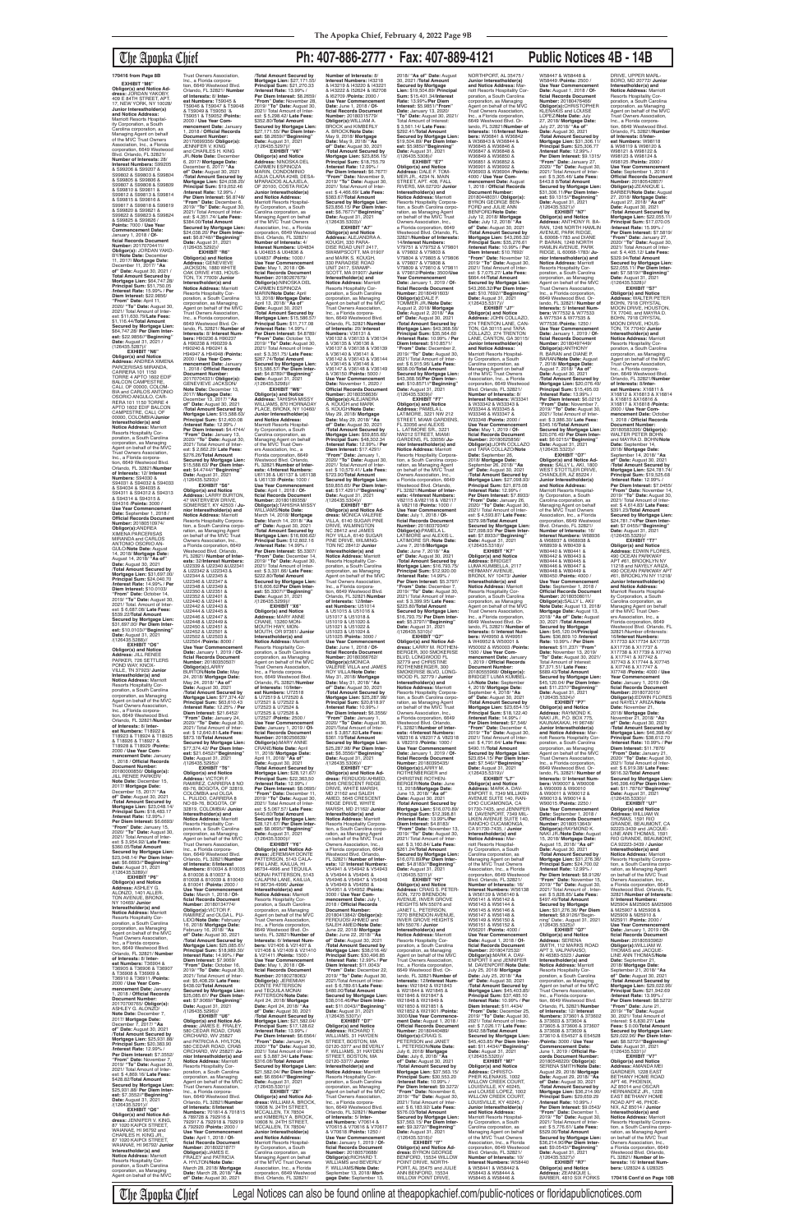## The Apopka Chief **Ph: 407-886-2777 • Fax: 407-889-4121 Public Notices 4B - 14B**

**EXHIBIT "M6" Obligor(s) and Notice Ad-dress:** JORDAN YAKOBY, 409 E 84TH STREET, APT. 17, NEW YORK, NY 10028/ **Junior Interestholder(s) and Notice Address:** Marriott Resorts Hospitality Corporation, a South Carolina corporation, as

Managing Agent on behalf<br>of the MVC Trust Owners<br>Association, Inc., a Florida<br>corporation, 6649 Westwood Blvd. Orlando, FL 32821/ **Number of Interests:** 28/ **Interest Numbers:** S99205 & S99206 & S99207 & S99802 & S99803 & S99804 & S99805 & S99806 & S99807 & S99808 & S99809 & S99810 & S99811 & S99812 & S99813 & S99814 & S99815 & S99816 & S99817 & S99818 & S99819 & S99820 & S99821 & S99822 & S99823 & S99824 & S99825 & S99826 / **Points:** 7000 / **Use Year Commencement Date:** January 1, 2018 / **Official Records Document Number:** 20170704411/ **Obligor(s):** JORDAN YAKO-BY/**Note Date:** December 11, 2017/ **Mortgage Date:** December 11, 2017/ **"As of" Date:** August 30, 2021 / **Total Amount Secured by Mortgage Lien:** \$64,747.28/ **Principal Sum:** \$51,750.05 /**Interest Rate:** 15.99% / **Per Diem Interest:** \$22.9856/ **"From" Date:** April 11, 2020/ **"To" Date:** August 30, 2021/ Total Amount of Interest: \$11,630.79/**Late Fees:** \$1,116.44/**Total Amount Secured by Mortgage Lien:** \$64,747.28/ **Per Diem Inter-est:** \$22.9856//**"Beginning" Date:** August 31, 2021 /  $(126435.5287)$ //<br>**EXHIBIT** "N6" **EXHIBIT "N6" Obligor(s) and Notice Address:** ANDREA XIMENA PARCERISAS MIRANDA, CARRERA 101 1150 TORRE 4 APTO 1602 EDIF BALCON CAMPESTRI CALI, OF 00000, COLOM-BIA and CARLOS ANTONIO OSORIO ANGULO, CAR-RERA 101 1150 TORRE 4 APTO 1602 EDIF BALCON CAMPESTRE, CALI, OF 00000, COLOMBIA/**Junior Interestholder(s) and Notice Address:** Marriott Resorts Hospitality Corporation, a South Carolina corporation, as Managing Agent on behalf of the MVC Trust Owners Association, Inc., a Florida corporation, 6649 Westwood Blvd. Orlando, FL 32821/**Number of Interests:** 12/ **Interest Numbers:** S94030 & S94031 & S94032 & S94033 & S94034 & S94035 & S94311 & S94312 & S94313 & S94314 & S94315 & S94316 /**Points:** 3000 / Use Year Commencer **Date:** September 1, 2018 / **Official Records Document Number:** 20180510974/ **Obligor(s):**ANDREA<br>XIMENA PARCERISAS MIRANDA and CARLOS ANTONIO OSORIO AN-GULO/**Note Date:** August 14, 2018/ **Mortgage Date:** August 14, 2018/ **"As of" Date:** August 30, 2021 /**Total Amount Secured by Mortgage Lien:** \$31,697.00/ **Principal Sum:** \$24,040.70 /**Interest Rate:** 14.99% / **Per Diem Interest:** \$10.0103/ **"From" Date:** October 14, 2019/ **"To" Date:** August 30, 2021/ Total. Amount of Inter-est: \$ 6,687.08/ **Late Fees:** \$539.22/**TotaI Amount Secured by Mortgage Lien:** \$31,697.00/ **Per Diem Interest:** \$10.0103//**"Beginning" Date:** August 31, 2021<br>/(126435.5288)// **EXHIBIT "O6" Obligor(s) and Notice Address:** JILL RENEE PARKER, 726 SETTLERS POND WAY, KNOX-VILLE, TN 37923/ **Junior Interestholder(s) and Notice Address:** Marriott Resorts Hospitality Cor-poration, a South Carolina corporation, as Managing Agent on behalf of the MVC Trust Owners Association, Inc., a Florida corpora-tion, 6649 Westwood Blvd. Orlando, FL 32821/**Number of Interests:** 8/ **Inter-est Numbers:** T18922 & T18923 & T18924 & T18925 & T18926 & T18927 & T18928 & T18929 /**Points:** 2000 / **Use Year Commencement Date:** January 1, 2018 / **Official Records Document Number:** 20180000850/ **Obligor(s):** JILL RENEE PARKER/ **Note Date:** December 15, 2017/ **Mortgage Date:** December 15, 2017/ **"As of" Date:** August 30, 2021 /**Total Amount Secured by Mortgage Lien:** \$23,048.14/ **Principal Sum:** \$18,483.17 /**Interest Rate:** 12.99% / Per Diem Interest: \$6.6693 **"From" Date:** January 15, 2020/ **"To" Date:** August 30, 2021/ Total Amount of Interest: \$ 3,954.92/ **Late Fees:** \$360.05/**Total Amount Secured by Mortgage Lien:** \$23,048.14/ **Per Diem Interest:** \$6.6693//"**Beginning"<br>Date:** August 31, 2021<br>/(126435.5289)//<br>**EXHIBIT "P6" Obligor(s) and Notice Address:** ASHLEY G. ALONZO, 1401 ALLER-TON AVENUE, BRONX, NY 10469/ **Junior Interestholder(s) and Notice Address:** Marriott Resorts Hospitality Cor-poration, a South Carolina corporation, as Managing Comporation, as Managing<br>Agent on behalf of the MVC Trust Owners Association, Inc., a Florida corporation, 6649 Westwood Blvd. Orlando, FL 32821/ **Number of Interests:** 8/ **Interest Numbers:** T36904 & T36905 & T36906 & T36907 & T36908 & T36909 & T36910 & T36911 /**Points:** 2000 / **Use Year Commencement Date:** January 1, 2018 / **Official Records Document Number:** 20170700765/ **Obligor(s):** ASHLEY G. ALONZO/ **Note Date:** December 7, 2017/ **Mortgage Date:** December 7, 2017/ **"As of" Date:** August 30, 2021 /**Total Amount Secured by Mortgage Lien:** \$25,931.88/ **Principal Sum:** \$20,383.90 /**Interest Rate:** 12.99% / **Per Diem Interest:** \$7.3552/ **"From" Date:** November 7, 2019/ **"To" Date:** August 30, 2021/ Total Amount of Interest: \$ 4,869.16/ **Late Fees:** \$428.82/**Total Amount Secured by Mortgage Lien:** \$25,931.88/ **Per Diem Interest:** \$7.3552//**"Beginning" Date:** August 31, 2021 /(126435.5291)// **EXHIBIT "Q6" Obligor(s) and Notice Ad-dress:** JENNIFER V. KING, 87 1020 KAIPOI STREET, WAIANAE, HI 96792 and CHARLES H. KING JR.,<br>87 1020 KAIPOI STREET, WAIANAE, HI 96792/ **Junior Interestholder(s) and Notice Address:** Marriott **Document Number:** U22350 & U22351 & U22448 & U22449 & U22450 & U22451 & BURTON/**Note Date:** May 24, 2018/ **Mortgage Date:** May 24, 2018/ **"As of" Date:** August 30, 2021 /**Total Amount Secured by** 

**Mortgage Lien: \$77,3 Principal Sum:** \$63,610.43 /**Interest Rate:** 12.25% / **Per Diem Interest:** \$21.6452/ **"From" Date:** January 24, 2020/ **"To" Date:** August 30, 2021/ Total Amount of Interest: \$ 12,640.81/**Late Fees:** \$873.18/**Total Amount Secured by Mortgage Lien:** \$77,374.42/ **Per Diem Inter-est:** \$21.6452//**"Beginning" Date:** August 31, 2021 /(126435.5295)// **EXHIBIT "T6" Obligor(s) and Notice Address:** VICTOR F.<br>RAMIREZ, CARRERA 8 NO 69-76, BOGOTA, OF 32819, COLOMBIA and OLGA L. PULIDO, CARRERA 8 NO 69-76, BOGOTA, OF 32819, COLOMBIA/ **Junior Interestholder(s) and Notice Address:** Marriott Resorts Hospitality Cor-poration, a South Carolina corporation, as Managing ent on behalf of the MVC Agent on berian<br>Trust Owners Association Inc., a Florida corporation, 6649 Westwood Blvd. Orlando, FL 32821/**Number of Interests:** 8/**Interest Numbers:** 810034 & 810035 & 810036 & 810037 & 810038 & 810039 & 810040 & 810041 /**Points:** 2000 / **Use Year Commencement Date:** March 1, 2018 / **Official Records Document Number:** 20180134774/ **Obligor(s):**VICTOR F. RAMIREZ and OLGA L. PU-LIDO/**Note Date:** February 16, 2018/ **Mortgage Date:** February 16, 2018/ **"As of" Date:** August 30, 2021 /**Total Amount Secured by Mortgage Lien:** \$25,085.61/ **Principal Sum:** \$18,989.30/ **Interest Rate:** 14.99% / **Per Diem Interest:** \$7.9069/ **"From" Date:** October 16, 2019/ **"To" Date:** August 30, 2021/ Total Amount of Inter-est: \$5,408.29/ **Late Fees:** \$438.02/**Total Amount Secured by Mortgage Lien:** \$25,085.61/ **Per Diem Inter-est:** \$7.9069//**"Beginning" Date:** August 31, 2021 /(126435.5296)// **EXHIBIT "U6" Obligor(s) and Notice Ad-dress:** JAMES E. FRALEY, 580 CEDAR ROAD, CRAB ORCHARD, WV 25827<br>and PATRICIA A. HYLTON, 580 CEDAR ROAD, CRAB ORCHARD, WV 25827/ **Ju-nior Interestholder(s) and Notice Address:** Marriott Resorts Hospitality Cor-poration, a South Carolina corporation, as Managing Agent on behalf of the MVC Trust Owners Association, Inc., a Florida corporation, 6649 Westwood Blvd. Orlando, FL 32821/**Number of Interests:** 8/**Interest Numbers:** 701814 & 701815 & 789728 & 792916 & 792917 & 792918 & 792919 & 792920 /**Points:** 2000 / **Use Year Commencement Date:** April 1, 2018 / **Official Records Document Number:** 20180221877/ **Obligor(s):**JAMES E. FRALEY and PATRICIA A. HYLTON/**Note Date:** March 28, 2018/ **Mortgage Date:** March 28, 2018/ **"As of" Date:** August 30, 2021

Resorts Hospitality Corporation, a South Carolina<br>corporation as Managing corporation, as Managing Agent on behalf of the MVC

Trust Owners Association, Inc., a Florida corpora-tion, 6649 Westwood Blvd. Orlando, FL 32821/ **Number 1988 of Interests:** 8/ **Inter-est Numbers:** T59045 & T59046 & T59047 & T59048 & T59049 & T59050 '& T59051 & T59052 /**Points:** 2000 / **Use Year Commencement Date:** January 1, 2018 / **Official Records**  20170699356/ **Obligor(s):** JENNIFER V. KING and CHARLES H. KING JR./**Note Date:** December 6, 2017/ **Mortgage Date:** December 6, 2017/ **"As of" Date:** August 30, 2021 /**Total Amount Secured by Mortgage Lien:** \$24,038.20/ **Principal Sum:** \$19,052.46 /**Interest Rate:** 12.99% / **Per Diem Interest:** \$6.8748/<br>"**From" Date:** December 6,<br>2019/ "**To" Dat**e: August 30,<br>2021/ Total Amount of Inter-<br>est: \$ 4,351.74/ **Late Fees:**<br>\$384.00/**Total Amount Secured by Mortgage Lien:** \$24,038.20/ **Per Diem Inter-est:** \$6.8748//**"Beginning" Date:** August 31, 2021 /(126435.5292)// **EXHIBIT "R6" Obligor(s) and Notice Address:** GENEVIEVE JACKSON, 1880 WHITE OAK DRIVE #183, HOUS TON, TX 77009/ **Junior Interestholder(s) and Notice Address:** Marriott<br>Resorts Hospitality Cor-<br>poration, a South Carolina<br>corporation, as Managing<br>Agent on behalf of the MVC<br>Trust Owners Association, Inc., a Florida corporation, 6649 Westwood Blvd. Or-lando, FL 32821/ **Number of Interests:** 8/ **Interest Numbers:** H90236 & H90237 & H90238 & H90239 & H90240 & H90241 & H94947 & H94948 /**Points:** 2000 / **Use Year Commencement Date:** January 1, 2018 / **Official Records Document Number:** 20170704331/ **Obligor(s):** GENEVIEVE JACKSON/<br>Note Date: December 13 **Note Date:** December 13, 2017/ **Mortgage Date:** December 13, 2017/ **"As of" Date:** August 30, 2021 /**Total Amount Secured by Mortgage Lien:** \$15,588.63/ **Principal Sum:** \$12,400.08 /**Interest Rate:** 12.99% / **Per Diem Interest:** \$4.4744/ **"From" Date:** January 13, 2020/ **"To" Date:** August 30, 2021/ Total Amount of Inter-est: \$ 2,662.29/ **Late Fees:** \$276.26/**Total Amount Secured by Mortgage Lien:** \$15,588.63/ **Per Diem Interest:** \$4.4744//**"Beginning" Date:** August 31, 2021<br>/(126435.5293)// **EXHIBIT "S6" Obligor(s) and Notice Address:** LARRY BURTON, 47 WATERVIEW DRIVE, SOMERSET, KY 42503 / **Ju-nior Interestholder(s) and Notice Address:** Marriott Resorts Hospitality Corpora-tion, a South Carolina corporation, as Managing Agent<br>on behalf of the MVC Trust<br>Owners Association, Inc.,<br>a Florida corporation, 6649 Westwood Blvd. Orlando, FL 32821/ **Number of Interests:** 32/**Interest Numbers:** U22339 & U22340 &U22341 & U22342 & U22343 & U22344 & U22345 & U22346 & U22347 & U22348 & U22349 & U22352 & U22401 & U22440 & U22441 & U22442 & U22443 & U22444 & U22445 & U22446 & U22447 & U22452 & U22501 & U22502 & U22503 & U22504 /**Points:** 8000 / **Use Year Commence Date:** January 1, 2019 / **Official Records Document Number:** 20180350507/ **Obligor(s):**LARRY /(126435.5298)//

Orlando, FL 32821/**Number** 

**EXHIBIT "P7 Obligor(s) and Notice Address:** RAYMOND K. NAKI JR., P.O. BOX 775, KAUNAKAKAI, HI 96748/ **Junior Interestholder(s) and Notice Address:** Marriott Resorts Hospitality Corporation, a South Carolina corporation, as Managing Agent on behalf of the MVC Trust Owners Association, Inc., a Florida corporation, 6649 Westwood Blvd. Orlando, FL 32821/ **Number of Interests:** 9/ **Interest Numbers:** W90007 & W90008 & W90009 & W90010 & W90011 & W90012 & W90013 & W90014 & W90015 /**Points:** 2250 / **Use Year Commencement Date:** September 1, 2018 / **Official Records Document Number:** 20180513643/ **Obligor(s):**RAYMOND K. NAKI JR./**Note Date:** August 15, 2018/ **Mortgage Date:** August 15, 2018/ **"As of" Date:** August 30, 2021 /**Total Amount Secured by Mortgage Lien:** \$31,276.36/ **Principal Sum:** \$24,700.02 /**Interest Rate:** 12.99% / **Per Diem Interest:** \$8.9126/ **"From" Date:** November 15, 2019/ **"To" Date:** August 30, 2021/ Total Amount of . Interest: \$ 5,828.85/ **Late Fees:** \$497.49/**Total Amount Secured by Mortgage Lien:** \$31,276.36/ **Per Diem Interest:** \$8.9126//"Begin-ning" Date:. August 31, 2021 /(126435.5325)//<br>**EXHIBIT "O7**" **EXHIBIT "Q7" Obligor(s) and Notice Address:** SERENA SMITH, 112 MARKS ROAD APT 3, VALPARAISO, IN 46383-5323 / **Junior Interestholder(s) and<br><b>Notice Address:** Marriott<br>Resorts Hospitality Corporation, a South Carolina corporation, as Managing Agent on behalf of the MVC Trust Owners Association, Inc., a Florida corpora-tion, 6649 Westwood Blvd. Orlando, FL 32821/**Number of Interests:** 12/ **Interest Numbers:** 373601 & 373602 & 373603 & 373604 & 373605 & 373606 & 373607 & 373608 & 373609 & 373610 & E54527 & E54528 /**Points:** 3000 / **Use Year Commencement Date:** June 1, 2019 / **Official Records Document Number:** 20180548220/ **Obligor(s):** SERENA SMITH/**Note Date:** August 29, 2018/ **Mortgage Date:** August 29, 2018/ **"As of" Date:** August 30, 2021 /**Total Amount Secured by Mortgage Lien:** \$36,214.90/ **Principal Sum:** \$29,659.29 /**Interest Rate:** 10.99% / **Per Diem Interest:** \$9.0543/ **"From" Date:** December 1, 2019/ **"To" Date:** August 30, 2021/ Total Amount of est: \$ 5,776.61/ **Late Fees:** \$529.00/**Total Amount Secured by Mortgage Lien:** \$36,214.90/**Per Diem Inter-est:** \$9.0543//**"Beginning" Date:** August 31, 2021 /(126435.5327)// **EXHIBIT "R7" Obligor(s) and Notice Address:** ZEANIQUE L.<br>BARBER, 4810 SIX FORKS

### /**Total Amount Secured by Mortgage Lien:** \$27,171.55/ **Principal Sum:** \$21,270.33 /**Interest Rate:** 13.99% / **Per Diem Interest:** \$8.2659/ **"From" Date:** November 28, 2019/ **"To" Date:** August 30, 2021/ Total Amount of Interest: \$ 5,298.42/ **Late Fees:** \$352.80/**Total Amount Secured by Mortgage Lien:** \$27,171.55/ **Per Diem Interest:** \$8.2659//**"Beginning" Date:** August 31, 2021<br>/(126435.5297)// **EXHIBIT "V6" Obligor(s) and Notice Address:** NINOSKA DEL CARMEN ESPINOZA MARIN, CONDOMINIO AGUA CLARA #24B, DESA-MPARADOS ALAJUELA, OF 20100, COSTA RICA/ **Junior Interestholder(s) and Notice Address:** Marriott Resorts Hospital-ity Corporation, a South Carolina corporation, as Managing Agent on behalf of the MVC Trust Owners Association, Inc., a Florida corporation, 6649 Westwood Blvd. Orlando, FL 32821/ **Number of Interests:** 4/ **Interest Numbers:** U04834 & U04835 & U04836 & U04837 /**Points:** 1000 / **Use Year Commencement Date:** May 1, 2018 / **Of-ficial Records Document Number:** 20180267679/<br>**Obligor(s):**NINOSKA DEL<br>CARMEN ESPINOZA MARIN/**Note Date:** April<br>13, 2018/ **Mortgage Date:**<br>April 13, 2018/ "**As of**"<br>**Date:** August 30, 2021<br>/**Total Amount Secured by Mortgage Lien:** \$15,586.57/ **Principal Sum:** \$11,717.08 /**Interest Rate:** 14.99% / **Per Diem Interest:** \$4.8789/ **"From" Date:** October 13, 2019/ **"To" Date:** August 30, 2021/ Total Amount of Interest: \$ 3,351.75/ **Late Fees:** \$267.74/**Total Amount Secured by Mortgage Lien:** \$15,586.57/ **Per Diem Inter-est:** \$4.8789//**"Beginning" Date:** August 31, 2021 **EXHIBIT "W6" Obligor(s) and Notice Address:** TAHISHA MISSY WILLIAMS, 870 HORNADAY PLACE, BRONX, NY 10460 **Junior Interestholder(s) and Notice Address:** Marriott Resorts Hospitality Corporation, a South Carolina corporation, as Managing Agent on behalf of the MVC Trust Own-ers Association, Inc., a Florida corporation, 6649 Westwood Blvd. Orlando, FL 32821/**Number of Interests:** 4/**Interest Numbers:** U61136 & U61137 & U61138 & U61139 /**Points:** 1000 / Use Year Commenc **Date:** April 1, 2018 / **Of-ficial Records Document Number:** 20180189358/ **Obligor(s):**TAHISHA MISSY WILLIAMS/**Note Date:** March 14, 2018/ **Mortgage Date:** March 14, 2018/ **"As of" Date:** August 30, 2021 /**Total Amount Secured by Mortgage Lien:** \$16,606.62/ **Principal Sum:** \$12,802.16 /**Interest Rate:** 14.99% / **Per Diem Interest:** \$5.3307/ **"From" Date:** December 14, 2019/ **"To" Date:** August 30, 2021/ Total Amount of Inter-est: \$ 3,331.66/ **Late Fees:** \$222.80/**Total Amount Secured by Mortgage Lien:** \$16,606.62/**Per Diem Interest:** \$5.3307//**"Beginning" Date:** August 31, 2021<br>/(126435.5299)// **EXHIBIT "X6" Obligor(s) and Notice Address:** MARY ANNE CRANE, 13260 MON-MOUTH HWY, MON-MOUTH, OR 97361/ **Junior Inter(s)** and **Notice Address:** Marriott Resorts Hospitality Cor-poration, a South Carolina corporation, as Managing Agent on behalf of the MVC Trust Owners Association, Inc., a Florida corpora-tion, 6649 Westwood Blvd. **Number of Interests:** 8/ **Date:** June 1, 2018 / **Official Records Document Number:** 20180315779/ **Obligor(s):**WILLIAM A. BROCK and KIMBERLY A. BROCK/**Note Date:** /**Interest Rate:** 12.99% / \$383.67/**Total Amount est:** \$6.7677//**"Beginning"**<br>**Date:** August 31, 2021<br>/(126435.5303)// **EXHIBIT "A7" Obligor(s) and Notice Address:** ALEJANDRA A. KOUGH, 330 PARA-DISE ROAD UNIT 2417, SWAMPSCOTT, MA 01907 and MARK S. KOUGH, 330 PARADISE ROAD UNIT 2417, SWAMP-SCOTT, MA 01907/ **Junior Interestholder(s) and Notice Address:** Marriott Resorts Hospitality Cor-Trust Owners Association, Inc., a Florida corporation, 6649 Westwood Blvd. **Use Year Commencement Number: 201803 Obligor(s):**ALEJANDRA<br>A. KOUGH and MARK S. KOUGH/**Note Date:** May 29, 2018/ **Mortgage Date:** May 29, 2018/ **"As of" Date:** August 30, 2021 **"From" Date:** January 1, **EXHIBIT "B7" Obligor(s) and Notice Ad-dress:** MONICA VALERIE VILLA, 6140 SUGAR PINE DRIVE, WILMINGTON NC 28412 and JAMES ROY VILLA, 6140 SUGAR PINE DRIVE, WILMING-TON NC 28412/ **Junior Interestholder(s) and Notice Address:** Marriott Resorts Hospitality Cor-Trust Owners Association, Inc., a Florida corporation, 6649 Westwood Blvd. **est Numbers:** U51014 & U51015 & U51016 & U51017 & U51018 & U51019 & U51020 & U51021 & U51022 & U51023 & U51024 & U51025 /**Points:** 3000 /

W58447 & W58448 & W58449 /**Points:** 2500 / **Use Year Commencement Date:** August 1, 2018 / **Official Records Document Number:** 20180476466/ **Obligor(s):**CHRISTOPHER KLEÑAKIŚ and LOUISE<br>LOPEZ/**Note Date:** July LOPEZ/**Note Date:** July 27, 2018/ **Mortgage Date:** July 27, 2018/ **"As of" Date:** August 30, 2021 /**Total Amount Secured by Mortgage Lien:** \$31,306.11/ **Principal Sum:** \$25,306.77 /**Interest Rate:** 12.99% / **Per Diem Interest:** \$9.1315/ **"From" Date:** January 27, 2020/ **"To" Date:** August 30, 2021/ Total Amount of Inter-est: \$ 5,305.46/ **Late Fees:** \$443.8 8/**Total Amount Secured by Mortgage Lien:** \$31,306.11/**Per Diem Inter-est:** \$9.1315//**"Beginning" Date:** August 31, 2021<br>/(126435.5321)// **EXHIBIT "N7" Obligor(s) and Notice Address:** ANTHONY R. BA-RAN, 1248 NORTH HAMLIN AVENUE, PARK RIDGE, IL 60068-1783 and DIANE P. BARAN, 1248 NORTH HAMLIN AVENUE, PARK RIDGE, IL 60068-1783/ **Junior Interestholder(s) and Notice Address:** Marriott<br>Resorts Hospitality Cor-<br>poration, a South Carolina corporation, as Managing Agent on behalf of the MVC Trust Owners Association, Inc., a Florida corporation, 6649 Westwood Blvd. Orlando, FL 32821/ **Number of Interests:** 5/ **Interest Num-bers:** W77532 & W77533 & W77534 & W77535 & W77536 /**Points:** 1250 / **Use Year Commencement Date:** January 1, 2019 / **Official Records Document Number:** 20180497449/ **Obligor(s):**ANTHONY R. BARAN and DIANE P. BARAN/**Note Date:** August 7, 2018/ **Mortgage Date:** August 7, 2018/ **"As of" Date:** August 30, 2021 /**Total Amount Secured by Mortgage Lien:** \$20,076.49/ **Principal Sum:** \$15,495.03 /**Interest Rate:** 13.99% / **Per Diem Interest:** \$6.0215/ **"From" Date:** November 7, 2019/ **"To" Date:** August 30, 2021/ Total Amount of Inter-est: \$ 3,986.30/ **Late Fees:** \$345.16/**Total Amount Secured by Mortgage Lien:** \$20,076.49/ **Per Diem Interest:** \$6 0215//**"Beginning" Date:** August 31, 2021<br>/(126435.5323)//

**of Interests:** 10/**Inter-est Numbers:** U72518 & U72519 & U72520 & U72521 & U72522 & U72523 & U72524 & U72525 & U72526 & U72527 /**Points:** 2500 / **Use Year Commencement Date:** January 1, 2019 / **Official Records Document Number:** 20180256639/ **Obligor(s):**MARY ANNE CRANE/**Note Date:** April 11, 2018/ **Mortgage Date:** April 11, 2018/ **"As of" Date:** August 30, 2021 /**Total Amount Secured by Mortgage Lien:** \$28,121.67/ **Principal Sum:** \$22,363,50 /**Interest Rate:** 12.99% / **Per Diem Interest:** \$8.0695/ **"From" Date:** December 11, 2019/ **"To" Date:** August 30, 2021/ Total Amount of Interest: \$ 5,067.57/ **Late Fees:** \$440.60/**Total Amount Secured by Mortgage Lien:** \$28,121.67/ **Per Diem Inter-est:** \$8.0695//**"Beginning" Date:** August 31, 2021 /(126435.5300)// **EXHIBIT "Y6" Obligor(s) and Notice Ad-dress:** JEREMIAH DONTE PATTERSON, 5143 CALA-PINI LANE, KAILUA, HI 96734-4996 and TEQUILA<br>MONAI PATTERSON, 5143 CALAPINI LANE, KAILUA, HI 96734-4996/ **Junior Interestholder(s) and Notice Address:** Marriott Resorts Hospitality Cor-poration, a South Carolina corporation, as Managing Agent on behalf of the MVC Trust Owners Association, Inc., a Florida corporation, 6649 Westwood Blvd. Or-lando, FL 32821/**Number of Interests:** 6/ **Interest Numbers:** V21406 & V21407 & V21408 & V21409 & V21410 & V21411 /**Points:** 1500 / **Use Year Commencement Date:** May 1, 2018 / **Of-ficial Records Document Number:** 20180278063/ **Obligor(s):** JEREMIAH DONTE PATTERSON and TEQUILA MONAI PATTERSON/**Note Date:** April 24, 2018/ **Mortgage Date:** April 24, 2018/ **"As of" Date:** August 30, 2021 /**Total Amount Secured by Mortgage Lien:** \$21,582.04/ **Principal Sum:** \$17,128.62 /**Interest Rate:** 13.99% / **Per Diem Interest:** \$6.6564/ **"From" Date:** January 24, 2020/ **"To" Date:** August 30, 2021/ Total Amount of Inter-est: \$ 3,887.34/ **Late Fees:** \$316.08/**Total Amount Secured by Mortgage Lien:** \$21,582.04/ **Per Diem Interest:** \$6.6564//**"Beginning" Date:** August 31, 2021<br>/(126435.5301)// **EXHIBIT "Z6" Obligor(s) and Notice Ad-dress:** WILLIAM A. BROCK, 10608 N. 24TH STREET, MCCALLEN, TX 78504<br>and KIMBERLY A. BROCK and KIMBERLY A. BROCK,<br>10608 N. 24TH STREET,<br>MCCALLEN, TX 78504/ **Junior Interestholder(s) and Notice Address:** Marriott Resorts Hospitality Corporation, a South Carolina corporation, as Managing Agent on behalf of the MTVC Trust Owners Association, Inc., a Florida corporation, 6649 Westwood Blvd. Orlando, FL 32821/ /(126435.5306)// **EXHIBIT "C7"** /(126435.5307)// 02120-3377/ **Junior** 

\$7,371.51/ **Late Fees:** \$689.43/**Total Amoun** 

**Interest Numbers:** I43218 & I43219 & I43220 & I43221 & I43222 & I52624 & I62708 & I62709 /**Points:** 2000 / **Use Year Commencement**  May 9, 2018/ **Mortgage Date:** May 9, 2018/ **"As of" Date:** August 30, 2021 /**Total Amount Secured by Mortgage Lien:** \$23,856.15/ **Principal Sum:** \$18,755.79 **Per Diem Interest:** \$6.7677/ **"From" Date:** November 9, 2019/ **"To" Date:** August 30, 2021/ Total Amount of Inter-est: \$ 4,466.69/ **Late Fees: Secured by Mortgage Lien:** \$23,856.15/ **Per Diem Inter**poration, a South Carolina corporation, as Managing Agent on behalf of the MVC Orlando, FL 32821/**Number of Interests:** 20/ **Interest Numbers:** V36131 & V36132 & V36133 & V36134 & V36135 & V36136 &<br>V36137 & V36138 & V36139 V36137 & V36138 & V36139 & V36140 & V36141 & V36142 & V36143 & V36144 & V36145 & V36146 & V36147 & V36148 & V36149 & V36150 /**Points:** 5000 / **Date:** November 1, 2020 / **Official Records Document**  /**Total Amount Secured by Mortgage Lien:** \$59,855.65/ **Principal Sum:** \$48,302.34 /**Interest Rate:** 12.99% / **Per Diem Interest:** \$17.4291/ 2020/ **"To" Date:** August 30, 2021/ Total Amount of Interest: \$ 10,579.41/ **Late Fees:** \$723.90/**Total Amount Secured by Mortgage Lien:** \$59,855.65/ **Per Diem Inter-est:** \$17.4291//**"Beginning" Date:** August 31, 2021 /(126435.5304)// poration, a South Carolina corporation, as Managing Agent on behalf of the MVC Orlando, FL 32821/**Number of Interests:** 12/**Inter-Use Year Commencement Date:** June 1, 2018 / **Official Records Document<br><b>Number:** 20180366762/<br>**Obligor(s):**MONICA<br>VALERIE VILLA and JAMES<br>ROY VILLA/**Note Date:**<br>May 31, 2018/ **Mortgage Date:** May 31, 2018/ **"As of" Date:** August 30, 2021 /**Total Amount Secured by Mortgage Lien:** \$25,287.98/ **Principal Sum:** \$20,818.97 /**Interest Rate:** 10.99% / **Per Diem Interest:** \$6.3556/ **"From" Date:** January 1, 2020/ **"To" Date:** August 30, 2021/Total Amount of Inter-est: \$ 3,857.82/**Late Fees:** \$361.19/**Total Amount Secured by Mortgage Lien:** \$25,287.98/ **Per Diem Inter-est:** \$6.3556//**"Beginning" Date:** August 31, 2021 **Obligor(s) and Notice Address:** FERDUOSI AHMED,<br>5645 CRESCENT RIDGE DRIVE, WHITE MARSH, MD 21162 and SALEH AMED, 5645 CRESCENT RIDGE DRIVE, WHITE MARSH, MD 21162/ **Junior Interestholder(s) and Notice Address:** Marriott Resorts Hospitality Corporation, a South Carolina corporation, as Managing Agent<br>on behalf of the MVC Trust Owners Association, Inc., a Florida corporation, 6649 Westwood Blvd. Orlando, FL 32821/ **Number of Interests:** 12/ **Interest Numbers:** V54941 & V54942 & V54943 & V54944 & V54945 & V54946 & V54947 & V54948 & V54949 & V54950 & V54951 & V54952 /**Points:** 3000 / **Use Year Commencement Date:** July 1, 2018 / **Official Records Document Number:** 20180413842/ **Obligor(s):** FERDUOSI AHMED and SALEH AMED/**Note Date:** June 22, 2018/ **Mortgage Date:** June 22, 2018/ **"As of" Date:** August 30, 2021 /**Total Amount Secured by Mortgage Lien:** \$38,016.46/ **Principal Sum:** \$30,496.85 /**Interest Rate:** 12.99% / **Per Diem Interest:** \$11.0043/ **"From" Date:** December 22, 2019/ **"To" Date:** August 30, 2021/Total Amount of Interest: \$ 6,789.61/**Late Fees:** \$480.00/**Total Amount Secured by Mortgage Lien:** \$38,016.46/**Per Diem Interest:** \$11.0043//**"Beginning" Date:** August 31, 2021 **EXHIBIT "D7" Obligor(s) and Notice Address:** RICHARD T. WILLIAMS, 31 HAYDEN STREET, BOSTON, MA 02120-3377 and BEVERLY F. WILLIAMS, 31 HAYDEN STREET, BOSTON, MA **Interestholder(s) and Notice Address:** Marriott Resorts Hospitality Corporation, a South Carolina corporation, as Managing Agent on behalf of the MVC Trust Owners Association, Inc., a Florida corporation, 6649 Westwood Blvd. Orlando, FL 32821/ **Numb**<br>of Interests: 5/ Inter**of Interests:** 5/ **Inter-est Numbers:** V70614 & V70615 & V70616 & V70617 & V70618 /**Points:** 1250 / **Use Year Commencement Date:** January 1, 2019 / **Of-ficial Records Document Number:** 20180570688/ **Obligor(s):**RICHARD T.<br>WILLIAMS and BEVERLY F. WILLIAMS/**Note Date:** September 13, 2018/ **Mort-gage Date:** September 13, 2018/ **"As of" Date:** August 30, 2021 /**Total Amount Secured by Mortgage Lien:** \$19,504.89/ **Principal Sum:** \$15,401.34/**Interest Rate:** 13.99%/**Per Diem Interest:** \$5.9851/**"From" Date:** January 13, 2020/ **"To" Date:** August 30, 2021/ Total Amount of Interest: \$ 3,561.14/ **Late Fees:** \$292.41/**TotaI Amount Secured by Mortgage Lien:** \$19,504.89/ **Per Diem Inter-est:** \$5.985l//**"Beginning" Date:** August 31, 2021 /(126435.5308)// **EXHIBIT "E7" Obligor(s) and Notice Address:** DALE F. TOM-MER JR., 4234 N. MAIN STREET, APT. 408, FALL RIVERS, MA 02720/ **Junior Interestholder(s) and Notice Address:** Marriott Resorts Hospitality Corpora-tion, a South Carolina corporation, as Managing Agent on behalf of the MVC Trust Owners Association, Inc., a Florida corporation, 6649 Westwood Blvd. Orlando, FL 32821/**Number of Interests:** 14/**Interest Numbers:** V79751 & V79752 & V79801 & V79802 & V79803 & V79804 & V79805 & V79806 & V79807 & V79808 & V79809 & V79810 & V79811 & V79812/**Points:** 3500/**Use Year Commencement Date:** January 1, 2019 / **Official Records Document Number:** 20180491603/ **Obligor(s):**DALE F. TOMMER JR./**Note Date:** August 2, 2018/ **Mortgage Date:** August 2, 2018/ **"As of" Date:** August 30, 2021 /**Total Amount Secured by Mortgage Lien:** \$43,368.56/ **Principal Sum:** \$35,564.60 /**Interest Rate:** 10.99% / **Per Diem Interest:** \$10.8571/ **"From" Date:** December 2, 2019/ **"To" Date:** August 30, 2021/ Total Amount of Inter-est: \$ 6,915.96/ **Late Fees:** \$638.00/**Total Amount Secured by Mortgage Lien:** \$43,368.56/**Per Diem Interest:** \$10.8571//"**Beginning"**<br>**Date:** August 31, 2021<br>/(126435.5309)// **EXHIBIT "F7" Obligor(s) and Notice Address:** PAMELA L. LATIMORE, 3221 NW 212<br>STREET, MIAMI GARDENS, FL 33056 and ALEXIS<br>L. LATIMORE SR., 3221<br>NW212 STREET, MIAMI GARDENS, FL 33056/ **Junior Interestholder(s) and Notice Address:** Marriott Resorts Hospitality Corporation, a South Carolina corporation, as Managing Agent<br>on behalf of the MVC Trust Owners Association, Inc., a Florida corporation, 6649 Westwood Blvd. Orlando, FL 32821/**Number of Inter-ests:** 4/**Interest Numbers:** V82115 &V82116 & V82117 & V82118 /**Points:** 1000 / **Use Year Commencement Date:** July 1, 2018 / **Official Records Document Number:** 20180379340/ **Obligor(s):**PAMELA L. LATIMORE and ALEXIS L. LATIMORE SR./**Note Date:** June 7, 2018/**Mortgage Date:** June 7, 2018/ **"As of" Date:** August 30, 2021 /**Total Amount Secured by Mortgage Lien:** \$16,793.75/ **Principal Sum:** \$12,920.00 /**Interest Rate:** 14.99% / **Per Diem Interest:** \$5.3797/ **"From" Date:** December 7, 2019/ **"To" Date:** August 30, 2021/ Total Amount of Inter-est: \$ 3,399.95/ **Late Fees:** \$223.80/**TotaI Amount Secured by Mortgage Lien:** \$16,793.75/ **Per Diem Interest:** \$5.3797//**"Beginning" Date:** August 31, 2021<br>/(126435.5310)// **EXHIBIT "G7" Obligor(s) and Notice Ad-dress:** LARRY M. ROTHEN-BERGER, 300 SMOKERISE BLVD, LONGWOOD FL 32779 and CHRISTINE ROTHENBERGER, 300 SMOKERISE BLVD, LONG-WOOD FL 32779 / **Junior Interestholder(s) and Notice Address:** Marriott<br>Resorts Hospitality Corporation, a South Carolina corporation, as Managing Agent<br>on behalf of the MVC Trust Owners Association, Inc., a Florida corporation, 6649 Westwood Blvd. Orlando, FL 32821/**Number of Interests:** 4/**Interest Numbers:** V82316 & V82317 & V82318 & V82319 /**Points:** 1000 / **Use Year Commencement Date:** January 1, 2019 / **Of-ficial Records Document Number:** 20180395435/ **Obligor(s):**LARRY M. ROTHENBERGER and CHRISTINE ROTHEN-BERGER/**Note Date:** June 13, 2018/**Mortgage Date:** June 13, 2018/ **"As of" Date:** August 30, 2021 /**Total Amount Secured by Mortgage Lien:** \$16,070.89/ **Principal Sum:** \$12,398.81 /**Interest Rate:** 13.99%/**Per Diem Interest:** \$4.8183/ **"From" Date:** November 13, 2019/ **"To" Date:** August 30, 2021/ Total Amount of Inter-est: \$ 3,160.84/ **Late Fees:** \$261.24/**Total Amount Secured by Mortgage Lien:** \$16,070.89/**Per Diem Interest:** \$4.8183//**"Beginning" Date:** August 31, 2021<br>/(126435.5311)// **EXHIBIT "H7" Obligor(s) and Notice Address:** CRAIG S. PETER-SON, 7270 BRENDON AVENUE, INVER GROVE HEIGHTS MN 55076 and JANET L. PETERSON,<br>7270 BRENDON AVENUE, INVER GROVE HEIGHTS MN 55076 / **Junior Interestholder(s) and Notice Address:** Marriott Resorts Hospitality Corporation, a South Carolina corporation, as Managing Agent on behalf of the MVC Trust Owners Association, Inc., a Florida corporation, 6649 Westwood Blvd. Orlando, FL 32821/**Number of Interests:** 12/**Interest Numbers:** W21842 & W21843 & W21844 & W21845 & W21846 & W21847 & W21848 & W21849 & W21850 & W21851 & W21852 & W21901 /**Points:** 3000/**Use Year Commencement Date:** August 1, 2018 / **Official Records Document Number:** 20180440489/<br>**Obligor(s):**CRAIG S.<br>PETERSON and JANET L. PETERSON/**Note Date:** July 6, 2018/ **Mortgage Date:** July 6, 2018/ **"As of" Date:** August 30, 2021 /**Total Amount Secured by Mortgage Lien:** \$37,563.15/ **Principal Sum:** \$30,553.20 /**Interest Rate:** 10.99% / **Per Diem Interest:** \$9.3272/ **"From" Date:** November 6, 2019/ **"To" Date:** August 30, 2021/ Total Amount of Interest: \$ 6,183.92/ **Late Fees:** \$576.03/**Total Amount Secured by Mortgage Lien:** \$37,563.15/ **Per Diem Interest:** \$9.3272//"**Beginning"**<br>**Date:** August 31, 2021<br>/(126435.5316)// **EXHIBIT "I7" Obligor(s) and Notice Ad-dress:** BYRON GEORGE BENFORD, 15534 WILLOW POINT DRIVE, NORTH-PORT, AL 35475 and JULIE ANN BENFORD, 15534 WILLOW POINT DRIVE, W58443 & W58444 & W58445 & W58446 &

NORTHPORT, AL 35475 / **Junior Interestholder(s)<br><b>and Notice Address:** Mar-<br>riott Resorts Hospitality Corporation, a South Carolina corporation, as Managing Agent on behalf of the MVC Trust Owners Association,<br>Inc., a Florida corporation,<br>6649 Westwood Blvd. Or-<br>lando, FL 32821/**Number of Interests:** 16/**Interest Numbers:** W36841 & W36842 & W36843 & W36844 & W36845 & W36846 & W36847 & W36848 & W36849 & W36850 & W36851 & W36852 & W36901 & W36902 & W36903 & W36904 / Point W36903 & W36904 /**Points:** 4000 / **Use Year Com-mencement Date:** August 1, 2018 / **Official Records Document Number:** 20180448031/ **Obligor(s):** BYRON GEORGE BEN-FORD and JULIE ANN BENFORD/**Note Date:** July 12, 2018/ **Mortgage Date:** July 12, 2018/ **"As of" Date:** August 30, 2021 /**Total Amount Secured by Mortgage Lien:** \$43,266.32/ **Principal Sum:** \$35,276.61 /**Interest Rate:** 10.99% / **Per Diem Interest:** \$10.7692/ **"From" Date:** November 12, 2019/ **"To" Date:** August 30, 2021/ Total Amount of Inter-est: \$ 7,075.27/ **Late Fees:** \$664.44/**Total Amount Secured by Mortgage Lien:** \$43,266.32/**Per Diem Interest:** \$10.7692//**"Beginning" Date:** August 31, 2021 /(126435.5317)// **EXHIBIT "J7" Obligor(s) and Notice Address:** JOHN COLLAZO, 274 TRENTON LANE, CAN-<br>TON-GA 30115 and TARA TON, GA 30115 and TARA COLLAZO, 274 TRENTON LANE, CANTON, GA 30115/ **Junior Interestholder(s) and Notice Address:** Marriott Resorts Hospital-ity Corporation, a South Carolina corporation, as Managing Agent on behalf of the MVC Trust Owners Association, Inc., a Florida corporation, 6649 Westwood Blvd. Orlando, FL 32821/ **Number of Interests:** 8/ **Interest Numbers: W33341** & W33342 & W33343 & W33344 & W33345 &<br>W33346 & W33347 & W33346 & W33347 & W33348 /**Points:** 2000 / **Use Year Commencement Date:** May 1, 2019 / **Of-ficial Records Document Number:** 20180625856/ **Obligor(s):**JOHN COLLAZO and TARA COLLAZO/**Note Date:** September 26,<br>2018/ **Mortgage Date:**<br>September 26, 2018/ **"As**<br>**of" Date:** August 30, 2021 /**Total Amount Secured by Mortgage Lien:** \$27,098.93/ **Principal Sum:** \$21,875.08 /**Interest Rate:** 12.99% / **Per Diem Interest:** \$7.8933/ **"From" Date:** January 26, 2020/ **"To" Date:** August 30, 2021/ Total Amount of Inter-est: \$ 4,593.87/ **Late Fees:** \$379.98/**Total Amount** 

**Secured by Mortgage Lien:** \$27,098.93/ **Per Diem Interest:** \$7.8933//**"Beginning"<br><b>Date:** August 31, 2021<br>/(126435.5318)//<br>**EXHIBIT "K7" Obligor(s) and Notice Address:** BRIDGET LUMA KUMBELLA, 2117 HERMANY AVENUE, BRONX, NY 10473/ **Junior Interestholder(s) and Notice Address:** Marriott Resorts Hospitality Corporation, a South Carolina corporation, as Managing Agent on behalf of the MVC Trust Owners Association, Inc., a Florida corporation, 6649 Westwood Blvd. Orlando, FL 32821/ **Number of Interests:** 6/ **Interest Numbers:** W49950 & W49951 & W49952 & W50001 & W50002 & W50003 /**Points:** 1500 / **Use Year Commencement Date:** January 1, 2019 / **Official Records Document Number:** 20180555968/ **Obligor(s):** BRIDGET LUMA KUMBEL-LA/**Note Date:** September 4, 2018/ **Mortgage Date:** September 4, 2018/ **"As of"** Date: August 3 /**Total Amount Secured by Mortgage Lien:** \$23,654.15/ **Principal Sum:** \$18,122.40 /**Interest Rate:** 14.99% / **Per Diem Interest:** \$7,546/ **"From" Date:** December 4, 2019/ **"To" Date:** August 30, 2021/ Total Amount of Interest: \$ 4,791.64/ **Late Fees:** \$490.11/**TotaI Amount Secured by Mortgage Lien:** \$23,654.15/ **Per Diem Interest:** \$7.546//**"Beginning" Date:** August 31, 2021 /(126435.5319)// **EXHIBIT "L7" Obligor(s) and Notice Address:** MARK A. DAV-ENPORT II, 7349 MILLIKEN AVENUE SUITE 140, RAN-CHO CUCAMONGA, CA 91730-7435, and JENNIFER<br>M. DAVENPORT 7349 MIL-M. DAVENPORT, 7349 MIL-LIKEN AVENUE SUITE 140, RANCHO CUCAMONGA, CA 91730-7435, / **Junior Interestholder(s) and Notice Address: Mar-**<br>riott Resorts Hospitalriott Resorts Hospital-ity Corporation, a South Carolina corporation, as Managing Agent on behalf of the MVC Trust Owners Association, Inc., a Florida corporation, 6649 Westwood Blvd. Orlando, FL 32821/ **Number of Interests:** 16/ **Interest Numbers:** W56138 & W56139 & W56140 & W56141 & W56142 & W56143 & W56144 & W56145 & W56146 & W56147 & W56148 & W56149 & W56150 & W56151 & W56152 & W56201 /**Points:** 4000 / **Use Year Commencement Date:** August 1, 2018 / **Official Records Document Number:** 20180472532/ **Obligor(s):**MARK A. DAV-ENPORT II and JENNIFER M. DAVENPORT/**Note Date:** July 25, 2018/ **Mortgage Date:** July 25, 2018/ **"As of" Date:** August 30, 2021 /**Total Amount Secured by Mortgage Lien:** \$45,403.85/ **Principal Sum:** \$37,485.10 /**Interest Rate:** 10.99% / **Per Diem Interest:** \$11.4434/ **"From" Date:** December 25, 2019/ **"To" Date:** August 30, 2021/ Total Amount of Inter-est: \$ 7,026.17/ **Late Fees:** \$642.58/**Total Amount Secured by Mortgage Lien:** \$45,403.85/ **Per Diem Interest:** \$11.4434//**"Beginning" Date:** August 31, 2021<br>/(126435.5320)// **EXHIBIT "M7" Obligor(s) and Notice Address:** CHRISTO-PHER KLENAKIS, 1002 WILLOW CREEK COURT,<br>LOUISVILLE, KY 40245, and LOUISE LOPEZ, 1002 WILLOW CREEK COURT,<br>LOUISVILLE, KY 40245, / **Junior Interestholder(s) and Notice Address:**<br>Marriott Resorts Hospital-<br>ity Corporation, a South Carolina corporation, as Managing Agent on behalf of the MVC Trust Owners Association, Inc., a Florida corporation, 6649 Westwood Blvd. Orlando, FL 32821/ **Number of Interests:** 10/ **Interest Numbers:** W58440 & W58441 & W58442 &

**EXHIBIT "O7"**

**and Notice Address:**

**Obligor(s) and Notice Ad-dress:** SALLY L. AKI, 1800 WEST STOTTLER DRIVE, CHANDLER, AZ 85224 / **Junior Interestholder(s)**  Marriott Resorts Hospitality Corporation, a South Carolina corporation, as Managing Agent on behalf<br>of the MVC Trust Owners of the MVC Trust Owners Association, Inc., a Florida corporation, 6649 Westwood Blvd. Orlando, FL 32821/ **Number of Interests:** 16/ **Interest Numbers:** W68936 & W68937 & W68938 &

W68939 & W80439 & W80440 & W80441 & W80442 & W80443 & W80444 & W80445 & W80446 & W80447 & W80448 & W80449 & W80450 /**Points:** 4000 / DRIVE, UPPER MARL-BORO, MD 20772/ **Junior Interestholder(s) and Notice Address:** Marriott Resorts Hospitality Cor-poration, a South Carolina corporation, as Managing Agent on behalf of the MVC Trust Owners Association, Inc., a Florida corporation, 6649 Westwood Blvd. Orlando, FL 32821/**Number of Interests:** 8/**Interest Numbers:** W98118 & W98119 & W98120 & W98121 & W98122 & W98123 & W98124 & W98125 /**Points:** 2000 / **Use Year Commencement Date:** September 1, 2018 / **Official Records Document Number:** 20180542857/ **Obligor(s):**ZEANIQUE L. BARBER/**Note Date:** August 27, 2018/ **Mortgage Date:** August 27, 2018/ **"As of" Date:** August 30, 2021 /**Total Amount Secured by Mortgage Lien:** \$22,055.11/ **Principal Sum:** \$17,070.05 /**Interest Rate:** 15.99% / **Per Diem Interest:** \$7.5819/ **"From" Date:** January 27, 2020/ **"To" Date:** August 30, 2021/ Total Amount of Inter-est: \$ 4,405.12/ **Late Fees:** \$329.94/**Total Amount Secured by Mortgage Lien:** \$22,055.11/ **Per Diem Inter-est:** \$7.5819//**"Beginning" Date:** August 31, 2021 /(126435.5328)// **EXHIBIT "S7" Obligor(s) and Notice Address:** WALTER PETER BOHN, 7918 CRYSTAL MOON DRIVE, HOUSTON, TX 77040, and MAYRA D. BOHN, 7918 CRYSTAL MOON DRIVE, HOUS-TON, TX 77040/ **Junior Interestholder(s) and Notice Address:** Marriott Resorts Hospitality Corporation, a South Carolina corporation, as Managing Agent on behalf of the MVC Trust Owners Association, Inc., a Florida corpora-tion, 6649 Westwood Blvd. Orlando, FL 32821/**Number of Interests:** 8/**Interest Numbers:** X16811 & X16812 & X16813 & X16814 & X16815 &X16816 & X16817 & X16818 /**Points:** 2000 / **Use Year Commencement Date:** October 1, 2018 / **Official Records Document Number:** 20180583396/ **Obligor(s):** WALTER PETER BOHN and MAYRA D. BOHN/**Note Date:** September 14, 2018/ **Mortgage Date:** September 14, 2018/ **"As of" Date:** August 30, 2021 /**Total Amount Secured by Mortgage Lien:** \$24,781.74/ **Principal Sum:** \$19,525.68 /**Interest Rate:** 12.99% / **Per Diem Interest:** \$7.0455/ **"From" Date:** November 14, 2019/ **"To" Date:** August 30, 2021/ Total Amount of Interest: \$ 4,614.83/ **Late Fees:** \$391.23/**Total Amount Secured by Mortgage Lien:** \$24,781.74/**Per Diem Inter-est:** \$7.0455//**"Beginning" Date:** August 31, 2021 /(126435.5329)//

**Use Year Commencement Date:** September 1, 2018 / **Official Records Document<br><b>Number:** 20180508011/<br>**Obligor(s):**SALLY L. AKI/<br>**Note Date:** August 13, 2018/<br>**Mortgage Date:** August 13,<br>2018/ **"As of" Date:** August 30, 2021 /**Total Amount Secured by Mortgage Lien:** \$45,120.04/**Principal Sum:** \$36,809.10 /**Interest Rate:** 10.99% / **Per Diem Interest:** \$11,237/ **"From" Date:** November 13, 2019/ **"To" Date:** August 30, 2021/ Total Amount of Interest: **Secured by Mortgage Lien:** \$45,120.04/ **Per Diem Interest:** \$11.237//"**Beginning"**<br>**Date:** August 31, 2021<br>/(126435.5324)// **EXHIBIT "T7" Obligor(s) and Notice Address:** EDWIN FLORES, 490 OCEAN PARKWAY APT #61, BROOKLYN NY 11218 and NAYELY ARIZA, 490 OCEAN PARKWAY APT #61, BROOKLYN NY 11218/ **Junior Interestholder(s) and Notice Address:** Marriott Resorts Hospitality Corporation, a South Carolina corporation, as Managing Agent on behalf of the MVC Trust Owners Association, Inc., a Florida corporation, 6649 Westwood Blvd. Orlando, FL<br>32821/Number ofInterests:<br>16/**Interest Numbers:** X17733 &X17734 &X17735 &X17736 & X17737 & X17738 & X17739 & XI7740 & X17741 & XI7742 & XI7743 & X17744 & XI7745 & XI7746 & X17747 & XI7748 /**Points:** 4000 / **Use Year Commencement Date:** January 1, 2019 / **Of-ficial Records Document Number:** 2018072015/ **Obligor(s):**EDWIN FLORES and NAYELY ARIZA/**Note Date:** November 21, 2018/ **Mortgage Date:** November 21, 2018/ **"As of" Date:** August 30, 2021 /**Total Amount Secured by Mortgage Lien:** \$46,398.40/ **Principal Sum:** \$38,612.70 /**Interest Rate:** 10.99% / **Per Diem Interest:** \$11.7876/ **"From" Date:** January 21, 2020/ **"To" Date:** August 30, 2021/ Total Amount of Inter-est: \$ 6,919.38/ **Late Fees:** \$616.32/**Total Amount Secured by Mortgage Lien:** \$46,398.40/**Per Diem Interest:** \$11.7876//**"Beginning" Date:** August 31, 2021<br>/(126435.5330)// **EXHIBIT "U7" Obligor(s) and Notice Address:** WILLIAM W. THOMAS, 1591 RIC GRANDE, BEAUMONT, CA 92223-3439 and JACQUE-LINE ANN THOMAS, 1591 RIO GRANDE, BEAUMONT, CA 92223-3439 / **Junior Interestholder(s) and Notice Address:** Marriott Resorts Hospitality Corporation, a South Carolina corporation, as Managing Agent<br>on behalf of the MVC Trust Owners Association, Inc., a Florida corporation, 6649 Westwood Blvd. Orlando, FL 32821/**Number of Interests:** 8/ **Interest Numbers:** M25904 &M25905 &M25906 & M25907 & M25908 & M25909 & M25910 & M25911 /**Points:** 2000 / **Use Year Commencement Date:** January 1, 2019 / **Of-ficial Records Document Number:** 20180593962/ **Obligor(s):**WILLIAM W. THOMAS and JACQUE-LINE ANN THOMAS/**Note Date:** September 21, 2018/ **Mortgage Date:** September 21, 2018/ **"As of" Date:** August 30, 2021 /**Total Amount Secured by Mortgage Lien:** \$29,022.96/ **Principal Sum:** \$21,942.69 /**Interest Rate:** 13.99% / **Per Diem Interest:** \$8.5272/ **"From" Date:** June 21, 2019/ **"To" Date:** August 30, 2021/ Total Amount of Interest: \$ 6,830.27/ **Late Fees:** \$ 0.00/**Total Amount Secured by Mortgage Lien:** \$29,022.96/ **Per Diem Inter-est:** \$8.5272//**"Beginning" Date:** August 31, 2021 /(126435.5331)// **EXHIBIT "V7" Obligor(s) and Notice Address:** AMANDA MEI GARDNER, 1228 EAST BETHANY HOME ROAD APT 46, PHOENIX,<br>AZ 85014 and OSCAR<br>HERNANDEZ JR., 1228 EAST BETHANY HOME ROAD APT 46, PHOE-NIX, AZ 85014 / **Junior Interestholder(s) and Notice Address:** Marriott Resorts Hospitality Corporation, a South Carolina corporation, as Managing Agent<br>on behalf of the MVC Trust Owners Association, Inc., a Florida corporation, 6649 Westwood Blvd. Orlando, FL 32821/ **Number of Interests:** 16/ **Interest Numbers:** U28324 & U28325 **170416 Cont'd on Page 10B**

### **170416 from Page 8B**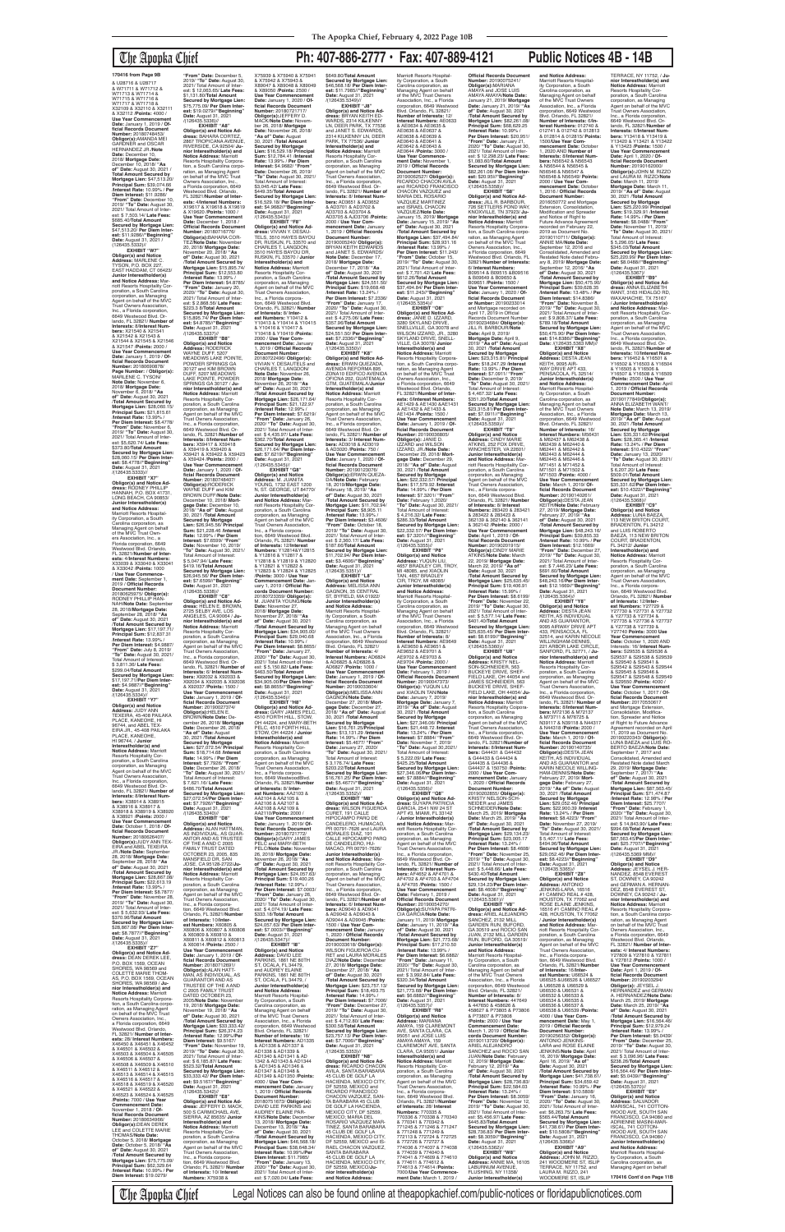## The Apopka Chief **Ph: 407-886-2777 • Fax: 407-889-4121 Public Notices 4B - 14B**

**Obligor(s) and Notice Address:** MARLENE C. TYSON, P.O. BOX 227, EAST HADDAM, CT 06423/ **Junior Interestholder(s) and Notice Address:** Marriott Resorts Hospitality Corporation, a South Carolina corporation, as Managing Agent on behalf of the MVC Trust Owners Association, Inc., a Florida corporation, 6649 Westwood Blvd. Orlando, FL 32821/ **Number of Interests:** 8/**Interest Numbers:** X21540 & X21541 & X21542 & X21543 & X21544 & X21545 & X21546 & X21547 /**Points:** 2000 / **Use Year Commencement Date:** January 1, 2019 / **Of-ficial Records Document Number:** 20180690878/ **Page Number:** / **Obligor(s):** MARLENE C. TYSON **Note Date:** November 6, 2018/ **Mortgage Date:** November 6, 2018/ **"As of" Date:** August 30, 2021 /**Total Amount Secured by Mortgage Lien:** \$28,060.15/ **Principal Sum:** \$21,815.61 /**Interest Rate:** 13.99% / **Per Diem Interest:** \$8.4778/ **"From" Date:** November 6, 2019/ **"To" Date:** August 30, 2021/ Total Amount of Interest: \$5,620.74/ **Late Fees:** \$373.80/**TotaI Amount Secured by Mortgage Lien:** \$28,060.15/ **Per Diem Inter-est:** \$8.4778//**"Beginning" Date:** August 31, 2021 /(126435.5333)// **EXHIBIT "X7"**

**Obligor(s) and Notice Address:** RODNEY PHILLIP HANNAH, P.O. BOX 41731, LONG BEACH, CA 90853/ **Junior Interestholder(s) and Notice Address:** Marriott Resorts Hospitality Corporation, a South Carolina corporation, as Managing Agent on behalf of the MVC Trust Own-ers Association, Inc., a Florida corporation, 6649 Westwood Blvd. Orlando, FL 32821/**Number of Interests:** 4/**Interest Numbers:** X33039 & X33040 & X33041 & X33042 /**Points:** 1000 / **Use Year Commencement Date:** September 1, 2019 / **Official Records Document Number:** 20180625975/ **Obligor(s):** RODNEY PHILLIP HAN-NAH/**Note Date:** Septembe 28, 2018/**Mortgage Date:** September 28, 2018/ **"As of" Date:** August 30, 2021 /**Total Amount Secured by Mortgage Lien:** \$17,197.71/ **Principal Sum:** \$12,837.31 /**Interest Rate:** 13.99% / **Per Diem Interest:** \$4.9887/ **"From" Date:** July 8, 2019/ **"To" Date:** August 30, 2021/ Total Amount of Interest: \$ 3,811.36/ **Late Fees:** \$299.04/**Total Amount Secured by Mortgage Lien:** \$17,197.71/**Per Diem Interest:** \$4.9887//"**Beginning"**<br>**Date:** August 31, 2021<br>/(126435.5334)// **EXHIBIT Obligor(s) and Notice Address:** JUDY ANN TEXEIRA, 45-408 PAILAKA PLACE, KANEOHE, HI 96744, and ABEL TEX-EIRA JR., 45-408 PAILAKA PLACE, KANEOHE, HI 96744, / **Junior Interestholder(s) and<br><b>Notice Address:** Marriott<br>Resorts Hospitality Corporation, a South Carolina corporation, as Managing Agent on behalf of the MVC Trust Owners Association<br>Inc., a Florida corporation Inc., a Florida corporation, 6649 Westwood Blvd. Orlando, FL 32821/ **Number of Interests:** 8/**Interest Numbers:** X38914 & X38915 & X38916 & X38917 & X38918 & X38919 & X38920 & X38921 /**Points:** 2000 / **Use Year Commencement Date:** October 1, 2018 / **Official Records Document Number:** 20180626407/<br>**Obligor(s):**JUDY ANN TEX-<br>EIRA and ABEL TEXEIRA JR./**Note Date:** September 28, 2018/ **Mortgage Date:** September 28, 2018/ **"As of" Date:** August 30, 2021 /**Total Amount Secured by Mortgage Lien:** \$28,867.08/ **Principal Sum:** \$22,613.19 /**Interest Rate:** 13.99% / **Per Diem Interest:** \$8.7877/ **"From" Date:** November 28, 2019/ **"To" Date:** August 30, 2021/ Total Amount of Interest: \$ 5,632.93/ **Late Fees:** \$370.96/**Total Amount Secured by Mortgage Lien:** \$28,867.08/ **Per Diem Inter-est:** \$8.7877//**"Beginning" Date:** August 31, 2021 /(126435.5335)// **EXHIBIT "Z7" Obligor(s) and Notice Address:** DEAN DEREK LEE, P.O. BOX 1569, OCEAN SHORES, WA 98569 and COLETTE MARIE THOM-AS, P.O. BOX 1569, OCEAN SHORES, WA 98569 / **Junior Interestholder(s) and Notice Address:** Marriott Resorts Hospitality Corporation, a South Carolina corporation, as Managing Agent on behalf of the MVC Trust Owners Association, Inc., a Florida corporation, 6649 Westwood Blvd. Orlando, FL 32821/ **Number of Interests:** 28/ **Interest Numbers:** X46450 & X46451 & X46452 & X46501 & X46502 & X46503 & X46504 & X46505 & X46506 & X46507 & X46508 & X46509 & X46510 & X46511 & X46512 & X46513 & X46514 & X46515 & X46516 & X46517 & X46518 & X46519 & X46520 & X46521 & X46522 & X46523 & X46524 & X46525 /**Points:** 7000 / **Use Year Commencement Date:** November 1, 2018 / **Official Records Document Number:** 20180634966/ **Obligor(s):**DEAN DEREK<br>LEE and COLETTE MARIE THOMAS/**Note Date:** October 5, 2018/ **Mortgage Date:** October 5, 2018/ **"As of" Date:** August 30, 2021 /**Total Amount Secured by Mortgage Lien:** \$75,775.09/ **Principal Sum:** \$62,329.64 /**Interest Rate:** 10.99% / **Per Diem Interest:** \$19.0279/ X92034 & X92035 & X92036 & X92037 /**Points:** 1500 / **Use Year Commencement** 

**"From" Date:** December 5, 2019/ **"To" Date:** August 30, 2021/ Total Amount of Inter-est: \$ 12,063.65/ **Late Fees:** \$1,131.80/**Total Amount Secured by Mortgage Lien:** \$75,775.09/ **Per Diem Interest:** \$19.0279//**"Beginning" Date:** August 31, 2021 /(126435.5336)// **EXHIBIT "A8" Obligor(s) and Notice Address:** BAHARA CORTEZ,<br>2867 TROPICANA AVENUE, RIVERSIDE, CA 92504/ **Junior Interestholder(s) and Notice Address:** Marriott Resorts Hospitality Corporation, a South Carolina corporation, as Managing Agent on behalf of the MVC Trust Owners Association, Inc., a Florida corporation, 6649 Westwood Blvd. Orlando, FL 32821/**Number of Inter-ests:** 4/**Interest Numbers:** X19617 & X19618 & X19619 & X19620 /**Points:** 1000 / **Use Year Commencement Date:** December 1, 2018 / **Official Records Document Number:** 20180716776/ **Obligor(s):**BAHARA COR-TEZ/**Note Date:** November 20, 2018/ **Mortgage Date:** November 20, 2018/ **"As of" Date:** August 30, 2021 /**Total Amount Secured by Mortgage Lien:** \$15,895.74/ **Principal Sum:** \$12,553.80 /**Interest Rate:** 13.99% / **Per Diem Interest:** \$4.8785/ **"From" Date:** January 20, 2020/ **"To" Date:** August 30, 2021/ Total Amount of Inter-est: \$ 2,868.56/ **Late Fees:** \$223.3 8/**Total Amount Secured by Mortgage Lien:** \$15,895.74/ **Per Diem Interest:** \$4.8785//**"Beginning" Date:** August 31, 2021<br>/(126435.5337)// **EXHIBIT "B8" Obligor(s) and Notice Address:** RODERICK WAYNE DUFF, 5207 MEADOWS LAKE POINTE,<br>POWDER SPRINGS GA<br>30127 and KIM BROWN<br>DUFF, 5207 MEADOWS LAKE POINTE, POWDER SPRINGS GA 30127 / **Junior Interestholder(s) and Notice Address:** Marriott<br>Resorts Hospitality Cor-<br>poration, a South Carolina corporation, as Managing Agent on behalf of the MVC Trust Owners Association,<br>Inc., a Florida corporation,<br>6649 Westwood Blvd. Or-<br>lando, FL 32821/**Number of Interests:** 8/**Interest Num-bers:** X59417 & X59418 & X59419 & X59420 & X59421 & X59422 & X59423 & X59424 /**Points:** 2000 / **Use Year Commencement Date:** January 1, 2020 / **Of-ficial Records Document Number:** 20180748407/ **Obligor(s):**RODERICK WAYNE DUFF and KIM BROWN DUFF/**Note Date:** December 10, 2018/ **Mort-gage Date:** December 10, 2018/ **"As of" Date:** August 30, 2021 /**Total Amount Secured by Mortgage Lien:** \$26,945.56/ **Principal Sum:** \$21,228.46 /**Interest Rate:** 12.99% / **Per Diem Interest:** \$7.6599/ **"From" Date:** November 10, 2019/ **"To" Date:** August 30, 2021/ Total Amount of Interest: \$ 5,047.94/ **Late Fees:** \$419.16/**Total Amount Secured by Mortgage Lien:** \$26,945.56/ **Per Diem Inter-est:** \$7.6599//**"Beginning" Date:** August 31, 2021 /(126435.5338)//<br>"EXHIBIT "C8 **EXHIBIT "C8" Obligor(s) and Notice Ad-dress:** HELEN E. BROWN, 2725 SELBY AVE, LOS ANGELES, CA 90064 / **Junior Interestholder(s) and Notice Address:** Marriott Resorts Hospitality Cor-poration, a South Carolina corporation, as Managing Agent on behalf of the MVC Trust Owners Association, Inc., a Florida corporation, 6649 Westwood Blvd. Or-lando, FL 32821/ **Number of Interests:** 6/ **Interest Num-bers:** X92032 & X92033 &

> **Date:** August 31, 2021<br>/(126435.5346)// **EXHIBIT "H8" Obligor(s) and Notice Address:** GARY JAMES PELC, 4510 FORTH HILL, STOW, OH 44224, and MARY-BETH PELC, 4510 FORTH HILL, STOW, OH 44224 / **Junior Interestholder(s) and Notice Address:** Marriott Resorts Hospitality Cor-<br>poration, a South Carolina poration, a South Carolina corporation, as Managing Agent on behalf of the MVC Trust Owners Association, Inc., a Florida corporation, 6649 WestwoodBlvd. Orlando, FL 32821/**Number of Interests:** 8/ **Inter-est Numbers:** AA2103 & AA2104 & AA2105 & AA2106 & AA2107 & AA2108 & AA2109 & AA2110/**Points:** 2000 / **Use Year Commencement Date:** January 1. 2019/ **Official Records Document Number:** 20180721772/ **Obligor(s):**GARY JAMES PELC and MARY-BETH PELC/**Note Date:** November 26, 2018/ **Mortgage Date:** November 26, 2018/ **"As of" Date:** August 30, 2021 /**Total Amount Secured by Mortgage Lien:** \$24,057.63/ **Principal Sum:** \$19,400.26 /**Interest Rate:** 12.99% / **Per Diem Interest:** \$7.0003/ **"From" Date:** January 26, 2020/ **"To" Date:** August 30, 2021/ Total Amount of Interest: \$ 4,074.19/ **Late Fees:** \$333.18/**Total Amount Secured by Mortgage Lien:** \$24,057.63/ **Per Diem Interest:** \$7.0003//**"Beginning" Date:** August 31, 2021 /(126435.5347)// **EXHIBIT "I8" Obligor(s) and Notice Address:** DAVID LEE PARKINS, 1861 NE 80TH ST, OCALA, FL 34479 and AUDREY ELAINE<br>PARKINS, 1861 NE 80TH<br>ST, OCALA, FL 34479, / **Junior Interestholder(s) and Notice Address:** Marriott Resorts Hospitality Corporation, a South Carolina corporation, as Managing Agent on behalf of the MVC Trust Owners Association, Inc., a Florida corporation, 6649 Westwood Blvd. Orlando, FL 32821/ **Number of Interests:** 16/ **Interest Numbers:** AD1335 & AD1336 & AD1337 & AD1338 & AD1339 & AD1340 & AD1341 & AD 1342 & AD1343 & AD1344 & AD1345 & AD1346 & AD1347 & AD1348 & AD1349 & AD1350 /**Points:** 4000 / **Use Year Commencement Date:** January 1, 2019 / **Official Records Document Number:** 20180751673/ **Obligor(s):** DAVID LEE PARKINS and AUDREY ELAINE PAR-KINS/**Note Date:** December 13, 2018/ **Mortgage Date:** December 13, 2018/ **"As of" Date:** August 30, 2021 /**Total Amount Secured by Mortgage Lien:** \$46,568.18/ **Principal Sum:** \$38,648.34/ **Interest Rate:** 10.99%/**Per Diem Interest:** \$11.7985/ **"From" Date:** January 13, 2020/ **"To" Date:** August 30, 2021/ Total Amount of Interest: \$ 7,020.04/ **Late Fees:**

**Date:** January 1, 2019 / **Of-ficial Records Document Number:** 20190027374/ **Obligor(s):**HELEN E. BROWN/**Note Date:** December 26, 2018/ **Mortgage Date:** December 26, 2018/ **"As of" Date:** August 30, 2021 /**Total Amount Secured by Mortgage Lien:** \$27,072.54/ **Principal Sum:** \$18,714.68 /**Interest Rate:** 14.99% / **Per Diem Interest:** \$7.7926/ **"From" Date:** December 26, 2018/ **"To" Date:** August 30, 2021/ Total Amount of Interest \$ 7,621.16/ **Late Fees:** \$486.70/**Total Amount Secured by Mortgage Lien:** \$27,072.54/**Per Diem Interest:** \$7.7926//**"Beginning" Date:** August 31, 2021 /(126435.5340)// **EXHIBIT "D8" Obligor(s) and Notice Address:** ALAN HATTMAN, AS INDIVIDUAL, AS GUAR-ANTOR AND AS TRUSTEE OF THE A AND C 2005 FAMILY TRUST DATED OCTOBER 23, 2005, 835 MANSFIELD DR, SAN JOSE, CA 95128-2722/**Junior Interestholder(s) and Notice Address:** Marriott Resorts Hospitality Cor-poration, a South Carolina corporation, as Managing Agent on behalf of the MVC Trust Owners Association, Inc., a Florida corporation, 6649 Westwood Blvd. Orlando, FL 32821/**Number of Interests:** 10/**Interest Numbers:** X60805 & X60806 & X60807 & X60808 & X60809 & X60810 & X60811 & X60812 & X60813 & X60814 /**Points:** 2500 / **Use Year Commencement Date:** January 1, 2019 / **Of-ficial Records Document Number:** 20180712691/ **Obligor(s):**ALAN HATT-<br>MAN, AS INDIVIDUAL, AS<br>GUARANTOR AND AS TRUSTEE OF THE A AND C 2005 FAMILY TRUST DATED OCTOBER 23 2005/**Note Date:** November 19, 2018/ **Mortgage Date:** November 19, 2018/ **"As of" Date:** August 30, 2021 /**Total Amount Secured by Mortgage Lien:** \$33,333.42/ **Principal Sum:** \$26,374.23 /**Interest Rate:** 12.99%/**Per Diem Interest:** \$9.5167/ **"From" Date:** November 19, 2019/ **"To" Date:** August 30, 2021/ Total Amount of Inter-est: \$ 6,185.87/ **Late Fees:** \$523.32/**TotaI Amount Secured by Mortgage Lien:** \$33,333.42/ **Per Diem Inter-est:** \$9.5167//**"Beginning" Date:** August 31, 2021 /(126435.5342)// **EXHIBIT "E8" Obligor(s) and Notice Address:** JEFFERY D. MACK,<br>500 S CARMICHAEL AVE, SIERRA, AZ 85635/ **Junior Interestholder(s) and Notice Address:** Marriott Resorts Hospitality Corporation, a South Carolina corporation, as Managing Agent on behalf of the MVC Trust Owners Association, Inc., a Florida corporation, 6649 Westwood Blvd. Orlando; FL 32821/ **Number of Interests:** 10/ **Interest Numbers:** X75938 &

**Secured by Mortgage Lien:** \$26,171.64/ **Per Diem Interest:** \$7.6219//"**Beginning"**<br>**Date:** August 31, 2021<br>/(126435.5345)// **EXHIBIT "G8" Obligor(s) and Notice Address:** M. JUANITA YOUNG, 1732 EAST 1200 N, ST. GEORGE, UT 84770/ **Junior Interestholder(s) and Notice Address:** Mar-riott Resorts Hospitality Corporation, a South Carolina

X75939 & X75940 & X75941 & X75942 & X75943 & X89047 & X89048 & X89049 & X89050 /**Points:** 2500 / **Use Year Commencement Date:** January 1, 2020 / **Official Records Document Number:** 20180721717/ **Obligor(s):**JEFFERY D. MACK/**Note Date:** Novem-ber 26, 2018/ **Mortgage Date:** November 26, 2018/ **"As of" Date:** August 30, 2021 /**Total Amount Secured by Mortgage Lien:** \$16,529.18/ **Principal Sum:** \$12,784.41 /**Interest**  \$649.80/**Total Amount EXHIBIT "J8"<br><b>Obligor(s) and Notice Ad-**<br>**dress:** BRYAN KEITH ED-<br>WARDS, 2314 KILKENNY<br>LN, DEER PARK, TX 77536<br>and JANET S. EDWARDS, 2314 KILKENNY LN, DEER PARK, TX 77536/ **Junior** 

**Rate:** 13.99% / **Per Diem Interest:** \$4.9682/ **"From" Date:** December 26, 2019/ **"To" Date:** August 30, 2021/ Total Amount of Interest: \$3,045.42/ **Late Fees:** \$449.35/**Total Amount Secured by Mortgage Lien:** \$16,529.18/ **Per Diem Interest:** \$4.9682//"**Beginning"**<br>**Date:** August 31, 2021<br>/(126435.5343)// **EXHIBIT "F8" Obligor(s) and Notice Ad-dress:** VIVIAN Y. DESAU-TELS, 3510 HAYES BAYOU DR, RUSKJN, FL 33570 and CHARLES T. LANGDON, 3510 HAYES BAYOU DR, RUSKIN, FL 33570 / **Junior InteresthoIder(s) and Notice Address:** Marriott<br>Resorts Hospitality Cor-<br>poration, a South Carolina corporation, as Managing Agent on behalf of the MVC Trust Owners Association, Inc., a Florida corpora-tion, 6649 Westwood Blvd. Orlando, FL 32821/ **Number of Interests:** 8/ **Interest Numbers:** Y10412 & Y10413 & Y10414 & Y10415 & Y10416 & Y10417 & Y10418 & Y10419 /**Points:** 2000 / **Use Year Commencement Date:** January 1, 2019 / **Official Records Document Number:<br>20180722496/ <b>Obligor(s):**<br>VIVIAN Y. DESAUTELS and<br>CHARLES T. LANGDON/ **Note Date:** November 26, 2018/ **Mortgage Date:** November 26, 2018/ **"As of" Date:** August 30, 2021 /**Total Amount Secured by Mortgage Lien:** \$26,171.64/ **Principal Sum:** \$21,122.97 /**Interest Rate:** 12.99% / **Per Diem Interest:** \$7.6219/ **"From" Date:** January 26, 2020/ **"To" Date:** August 30, 2021/ Total Amount of Inter-est: \$ 4,435.97/ **Late Fees:** \$362.70/**Total Amount Interestholder(s) and<br><b>Notice Address:** Marriott<br>Resorts Hospitality Cor-<br>poration, a South Carolina corporation, as Managing Agent on behalf of the MVC Trust Owners Association, Inc., a Florida corporation, 6649 Westwood Blvd. Orlando, FL 32821/ **Number of Interests:** 8/ **Interest Num-bers:** AD3651 & AD3652 & AD3701 & AD3702 & AD3703 & AD3704 & AD3705 & AJD3706 /**Points:** 2000 / **Use Year Commencement Date:** January 1, 2019 / **Official Records Document Number:** 20190005240/ **Obligor(s):**<br>BRYAN KEITH EDWARDS<br>and JANET S. EDWARDS/ **Note Date:** December 17, 2018/ **Mortgage Date:** December 17, 2018/ **"As of" Date:** August 30, 2021 /**Total Amount Secured by Mortgage Lien:** \$24,551.50/ **Principal Sum:** \$19,668.48 /**Interest Rate:** 13.24% / **Per Diem Interest:** \$7.2336/<br>**"From" Date:** January 17,<br>2020/ **"To" Date:** August 30,<br>2021/ Total Amount of Interest: \$ 4,275.06/ **Late Fees:** \$357.96/**Total Amount Secured by Mortgage Lien:** \$24,551.50/ **Per Diem Inter-est:** \$7.2336//**"Beginning" Date:** August 31, 2021 /(126435.5350)// **EXHIBIT "K8" Obligor(s) and Notice Ad-dress:** ERWIN QUEZADA, AVENIDA REFORMA 895 ZONA10 EDIFICO AVENIDA OFICNA 202, GUATEMALA GTM, GUATEMALA/**Junior Interestholder(s) and<br><b>Notice Address:** Marriott<br>Resorts Hospitality Cor-<br>poration, a South Carolina corporation, as Managing Agent on behalf of the MVC Trust Owners Association,<br>Inc., a Florida corporation,<br>6649 Westwood Blvd. Or-<br>lando, FL 32821/ **Number of Interests:** 3/ **Interest Num-bers:** AD3018 & AD3019 & AD3020 /**Points:** 750 /

corporation, as Managing Agent on behalf of the MVC Trust Owners Association, Inc., a Florida corpora-tion, 6649 Westwood Blvd. Orlando, FL 32821/ **Number of Interests:** 12/**Interest**<br>**Numbers:** Y12814&Y12815<br>& Y12816 & Y12817 & Y12818 & Y12819 & Y12820 & Y12821 & Y12822 & Y12823 & Y12824 & Y12825 /**Points:** 3000 / **Use Year Commencement Date:** Jan-uary 1, 2019 / **Official Records Document Number:** 20180723359/ **Obligor(s):** M. JUANITA YOUNG/**Note Date:** November 27, 2018/ **Mortgage Date:** November 27, 2018/ **"As of" Date:** August 30, 2021 /**Total Amount Secured by Mortgage Lien:** \$34,905.00/ **Principal Sum:** \$29,040.68 /**Interest Rate:** 10.99% / **Per Diem Interest:** \$8.8655/ **"From" Date:** January 27, 2020/ **"To" Date:** August 30, 2021/ Total Amount of Inter-est: \$ 5,150.82/ **Late Fees:** \$463.50/**Total Amount Secured by Mortgage Lien:** \$34,905.00/**Per Diem Interest:** \$8.8655//**"Beginning" "From" Date:** October 18, 2019/ **"To" Date:** August 30, 2021/ Total Amount of Interest: \$ 2,360.17/ **Late Fees:** \$187.66/**Total Amount Secured by Mortgage Lien:** \$11,702.94/ **Per Diem Interest:** \$3.4606//**"Beginning" Date:** August 31, 2021 /(126435.5351)// **EXHIBIT "L8" Obligor(s) and Notice Address:** MELISSA ANN GAGNON, 35 CENTRAL<br>ST, BYFIELD, MA 01922/ **Junior Interestholder(s) and Notice Address:** Marriott Resorts Hospitality Corporation, a South Carolina corporation, as Managing Agent on behalf<br>of the MVC Trust Owners<br>Association, Inc., a Florida<br>corporation, 6649 Westwood Blvd. Orlando, FL 32821/ **Number of Interests:** 4/ **Interest Numbers:** AD6824 & AD6825 & AD6826 & AD6827 /**Points:** 1000 / **Use Year Commencement Date:** January 1, 2019 / **Official Records Document** 

**ment Date:** March 1, 2019 **Date:** August 30, 2021 /**Total Amount Secured by Mortgage Lien:** \$25,635.45/ **Principal Sum:** \$19,406.91 /**Interest Rate:** 15.99% / **Per Diem Interest:** \$8.6199/ **"From" Date:** November 22, 2019/ **"To" Date:** August 30, 2021/ Total Amount of Inter-est: \$ 5,577.14/ **Late Fees:** \$401.40/**Total Amount Secured by Mortgage Lien:** \$25,635.45/ **Per Diem Inter-est:** \$8.6199//**"Beginning" Date:** August 31, 2021 /(126435.5360)// **EXHIBIT "U8"<br><b>Address:** KRISTY NEL-<br>**Address:** KRISTY NEL-<br>SON-SCHNEIDER, 563<br>BUCKEYE DRIVE, SHEF-<br>FIELD LAKE, OH 44054 and JAMES SCHNEIDER, 563 BUCKEYE DRIVE, SHEF-FIELD LAKE, OH 44054/ **Junior Interestholder(s) and Notice Address:** Marriott Resorts Hospitality Coiporation, a South Carolina corporation, as Managing Agent on behalf of the MVC Trust Owners Association, Inc., a Florida corporation, 6649 Westwood Blvd. Orlando, FL 32821/**Number of Interests:** 8/**Interest Numbers:** G44431 & G44432 & G44433 & G44434 & G44435 & G44436 & G44437 & 150750 /**Points:** 2000 / **Use Year Commencement Date:** January 1, 2020 / **Official Records Document Number:** 20190202855/ **Obligor(s):** KRISTY NELSON-SCH-NEIDER and JAMES SCHNEIDER/**Note Date:** March 25, 2019/ **Mortgage Date:** March 25, 2019/ **"As of" Date:** August 30, 2021 /**Total Amount Secured by Mortgage Lien:** \$29,134.23/ **Principal Sum:** \$23,005.17 /**Interest Rate:** 13.24% / **Per Diem Interest:** \$8.4608/ **"From" Date:** November 25, 2019/ **"To" Date:** August 30, 2021/ Total Amount of Inter-est: \$ 5,448.66/ **Late Fees:** \$430.40/**Total Amount Secured by Mortgage Lien:** \$29,134.23/**Per Diem Interest:** \$8.4608//**"Beginning" Date:** August 31, 2021<br>/(126435.5361)// **EXHIBIT "V8" Obligor(s) and Notice Ad-dress:** ARIEL ALEJANDRO SANCHEZ, 2132 MILL GARDEN RUN, BUFORD, GA 30519 and ROCIO SAN JUAN, 2132 MILL GARDEN RUN, BUFORD, GA 30519/ **Junior Interestholder(s) and Notice Address:** Marriott Resorts Hospitality Corporation, a South Carolina corporation, as Managing Agent on behalf of the MVC Trust Owners Association, Inc., a Florida corporation, 6649 Westwood Blvd. Orlando, FL 32821/ **Number of Interests:** 8/ **Interest Numbers:** 447649 & 447650 & 458626 & 458627 & P73805 & P73806 & P73807 & P73808 /**Points:** 2000 / **Use Year Commencement Date:** March 1, 2019 / **Official Re-cords Document Number:** 20190113720/ **Obligor(s):** ARIEL ALEJANDRO<br>SANCHEZ and ROCIO SAN JUAN/**Note Date:** February 12, 2019/ **Mortgage Date:** February 12, 2019/ **"As of" Date:** August 30, 2021 /**Total Amount Secured by Mortgage Lien:** \$28,736.83/ **Principal Sum:** \$22,584.03 /**Interest Rate:** 13.24% / **Per Diem Interest:** \$8.3059/ **"From" Date:** November 12, 2019/ **"To" Date:** August 30, 2021/ Total Amount of Interest: \$5,456.97/ **Late Fees:** \$445.83/**Total Amount Secured by Mortgage Lien:** \$28,736.83/ **Per Diem Interest:** \$8.3059//**"Beginning" Date:** August 31, 2021 /(126435.5362)// **EXHIBIT "W8" Obligor(s) and Notice Address:** ANNIE MA, 16105 LABURNUM AVENUE FLUSHING, NY 11358/

**and Notice Address:** Marriott Resorts Hospitality Corporation, a South Carolina corporation, as Managing Agent on behalf of the MVC Trust Owners Association, Inc., a Florida corporation, 6649 Westwood Blvd. Orlando, FL 32821/ **Number of Interests:** 6/**In-terest Numbers:** 012740 & 012741 & 012742 & 012813 & 012814 & 012815/ **Points:** 1500/**Use Year Commencement Date:** October 1, 2020 AND **Number of Interests:** 8/**Interest Numbers:** N56542 & N56543 & N56544 & N56545 & N56546 & N56547 & N56548 & N56549/ **Points:** 2000 / **Use Year Com-mencement Date:** October 1, 2016 / **Official Records Document Number:** 2016050772 and Mortgage Extension, Consolidation Modification and Spreader and Notice of Right to Future Advance Agreemen recorded on February 22, 2019 as Document No. 20190110711/ **Obligor(s):** ANNIE MA/**Note Date:** September 12, 2016 and Consolidated, Amended and Restated Note dated February 8, 2019/ **Mortgage Date:** September 12, 2016/ **"As of" Date:** August 30, 2021 /**Total Amount Secured by Mortgage Lien:** \$50,475.90/ **Principal Sum:** \$39,628.35 /**Interest Rate:** 13.48% / **Per Diem Interest:** \$14.8386/ **"From" Date:** November 8, 2019/ **"To" Date:** August 30, 2021/ Total Amount of Interest: \$ 9,808.37/ **Late Fees:** \$789.18/**Total Amount Secured by Mortgage Lien:** \$50,475.90/ **Per Diem Inter-est:** \$14.8386//**"Beginning" Date:** /(126435.5363 MM)// **EXHIBIT "X8" Obligor(s) and Notice<br><b>Address:** DESTA JEAN<br>KEITH, 9095 AIR-<br>WAY DRIVE APT 433, PENSACOLA, FL 32514/ **Junior Interestholder(s) and Notice Address:** Marriott Resorts Hospital-ity Corporation, a South Carolina corporation, as Managing Agent on behalf of the MVC Trust Owners Association, Inc., a Florida corporation, 6649 Westwood Blvd. Orlando, FL 32821/ **Number of Interests:** 16/ **Interest Numbers:** M56431 & M62437 & M62438 & M62439 & M62440 & M62441 & M62442 & M62443 & M62444 & M62445 & M62446 & M71451 & M71452 & M71501 & M71502 & M71503 /**Points:** 4000 / **Use Year Commencement Date:** March 1, 2019/ **Of-ficial Records Document Number:** 20190140261/ **ObIigor(s):**DESTA JEAN KEITH/**Note Date:** February 27, 2019/ **Mortgage Date:** February 27, 2019/ **"As of" Date:** August 30, 2021 /**Total Amount Secured by Mortgage Lien:** \$48,243.16/ **Principal Sum:** \$39,855.33 /**Interest Rate:** 10.99% / **Per Diem Interest:** \$12.1669/<br>"**From" Date:** December 27,<br>2019/ "**To" Date:** August 30, 2021/ Total Amount of Inter-est: \$ 7,446.23/ **Late Fees:** \$691.60/**Total Amount Secured by Mortgage Lien:** \$48,243.16/**Per Diem Interest:** \$12.1669//**"Beginning" Date:** August 31, 2021<br>/(126435.5364)//

\$203.22/**Total Amount** 

**EXHIBIT "M8"**

CURET, 191 CALLE

**dress:** ANNA ELIZABETH<br>WANT, 3163 HIDALGO RD, WAXAHACHIE, TX 75167 / **Junior Interestholder(s) and Notice Address:** Marriott Resorts Hospitality Corporation, a South Carolina corporation, as Managing Agent on behalf of the MVC Trust Owners Association, Inc., a Florida corporation, 6649 Westwood Blvd. Orlando, FL 32821/**Number of Interests:** 10/**Interest Numbers:** Y16452 & Y16501 &<br>Y16502 & Y16503 & Y16504<br>& Y16505 & Y16506 &<br>Y16507 & Y16508 & Y16509 /**Points:** 2500 / **Use Year Commencement Date:** April 1, 2019 / **Official Records Document Number:** 20190177849/**Obligor(s):** ANNA ELIZABETH WANT/ **Note Date:** March 13, 2019/ **Mortgage Date:** March 13, 2019/ **"As of" Date:** August 30, 2021 /**Total Amount Secured by Mortgage Lien:** \$35,331.62/**Principal Sum:** \$28,365.41 /**Interest Rate:** 13.24% / **Per Diem Interest:** \$10.4322/ **"From" Date:** January 13, 2020/ **"To" Date:** August 30, 2021/ Total Amount of Interest: \$ 6,207.20/ **Late Fees:** \$509.01/**Total Amoun Secured by Mortgage Lien:** \$35,331.62/**Per Diem Inter-est:** \$10.4322//**"Beginning" Date:** August 31, 2021 /(126435.5368)// **EXHIBIT "C9" Obligor(s) and Notice Address:** LUNA BAEZA, 113 NEW BRITON COURT, BRADENTON, FL 34212 and LUIS ROBERTO<br>BAEZA, 113 NEW BRITON COURT, BRADENTON, FL 34212/ **Junior Interestholder(s) and Notice Address:** Marriott Resorts Flospitality Cor-poration, a South Carolina corporation, as Managing Agent on behalf of the MVC Trust Owners Association, Inc., a Florida corpora-

1500 / **Use Year Com-**

\$300.58/**Total Amount** 

**Date:** August 31, 2021<br>/(126435.5353)//

MEXICO; MARIA DEL

SANTA BARABARA<br>45 CLUB DE GOLF LA

**nior Interestholder(s) and Notice Address:**

**Secured by Mortgage Lien:** \$46,568.18/ **Per Diem Interest:** \$11.7985//"**Beginning"**<br>**Date:** August 31, 2021<br>/(126435.5349)// **Use Year Commencement Date:** January 1, 2020 / **Of-ficial Records Document Number:** 20190123076/ **ObIigor(s):**ERWIN QUEZA-DA/**Note Date:** February 18, 2019/**Mortgage Date:** February 18, 2019/ **"As of" Date:** August 30, 2021 /**Total Amount Secured by Mortgage Lien:** \$11,702.94/ **Principal Sum:** \$8,905.11 /**Interest Rate:** 13.99% / **Per Diem Interest:** \$3.4606/ **Number:** 20190033604/ **ObIigor(s):**MELISSA ANN GAGNON/**Note Date:** December 27, 2018/ **Mort-**GAGNON/**Note Date:**<br>December 27, 2018/**Mort**<br>gage Date: December 27. 2018/ **"As of" Date:** August 30, 2021 /**Total Amount Secured by Mortgage Lien:** \$16,761.25/**Principal Sum:** \$13,131.29 /**Interest Rate:** 14.99% / **Per Diem Interest:** \$5.4677/ **"From" Date:** January 27, 2020/ **"To" Date:** August 30, 2021/ Total Amount of Interest: \$ 3,176.74/ **Late Fees: Secured by Mortgage Lien:** \$16,761.25/ **Per Diem Interest:** \$5.4677//**"Beginning"**<br>**Date:** August 31, 2021<br>/(126435.5352)// **Obligor(s) and Notice Ad-dress:** WILSON FIGUEROA HIPOCAMPO PARQ DE CANDELERO, HUMACAO, PR 00791-7626 and LAURA MORALES DIAZ, 191 CALLE HIPOCAMPO PARQ DE CANDELERO, HU-MACAO, PR 00791-7626/ **Junior Interestholder(s) and Notice Address:** Marriott Resorts Hospitality Cor-poration, a South Carolina corporation, as Managing Agent on behalf of the MVC Trust Owners Association, Inc., a Florida corporation, 6649 Westwood Blvd. Or-lando, FL 32821/**Number of Interests:** 6/ **Interest Num-bers:** AD9040 & AD9041 & AD9042 & AD9043 & AD9044 & AD9045 /**Points: mencement Date:** January 1, 2020 / **Official Records Document Number:** 20190033618/ **Obligor(s):** WILSON FIGUEROA CU RET and LAURA MORALES DIAZ/Note Date: December 27, 2018/ **Mortgage Date:** December 27, 2018/ **"As of" Date:** August 30, 2021 /**Total Amount Secured by Mortgage Lien:** \$23,757.13/ **Principal Sum:** \$18,493.75 /**Interest Rate:** 14.99% / **Per Diem Interest:** \$7.7006/ **"From" Date:** December 27, 2019/ **"To" Date:** August 30, 2021/ Total Amount of Inter-est: \$ 4,712.80/ **Late Fees: Secured by Mortgage Lien:** \$23,757.13/ **Per Diem Interest:** \$7.7006//**"Beginning" EXHIBIT "N8" Obligor(s) and Notice Ad-dress:** RICARDO CHACON AVILA, SANTA BARABARA 45 CLUB DE GOLF LA HACIENDA, MEXICO CITY, DF 52559, MEXICO and RICARDO FRANCISCO CHACON VAZQUEZ, SAN-TA BARABARA 45 CLUB DE GOLF LA HACIENDA,<br>MEXICO CITY, DF 52559, ROSARIO VAZQUEZ MAR-TINEZ, SANTA BARABARA 45 CLUB DE GOLF LA HACIENDA, MEXICO CITY, DF 52559, MEXICO and IS-RAEL CHACON VAZQUEZ HACIENDA, MEXICO CITY, DF 52559, MEXICO/**Ju-**Marriott Resorts Hospital-ity Corporation, a South Carolina corporation, as Managing Agent on behalf of the MVC Trust Owners Association, Inc., a Florida corporation, 6649 Westwood Blvd. Orlando, FL 32821/ **Number of Interests:** 12/ **Interest Numbers:** AE0633<br>& AE0634 & AE0635 &<br>AE0636 & AE0637 & AE0638 & AE0639 & AE0640 & AE0641 & AE0642 & AE0643 & AE0644 /**Points:** 3000 / **Use Year Commencement Date:** November 1, 2019 / **Official Records Document Number:** 20190062527/ **Obligor(s):**<br>RICARDO CHACON AVILA<br>and RICARDO FRANCISCO<br>CHACON VAZQUEZ and MARIA DEL ROSARIO<br>VAZQUEZ MARTINEZ and ISRAEL CHACON VAZQUEZ/**Note Date:** January 15, 2019/ **Mortgage Date:** January 15, 2019/ **"As of" Date:** August 30, 2021 /**Total Amount Secured by Mortgage Lien:** \$37,494.84/ **Principal Sum:** \$28,931.16 /**Interest Rate:** 13.99% / **Per Diem Interest:** \$11.243/ **"From" Date:** October 15, 2019/ **"To" Date:** August 30, 2021/ Total Amount of Inter-est: \$ 7,701.42/ **Late Fees:** \$612.26/**Total Amount Secured by Mortgage Lien:** \$37,494.84/ **Per Diem Interest:** \$11.243//**"Beginning" Date:** August 31, 2021 /(126435.5354)// **EXHIBIT "O8" Obligor(s) and Notice Address:** JANIE D. IZZARD,<br>3280 SKYLAND DRIVE, SNELLVILLE, GA 30078 and WILSON IZZARD, JR., 3280 SKYLAND DRIVE, SNELL-VILLE, GA 30078/ **Junior Interestholder(s) and Notice Address:** Marriott Resorts Hospitality Corpora-tion, a South Carolina corpo-ration, as Managing Agent on behalf of the MVC Trust Owners Association, Inc., a Florida corporation, 6649 Westwood Blvd. Orlando, FL 32821/**Number of Inter-ests:** 6/**Interest Numbers:** ests: 6/Interest Numbers:<br>AE1429 & AE1430 &AE1431 & AE1432 & AE1433 & AE1434 /**Points:** 1500 / **Use Year Commencement Date:** January 1, 2019 / **Of-ficial Records Document Number:** 20190036805/ **Obligor(s):** JANIE D.<br>IZZARD and WILSON IZZARD, JR./**Note Date:** December 29, 2018/ **Mort-gage Date:** December 29, 2018/ **"As of" Date:** August 30, 2021 /**Total Amount Secured by Mortgage Lien:** \$22,332.57/ **Principal Sum:** \$17,579.92 /**Interest Rate:** 14.99% / **Per Diem Interest:** \$7.3201/ **"From" Date:** February 1,2020/<br>"**To" Date:** August 30, 2021/ Total Amount of Interest: \$ 4,216.32/ **Late Fees:** \$286.33/**Total Amount Secured by Mortgage Lien:** \$22,332.57/ **Per Diem Interest:** \$7.3201//**"Beginning" Date:** August 31, 2021 /(126435.5355)// **EXHIBIT "P8" Obligor(s) and Notice Address:** YUQUN LIU,<br>4657 BRADLEY CIR, TROY, MI 48085, and XIAOLIN<br>TAN, 4657 BRADLEY<br>CIR, TROY, MI 48085/ **Junior Interestholder(s) and Notice Address:** Marriott Resorts Hospitality Corporation, a South Carolina corporation, as Managing Agent on behalf of the MVC Trust Owners Association, Inc., a Florida corporation, 6649 Westwood Blvd. Orlando, FL 32821/<br>**Number of Interests:** 8/<br>**Interest Numbers:** AE9649<br>& AE9650 & AE9651 & AE9652 & AE9701 & AE9702 & AE9703 & AE9704 /**Points:** 2000 / **Use Year Commencement Date:** February 1, 2019 / **Official Records Document Number:** 20190047373/ **Obligor(s):** YUQUN LIU and XIAOLIN TAN/**Note Date:** January 7, 2019/<br>**Mortgage Date:** January 7,<br>2019/ **"As of" Date:** August 30, 2021 /**Total Amount Secured by Mortgage Lien:** \$27,346.06/ **Principal Sum:** \$21,448.72 /**Interest Rate:** 13.24% / **Per Diem Interest:** \$7.8884/ **"From" Date:** November 7, 2019/ **"To" Date:** August 30,2021/ Total Amount of Interest: \$ 5,222.09/ **Late Fees:** \$425.25/**Total Amount Secured by Mortgage Lien:** \$27,346.06/**Per Diem Interest:** \$7.8884//**"Beginning" Date:** August 31, 2021 /(126435.5356)// **EXHIBIT "Q8" Obligor(s) and Notice Address:** SUYAPA PATRICIA GARCIA, 2541 NW 24 ST APT #3, MIAMI, FL 33142 / **Junior Interestholder(s) and Notice Address:** Marriott Resorts Hospitality Corporation, a South Carolina corporation, as Managing Agent on behalf of the MVC Trust Owners Association, Inc., a Florida corporation, 6649 Westwood Blvd. Orlando, FL 32821/ **Number of Interests:** 6/ **Interest Numbers:** AF4652 & AF4701 &<br>AF4702 & AF4703 & AF4704<br>& AF4705 /**Points:** 1500 / **Use Year Commencement Date:** Febmary 1, 2019 / **Official Records Document Number:** 20190054270/ **Obligor(s):**SUYAPA PATRI-CIA GARCIA/**Note Date:** January 11, 2019/ **Mortgage Date:** January 11, 2019/ **"As of" Date:** August 30, 2021 /**Total Amount Secured by Mortgage Lien:** \$21,773.68/ **Principal Sum:** \$17,210.50 /**Interest Rate:** 13.99% / **Per Diem Interest:** \$6.6882/ **"From" Date:** January 11, 2020/ **"To" Date:** August 30, 2021/ Total Amount of Inter-est: \$ 3,992.84/ **Late Fees:** \$320.34/**Total Amount Secured by Mortgage Lien:** \$21,773.68/ **Per Diem Interest:** \$6.6882//"**Beginning"**<br>**Date:** August 31, 2021<br>/(126435.5357)// **EXHIBIT "R8" Obligor(s) and Notice Address:** MARIANA AMAYA, 159 CLAREMONT<br>AVE, SANTA CLARA, CA<br>95051 and JOSE LUIS<br>AMAYA AMAYA, 159 CLAREMONT AVE, SANTA CLARA, CA 95051/ **Junior Interestholder(s) and<br><b>Notice Address:** Marriott<br>Resorts Hospitality Corporation, a South Carolina corporation, as Managing Agent on behalf of the MVC Trust Owners Association,<br>Inc., a Florida corpora-<br>tion, 6649 Westwood Blvd.<br>Orlando, FL 32821/**Number of Interests:** 28/ **Interest Numbers:** 770335 & 770336 & 770338 & 770340 & 770341 & 770342 & 771245 & 771246 & 771247 & 771248 & 771249 & 772113 & 772724 & 772725 & 772726 & 772727 & 774036 & 774037 & 774038 & 774039 & 774040 & 774041 & 774609 & 774610 & 774611 & 774612 & 774613 & 774614 /**Points:** 7000/**Use Year Commence-**

& U28716 & U28717 & W71711 & W71712 & W71713 & W71714 & W71715 & W71716 & W71717 & W71718 & X32109 & X32110 & X32111 & X32112 /**Points:** 4000 / Use Year Commencem **Date:** January 1, 2019 / **Of-ficial Records Document Number:** 20180748453/ **Obligor(s):**AMANDA MEI GARDNER and OSCAR HERNANDEZ JR./**Note Date:** December 10, 2018/ **Mortgage Date:** December 10, 2018/ **"As of" Date: August 30, 2021<br>Total Amount Secured by Total Amount Secured by Mortgage Lien:** \$47,513.20/ **Principal Sum:** \$39,074.66 /**Interest Rate:** 10.99% / **Per**  Die**m Interest:** \$11.9286/<br>"**From" Date:** December 10,<br>2019/ "**To" Dat**e: August 30,<br>2021/ Total Amount of Inter-<br>est: \$ 7,503.14/ **Late Fees:**<br>\$685.40/**Total Amount Secured by Mortgage Lien:** \$47,513.20/ **Per Diem Inter-est:** \$11.9286//**"Beginning" Date:** August 31, 2021 / (126435.5332)// **EXHIBIT "W7" 170416 from Page 9B**

**Official Records Document Number:** 20190075241/ **Obligor(s):**MARIANA AMAYA and JOSE LUIS AMAYA AMAYA/**Note Date:** January 21, 2019/ **Mortgage Date:** January 21, 2019/ **"As of" Date:** August 30, 2021 /**Total Amount Secured by Mortgage Lien:** \$82,261.08/ **Principal Sum:** \$68,629.25 /**Interest Rate:** 10.99% / **Per Diem Interest:** \$20,951/ **"From" Date:** January 21, 2020/ **"To" Date:** August 30, 2021/ Total Amount of Inter-est: \$ 12,298.23/ **Late Fees:** \$1,083.60/**Total Amount Secured by Mortgage Lien:** \$82,261.08/ **Per Diem Interest:** \$20.95|//**"Beginning"<br><b>Date:** August 31, 2021<br>/(126435.5358)// **EXHIBIT "S8" Obligor(s) and Notice Ad-dress:** JILL R. BARBOUR, 726 SETTLERS POND WAY, KNOXVILLE, TN 37923/ **Ju-nior Interestholder(s) and Notice Address:** Marriott Resorts Hospitality Corpora-tion, a South Carolina corporation, as Managing Agent<br>on behalf of the MVC Trust<br>Owners Association, Inc.,<br>a Florida corporation, 6649 Westwood Blvd. Orlando, FL 32821/**Number of Interests:** 6/ **Interest Numbers:** B09514 & B09515 &B09516 & B09649 & B09650 & B09651 /**Points:** 1500 / **Use Year Commencement Date:** January 1, 2020 / **Official Records Document<br><b>or Number:** 20190233014<br>and Mortgage recorded on<br>April 17, 2019 in Official Records Document Number 20190234684/ **Obligor(s):** JILL R. BARBOUR/**Note Date:** April 9, 2019/<br>**Mortgage Date:** April 9,<br>2019/ **"As of" Date:** August 30, 2021 /**Total Amount Secured by Mortgage Lien:** \$23,315.81/ **Principal Sum:** \$18,247.29 /**Interest Rate:** 13.99% / **Per Diem Interest:** \$7.0911/ **"From" Date:** December 9, 2019/ **"To" Date:** August 30, 2021/ Total Amount of Interest: \$ 4,467.32/ **Late Fees:** \$351.20/**Total Amount** 

**Secured by Mortgage Lien:** \$23,315.81/**Per Diem Interest:** \$7.0911//**"Beginning" Date:** August 31, 2021 /(126435.5359)// **EXHIBIT "T8" Obligor(s) and Notice Address:** CINDY MARIE<br>ATKINS, 252 FOX DRIVE, WINCHESTER, VA 22601 **Junior Interestholder(s) and Notice Address:** Marriott Resorts Hospitality Corporation, a South Carolina corporation, as Managing Agent on behalf of the MVC Trust Owners Association, Inc., a Florida corpora-tion, 6649 Westwood Blvd. Orlando, FL 32821/ **Number of Interests:** 8/ **Interest Numbers:** 283420 & 283421<br>& 283422 & 283423 &<br>362139 & 362140 & 362141 & 362142 /**Points:** 2000 / **Use Year Commencement Date:** April 1, 2019 / **Official Records Document Number:** 20190201915/ **Obligor(s):**CINDY MARIE ATKINS/**Note Date:** March 22, 2019/ **Mortgage Date:** March 22, 2019/ **"As of"** 

**Junior Interestholder(s)** 

**EXHIBIT "Y8" Obligor(s) and Notice Address:** DESTA JEAN KEITH, AS INDIVIDUAL AND AS GUARANTOR, 9095 AIRWAY DRIVE APT 433, PENSACOLA, FL 32514, and KARIN NECOLE WILLINGHAM-DENNIS, 221 ARBOR LAKE CIRCLE, SANFORD, FL 32771, / **Junior Interestholder(s) and Notice Address:** Marriott Resorts Hospitality Cor-poration, a South Carolina corporation, as Managing Agent on behalf of the MVC Trust Owners Association, Inc., a Florida corporation,

6649 Westwood Blvd. Or-lando, FL 32821/ **Number of Interests:** 8/**Interest Numbers:** M72136 & M72137 & M73711 & M76725 & N39117 & N39118 & N44317 & N44318 /**Points:** 2000 / **Use Year Commencement Date:** March 1, 2019 / **Official Records Document Number:** 20190140735/ **Obligor(s):**DESTA JEAN<br>KEITH, AS INDIVIDUAL<br>AND AS GUARANTOR and KARIN NECOLE WILLING-HAM-DENNIS/**Note Date:** February 27, 2019/ **Mort-gage Date:** February 27, 2019/ **"As of" Date:** August 30, 2021 /**Total Amount Secured by Mortgage Lien:** \$29,052.46/ **Principal Sum:** \$22,900.39 /**Interest Rate:** 13.24% / **Per Diem Interest:** \$8.4223/ **"From" Date:** November 27, 2019/ **"To" Date:** August 30, 2021/ Total Amount of Interest: \$ 5,407.11/ **Late Fees:** \$494.96/**Total Amount Secured by Mortgage Lien:** \$29,052.46/ **Per Diem Inter-est:** \$8.4223//**"Beginning" Date:** August 31, 2021<br>/(126435.5365)// **EXHIBIT "Z8" Obligor(s) and Notice<br><b>Address:** ANTONIO<br>JENKINS-LARA, 16516 #1 CAMINO REAL # 428, HOUSTON, TX 77062 and ROSE ELAINE JENKINS,<br>16516 #1 CAMINO REAL #<br>428, HOUSTON, TX 77062 / **Junior Interestholder(s) and Notice Address:** Marriott Resorts Hospitality Corporation, a South Carolina corporation, as Managing Agent on behalf of the MVC Trust Owners Association, Inc., a Florida corpora-tion, 6649 Westwood Blvd. Orlando, FL 32821/**Number of Interests:** 16/**Inter-est Numbers:** U66524 & U66525 &U66526 & U66527 & U66528 & U66529 & U66530 & U66531 & U66532 & U66533 & U66534 & U66535 & U66536 & U66537 & U66538 & U66539 /**Points:** 4000 / **Use Year Com-mencement Date:** May 1, 2019 / **Official Records Document Number:** 20190256352/ **Obligor(s):** ANTONIO JENKINS-LARA and ROSE ELAINE JENKINS/**Note Date:** April 16, 2019/ **Mortgage Date:** April 16, 2019/ **"As of" Date:** August 30, 2021 /**Total Amount Secured by Mortgage Lien:** \$41,738.61/ **Principal Sum:** \$34,659.42 /**Interest Rate:** 10.99% / **Per Diem Interest:** \$10.5808/ **"From" Date:** January 16, 2020/ **"To" Date:** August 30, 2021/ Total Amount of Inter-est: \$6,263.75/ **Late Fees:** \$565.44/**Total Amount Secured by Mortgage Lien:** \$41,738.61/ **Per Diem Interest:** \$10.5808//**"Beginning" Date:** August 31, 2021<br>/(126435.5366)// **EXHIBIT "A9" Obligor(s) and Notice<br><b>Address:** JOHN M. RIZZO,<br>241 WOODMERE ST, ISLIP TERRACE, NY 11752, and LAURA M. RIZZO, 241

WOODMERE ST, ISLIP

TERRACE, NY 11752, / **Ju-nior Interestholder(s) and Notice Address:** Marriott Resorts Hospitality Cor-poration, a South Carolina corporation, as Managing Agent on behalf of the MVC Trust Owners Association, Inc., a Florida corporation, 6649 Westwood Blvd. Or-lando, FL 32821/**Number of Interests:** 6/**Interest Numbers:** Y13418 & Y13419 & Y13420 & Y13421 & Y13422 & Y13423 /**Points:** 1500 / **Use Year Commencement Date:** April 1, 2020 / **Official Records Document Number:** 20190162000/ **Obligor(s):**JOHN M. RIZZO and LAURA M. RIZZO/**Note Date:** March 11, 2019/ **Mortgage Date:** March 11, 2019/ **"As of" Date:** August 30, 2021 /**Total Amount Secured by Mortgage Lien:** \$25,220.99/ **Principal Sum:** \$19,329.91 /**Interest Rate:** 14.99% / **Per Diem Interest:** \$8.0488/ **"From" Date:** November 11, 2019/ **"To" Date:** August 30, 2021/ Total Amount of Interest: \$ 5,296.05/ **Late Fees:** \$345.03/**TotaI Amount Secured by Mortgage Lien:** \$25,220.99/ **Per Diem Interest:** \$8.0488//**"Beginning" Date:** August 31, 2021 /(126435.5367)/ **EXHIBIT "B9" Obligor(s) and Notice Ad-**

tion, 6649 Westwood Blvd. Orlando, FL 32821/ **Number of Interests:** 12/**Interest Numbers:** Y27729 &<br>Y27730 & Y27731 & Y27732<br>& Y27733 & Y27734 & Y27735 & Y27736 & Y27737 & Y27738 & Y27739 & Y27740 **Points:** 3000 **Use Year Commencement Date:** October 1, 2020 AND Interests: 16/ **Interest Numbers:** S29535 & S29536 & S29537 & S29538 & S29539 & S29540 & S29541 & S29542 & S29543 & S29544 & S29545 & S29546 & S29547 & S29548 & S29549 & S29550 /**Points:** 4000 / **Use Year Commencen Date:** October 1, 2017 / **Official Records Document Number:** 20170550617 and Mortgage Extension, Consolidation, Modification, Spreader and Notice of Right to Future Advance Agreement recorded on April 11, 2019 as Document No. 20190220343/ **Obligor(s):** LUNA BAEZA and LUIS RO-BERTO BAEZA/**Note Date:** September 7, 2017 and Consolidated, Amended and Restated Note dated March 29, 2019/ **Mortgage Date:** September 7, 2017/ **"As of" Date:** August 30, 2021 /**Total Amount Secured by Mortgage Lien:** \$87,563.45/ **Principal Sum:** \$71,474.87 /**Interest Rate:** 12.98% / **Per Diem Interest:** \$25.7707/ **"From" Date:** February 1, 2020/ **"To" Date:** August 30, 2021/ Total Amount of Inter-est: \$ 14,843.90/ **Late Fees:** \$994.68/**Total Amount Secured by Mortgage Lien:** \$87,563.45/**Per Diem Interest:** \$25.7707//**"Beginning" Date:** August 31, 2021 /(126435.5369 MM)// **EXHIBIT "D9" Obligor(s) and Notice Address:** JEYSEL J. HER-NANDEZ, 8548 EVEREST<br>ST, DOWNEY, CA 90242<br>and GERMAN A. HERNAN-DEZ, 8548 EVEREST ST, DOWNEY, CA 90242 / **Junior Interestholder(s) and Notice Address:** Marriott Resorts Hospitality Corpora-tion, a South Carolina corporation, as Managing Agent on behalf of the MVC Trust Owners Association, Inc. a Florida corporation, 6649 Westwood Blvd. Orlando, FL 32821/ **Number of Interests:** 4/ **Interest Numbers:** Y27809 & Y27810 & Y27811 & Y27812 /**Points:** 1000 / **Use Year Commencement Date:** April 1, 2019 / **Of-ficial Records Document Number:** 20190203294/ **Obligor(s):** JEYSEL J.<br>HERNANDEZ and GERMAN A. HERNANDEZ/**Note Date:** March 25, 2019/ **Mortgage Date:** March 25, 2019/ **"As of" Date:** August 30, 2021 /**Total Amount Secured by Mortgage Lien:** \$16,564.46/ **Principal Sum:** \$12,979.24 /**Interest Rate:** 13.99% / **Per Diem Interest:** \$5.0439/ **"From" Date:** December 25, 2019/ **"To" Date:** August 30, 2021/ Total Amount of Interest: \$ 3,096.96/ **Late Fees:** \$238.26/**Total Amount Secured by Mortgage Lien:** \$16,564.46/ **Per Diem Interest:** \$5.0439//**"Beginning" Date:** August 31, 2021 /(126435.5370)//<br>**//EXHIBIT** "E9" **EXHIBIT Obligor(s) and Notice Address:** SALVADOR MARISCAL, 741 COTTON-WOOD AVE, SOUTH SAN FRANCISCO, CA 94080 and ADRIENNE MASINI-MAR-ISCAL, 741 COTTON-WOOD AVE, SOUTH SAN FRANCISCO, CA 94080 / **Junior Interestholder(s) and Notice Address:** Marriott Resorts Hospital-ity Corporation, a South Carolina corporation, as Managing Agent on behalf **170416 Cont'd on Page 11B**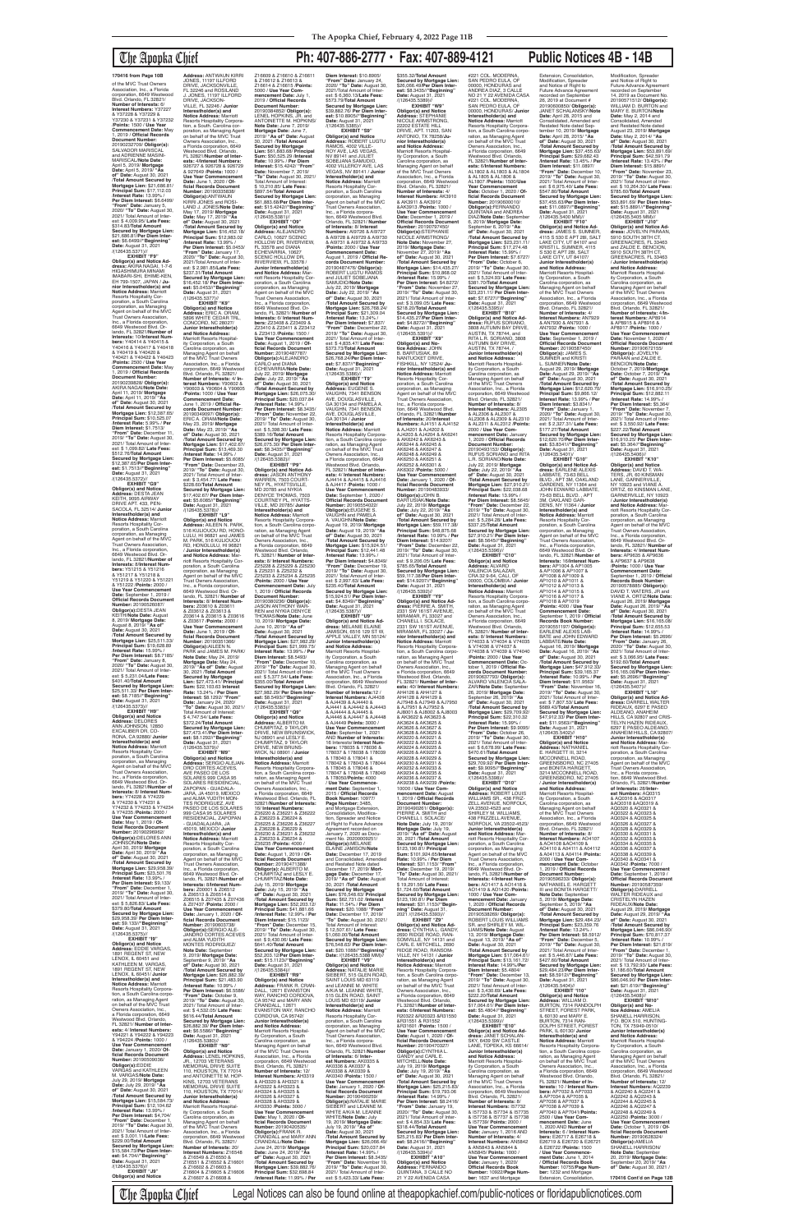of the MVC Trust Owners Association, Inc., a Florida corporation, 6649 Westwood Blvd. Orlando, FL 32821/ **Number of Interests:** 6/ **Interest Numbers:** Y37227<br>& Y37228 & Y37229 &<br>Y37230 & Y37231 & Y37232 /**Points:** 1500 / **Use Year Commencement Date:** May 1, 2019 / **Official Records Document Number:** 20190232709/ **Obligor(s):** SALVADOR MARISCAL and ADRIENNE MASINI-<br>MARISCAL/Note Date: MARISCAL/**Note Date:** April 5, 2019/ **Mortgage Date:** April 5, 2019/ **"As of" Date:** August 30, 2021 /**Total Amount Secured by Mortgage Lien:** \$21,686.81/ **Principal Sum:** \$17,112.03 /**Interest Rate:** 13.99% / **Per Diem Interest:** \$6.6499/ **"From" Date:** January 5, 2020/ **"To" Date:** August 30, 2021/ Total Amount of Interest: \$ 4,009.95/ **Late Fees:** \$314.83/**Total Amount Secured by Mortgage Lien:** \$21,686.81/**Per Diem Interest:** \$6.6499//**"Beginning" Date:** August 31, 2021 /(126435.5371)//<br>**EXHIBIT "F9"** 

## The Apopka Chief **Ph: 407-886-2777 • Fax: 407-889-4121 Public Notices 4B - 14B**

**EXHIBIT "F9" Obligor(s) and Notice Ad-dress:** AKIRA NAGAI, 1-7-6 HIGASHIMURA MINAMI IMABARI-SHI, EHIME-KEN, EH 799-1507, JAPAN / **Ju-nior Interestholder(s) and Notice Address:** Marriott Resorts Hospitality Cor-poration, a South Carolina corporation, as Managing Agent on behalf of the MVC Trust Owners Association, Inc., a Florida corporation 6649 Westwood Blvd. Or-lando, FL 32821/**Number of Interests:** 10/**Interest Numbers:** Y40414 & Y40415 & Y40416 & Y40417 & Y40418 & Y40419 & Y40420 & Y40421 & Y40422 & Y40423 /**Points:** 2500 / **Use Year Commencement Date:** May 1, 2019 / **Official Records Document Number:** 20190239828/ **Obligor(s):** AKIRA NAGAI/**Note Date:** April 11, 2019/ **Mortgage Date:** April 11, 2019/ **"As of" Date:** August 30, 2021 /**Total Amount Secured by Mortgage Lien:** \$12,387.65/ **Principal Sum:** \$10,525.07 /**Interest Rate:** 5.99% / **Per**  Die**m Interest:** \$1.7513/<br>"**From" Date:** December 11,<br>2019/ "**To" Dat**e: August 30,<br>2021/ Total Amount of Inter-<br>est: \$ 1,099.82/ **Late Fees:**<br>\$512.76/**Total Amount Secured by Mortgage Lien:** \$12,387.65/**Per Diem Inter-est:** \$1.7513//**"Beginning" Date:** August 31, 2021

**Address:** ANTWAUN KIRRI<br>JONES, 11197 ILLFORD DRIVE, JACKSONVILLE FL 32246 and ROSILAND J. JONES, 11197 ILLFORD DRIVE, JACKSON-VILLE, FL 32246 / **Junior Interestholder(s) and Notice Address:** Marriott<br>Resorts Hospitality Corpora-<br>tion, a South. Carolina corporation, as Managing Agent on behalf of the MVC Trust Owners Association, Inc. a Florida corporation, 6649 Westwood Blvd. Orlando, FL 32821/**Number of Interests:** 4/**Interest Numbers:** 926727 & 926728 & 926729 & 927649 /**Points:** 1000 / **Use Year Commencement Date:** June 1, 2020 / **Of-ficial Records Document Number:** 20190335838/ **Obligor(s):**ANTWAUN<br>KIRRI JONES and ROSI-LAND J. JONES/**Note Date:** May 17, 2019/ **Mortgage Date:** May 17, 2019/ **"As of" Date:** August 30, 2021 /**Total Amount Secured by Mortgage Lien:** \$16,452.18/ **Principal Sum:** \$12,983.02 /**Interest Rate:** 13.99% / **Per Diem Interest:** \$5.0453/ **"From" Date:** January 17, 2020/ **"To" Date:** August 30, 2021/Total Amount of Interest: \$ 2,981.85/**Late Fees:** \$237.31/**Total Amount Secured by Mortgage Lien:** \$16,452.18/ **Per Diem Interest:** \$5.0453//**"Beginning" Date:** August 31, 2021 /(126435.5377)// **EXHIBIT "K9" Obligor(s) and Notice Address:** ERIC A. ORAM, 5896 WHITE CEDAR TRL, CONCORD, NC 28027/ **Junior Interestholder(s)<br><b>and Notice Address:**<br>Marriott Resorts Hospitality Corporation, a South Carolina corporation, as Managing Agent on behalf of the MVC Trust Owners Association, Inc., a Florida corporation, 6649 Westwood Blvd. Orlando, FL 32821/ **Number of Interests:** 4/ **Interest Numbers:** Y90602 & Y90603 & Y90604 & Y90605 /**Points:** 1000 / **Use Year Commencement Date:** June 1, 2019 / **Official Records Document Number:** 20190349097/ **ObIigor(s):** ERIC A. ORAM/**Note Date:** May 23, 2019/ **Mortgage Date:** May 23, 2019/ **"As of" Date:** August 30, 2021 /**Total Amount Secured by Mortgage Lien:** \$17,402.67/ **Principal Sum:** \$13,469.30 /**Interest Rate:** 14.99% / **Per Diem Interest:** \$5.6085/ **"From" Date:** December 23, 2019/ **"To" Date:** August 30, 2021/ Total Amount of Interest: \$ 3,454.77/ **Late Fees:** \$228.60/**Total Amount Secured by Mortgage Lien:** \$17,402.67/ **Per Diem Interest:** \$5.6085//**"Beginning" Date:** August 31, 2021 **EXHIBIT "L9" Obligor(s) and Notice Address:** AILEEN N. PARK, 516 KULIOUOU RD, HONO-LULU, HI 96821 and JAMES M. PARK, 516 KULIOUOU RD, HONOLULU, HI 96821 / **Junior Interestholder(s) and Notice Address:** Marriott Resorts Hospitality Cor-poration, a South Carolina corporation, as Managing Agent on behalf of the MVC Trust Owners Association, Inc., a Florida corporation, 6649 Westwood Blvd. Or-lando, FL 32821/ **Number of Interests:** 8/ **Interest Numbers:** Z03610 & Z03611 & Z03612 & Z03613 & Z03614 & Z03615 & Z03616 & Z03617 /**Points:** 2000 / **Use Year Commencement Date:** June 1, 2019 / **Of-ficial Records Document Number:** 20190351366/ **Obligor(s):**AILEEN N.

/(126435.5372)// **EXHIBIT "G9" Obligor(s) and Notice<br><b>Address:** DESTA JEAN<br>KEITH, 9095 AIRWAY<br>DRIVE APT. 433, PEN-SACOLA, FL 32514/ **Junior Interestholder(s) and Notice Address:** Marriott Resorts Hospitality Cor-poration, a South Carolina corporation, as Managing Agent on behalf of the MVC Trust Owners Association, Inc., a Florida corporation, 6649 Westwood Blvd. Or-lando, FL 32821/**Number of Interests:** 8/**Interest Numbers:** Y51215 & Y51216 & Y51217 & Y51218 & Y51219 & Y51220 & Y51221 & Y51222 /**Points:** 2000 / **Use Year Commencement Date:** September 1, 2019 / **Official Records Document Number:** 20190526087/ **Obligor(s):**DESTA JEAN KEITH/**Note Date:** August 8, 2019/ **Mortgage Date:** August 8, 2019/ **"As of" Date:** August 30, 2021 /**Total Amount Secured by Mortgage Lien:** \$25,511.33/ **Principal Sum:** \$19,628.89 /**Interest Rate:** 15.99% / **Per Diem Interest:** \$8.7185/ **"From" Date:** January 8, 2020/ **"To" Date:** August 30, 2021/ Total Amount of Interest: \$ 5,231.04/**Late Fees:** \$401.40/**TotaI Amount Secured by Mortgage Lien:** \$25,511.33/ **Per Diem Inter-est:** \$8.7185//**"Beginning" Date:** August 31, 2021 /(126435.5373)// **EXHIBIT "H9" Obligor(s) and Notice Address:** DELORES<br>ANN JOHNSON, 12850 EXCALIBER DR, CO-RONA, CA 92880/ **Junior Interestholder(s) and Notice Address:** Marriott Resorts Hospitality Cor-poration, a South Carolina corporation, as Managing Agent on behalf of the MVC Trust Owners Association, Inc., a Florida corporation, 6649 Westwood Blvd. Or-lando, FL 32821/**Number of Interests:** 8/ **Interest Numbers:** Y74228 & Y74229 & Y74230 & Y74231 & Y74232 & Y74233 & Y74234 & Y74235 /**Points:** 2000 / **Use Year Commencement Date:** May 1, 2019 / **Official Records Document Number:** 20190296962/ **Obligor(s):**DELORES ANN JOHNSON/**Note Date:** April 30, 2019/ **Mortgage Date:** April 30, 2019/ **"As of" Date:** August 30, 2021 /**Total Amount Secured by Mortgage Lien: \$29,958 Principal Sum:** \$23,501.76 /**Interest Rate:** 13.99% / **Per Diem Interest:** \$9,133/ **"From" Date:** December 1, 2019/ **"To" Date:** August 30, 2019, **C. Battler**<br>2021/ Total Amount of est: \$ 5,826.83/ **Late Fees:** \$379.80/**Total Amount Secured by Mortgage Lien:** \$29,958.39/ **Per Diem Inter-est:** \$9.133//**"Beginning" Date:** August 31, 2021 /(126435.5375)// **EXHIBIT "I9" Obligor(s) and Notice Address:** EDDIE VARGAS, 1891 REGENT ST, NEW LENOX, IL 60451 KATHLEEN M. VARGAS 1891 REGENT ST, NEW LENOX, IL 60451/ **Junior Interestholder(s) and<br><b>Notice Address:** Marriott<br>Resorts Hospitality Corporation, a South Carolina corporation, as Managing Agent on behalf of the MVC Trust Owners Association, Inc., a Florida corporation, 6649 Westwood Blvd. Orlando, FL 32821/ **Number of Interests:** 4/ **Interest Numbers:** Y94221 & Y94222 & Y94223 & Y94224 /**Points:** 1000 / **Use Year Commencement Date:** January 1, 2020/ **Official Records Document Number:** 20190509036/ **Obligor(s):**EDDIE VARGAS and KATHLEEN M. VARGAS/**Note Date:** July 29, 2019/ **Mortgage Date:** July 29, 2019/ **"As of" Date:** August 30, 2021 /**Total Amount Secured by Mortgage Lien:** \$15,584.73/ **Principal Sum:** \$12,104.62 /**Interest Rate:** 13.99% / **Per Diem Interest:** \$4,704/ **"From" Date:** December 1, 2019/ **"To" Date:** August 30, 2021/ Total Amount of Inter-est: \$ 3,001.11/**Late Fees:** \$229.00/**Total Amount Secured by Mortgage Lien:** \$15,584.73/**Per Diem Interest:** \$4.704//**"Beginning" Date:** August 31, 2021<br>/(126435.5376)// **EXHIBIT "J9" Obligor(s) and Notice**  /(126435.5378)// PARK and JAMES M. PARK/ **Note Date:** May 24, 2019/ **Mortgage Date:** May 24, 2019/ **"As of" Date:** August 30, 2021 /**Total Amount Secured by Mortgage Lien:** \$27,473.41/ **Principal Sum:** \$22,103.63 **Interest Rate:** 13.24% / **Per Diem Interest:** \$8.1292/ **"From" Date:** January 24, 2020/ **"To" Date:** August 30, 2021/ Total Amount of Interest: \$ 4,747.54/ **Late Fees:** \$372.24/**Total Amount Secured by Mortgage Lien:** \$27,473.41/**Per Diem Interest:** \$8.1292//**"Beginning" Date:** August 31, 2021<br>/(126435.5379)// **EXHIBIT "M9" Obligor(s) and Notice Address:** SERGIO ALEJAN-DRO CORTES ACEVES, AVE PASEO DE LOS SOLARES 999 CASA 95<br>SOLARES RESIDENCIAL,<br>ZAPOPAN - GUADALA-<br>JARA, JA 45019, MEXICO<br>and ALMA YUDITH MON-TES RODRIGUEZ, AVE PASEO DE LOS SOLARES 999 CASA 95 SOLARES<br>RESIDENCIAL, ZAPOPAN<br>- GUADALAJARA, JA 45019, MEXICO/ **Junior Interestholder(s) and Notice Address:** Marriott Resorts Hospitality Cor-poration, a South Carolina corporation, as Managing Agent on behalf of the MVC Trust Owners Association, Inc., a Florida corporation<br>6649 Westwood Blvd. Or 6649 Westwood Blvd. Or-lando, FL 32821/**Number of Interests:** 8/**Interest Numbers:** Z00001 & Z06512 & Z06513 & Z06514 & Z06515 & Z07435 & Z07436<br>& Z07437 / Points: 2000 / & Z07437 /**Points:** 2000 / **Use Year Commencement Date:** January 1, 2020 / **Of-**Date: January 1, 2020 / Of<br>ficial Records Document **Number:** 20190603738/ **Obligor(s):**SERGIO ALE-JANDRO CORTES ACEVES and ALMA YUDITH MONTES RODRIGUEZ/ **Note Date:** September 9, 2019/ **Mortgage Date:** September 9, 2019/ **"As of" Date:** August 30, 2021 /**Total Amount Secured by Mortgage Lien:** \$26,882.39/ **Principal Sum:** \$21,483.90 /**Interest Rate:** 10.99% / **Per Diem Interest:** \$6.5586/ **"From" Date:** October 9, 2019/ **"To" Date:** August 30, 2021/ Total Amount of Inter-est: \$ 4,532.05/ **Late Fees:** \$616.44/**Total Amount Secured by Mortgage Lien:** \$26,882.39/ **Per Diem Interest:** \$6.5586//**"Beginning" Date:** August 31, 2021 /(126435.5380)// **EXHIBIT "N9" Obligor(s) and Notice Address:** LENEL HOPKINS, JR., 12703 VETERANS<br>MEMORIAL DRIVE SUITE<br>110, HOUSTON, TX 77014 and ANTOINETTE M. HOP-KINS, 12703 VETERANS MEMORIAL DRIVE SUITE 110, HOUSTON, TX 77014/ **Junior Interestholder(s) and Notice Address:** Marriott Resorts Hospitality Corporation, a South Carolina corporation, as Managing Agent on behalf of the MVC Trust Owners Association, Inc., a Florida corporation, 6649 Westwood Blvd. Orlando, FL 32821/ **Number of Interests:** 20/ **Interest Numbers:** Z16548 & Z16549 & Z16550 & Z16551 & Z16552 & Z16601 & Z16602 & Z16603 & Z16604 & Z16605 & Z16606 & Z16607 & Z16608 &

**Interestholder(s) and<br><b>Notice Address:** Marriott<br>Resorts Hospitality Corpora-<br>tion, a South Carolina corporation, as Managing Agent<br>on behalf of the MVC Trust Owners Association, Inc.,<br>a Florida corporation, 6649<br>Westwood Blvd. Orlando,<br>FL 32821/ **Number of Interests:** 8/ **Interest Numbers:** Z25228 & Z25229 & Z25230 & Z25231 & Z25232 & Z25233 & Z25234 & Z25235 /**Points:** 2000 / **Use Year Commencement Date:** July 1, 2019 / **Official Records Document Number:** 20190380236/ **Obligor(s):** JASON ANTHONY WAR-REN and NYKIA DENYCE THOMAS/**Note Date:** June 10, 2019/ **Mortgage Date:** June 10, 2019/ **"As of" Date:** August 30, 2021 /**Total Amount Secured by Mortgage Lien:** \$27,982.29/ **Principal Sum:** \$21,999.75/ **Interest Rate:** 13.99% / **Per Diem Interest:** \$8.5493/ **"From" Date:** December 10, 2019/ **"To" Date:** August 30, 2021/ Total Amount of Inter-est: \$ 5,377.54/ **Late Fees:** \$355.00/**Total Amount Secured by Mortgage Lien:** \$27,982.29/ **Per Diem Interest:** \$8.5493//**"Beginning" Date:** August 31, 2021 /(126435.5383)// **EXHIBIT "Q9" Obligor(s) and Notice Address:** ALBERTO M. CHUMPITAZ, 9 TAYLOR<br>DRIVE, NEW BRUNSWICK, NJ 08901 and LESLY E. CHUMPITAZ, 9 TAYLOR DRIVE, NEW BRUNS-WICK, NJ 08901 / **Junio Interestholder(s) and Notice Address:** Marriott Resorts Hospitality Corporation, a South Carolina corporation, as Managing Agent on behalf of the MVC Trust Owners Association, Inc., a Florida corporation, 6649 Westwood Blvd. Orlando, FL 32821/**Number of Interests:** 16/ **Interest Numbers:** Z36220 & Z36221 & Z36222 & Z36223 & Z36224 & Z36225 & Z36226 & Z36227 & Z36228 & Z36229 & Z36230 & Z36231 & Z36232 & Z36233 & Z36234 & Z36235 /**Points:** 4000 / **Use Year Commencement Date:** August 1, 2019 / **Official Records Document Number:** 20190471388/ **Obligor(s):** ALBERTO M. CHUMPITAZ and LESLY E. CHUMPITAZ/**Note Date:** July 15, 2019/ **Mortgage Date:** July 15, 2019/ **"As of" Date:** August 30, 2021 /**Total Amount Secured by Mortgage Lien:** \$52,203.12/ **Principal Sum:** \$41,881.66 /**Interest Rate:** 12.99% / **Per Diem Interest:** \$15.1123/ **"From" Date:** December 15, 2019/ **"To" Date:** August 30, 2021/ Total Amount of Interest: \$ 9,430.06/ **Late Fees:** \$641.40/**Total Amount Secured by Mortgage Lien:** \$52,203.12/**Per Diem Inter-est:** \$15.1123//**"Beginning" Date:** August 31, 2021 /(126435.5384)// **EXHIBIT "R9" Obligor(s) and Notice Address:** FRANK R. CRAN-DALL, 12671 EVANSTON WAY, RANCHO CORDOVA CA 95742 and MARY ANN CRANDALL, 12671 EVANSTON WAY, RANCHO CORDOVA, CA 95742/ **Junior Interestholder(s) and Notice Address:** Marriott Resorts Hospital-ity Corporation, a South Carolina corporation, as Managing Agent on behalf of the MVC Trust Owners Association, Inc., a Florida corporation, 6649 Westwood Blvd. Orlando, FL 32821/ **Number of Interests:** 12/ **Interest Numbers:** AH3319 & AH3320 & AH3321 & AH3322 & AH3323 & AH3324 & AH3325 & AH3326 & AH3327 & AH3328 & AH3329 & AH3330 /**Points:** 3000 / **Use Year Commence Date:** May 1, 2020 / **Of-ficial Records Document Number:** 20190420535/ **Obligor(s):**FRANK R. CRANDALL and MARY ANN CRANDALL/**Note Date:** June 24, 2019/ **Mortgage Date:** June 24, 2019/ **"As of" Date:** August 30, 2021 /**Total Amount Secured by Mortgage Lien:** \$39,882.76/ **Principal Sum:** \$32,698.84 /**Interest Rate:** 11.99% / **Per**  \$235.40/**TotaI Amount** 

Z16609 & Z16610 & Z16611 & Z16612 & Z16613 &<br>Z16614 & Z16615 / Points: Z16614 & Z16615 /**Points:** 5000 / **Use Year Com-mencement Date:** July 1, 2019 / **Official Records Document Number:** 20190384852/ **Obligor(s):** LENEL HOPKINS, JR. and ANTOINETTE M. HOPKINS/ **Note Date:** June 7, 2019/ **Mortgage Date:** June 7, 2019/ **"As of" Date:** August 30, 2021 /**Total Amount Secured by Mortgage Lien:** \$61,883.68/ **Principal Sum:** \$50,525.29 /**Interest Rate:** 10.99% / **Per Diem Interest:** \$15.4242/ **"From" Date:** November 7, 2019/ **"To" Date:** August 30, 2021/ Total Amount of Interest: \$ 10,210.85/ **Late Fees:** \$897.54/**Total Amount Secured by Mortgage Lien:** \$61,883.68/**Per Diem Interest:** \$15.4242//"**Beginning"**<br>**Date:** August 31, 2021<br>/(126435.5381)// **EXHIBIT "O9" Obligor(s) and Notice Address:** ALEJANDRO CARLO, 10627 SCENIC<br>HOLLOW DR, RIVERVIEW,<br>FL 33578 and DIANA<br>ECHEVARRIA, 10627 SCENIC HOLLOW DR, RIVERVIEW, FL 33578 / **Junior Interestholder(s)**<br>**and Notice Address:** Mar-<br>riott Resorts Hospitality Corporation, a South Carolina corporation, as Managing Agent on behalf of the MVC Trust Owners Association,<br>Inc., a Florida corporation,<br>6649 Westwood Blvd. Or-<br>lando, FL 32821/ **Number of Interests:** 6/ **Interest Num-bers:** Z23408 & Z23409 & Z23410 & Z23411 & Z23412 & Z23413 /**Points:** 1500 / **Use Year Commencement Date:** August 1, 2019 / **Official Records Document Number:** 20190487787/ **Obligor(s):**ALEJANDRO<br>CARLO and DIANA<br>ECHEVARRIA/**Note Date:** July 22, 2019/ **Mortgage Date:** July 22, 2019/ **"As of" Date:** August 30, 2021 /**Total Amount Secured by Mortgage Lien:** \$26,075.30/ **Principal Sum:** \$20,037.84 /**Interest Rate:** 14.99% / **Per Diem Interest:** \$8.3435/ **"From" Date:** November 22, 2019/ **"To" Date:** August 30, 2021/ Total Amount of Inter-est: \$ 5,398.30/ **Late Fees:** \$389.16/**Total Amount Secured by Mortgage Lien:** \$26,075.30/ **Per Diem Interest:** \$8.3435//"**Beginning"**<br>**Date:** August 31, 2021<br>/(126435.5382)// **EXHIBIT "P9" Obligor(s) and Notice Ad-dress:** JASON ANTHONY WARREN, 7503 COURT-NEY PL, HYATTSVILLE, MD 20785 and NYKIA DENYCE THOMAS, 7503 COURTNEY PL, HYATTS-VILLE, MD 20785/ **Junior** 

00000, HONDURAS and ANDREA DIAZ, 3 CALLE NO 21 Y 22 AVENIDA CASA 00000, HONDURAS/ **Junic Interestholder(s) and<br><b>Notice Address:** Marriott<br>Resorts Hospitality Corpora-<br>tion, a South Carolina corporation, as Managing Agent<br>on behalf of the MVC Trust Owners Association, Inc.,<br>a Florida corporation, 6649<br>Westwood Blvd. Orlando,<br>FL 32821/**Number of Interests:** 6/**Interest Numbers:** AL1802 & AL1803 & AL1804<br>& AL1805 & AL1806 & & AL1805 & AL1806 & AL1807 /**Points:** 1500/**Use Year Commencement Date:** October 1, 2020 / **Of-Number:** 20190600010/<br>**Obligor(s):**FERNANDO<br>QUINTANA and ANDREA<br>DIAZ/**Note Date:** September 6, 2019/ **Mortgage Date:** September 6, 2019/ **"As of" Date:** August 30, 2021 /**Total Amount Secured by Mortgage Lien:** \$23,231.11/ **Principal Sum:** \$17,274.48 /**Interest Rate:** 15.99% / **Per Diem Interest:** \$7.6727/ **"From" Date:** October 6, 2019/ **"To" Date:** August 30, 2021/ Total Amount of Inter-est: \$ 5,324.93/ **Late Fees: Secured by Mortgage Lien:** \$23,231.11/ **Per Diem Interest:** \$7.6727//"**Beginning"**<br>**Date:** August 31, 2021<br>/(126435.5395)// **EXHIBIT "B10" Obligor(s) and Notice Ad-dress:** RUFUS SORIANO, 3808 AUTUMN BAY DRIVE, AUSTIN, TX 78744, and RITA L.R. SORIANO, 3808 Managing Agent on behalf of the MVC Trust Owners Association, Inc., a Florida corporation, 6649 Westwood Blvd. Orlando, FL 32821/ **Interest Numbers:** AL2305 & AL2306 & AL2307 & AL2308 & AL2309 & AL2310 & AL2311 & AL2312 /**Points:** 2000 / **Use Year Commencement Date:** January 1, 2020 / **Official Records**  20190493153/ **ObIigor(s):** RUFUS SORIANO and RITA L.R. SORIANO/**Note Date:** /**Total Amount Secured by Mortgage Lien:** \$27,910.21/ **Principal Sum:** \$22,038.68 **Per Diem Interest:** \$8.5645/ **"From" Date:** December 22, 2019/ **"To" Date:** August 30, 2021/ Total Amount of Inter-est: \$ 5,284.28/ **Late Fees:** Extension, Consolidation, Modification, Spreader and Notice of Right to Future Advance Agreement recorded on September 26, 2019 at Document # 20190600850/ **Obligor(s):** JANET SCHALANSKY/**Note Date:** April 28, 2015 and<br>Consolidated, Amended and<br>Restated Note dated September 10, 2019/ **Mortgage Date:** April 28, 2015/ **"As of" Date:** August 30, 2021 /**Total Amount Secured by Mortgage Lien:** \$37,455.63/ **Principal Sum:** \$29,682.43 /**Interest Rate:** 13.45% / **Per Diem Interest:** \$11.0897/ **"From" Date:** December 10, 2019/ **"To" Date:** August 30, 2021/ Total Amount of Inter-est: \$ 6,975.40/ **Late Fees:** \$547.80/**Total Amount Secured by Mortgage Lien:** \$37,455.63/**Per Diem Interest:** \$11.0897//"**Beginning"**<br>**Date:** August 31, 2021<br>/(126435.5400 MM)//

tion, a South Carolina corpo-<br>ration, as Managing Agent ration, as Managing Agent<br>on behalf of the MVC Trust<br>Owners Association, Inc.,<br>a Florida corporation, 6649 Westwood Blvd. Orlando, FL 32821/ **Number of Interests:** 40/ **Interest Numbers:** AH4126 & AH4127 & AH4128 & AH4129 & AJ7948 & AJ7949 & AJ7950 & AJ7951 & AJ7952 & AJ8001 & AJ8002 & AJ8003 & AK3622 & AK3623 & AK3624 & AK3625 & AK3626 & AK3627 & AK3628 & AK3629 & AK9222 & AK9223 & AK9224 & AK9225 & AK9228 & AK9229 & AK9230 & AK9231 & AK9238 & AK9239 /**Points:** 10000 / **Use Year Com-mencement Date:** August 1, 2019 / **Official Records Document Number:** 20190490261/ **ObIigor(s):** PIERRE A. SMITH and CHANELL I. SOLACE/ **Note Date:** July 19, 2019/ **Mortgage Date:** July 19, 2019/ **"As of" Date:** August 30, 2021 /**Total Amount Secured by Mortgage Lien:** \$123,190.81/ **Principal Sum:** \$101,924.65/**Interest Rate:** 10.99% / **Per Diem Interest:** \$31.1153/ **"From" Date:** December 19, 2019/ **"To" Date:** August 30, 2021/ Total Amount of Interest: \$ 19,291.56/ **Late Fees:** \$1,724.60/**Total Amount Secured by Mortgage Lien:** \$123,190.81/ **Per Diem Interest:** \$31.1153//**"Beginning" Date:** August 31, 2021 /(126435.5393)// **EXHIBIT "Z9" Obligor(s) and Notice Ad-dress:** CYNTHIA L. GANDY, 2690 RIDGE ROAD, RAN-SOMVILLE, NY 14131 and CARL E. MITCHELL, 2690 RIDGE ROAD, RANSOM-VILLE, NY 14131 / **Junior Interestholder(s) and Notice Address:** Marriott Resorts Hospitality Corpora-tion, a South Carolina corporation, as Managing Agent on behalf of the MVC Trust Owners Association, Inc., a Florida corporation, 6649 Westwood Blvd. Orlando, FL 32821/**Number of Interests:** 6/**Interest Numbers:** R20322 &R20323 &R31550 &R31601 /**Points:** 1500 / **Use Year Commencement Date:** August 1, 2020 / **Official Records Document Number:** 20190470327/ **Obligor(s):**CYNTHIA L. GANDY and CARL E. MITCHELL/**Note Date:** July 19, 2019/ **Mortgage Date:** July 19, 2019/ **"As of" Date:** August 30, 2021 /**Total Amount Secured by Mortgage Lien:** \$25,215.83/ **Principal Sum:** \$19,793.06 /**Interest Rate:** 14.99% / **Per Diem Interest:** \$8.2416/ **"From" Date:** January 19, 2020/ **"To" Date:** August 30, 2021/ Total Amount of Inter-est: \$ 4,854.33/ **Late Fees:** \$318.44/**Total Amount Secured by Mortgage Lien:** \$25,215.83/ **Per Diem Interest:** \$8.2416//**"Beginning" Date:** August 31, 2021 /(126435.5394)// **EXHIBIT "A10" Obligor(s) and Notice Address:** FERNANDO<br>QUINTANA, 3 CALLE NO 21 Y 22 AVENIDA CASA **Interestholder(s) and Notice Address:** Marriott Resorts Hospitality Corporation, a South Carolina corpo ration, as Managing Agent<br>on behalf of the MVC Trust Owners Association, Inc., a Florida corporation, 6649 Westwood Blvd. Orlando, FL 32821/ **Number of Interests:** 8/ **Interest Numbers:** V74033 & V74034 & V74035 & V74036 & V74037 & V74038 & V74039 & V74040 /**Points:** 2000 / **Use Year Commencement Date:** Oc-tober 1, 2019 / **Official Re-cords Document Number:** 20190637793/ **ObIigor(s):** ALVARO VALENCIA SALA-ZAR/**Note Date:** September 26, 2019/ **Mortgage Date:** September 26, 2019/ **"As of" Date:** August 30, 2021 /**Total Amount Secured by Mortgage Lien:** \$29,709.92/ **Principal Sum:** \$22,310.32 /**Interest Rate:** 15.99% / **Per Diem Interest:** \$9.9095/ **"From" Date:** October 26, 2019/ **"To" Date:** August 30, 2021/ Total Amount of Inter-est: \$ 6,678.99/ **Late Fees:** \$470.61/**Total Amount Secured by Mortgage Lien:** \$29,709.92/ **Per Diem Interest:** \$9.9095//**"Beginning" Date:** August 31, 2021<br>/(126435.5398)// **EXHIBIT "D10" Obligor(s) and Notice Address:** ROBERT LOUIS WILLIAMS SR., 438 FRIZ-ZELL AVENUE, NORFOLK, VA 23502-4523 and SHIRLEY M. WILLIAMS 438 FRIZZELL AVENUE, NORFOLK, VA 23502-4523/ **Junior Interestholder(s) and Notice Address:** Marriott Resorts Hospitality Corporation, a South Carolina corporation, as Managing Agent on behalf of the MVC Trust Owners Association, Inc., a Florida corporation, 6649 Westwood Blvd. Orlando, FL 32821/**Number of Interests:** 4/**Interest Num-bers:** AO1417 & AO1418 & AO1419 & AO1420 /**Points:** 1000 / **Use Year Commencement Date:** January 1, 2020 / **Official Records Document Number:** 20190538269/ **Obligor(s):** ROBERT LOUIS WILLIAMS SR. and SHIRLEY M. WIL-LIAMS/**Note Date:** August 13, 2019/ **Mortgage Date:** August 13, 2019/ **"As of" Date:** August 30, 2021 /**Total Amount Secured by Mortgage Lien:** \$17,064.61/ **Principal Sum:** \$13,161.72/ **Interest Rate:** 14.99%/**Per Diem Interest:** \$5.4804/ **"From" Date:** December 13, 2019/ **"To" Date:** August 30, 2021/ Total Amount of Interest: \$ 3,430.69/ **Late Fees:** \$222.20/**Total Amount Secured by Mortgage Lien:** \$17,064.61/ **Per Diem Interest:** \$5.4804//**"Beginning" Date:** August 31, 2021<br>/(126435.5399)// **EXHIBIT "E10" Obligor(s) and Notice Ad-dress:** JANET SCHALAN-SKY, 6439 SW CASTLE LANE, TOPEKA, KS 66614/ **Junior Interestholder(s) and Notice Address:** Marriott Resorts Hospital-ity Corporation, a South Carolina corporation, as Managing Agent on behalf of the MVC Trust Owners Association, Inc., a Florida corporation, 6649 Westwood Blvd. Orlando, FL 32821/ **Number of Interests:** 8/ **Interest Numbers:** I57732 & I57733 & I57734 & I57735 & I57736 & I57737 & I57738 & I57739/ **Points:** 2000 / **Use Year Commencement Date:** January 1, 2016 AND **Number of Interests:** 4/ **Interest Numbers:** AN5842 & AN5843 & AN5844 & AN5845/ **Points:** 1000 / **Use Year Commencement Date:** January 1, 2020/ **Official Records Book Number:** 10922/**Page Num-ber:** 1637 and Mortgage

**Diem Interest:** \$10.8905/ **"From" Date:** January 24, 2020/ **"To" Date:** August 30, 2021/Total Amount of Inter-est: \$ 6,360.13/**Late Fees:** \$573.79/**Total Amount Secured by Mortgage Lien:** \$39,882.76/ **Per Diem Interest:** \$10.8905//"**Beginning"**<br>**Date:** August 31, 2021<br>/(126435.5385)// **EXHIBIT "S9" Obligor(s) and Notice Address:** ROBERT LUGTU RAMOS, 4002 VILLE-ROY AVE, LAS VEGAS, NV 89141 and JULIET SOBEJANA SAMUDIO, 4002 VILLEROY AVE, LAS VEGAS, NV 89141 / **Junior Interestholder(s) and<br><b>Notice Address:** Marriott<br>Resorts Hospitality Corporation, a South Carolina corporation, as Managing Agent on behalf of the MVC Trust Owners Association,<br>Inc., a Florida corpora-<br>tion, 6649 Westwood Blvd.<br>Orlando, FL 32821/ **Number of Interests:** 8/ **Interest Numbers:** AI9726 & AI9727 & AI9728 & AI9729 & AI9730 & AI9731 & AI9732 & AI9733 /**Points:** 2000 / **Use Year Commencement Date:** August 1, 2019 / **Official Re-cords Document Number:** 20190487476/ **Obligor(s):** ROBERT LUGTU RAMOS and JULIET SOBEJANA SAMUDIO/**Note Date:** July 22, 2019/ **Mortgage Date:** July 22, 2019/ **"As of" Date:** August 30, 2021<br>/**Total Amount Secured by<br><b>Mortgage Lien:** \$26,768.24/<br>**Principal Sum:** \$21,309.04 /**Interest Rate:** 13.24% / **Per Diem Interest:** \$7,837/ **"From" Date:** December 22, 2019/ **"To" Date:** August 30, 2021/ Total Amount of Inter-est: \$ 4,835.47/ **Late Fees:** \$373.73/**Total Amount Secured by Mortgage Lien:** \$26,768.24/**Per Diem Inter-est:** \$7.837//**"Beginning" Date:** August 31, 2021 /(126435.5386)// **EXHIBIT "T9" Obligor(s) and Notice Address:** EUGENE S. VAUGHN, 7341 BENSON AVE, DOUGLASVILLE, GA 30134 and PAMELA A VAUGHN, 7341 BENSON AVE, DOUGLASVILLE GA 30134 / **Junior Interestholder(s) and Notice Address:** Marriott Resorts Hospitality Corporation, a South Carolina corpo-ration, as Managing Agent on behalf of the MVC Trust Owners Association, Inc., a Florida corporation, 6649 Westwood Blvd. Orlando, FL 32821/ **Number of Inter-ests:** 4/ **Interest Numbers:** AJ4414 & AJ4415 & AJ4416 & AJ4417 /**Points:** 1000 / **Use Year Commencement Date:** September 1, 2020 / **Official Records Documen Number:** 20190554022/ **Obligor(s):**EUGENE S. VAUGHN and PAMELA A. VAUGHN/**Note Date:** August 19, 2019/ **Mortgage Date:** August 19, 2019/ **"As of" Date:** August 30, 2021 /**Total Amount Secured by Mortgage Lien:** \$15,924.51/ **Principal Sum:** \$12,441.48 /**Interest Rate:** 13.99% / **Per Diem Interest:** \$4.8349/ **"From" Date:** December 19, 2019/ **"To" Date:** August 30, 2021/ Total Amount of Inter-est: \$ 2,997.63/ **Late Fees:**

**Secured by Mortgage Lien:** \$15,924.51/ **Per Diem Interest:** \$4.8349//"**Beginning"**<br>**Date:** August 31, 2021<br>/(126435.5387)// **EXHIBIT "U9" Obligor(s) and Notice Ad-dress:** MELANIE ELAINE JAMISON, 6516 129 ST W,<br>APPLE VALLEY, MN 55124/<br>**Junior Interestholder(s) and Notice Address:** Marriott Resorts Hospitality Corporation, a South Carolina corporation, as Managing Agent on behalf of the MVC Trust Owners Association, Inc., a Florida corporation, 6649 Westwood Blvd. Orlando, FL 32821/ **Number of Interests:**12 / & AJ4449 **Points:** 3000 / & 178045 & 178046 & & 178050/**Points:** 4000 / **Use Year Commence-ment Date:** September 1, 2015 / **Official Records Book Number:** 10977/ **Page Number:** 3485,<br>and Mortgage Extension,<br>Consolidation, Modifica-Agreement recorded on January 7, 2020 as Docu-ment No. 20200009251/ and Restated Note dated December 17, 2019/ **Mort-Rate:** 11.54% / **Per Diem**  Total Amount of Interest: \$ 12,507.61/ **Late Fees:** \$1,060.00/**Total Amount**  and LEANNE M. WHITE A/K/A M. LEANNE WHITE, 515 GLEN ROAD, SAINT LOUIS MD 63119/ **Junior Interestholder(s) and Notice Address:** Marriott Resorts Hospitality Cor-poration, a South Carolina **of Interests:** 6/ **Inter-est Numbers:** AK0335 & AK0336 & AK0337 & AK0338 & AK0339 & AK0340 /**Points:** 1500 / WHITE/**Note Date:** July 19, 2019/ **Mortgage Date:** July 19, 2019/ **"As of" Date:** August 30, 2021 est: \$ 5,423.33/ **Late Fees:**

**Interest Numbers:** AJ4438 & AJ4439 & AJ4440 & AJ4441 & AJ4442 & AJ4443 & AJ4444 & AJ4445 & AJ4446 & AJ4447 & AJ4448 **Use Year Commencement Date:** September 1, 2021 AND **Number of Interests:** 16 Interests/ **Interest Num-bers:** 178035 & 178036 & 178037 & 178038 & 178039 & 178040 & 178041 & 178042 & 178043 & 178044 178047 & 178048 & 178049 tion, Spreader and Notice of Right to Future Advance **Obligor(s):**MELANIE<br>ELAINE JAMISON/**Note<br><b>Date:** December 17, 2019<br>and Consolidated, Amended **gage Date:** December 17,<br>2019/ "**As of" Date:** August<br>30, 2021 /**Total Amount Secured by Mortgage Lien:** \$76,548.63/ **Principal Sum:** \$62,731.02 /**Interest Interest:** \$20.1088/ **"From" Date:** December 17, 2019/ **"To" Date:** August 30, 2021/ **Secured by Mortgage Lien:** \$76,548.63/ **Per Diem Interest:** \$20.1088//**"Beginning" Date:** /(126435.5388 MM)// **EXHIBIT "V9" Obligor(s) and Notice<br><b>Address:** NATALIE MARIE<br>SIEBERT, 515 GLEN ROAD,<br>SAINT LOUIS MD 63119 corporation, as Managing Agent on behalf of the MVC Trust Owners Association, Inc., a Florida corporation, 6649 Westwood Blvd. Orlando, FL 32821/**Number Use Year Commencement Date:** January 1, 2020 / **Of-ficial Records Document Number:** 20190490259/ **ObIigor(s):**NATALIE MARIE SIEBERT and LEANNE M. WHITE A/K/A M. LEANNE /**Total Amount Secured by Mortgage Lien:** \$26,066.49/ **Principal Sum:** \$20,037.84 /**Interest Rate:** 14.99% / **Per Diem Interest:** \$8.3435/ **"From" Date:** November 19, 2019/ **"To" Date:** August 30, 2021/ Total Amount of Inter-AK9220 & AK9221 & AK9226 & AK9227 & AK9232 & AK9233 & AK9234 & AK9235 & AK9236 & AK9237 & &R31551 & R31552

\$355.32/**Total Amount Secured by Mortgage Lien:** \$26,066.49/**Per Diem Inter-est:** \$8.3435//**"Beginning" Date:** August 31, 2021 /(126435.5389)// **EXHIBIT "W9" Obligor(s) and Notice Address:** STEPHANIE NICOLE ARMSTRONG, 22202 ESTATE HILL DRIVE, APT. 11203, SAN ANTONIO, TX 78258/**Junior Interestholder(s) and Notice Address:**<br>Marriott Resorts Hospital-<br>ity Corporation, a South Carolina corporation, as Managing Agent on behalf of the MVC Trust Owners Association, Inc., a Florida corporation, 6649 Westwood Blvd. Orlando, FL 32821/ **Number of Interests:** 4/ **Interest Numbers:** AK3910 & AK3911 & AK3912 &AK3913 /**Points:** 1000 / **Use Year Commencement Date:** December 1, 2019 / **Official Records Docume Number:** 20190797450/ **Obligor(s):**STEPHANIE NICOLE ARMSTRONG/ **Note Date:** November 27, 2019/ **Mortgage Date:** November 27, 2019/ **"As of" Date:** August 30, 2021 /**Total Amount Secured by Mortgage Lien:** \$14,435.27/ **Principal Sum:** \$10,868.02 /**Interest Rate:** 15.99% / **Per Diem Interest:** \$4.8272/ **"From" Date:** November 27, 2019/ **"To" Date:** August 30, 2021/ Total Amount of Inter-est: \$ 3,099.05/ **Late Fees:** \$218.20/**Total Amount Secured by Mortgage Lien:** \$14,435.27/**Per Diem Inter-est:** \$4.8272//**"Beginning" Date:** August 31, 2021<br>/(126435.5391)// **EXHIBIT "X9" Obligor(s) and Notice Address:** JOHN B. BARTUSIAK, 89 NANTUCKET DRIVE,<br>FISHKILL, NY 12524/ **Ju-**<br>**nior Interestholder(s) and<br><b>Notice Address:** Marriott Resorts Hospitality Cor-poration, a South Carolina corporation, as Managing Agent on behalf of the MVC Trust Owners Association, Inc., a Florida corporation, 6649 Westwood Blvd. Orlando, FL 32821/**Number of Interests:** 20/**Interest Numbers:** AJ4151 & AJ4152<br>& AJ4201 & AJ4202 &<br>AJ4203 & AJ4204 & AK6241 & AK6242 & AK6243 & AK6244 & AK6245 & AK6246 & AK6247 & AK6248 & AK6249 & AK6250 & AK6251 & AK6252 & AK6301 & AK6302 /**Points:** 5000 / **Use Year Commencement Date:** January 1, 2020 / **Of-ficial Records Document Number:** 20190483933/ **Obligor(s):**JOHN B. BARTUSIAK/**Note Date:** July 22, 2019/ **Mortgage Date:** July 22, 2019/ **"As of" Date:** August 30, 2021 /**Total Amount Secured by Mortgage Lien:** \$59,117.38/ **Principal Sum:** \$48,875.68 /**Interest Rate:** 10.99% / **Per Diem Interest:** \$14.9207/<br>"**From" Date:** December 22,<br>2019/ "**To" Date:** August 30,<br>2021/ Total Amount of Interest: \$ 9,206.05/ **Late Fees:** \$785.65/**Total Amount Secured by Mortgage Lien:** \$59,117.38/**Per Diem Inter-est:** \$14.9207//**"Beginning" Date:** August 31, 2021 /(126435.5392)// **EXHIBIT "Y9" Obligor(s) and Notice Ad-<br><b>dress:** PIERRE A. SMITH,<br>2331 SW 161ST AVENUE,<br>MIRAMAR, FL 33027 and CHANELL I. SOLACE,<br>2331 SW 161ST AVENUE, MIRAMAR, FL 33027 / **Junior Interestholder(s) and Notice Address:** Marriott Resorts Hospitality Corpora-

#221 COL. MODERNA, SAN PEDRO EULA, OF #221 COL. MODERNA, SAN PEDRO EULA, OF **ficial Records Document**  \$381.70/**Total Amount**  AUTUMN BAY DRIVE, AUSTIN, TX 78744, / **Junior Interestholder(s) and Notice Address:** Marriott Resorts Hospital-ity Corporation, a South Carolina corporation, as **Number of Interests:** 8/ **Document Number:** July 22, 2019/ **Mortgage Date:** July 22, 2019/ **"As of" Date:** August 30, 2021 /**Interest Rate:** 13.99% / \$337.25/**Total Amount Secured by Mortgage Lien:** \$27,910.21/ **Per Diem Interest:** \$8.5645//**"Beginning" Date:** August 31, 2021<br>/(126435.5396)// **EXHIBIT "C10" Obligor(s) and Notice Address:** ALVARO VALENCIA SALAZAR CRA 32 9-64, CALI, OF 00000, COLOMBIA / **Junior** 

**EXHIBIT "F10" Obligor(s) and Notice Ad-dress:** JAMES S. SUMNER, 4115 S 530 E APT 28I, SALT LAKE CITY, UT 84107 and KRISTI L. SUMNER, 4115 S 530 E APT 28I, SALT LAKE CITY, UT 84107/ **Junior Interestholder(s) and Notice Address:** Marriott Resorts Hospital-ity Corporation, a South Carolina corporation, as Managing Agent on behalf of the MVC Trust Owners Association, Inc., a Florida<br>corporation, 6649 Westwood<br>Blvd. Orlando, FL 32821/<br>**Number of Interests:** 4/ **Interest Numbers:** AN7929 & AN7930 & AN7931 & AN7932 /**Points:** 1000 / **Use Year Commencement Date:** September 1, 2019 / **Official Records Docume Number: 20190587450/<br><b>Obligor(s): JAMES S. Obligor(s):** JAMES S.<br>SUMNER and KRISTI<br>L. SUMNER/**Note Date:**<br>August 29, 2019/ **Mortgage<br>Date:** August 29, 2019/ "**As of" Date:** August 30, 2021 /**Total Amount Secured by Mortgage Lien:** \$12,620.70/ **Principal Sum:** \$9,866.12/ **Interest Rate:** 13.99% / **Per Diem Interest:** \$3.8341/ **"From" Date:** January 1, 2020/ **"To" Date:** August 30, 2021/ Total Amount of Inter-est: \$ 2,327.31/ **Late Fees:** \$177.27/**Total Amount Secured by Mortgage Lien:** \$12,620.70/**Per Diem Inter-est:** \$3.8341//**"Beginning" Date:** August 31, 2021 /(126435.5401)/ **EXHIBIT "G10" Obligor(s) and Notice Address:** EARLENE ALEXIS LABBATE, 73-63 BELL BLVD., APT 3M, OAKLAND GARDENS, NY 11364 and JOHN EDWARD LABBATE, 73-63 BELL BLVD. , APT 3M, OAKLAND GAR-DENS, NY 11364 / **Junior Interestholder(s) and Notice Address:** Marriott Resorts Hospitality Cor-poration, a South Carolina corporation, as Managing Agent on behalf of the MVC Trust Owners Association, Inc., a Florida corporation, 6649 Westwood Blvd. Or-lando, FL 32821/**Number of Interests:** 16/**Interest Num-bers:** AP1004 & AP1005 & AP1006 & AP1007 & AP1008 & AP1009 & AP1010 & AP1011 & AP1012 & AP1013 & AP1014 & AP1015 & AP1016 & AP1017 & AP1018 & AP1019 /**Points:** 4000 / **Use Year Commencement Date:** September 1, 2019 / **Official Records Book Number:** 20190551197/ **Obligor(s):** EARLENE ALEXIS LAB BATE and JOHN EDWARD LABBATE/**Note Date:** August 16, 2019/ **Mortgage Date:** August 16, 2019/ **"As of" Date:** August 30, 2021 /**Total Amount Secured by Mortgage Lien:** \$47,912.33/ **Principal Sum:** \$39,165.37 /**Interest Rate:** 10.99% / **Per Diem Interest:** \$11.9563/ **"From" Date:** November 16, 2019/ **"To" Date:** August 30, 2021/ Total Amount of Inter-est: \$ 7,807.53/ **Late Fees:** \$689.43/**Total Amount Secured by Mortgage Lien:** \$47,912.33/ **Per Diem Interest:** \$11.9563//**"Beginning" Date:** August 31, 2021<br>/(126435.5402)// **EXHIBIT "H10" Obligor(s) and Notice Address:** NATHANIEL E. HARGETT III, 3214 MCCONNELL ROAD, GREENSBORO, NC 27405 and BONITA HARGETT, 3214 MCCONNELL ROAD, GREENSBORO, NC 27405 / **Junior Interestholder(s) and Notice Address:**<br>Marriott Bessets: arriott Resorts Hospitality Corporation, a South Carolina corporation, as Managing Agent on behalf of the MVC Trust Owners Association, Inc., a Florida corporation, 6649 Westwood Blvd. Orlando, FL 32821/ **Number of Interests:** 8/ **Interest Numbers: AO4107**<br>& AO4108 & AO4109 & & AO4108 &AO4109 & AO4110 & A04111 & A04112 & A04113 & A04114 /**Points:** 2000 / **Use Year Commencement Date:** October 1, 2019 / **Official Records Document Number:** 20190596233/ **Obligor(s):** NATHANIEL E. HARGETT III and BONITA HARGETT **Note Date:** September 5, 2019/ **Mortgage Date:** September 5, 2019/ **"As of" Date:** August 30, 2021 /**Total Amount Secured by Mortgage Lien:** \$29,484.23/ **Principal Sum:** \$23,359.76 /**Interest Rate:** 13.24% / **Per Diem Interest:** \$8.5912/ **"From" Date:** December 5, 2019/ **"To" Date:** August 30, 2021/ Total Amount of Interest: \$ 5,446.87/ **Late Fees:** \$427.60/**Total Amount Secured by Mortgage Lien:** \$29,484.23/**Per Diem Inter-est:** \$8.5912//**"Beginning" Date:** August 31, 2021 /(126435.5404)// **EXHIBIT "I10" Obligor(s) and Notice Address:** WILLIAM D. BURTON, 7314 RANDOLPH STREET, FOREST PARK, IL 60130 and MARY E. BURTON, 7314 RAN-DOLPH STREET, FOREST PARK, IL 60130/ **Junior Interestholder(s) and Notice Address:** Marriott Resorts Hospitality Corpora-tion, a South Carolina corporation, as Managing Agent on behalf of the MVC Trust Owners Association, Inc., a Florida corporation, 6649 Westwood Blvd. Orlando, FL 32821/ **Number of Interests:** 10 / **Interest Numbers:** AP7032 & AP7033 & AP7034 & AP7035 & AP7036 & AP7037 & AP7038 & AP7039 & AP7040 & AP7041/**Points:** 2500 / **Use Year Commencement Date:** June 1, 2020 AND **Number of Interests:** 6 / **Interest Numbers:** E26717 & E26718 & E26719 & E26720 & E26721 & E26722 /**Points:** 1500 / **Use Year Commence-ment Date:** June 1, 2014 / **Official Records Book Number:** 10755/**Page Num-ber:** 1232 and Mortgage Extension, Consolidation,

Modification, Spreader and Notice of Right to and Notice of Fight to<br>Future Advance Agreen recorded on September<br>14, 2019 as Document No.<br>20190571512/ **Obligor(s):** WILLIAM D. BURTON and MARY E. BURTON/**Note Date:** May 2, 2014 and Consolidated, Amended and Restated Note dated August 23, 2019/ **Mortgage Date:** May 2, 2014/ **"As of" Date:** August 30, 2021 /**Total Amount Secured by Mortgage Lien:** \$53,891.69/ **Principal Sum:** \$42,591.79 /**Interest Rate:** 13.43% / **Per Diem Interest:** \$15.8891/ **"From" Date:** November 23, 2019/ **"To" Date:** August 30, 2021/ Total Amount of Inter-est: \$ 10,264.30/ **Late Fees:** \$785.60/**Total Amount Secured by Mortgage Lien:** \$53,891.69/ **Per Diem Interest:** \$15.8891//"**Beginning"**<br>**Date:** August 31, 2021<br>/(126435.5405 MM)// **EXHIBIT "J10"**

**Obligor(s) and Notice Ad-dress:** JOVELYN PARAAN, 5910 SOUTH 38TH CT, GREENACRES, FL 33463 and ZALDE E. BENCION, 5910 SOUTH 38TH CT, GREENACRES, FL 33463 / **Junior Interestholder(s) and Notice Address:** Marriott Resorts Hospital-ity Corporation, a South Carolina corporation, as Managing Agent on behalf<br>of the MVC Trust Owners of the MVC Trust Owners Association, Inc., a Florida corporation, 6649 Westwood Blvd. Orlando, FL 32821/ **Number of Interests:** 4/**Interest Numbers:** AP8914 & AP8915 & AP8916 & AP8917 /**Points:** 1000 / **Use Year Commencement Date:** November 1, 2020 / **Official Records Document Number:** 20190672155/<br>**Obligor(s):** JOVELYN<br>PARAAN and ZALDE E. BENCION/**Note Date:** October 7, 2019/**Mortgage Date:** October 7, 2019/ **"As of" Date:** August 30, 2021 /**Total Amount Secured by Mortgage Lien:** \$16,910.25/ **Principal Sum:** \$12,882.11 /**Interest Rate:** 14.99% / **Per Diem Interest:** \$5,364/ **"From" Date:** November 7, 2019/ **"To" Date:** August 30, 2021/ Total Amount of Inter-est: \$ 3,550.92/ **Late Fees:** \$227.22/**Total Amount Secured by Mortgage Lien:** \$16,910.25/ **Per Diem Inter-est:** \$5.364//**"Beginning" Date:** August 31, 2021 /(126435.5406)// **EXHIBIT "K10" Obligor(s) and Notice Address:** DAVID T. WA-TERS, JR, 60 KINSMAN LANE, GARNERVILLE, NY 10923 and VIANE A. ORTIZ, 60 KINSMAN LANE, GARNERVILLE, NY 10923 / **Junior Interestholder(s)** 

**and Notice Address:** Mar-riott Resorts Hospitality Corporation, a South Carolina corporation, as Managing Agent on behalf of the MVC Trust Owners Association, Inc., a Florida corporation<br>6649 Westwood Blyd, Or-6649 Westwood Blvd. Or-lando, FL 32821/ **Number of Interests:** 4/ **Interest Num-bers:** AP9635 & AP9636 & AP9637 & AP9638 /**Points:** 1000 / **Use Year Commencement Date:** September 1, 2019 / **Official Records Book Number:** 20190578885/ **Obligor(s):** DAVID T. WATERS, JR and VIANE A. ORTIZ/**Note Date:** August 26, 2019/ **Mortgage Date:** August 26, 2019/ **"As of" Date:** August 30, 2021 /**Total Amount Secured by Mortgage Lien:** \$16,165.08/ **Principal Sum:** \$12,655.53 /**Interest Rate:** 14.99% / **Per Diem Interest:** \$5.2696/ **"From" Date:** January 26, 2020/ **"To" Date:** August 30, 2021/ Total Amount of Inter-est: \$ 3,066.95/ **Late Fees:** \$192.60/**TotaI Amount Secured by Mortgage Lien:** \$16,165.08/**Per Diem Interest:** \$5.2696//**"Beginning" Date:** August 31, 2021<br>/(126435.5407)// **EXHIBIT "L10" Obligor(s) and Notice Ad-dress:** DARRELL WALTER RIDEAUX, 6297 E PASEO ALDEANO, ANAHEIM HILLS, CA<sup>´</sup>92807 and CRIS<sup>.</sup><br>TELYN HAZEN RIDEAUX. TELYN HAZEN RIDEAUX,<br>6297 E PASEO ALDEANO,<br>ANAHEIM HILLS, CA 92807/ **Junior Interestholder(s) and Notice Address:** Mar-riott Resorts Hospitality Corporation, a South Carolina corporation, as Managing Agent on behalf of the MVC Trust Owners Association, Inc., a Florida corpora-tion, 6649 Westwood Blvd. Orlando, FL 32821/**Number of Interests:** 28/**Inter-est Numbers:** AQ0315 & AQ0316 & AQ0317 &AQ0318 &AQ0319 & AQ0320 & AQ0321 & AQ0322 & AQ0323 & AQ0324 & AQ0325 & AQ0326 & AQ0327 & AQ0328 & AQ0329 & AQ0330 & AQ0331 & AQ0332 & AQ0333 & AQ0334 & AQ0335 & AQ0336 & AQ0337 & AQ0338 & AQ0339 & AQ0340 & AQ0341 & AQ0342 /**Points:** 7000 / **Use Year Commence Date:** September 1, 2019 / **Official Records Document Number:** 20190587359/ **Obligor(s):**DARRELL<br>WALTER RIDEAUX and CRISTELYN HAZEN<br>BIDEAUX/**Note Date** RIDEAUX/**Note Date:** August 29, 2019/ **Mortgage Date:** August 29, 2019/ **"As of" Date:** August 30, 2021 /**Total Amount Secured by Mortgage Lien:** \$86,046.90/ **Principal Sum:** \$70,817.37 /**Interest Rate:** 10.99% / **Per Diem Interest:** \$21,619/ **"From" Date:** December 1, 2019/ **"To" Date:** August 30, 2021/ Total Amount of Interest: \$ 13,792.93/ **Late Fees:** \$1,186.60/**Total Amount Secured by Mortgage Lien:** \$86,046.90/ **Per Diem Interest:** \$21.619//"**Beginning"**<br>**Date:** August 31, 2021<br>/(126435.5408)// **EXHIBIT "M10" Obligor(s) and No-tice Address:** AMELIA SHANELL HARRISON, P.O. BOX 510, HUNTING-TON, TX 75949-0510/ **Junior Interestholder(s) and Notice Address:** Marriott Resorts Hospitality Corporation, a South Carolina corporation, as Managing Agent on behalf of the MVC Trust Owners Association, Inc., a Florida corporation, 6649 Westwood Blvd. Orlando, FL 32821/ **Number of Interests:** 12/ **Interest Numbers:** AQ2239 & AQ2240 & AQ2241 & AQ2242 & AQ2243 & AQ2244 & AQ2245 & AQ2246 & AQ2247 & AQ2248 & AQ2249 & AQ2250 /**Points:** 3000 / **Use Year Commencement Date:** October 1, 2019 / **Official Records Document Number:** 20190628324/ **Obligor(s):**AMELIA SHANELL HARRISON/ **Note Date:** September 20, 2019/ **Mortgage Date:** September 20, 2019/ **"As of" Date:** August 30, 2021 /

### **170416 from Page 10B**

**170416 Cont'd on Page 12B**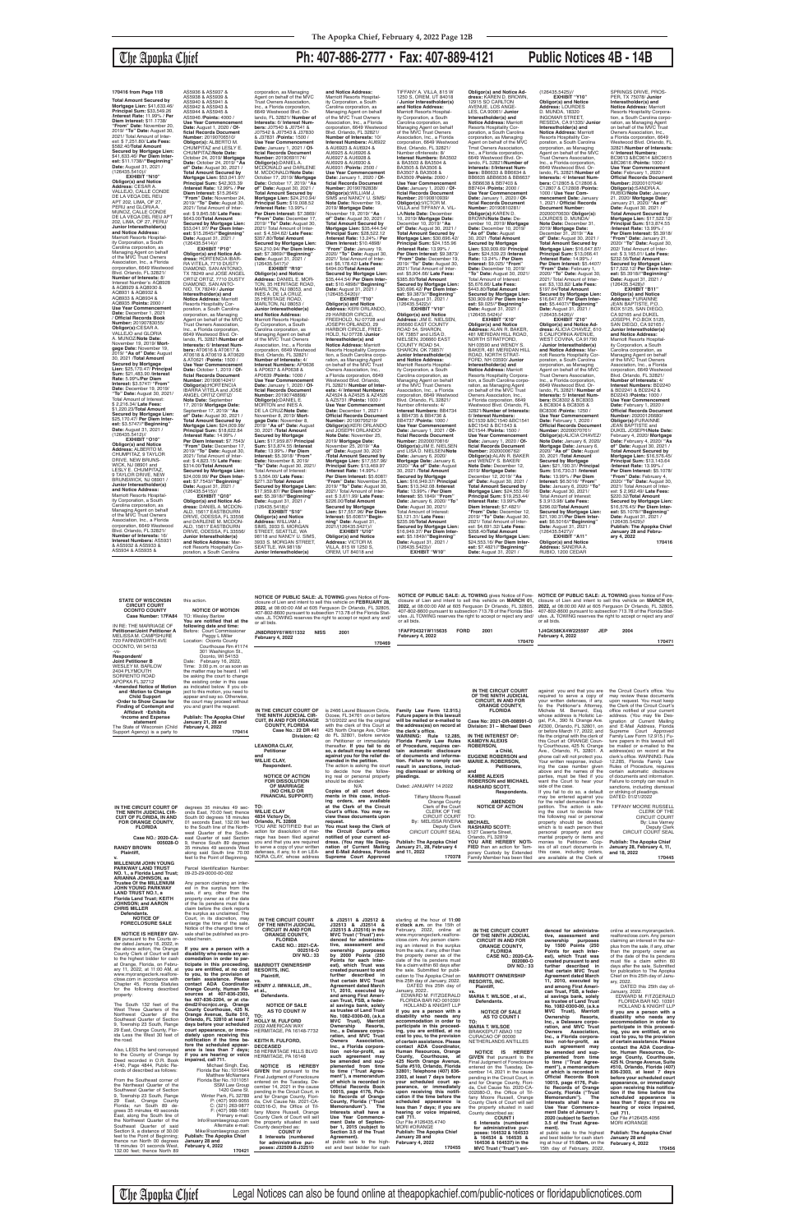**Total Amount Secured by Mortgage Lien:** \$41,633.46/ **Principal Sum:** \$33,549.26 /**Interest Rate:** 11.99% / **Per Diem Interest:** \$11.1738/ **"From" Date:** November 20, 2019/ **"To" Date:** August 30, 2021/ Total Amount of Inter-est: \$ 7,251.80/ **Late Fees:** \$582.40/**Total Amount Secured by Mortgage Lien:** \$41,633.46/ **Per Diem Interest:** \$11.1738//**"Beginning" Date:** August 31, 2021 /<br>(126435.5410)//

## The Apopka Chief **Ph: 407-886-2777 • Fax: 407-889-4121 Public Notices 4B - 14B**

**EXHIBIT "N10" Obligor(s) and Notice Address:** CESAR A. VALLEJO, CALLE CONDE DE LA VEQA DEL REU APT 202, LIMA, OF 27, PERU and GLORIA A. MUNOZ, CALLE CONDE DE LA VEQA DEL REU APT 202, LIMA, OF 27, PERU/ **Junior Interestholder(s) and Notice Address:** Marriott Resorts Hospital-ity Corporation, a South Carolina corporation, as Managing Agent on behalf of the MVC Trust Owners Association, Inc., a Florida corporation, 6649 Westwood Blvd. Orlando, FL 32821/ **Number of Interests:** 8/ Interest Number's: AQ8928 & AQ8929 & AQ8930 & AQ8931 & AQ8932 & AQ8933 & AQ8934 & AQ8935 /**Points:** 2000 / **Use Year Commencement Date:** December 1, 2021 / **Official Records Book Number:** 20190783055/ **Obligor(s):**CESAR A. VALLEJO and GLORIA A. MUNOZ/**Note Date:** November 19, 2019/ **Mortgage Date:** November 19, 2019/ **"As of" Date:** August 30, 2021 /**Total Amount Secured by Mortgage Lien:** \$25,170.47/ **Principal Sum:** \$21,483.90 /**Interest Rate:** 5.99%/**Per Diem Interest:** \$3.5747/ **"From" Date:** December 19, 2019/ **"To" Date:** August 30, 2021/ Total Amount of Interest: Total Amount of Interest:<br>\$ 2,216.34/ **Late Fees:**<br>\$1,220.23/**Total Amount** \$1,220.23/**Total Amount Secured by Mortgage Lien:** \$25,170.47/ **Per Diem Inter-est:** \$3.5747//**"Beginning" Date:** August 31, 2021 / (126435.5412)// **EXHIBIT "O10" Obligor(s) and Notice Address:** ALBERTO M.

CHUMPITAZ, 9 TAYLOR DRIVE, NEW BRUNS-WICK, NJ 08901 and LESLY E. CHUMPITAZ 9 TAYLOR DRIVE, NEW BRUNSWICK, NJ 08901 **Junior Interestholder(s) and Notice Address:** Marriott Resorts Hospitality Corporation, a South Carolina corporation, as Managing Agent on behalf<br>of the MVC Trust Owners<br>Association, Inc., a Florida<br>corporation, 6649 Westwood Blvd. Orlando, FL 32821/ **Number of Interests:** 16/ **Interest Numbers:** AS5931 & AS5932 & AS5933 & AS5934 & AS5935 &

AS5936 & AS5937 & AS5938 & AS5939 &<br>AS5940 & AS5941 & AS5940 & AS5941 & AS5942 & AS5943 & AS5944 & AS5945 & AS5946 /**Points:** 4000 / **Use Year Commencement Date:** August 1, 2020 / **Of-ficial Records Document Number:** 20190706510/ **Obligor(s):** ALBERTO M. CHUMPITAZ and LESLY E. CHUMPITAZ/Note Date:<br>October 24, 2019/ Mortgage<br>Date: October 24, 2019/ "As<br>of" Date: August 30, 2021 /<br>Total Amount Secured by<br>Mortgage Lien: \$53,041.97/<br>Principal Sum: \$42,303.39 /**Interest Rate:** 12.99% / **Per Diem Interest:** \$15.2645/ **"From" Date:** November 24, 2019/ **"To" Date:** August 30, 2021/ Total Amount of Inter-<br>est: \$ 9.845.58/ Late Fees: est: \$ 9,845.58/ Late Fees:<br>\$643.00**/Total Amount<br>Secured by Mortgage Lien:**<br>\$53,041.97/ **Per Diem Inter-<br>est: \$15.2645//"Beginning"<br>Date: August 31, 2021 /<br>(126435.5414)// EXHIBIT "P10" Obligor(s) and Notice Ad-dress:** HORTENCIA IBAR-RA VITELA, 7710 DUSTY DIAMOND, SAN ANTONIO, TX 78249 and JOSE ANGEL ORTIZ ORTIZ, 7710 DUSTY DIAMOND, SAN ANTO-NIO, TX 78249 / **Junior Interestholder(s) and Notice Address:** Marriott Resorts Hospitality Cor-poration, a South Carolina corporation, as Managing Agent on behalf of the MVC Trust Owners Association, Inc., a Florida corporation, 6649 Westwood Blvd. Orlando, FL 32821/**Number of Interests:** 6/ **Interest Num-bers:** AT0616 & AT0617 & AT0618 & AT0619 & AT0620 & AT0621 /**Points:** 1500 / **Use Year Commencement Date:** October 1, 2019 / **Of-ficial Records Document Number:** 20190614241/<br>**Obligor(s):**HORTENCIA<br>IBARRA VITELA and JOSE ANGEL ORTIZ ORTIZ/ **Note Date:** September 17, 2019/ **Mortgage Date:** September 17, 2019/ **"As of" Date:** August 30, 2021 / **Total Amount Secured by Mortgage Lien:** \$24,009.99/ **Principal Sum:** \$18,622.84 /**Interest Rate:** 14.99% / **Per Diem Interest:** \$7.7543/ **"From" Date:** December 17, 2019/ **"To" Date:** August 30, 2021/ Total Amount of Interest: \$ 4,823.15/ **Late Fees:** \$314.00/**Total Amount Secured by Mortgage Lien:** \$24,009.99/ **Per Diem Inter-est:** \$7.7543//**"Beginning" Date:** August 31, 2021 / (126435.5415)// **EXHIBIT "Q10" Obligor(s) and Notice Ad-dress:** DANIEL A. MCDON-ALD, 15617 EASTBOURN DRIVE, ODESSA, FL 33556 and DARLENE M. MCDON-ALD, 15617 EASTBOURN DRIVE, ODESSA, FL 33556/ **Junior Interestholder(s) and Notice Address:** Marriott Resorts Hospitality Cor-

poration, a South Carolina

corporation, as Managing Agent on behalf of the MVC Trust Owners Association, Inc., a Florida corporation, 6649 Westwood Blvd. Or-lando, FL 32821/ **Number of Interests:** 6/ **Interest Numbers:** J07540 & J07541 & J07542 & J07543 & J37830 & J37831 /**Points:** 1500 / **Use Year Commencement Date:** January 1, 2021 / **Official Records Document Number:** 20190691174/ **Obligor(s):**DANIEL A. MCDONALD and DARLENE M. MCDONALD/**Note Date:** October 17, 2019/ **Mortgage Date:** October 17, 2019/ **"As of" Date:** August 30, 2021 / **Total Amount Secured by Mortgage Lien:** \$24,210.94/ **Principal Sum:** \$19,008.52 /**Interest Rate:** 13.99% / **Per Diem Interest:** \$7.3869/<br>"**From" Date:** December 17,<br>2019/ "**To" Dat**e: August 30,<br>2021/ Total Amount of Inter-<br>est: \$ 4,594.62/ **Late Fees:**<br>\$357.80/**Total Amount Secured by Mortgage Lien:** \$24,210.94/ **Per Diem Inter-est:** \$7.3869//**"Beginning" Date:** August 31, 2021 / (126435.5417)// **EXHIBIT "R10" Obligor(s) and Notice**<br>**Address:** DANIEL E. MOR-<br>**Address:** DANIEL E. MOR-<br>MARLTON, NJ 08053, and<br>INES A. DE LA CRUZ,<br>35 HERITAGE ROAD,<br>35 HERITAGE ROAD,<br>MARLTON, NJ 08053 / **Junior Interestholder(s)<br><b>and Notice Address:**<br>Marriott Resorts Hospitality Corporation, a South Carolina corporation, as Managing Agent on behalf<br>of the MVC Trust Owners<br>Association, Inc., a Florida<br>corporation, 6649 Westwood<br>Blvd. Orlando, FL 32821/<br>**Number of Interests:** 4/ **Interest Numbers:** AP0636 & AP0637 & AP0638 & AP0639 /**Points:** 1000 / Use Year Commencement **Date:** January 1, 2020 / **Of-ficial Records Document Number:** 20190748898/ **Obligor(s):**DANIEL E. MORTON and INES A. DE LA CRUZ/**Note Date:** November 8, 2019/ **Mort-gage Date:** November 8, 2019/ **"As of" Date:** August 30, 2021 /**Total Amount Secured by Mortgage Lien:** \$17,959.87/ **Principal Sum:** \$13,874.55 /**Interest Rate:** 13.99% / **Per Diem Interest:** \$5.3918/ "**From"**<br>**Date:** November 8, 2019/<br>"**To" Date:** August 30, 2021/<br>Total Amount of Interest:<br>\$ 3,564.00/ **Late Fees:**<br>\$271.32/**Total Amount Secured by Mortgage Lien:** \$17,959.87/ **Per Diem Inter-est:** \$5.3918//**"Beginning" Date:** August 31, 2021 / (126435.5418)// **EXHIBIT "S10" Obligor(s) and Notice<br><b>Address:** WILLIAM J.<br>SIMS, 3933 S. MORGAN<br>STREET, SEATTLE, WA 98118 and NANCY U. SIMS,<br>3933 S. MORGAN STREET, SEATTLE, WA 98118/ **Junior Interestholder(s) and Notice Address:** Marriott Resorts Hospital-ity Corporation, a South Carolina corporation, as Managing Agent on behalf of the MVC Trust Owners Association, Inc., a Florida corporation, 6649 Westwood Blvd. Orlando, FL 32821/ **Number of Interests:** 10/ **Interest Numbers:** AU6922 & AU6923 & AU6924 & AU6925 & AU6926 & AU6927 & AU6928 & AU6929 & AU6930 & AU6931 /**Points:** 2500 / **Use Year Commencement Date:** January 1, 2020 / **Official Records Document Number:** 20190782838/<br>**Obligor(s):**WILLIAM J.<br>SIMS and NANCY U. SIMS/ **Note Date:** November 19, 2019/ **Mortgage Date:** November 19, 2019/ **"As of" Date:** August 30, 2021 / **Total Amount Secured by Mortgage Lien:** \$35,444.54/ **Principal Sum:** \$28,522.12 /**Interest Rate:** 13.24% / **Per Diem Interest:** \$10.4898/ **"From" Date:** January 19, 2020/ **"To" Date:** August 30, 2021/ Total Amount of Inter-est: \$6,178.42/ **Late Fees:** \$494.00/**TotaI Amount Secured by Mortgage Lien:** \$35,444.54/ **Per Diem Inter-est:** \$10.4898//**"Beginning" Date:** August 31, 2021 / (126435.5420)// **EXHIBIT "T10" Obligor(s) and Notice<br><b>Address:** KERI ORLANDO,<br>29 HARBOR CIRCLE, FREEHOLD, NJ 07728 and JOSEPH ORLANDO, 29 HARBOR CIRCLE, FREE-HOLD, NJ 07728 **/Junior**<br>**Interestholder(s) and<br><b>Resorts Hospitality Corpora-**<br>fesorts Hospitality Corpora-<br>tration, as Managing Agent<br>con behalf of the MVC Trust<br>on behalf of the MVC Trust Owners Association, Inc., a Florida corporation, 6649 Westwood Blvd. Orlando, FL 32821/ **Number of Inter-ests:** 4/ **Interest Numbers:** AZ4524 & AZ4525 & AZ4526 & AZ5731 /**Points:** 1000 / **Use Year Commencement Date:** December 1, 2021 / **Official Records Document Number:** 20190795219/ **Obligor(s):**KERI ORLANDO and JOSEPH ORLANDO/ **Note Date:** November 25, 2019/ **Mortgage Date:** November 25, 2019/ **"As of" Date:** August 30, 2021 /**Total Amount Secured by Mortgage Lien:** \$17,557.96/ **Principal Sum:** \$13,469.97 /**Interest Rate:** 14.99% / **Per Diem Interest:** \$5.6087/ **"From" Date:** November 25, 2019/ **"To" Date:** August 30, 2021/ Total Amount of Inter-est: \$ 3,611.99/ **Late Fees:** \$226.00/**Total Amount Secured by Mortgage Lien:** \$17,557.96/ **Per Diem Interest:** \$5.6087//**"Begin-ning" Date:** August 31, 2021/(126435.5421)// **EXHIBIT "U10" Obligor(s) and Notice Address:** VICTOR M. VILLA, 815 W 1250 S, OREM, UT 84018 and

TIFFANY A. VILLA, 815 W 1250 S, OREM, UT 84018 / **Junior Interestholder(s) and Notice Address:** Marriott Resorts Hospitality Corporation, a South Carolina corporation, as Managing Agent on behalf of the MVC Trust Owners Association, Inc., a Florida corporation, 6649 Westwood Blvd. Orlando, FL 32821/ Number oflnterests: 8/ **Interest Numbers:** BA3502 & BA3503 & BA3504 & BA3505 & BA3506 & BA3507 & BA3508 & BA3509 /**Points:** 2000 / **Use Year Commencement Date:** January 1, 2020 / **Of-ficial Records Document Number:** 20190810939/ **Obligor(s):**VICTOR M. VILLA and TIFFANY A. VIL-LA/Note Date: December<br>10, 2019/ Mortgage Date:<br>December 10, 2019/ "As<br>of" Date: August 30, 2021 /<br>Total Amount Secured by<br>Mortgage Lien: \$30,696.42/<br>Principal Sum: \$24,155.96 /**Interest Rate:** 13.99% /<br>**Per Diem Interest:** \$9.3873/<br>"**From" Date:** December 19,<br>2019/ "**To" Date:** August 30,<br>2021/ Total Amount of Interest: \$5,904.66/ Late Fees:<br>\$385.80/Total Amount<br>Secured by Mortgage Lien:<br>\$30,696.42/ Per Diem Inter-<br>est: \$9.3873//"Beginning"<br>Date: August 31, 2021 /<br>(126435.5422)// **EXHIBIT "V10" Obligor(s) and Notice Address:** JIM E. NIELSEN, 206660 EAST COUNTY ROAD 54, SHARON, OK 73857 and LISA D. NIELSEN, 206660 EAST COUNTY ROAD 54, SHARON, OK 73857/ **Junior Interestholder(s) and Notice Address:** Marriott Resorts Hospital-ity Corporation, a South Carolina corporation, as Managing Agent on behalf of the MVC Trust Owners Association, Inc., a Florida corporation, 6649 Westwood Blvd. Orlando, FL 32821/ Number oflnterests: 4/ **Interest Numbers:** BB4734 & BB4735 & BB4736 & BB4737 /**Points:** 1000 / **Use Year Commencement Date:** January 1, 2021 / **Of-ficial Records Document Number:** 20200070816/ **Obligor(s):**JIM E. NIELSEN and LISA D. NIELSEN/**Note Date:** January 6, 2020/ **Mortgage Date:** January 6, 2020/ **"As of" Date:** August 30, 2021 /**Total Amount Secured by Mortgage Lien:** \$16,949.37/ **Principal Sum:** \$13,342.08 /**Interest Rate:** 13.99% / **Per Diem Interest:** \$5.1849/ **"From" Date:** January 6, 2020/ **"To" Date:** August 30, 2021/ Total Amount of Interest: \$3,121.31/ **Late Fees:** \$235.98/**TotaI Amount Secured by Mortgage Lien:** \$16,949.37/ **Per Diem Inter-est:** \$5.1849//**"Beginning" Date:** August 31, 2021 / (126435.5423)// **EXHIBIT "W10"**

**Obligor(s) and Notice Address:** KAREN D. BROWN, 12915 SO CARLTON AVENUE, LOS ANGE-LES, CA 90061/ **Junior Interestholder(s) and Notice Address:** Marriott<br>Resorts Hospitality Cor-<br>poration, a South Carolina<br>corporation, as Managing<br>Agent on behalf of the MVC<br>Tmst Owners Association, Inc., a Florida corporation, 6649 Westwood Blvd. Or-lando, FL 32821/**Number of lnterests:** 8/**Interest Numbers:** BB6633 & BB6634 & BB6635 &BB6636 & BB6637 & BB6638 & BB7403 & BB7404 /**Points:** 2000 / **Use Year Commencement Date:** January 1, 2020 / **Official Records Document Number:** 20190810281/ **ObIigor(s):**KAREN D. BROWN/**Note Date:** De-cember 10, 2019/ **Mortgage Date:** December 10, 2019/ **"As of" Date:** August 30, 2021 /**Total Amount Secured by Mortgage Lien:** \$30,909.69/ **Principal Sum:** \$24,539.23 /**Interest Rate:** 13.24% / **Per Diem Interest:** \$9,025/ **"From" Date:** December 10, 2019/ **"To" Date:** August 30, 2021/ Total Amount of Interest: \$5,676.66/ **Late Fees:** \$443.80/**Total Amount Secured by Mortgage Lien:** \$30,909.69/ **Per Diem Interest:** \$9.025//"**Beginning"**<br>**Date:** August 31, 2021 /<br>(126435.5424)// **EXHIBIT "X10" Obligor(s) and Notice Address:** ALAN R. BAKER, 481 MERIDAN HILL ROAD,<br>NORTH STRATFORD,<br>NH 03590 and WENDY S.<br>BAKER, 481 MERIDAN HILL<br>ROAD, NORTH STRAT-<br>FORD, NH 03590/ **Junior Interestholder(s) and Notice Address:** Marriott<br>Resorts Hospitality Corpora-<br>tion, a South Carolina corporation, as Managing Agent<br>on behalf of the MVC Trust Owners Association, Inc., a Florida corporation, 6649 Westwood Blvd. Orlando, FL 32821/**Number of Interests:** 6/ **Interest Numbers:** BC1539 &BC1540 &BC1541 &BC1542 & BC1543 & BC1544 /**Points:** 1500 / **Use Year Commencement Date:** January 1, 2020 / **Of-ficial Records Document Number:** 20200006762/ **Obligor(s):**ALAN R. BAKER<br>and WENDY S. BAKER/<br>**Note Date:** December 12, 2019/ **Mortgage Date:** December 12, 2019/ **"As of" Date:** August 30, 2021 / **Total Amount Secured by Mortgage Lien:** \$24,553.16/ **Principal Sum:** \$19,253.44/ **Interest Rate:** 13.99%/**Per Diem Interest:** \$7.4821/ **"From" Date:** December 12, 2019/ **"To" Date:** August 30, 2021/ Total Amount of Inter-est: \$4,691.32/ **Late Fees:** \$358.40/**Total Amount Secured by Mortgage Lien:** \$24,553.16/ **Per Diem Interest:** \$7.4821//**"Beginning"** 

**Date:** August 31, 2021 /

(126435.5425)// **EXHIBIT "Y10" Obligor(s) and Notice Address:** LOURDES D. MUNDA, 18320 INGOMAR STREET, RESEDA, CA 91335/ **Junior**<br>**Interestholder(s) and<br><b>Notice Address:** Marriott<br>Resorts Hospitality Cor-<br>poration, as Managing<br>corporation, as Managing<br>Agent on behalf of the MVC Trust Owners Association, Inc., a Florida corporation, 6649 Westwood Blvd. Or-lando, FL 32821/**Number of Interests:** 4/ **Interest Numbers:** C12805 & C12806 & C12807 & C12808 /**Points:** 1000 / **Use Year Com-mencement Date:** January 1, 2021 / **Official Records Document Number:**<br>20200070630/ Obligor(s): 20200070630/ **Obligor(s):** LOURDES D. MUNDA/ **Note Date:** December 31, 2019/ **Mortgage Date:** December 31, 2019/ **"As of" Date:** August 30, 2021 / **Total Amount Secured by Mortgage Lien:** \$16,647.87/ **Principal Sum:** \$13,066.41 /**Interest Rate:** 14.99% / **Per Diem Interest:** \$5.4407/ **"From" Date:** February 1, 2020/ **"To" Date:** August 30, 2021/ Total Amount of Inter-est: \$3,133.82/ **Late Fees:** \$197.64/**Total Amount Secured by Mortgage Lien:** \$16,647.87/ **Per Diem Interest:** \$5.4407//**"Beginning" Date:** August 31, 2021 /<br>(126435.5426)// **EXHIBIT "Z10" Obligor(s) and Notice Ad-dress:** ALICIA CHAVEZ, 610 S CALIFORNIA AVENUE WEST COVINA, CA 91790 / **Junior Interestholder(s)**  and Notice Address: Ma riott Resorts Hospitality Corporation, a South Carolina corporation, as Managing<br>Agent on behalf of the MVC<br>Trust Owners Association,<br>Inc., a Florida corporation, 6649 Westwood Blvd. Or-lando, FL 32821/ **Number of Interests:** 5/ **Interest Numbers:** BC8302 & BC8303 & BC8304 & BC8305 & BC8306 /**Points:** 1250 / **Use Year Commencement Date:** February 1, 2020 / **Official Records Document Number:** 20200070761/<br>**Obligor(s):**ALICIA CHAVEZ/<br>**Note Date:** January 6, 2020/ **Mortgage Date:** January 6, 2020/ **"As of" Date:** August 30, 2021 /**Total Amount Secured by Mortgage Lien:** \$21,190.31/ **Principal Sum:** \$16,730.31 /**Interest Rate:** 13.99% / **Per Diem Interest:** \$6.5016/ **"From" Date:** January 6, 2020/ **"To" Date:** August 30, 2021/<br>Total Amount of Interest: \$ 3,913.98/ **Late Fees:** \$296.02/**Total Amoun Secured by Mortgage Lien:** \$21,190.31/**Per Diem Interest:** \$6.5016//**"Beginning" Date:** August 31, 2021 / (126435.5427)// **EXHIBIT "A11" Obligor(s) and Notice Address:** SANDRA A. RUBIO, 1200 CEDAR

SPRINGS DRIVE, PROS-PER, TX 75078/ **Junior Interestholder(s) and Notice Address:** Marriott Resorts Hospitality Corpora-tion, a South Carolina corporation, as Managing Agent<br>on behalf of the MVC Trust<br>Owners Association, Inc.,<br>a Florida corporation, 6649 Westwood Blvd. Orlando, FL 32821/**Number of Interests:** 4/ **Interest Numbers:** BC9613 &BC9614 &BC9615 &BC9616 /**Points:** 1000 / **Use Year Commencement Date:** February 1, 2020 / **Official Records Document Number:** 20200107046/ **Obligor(s):**SANDRA A. RUBIO/**Note Date:** January 21, 2020/ **Mortgage Date:** January 21, 2020/ **"As of" Date:** August 30, 2021 / Total Amount Secured by<br>Mortgage Lien: \$17,522.12/<br>Principal Sum: \$13,874.55<br>/Interest Rate: 13.99% /<br>Per Diem Interest: \$5.3918/<br>"From" Date: January 21,<br>2020/ "To" Date: August 30, 202/ Total Amount of Inter-est: \$ 3,165.01/ **Late Fees:** \$232.56/**Total Amount Secured by Mortgage Lien:** \$17,522.12/ **Per Diem Interest:** \$5.3918//" **Beginning Date:** August 31, 2021 /<br>(126435.5428)// **EXHIBIT "B11"**

**Obligor(s) and Notice Address:** FURAINNE JEAN BAPTISTE, P.O. BOX 5125, SAN DIEGO,<br>CA 92165 and DUKEL<br>JOSEPH, P.O.BOX 5125,<br>SAN DIEGO, CA 92165 / **Junior Interestholder(s) and Notice Address:** Marriott Resorts Hospitality Corporation, a South Carolina corporation, as Managing Agent on behalf of the MVC Trust Owners Association, Inc., a Florida corporation, 6649 Westwood Blvd. Orlando, FL 32821/ **Number of Interests:** 4/ **Interest Numbers:** BD2240 & BD2241 & BD2242 & BD2243 /**Points:** 1000 / **Use Year Commencement Date:** February 1, 2020 / **Official Records Document Number:** 20200126680/<br>**Obligor(s):**FURAINNE<br>JEAN BAPTISTE and DUKEL JOSEPH/**Note Date:** February 4, 2020/ **Mortgage Date:** February 4, 2020/ **"As of" Date:** August 30, 2021 / **Total Amount Secured by Mortgage Lien: \$16,576.45/<br><b>Principal Sum: \$13,143.64**<br>/**Interest Rate: 13.99% /<br>Per Diem Interest: \$5.1078/ "From" Date:** February 4, 2020/ **"To" Date:** August 30, 2021/ Total Amount of Interest: \$ 2,962.49/ **Late Fees:** \$220.32/**TotaI Amount Secured by Mortgage Lien:** \$16,576.45/ **Per Diem Inter-est:** \$5.1078//**"Beginning" Date:** August 31, 2021 / (126435.5429)// **Publish: The Apopka Chief January 28 and Febru-ary 4, 2022 170416**

**170416 from Page 11B**

| Order to Show Cause for<br><b>Finding of Contempt and</b><br>Affidavit .Exhibits<br><b>Income and Expense</b><br>statement<br>The State of Wisconsin (Child<br>Support Agency) is a party to                                                                                                                                                                                             | the court may proceed without<br>you and grant the request.<br><b>Publish: The Apopka Chief</b><br>January 21, 28 and<br>February 4, 2022<br>170414                                                                                                                                                                                                                                              | IN THE CIRCUIT COURT OF<br>THE NINTH JUDICIAL CIR-<br><b>CUIT. IN AND FOR ORANGE</b><br><b>COUNTY, FLORIDA</b><br>Case No.: 22 DR 441<br>Division: 42<br><b>LEANORA CLAY,</b><br>Petitioner<br>and<br><b>WILLIE CLAY,</b><br>Respondent.<br><b>NOTICE OF ACTION</b><br><b>FOR DISSOLUTION</b><br><b>OF MARRIAGE</b><br>(NO CHILD OR<br><b>FINANCIAL SUPPORT)</b> | is 2466 Laurel Blossom Circle.<br>Ocoee, FL 34761 on or before<br>3/10/2022 and file the original<br>with the clerk of this Court at<br>425 North Orange Ave, Orlan-<br>do FL 32801, before service<br>on Petitioner or immediately<br>thereafter. If you fail to do<br>so, a default may be entered<br>against you for the relief de-<br>manded in the petition.<br>The action is asking the court<br>to decide how the follow-<br>ing real or personal property<br>should be divided:<br>N/A<br>Copies of all court docu-<br>ments in this case, includ-<br>ing orders, are available | Family Law Form 12.915.)<br>Future papers in this lawsuit<br>will be mailed or e-mailed to<br>the address(es) on record at<br>the clerk's office.<br><b>WARNING: Rule 12.285,</b><br>Florida Family Law Rules<br>of Procedure, requires cer-<br>tain automatic disclosure<br>of documents and informa-<br>tion. Failure to comply can<br>result in sanctions, includ-<br>ing dismissal or striking of<br>pleadings.<br>Dated: JANUARY 14 2022<br><b>Tiffany Moore Russell</b><br><b>Orange County</b> | <b>CIRCUIT. IN AND FOR</b><br><b>ORANGE COUNTY,</b><br><b>FLORIDA</b><br>Case No: 2021-DR-008991-O<br>Division: 31 - Michael Deen<br>IN THE INTEREST OF:<br><b>KAMDYN ALEXIS</b><br>ROBERSON,<br>a Child,<br><b>EUGENE ROBERSON and</b><br><b>MARIE A. ROBERSON,</b><br>Petitioners,<br>and<br><b>KAMBE ALEXIS</b><br><b>ROBERSON and MICHAEL</b><br><b>RASHARD SCOTT,</b><br>Respondents.<br><b>AMENDED</b> | your written defenses, if any,<br>to the Petitioner's Attorney,<br>Michele M. Bernard, Esq.<br>whose address is Holistic Le-<br>gal, P.A., 390 N. Orange Ave.<br>#2300, Orlando, FL 32801, on<br>or before March 17, 2022, and<br>file the original with the clerk of<br>this Court at: ORANGE Coun-<br>ty Courthouse, 425 N. Orange<br>Ave., Orlando, FL 32801. A<br>phone call will not protect you.<br>Your written response, includ-<br>ing the case number given<br>above and the names of the<br>parties, must be filed if you<br>want the Court to hear your<br>side of the case.<br>If you fail to do so, a default<br>may be entered against you<br>for the relief demanded in the | upon request. You must keep<br>the Clerk of the Circuit Court's<br>office notified of your current<br>address. (You may file Des-<br>ignation of Current Mailing<br>and E-Mail Address, Florida<br>Supreme Court Approved<br>Family Law Form 12.915.) Fu-<br>ture papers in this lawsuit will<br>be mailed or e-mailed to the<br>address(es) on record at the<br>clerk's office. WARNING: Rule<br>12.285, Florida Family Law<br>Rules of Procedure, requires<br>certain automatic disclosure<br>of documents and information.<br>Failure to comply can result in<br>sanctions, including dismissal<br>or striking of pleadings.<br>DATED: 01/21/2022 |
|------------------------------------------------------------------------------------------------------------------------------------------------------------------------------------------------------------------------------------------------------------------------------------------------------------------------------------------------------------------------------------------|--------------------------------------------------------------------------------------------------------------------------------------------------------------------------------------------------------------------------------------------------------------------------------------------------------------------------------------------------------------------------------------------------|------------------------------------------------------------------------------------------------------------------------------------------------------------------------------------------------------------------------------------------------------------------------------------------------------------------------------------------------------------------|-----------------------------------------------------------------------------------------------------------------------------------------------------------------------------------------------------------------------------------------------------------------------------------------------------------------------------------------------------------------------------------------------------------------------------------------------------------------------------------------------------------------------------------------------------------------------------------------|-------------------------------------------------------------------------------------------------------------------------------------------------------------------------------------------------------------------------------------------------------------------------------------------------------------------------------------------------------------------------------------------------------------------------------------------------------------------------------------------------------|--------------------------------------------------------------------------------------------------------------------------------------------------------------------------------------------------------------------------------------------------------------------------------------------------------------------------------------------------------------------------------------------------------------|---------------------------------------------------------------------------------------------------------------------------------------------------------------------------------------------------------------------------------------------------------------------------------------------------------------------------------------------------------------------------------------------------------------------------------------------------------------------------------------------------------------------------------------------------------------------------------------------------------------------------------------------------------------------------------------------|------------------------------------------------------------------------------------------------------------------------------------------------------------------------------------------------------------------------------------------------------------------------------------------------------------------------------------------------------------------------------------------------------------------------------------------------------------------------------------------------------------------------------------------------------------------------------------------------------------------------------------------------------|
| IN THE CIRCUIT COURT OF<br>THE NINTH JUDICIAL CIR-<br><b>CUIT OF FLORIDA, IN AND</b><br><b>FOR ORANGE COUNTY,</b><br><b>FLORIDA</b><br>Case NO.: 2020-CA-                                                                                                                                                                                                                                | degrees 35 minutes 49 sec-<br>onds East, 70.00 feet; thence<br>South 00 degrees 18 minutes<br>01 seconds East, 132.00 feet<br>to the South line of the North-<br>west Quarter of the South-<br>east Quarter of said Section                                                                                                                                                                      | TO:<br><b>WILLIE CLAY</b><br>4834 Victory Dr.<br>Orlando, FL 32808<br>YOU ARE NOTIFIED that an<br>action for dissolution of mar-<br>riage has been filed against<br>you and that you are required                                                                                                                                                                | at the Clerk of the Circuit<br>Court's office. You may re-<br>view these documents upon<br>request.<br>You must keep the Clerk of<br>the Circuit Court's office<br>notified of your current ad-<br>dress. (You may file Desig-                                                                                                                                                                                                                                                                                                                                                          | Clerk of the Court<br>CLERK OF THE<br><b>CIRCUIT COURT</b><br>By: MELISSA RIVERA<br>Deputy Clerk<br>CIRCUIT COURT SEAL<br><b>Publish: The Apopka Chief</b>                                                                                                                                                                                                                                                                                                                                            | <b>NOTICE OF ACTION</b><br>TO:<br><b>MICHAEL</b><br><b>RASHARD SCOTT:</b><br>5127 Caserta Street,<br>Orlando, FL 32819<br>YOU ARE HEREBY NOTI-                                                                                                                                                                                                                                                               | petition. The action is ask-<br>ing the court to decide how<br>the following real or personal<br>property should be divided,<br>which is to each person their<br>personal property and any<br>marital property or items and<br>monies to Petitioner. Cop-                                                                                                                                                                                                                                                                                                                                                                                                                                   | <b>TIFFANY MOORE RUSSELL</b><br>CLERK OF THE<br><b>CIRCUIT COURT</b><br>By: Lisa Varney<br>Deputy Clerk<br><b>CIRCUIT COURT SEAL</b><br><b>Publish: The Apopka Chief</b>                                                                                                                                                                                                                                                                                                                                                                                                                                                                             |
| 005028-0<br><b>RANDY BROWN</b><br>Plaintiff,<br><b>MILLENIUM JOHN YOUNG</b><br><b>PARKWAY LAND TRUST</b>                                                                                                                                                                                                                                                                                 | 9, thence South 89 degrees<br>35 minutes 49 seconds West<br>along said South line 70.00<br>feet to the Point of Beginning.<br>Parcel Identification Number:                                                                                                                                                                                                                                      | to serve a copy of your written<br>defenses, if any, to it on LEA-<br>NORA CLAY, whose address                                                                                                                                                                                                                                                                   | nation of Current Mailing<br>and E-Mail Address, Florida<br>Supreme Court Approved                                                                                                                                                                                                                                                                                                                                                                                                                                                                                                      | January 21, 28, February 4<br>and 11, 2022<br>170378                                                                                                                                                                                                                                                                                                                                                                                                                                                  | FIED than an action for Tem-<br>porary Custody by Extended<br>Family Member has been filed                                                                                                                                                                                                                                                                                                                   | ies of all court documents in<br>this case, including orders,<br>are available at the Clerk of                                                                                                                                                                                                                                                                                                                                                                                                                                                                                                                                                                                              | January 28, February 4, 11,<br>and 18, 2022<br>170445                                                                                                                                                                                                                                                                                                                                                                                                                                                                                                                                                                                                |
| NO. 1., a Florida Land Trust;<br>ARIANNA JOHNSON, as<br><b>Trustee Of the MILLENIUM</b><br>JOHN YOUNG PARKWAY<br><b>LAND TRUST NO.1, a</b><br><b>Florida Land Trust: KEITH</b><br><b>JOHNSON; and AARON</b><br><b>CHRIS MILLER</b><br>Defendants.<br><b>NOTICE OF</b><br><b>FORECLOSURE SALE</b><br><b>NOTICE IS HEREBY GIV-</b>                                                         | 09-23-29-0000-00-002<br>Any person claiming an inter-<br>est in the surplus from the<br>sale, if any, other than the<br>property owner as of the date<br>of the lis pendens must file a<br>claim before the clerk reports<br>the surplus as unclaimed. The<br>Court, in its discretion, may<br>enlarge the time of the sale.<br>Notice of the changed time of<br>sale shall be published as pro- | IN THE CIRCUIT COURT<br>OF THE NINTH JUDICIAL<br><b>CIRCUIT IN AND FOR</b><br><b>ORANGE COUNTY,</b>                                                                                                                                                                                                                                                              | & J32511 & J32512 &<br>J32513 & J32514 &<br>J32515 & J32516) in the<br>MVC Trust ("Trust") evi-                                                                                                                                                                                                                                                                                                                                                                                                                                                                                         | starting at the hour of 11:00<br>o'clock a.m. on the 15th of<br>February, 2022, online at<br>www.myorangeclerk.realfore-                                                                                                                                                                                                                                                                                                                                                                              | IN THE CIRCUIT COURT<br>OF THE NINTH JUDICIAL                                                                                                                                                                                                                                                                                                                                                                | denced for administra-<br>tive, assessment and                                                                                                                                                                                                                                                                                                                                                                                                                                                                                                                                                                                                                                              | online at www.myorangeclerk.<br>realforeclose.com. Any person                                                                                                                                                                                                                                                                                                                                                                                                                                                                                                                                                                                        |
| <b>EN</b> pursuant to the Courts or-<br>der dated January 18, 2022, in<br>the above action, the Orange<br>County Clerk of Court will sell<br>to the highest bidder for cash<br>at Orange, Florida, on Febru-<br>ary 11, 2022, at 11:00 AM, at<br>www.myorangeclerk.realfore-<br>close.com in accordance with<br>Chapter 45, Florida Statutes<br>for the following described<br>property: | vided herein.<br>If you are a person with a<br>disability who needs any ac-<br>comodation in order to par-<br>ticipate in this proceeding,<br>you are entitled, at no cost<br>to you, to the provision of<br>certain assistance. Please<br>contact ADA Coordinator<br>Orange County, Human Re-<br>sources at 407-836-2303,<br>fax 407-836-2204, or at cta-                                       | <b>FLORIDA</b><br><b>CASE NO.: 2021-CA-</b><br>002516-O<br><b>DIV NO.: 33</b><br><b>MARRIOTT OWNERSHIP</b><br><b>RESORTS, INC.</b><br>Plaintiff,<br>VS.<br>HENRY J. IMWALLE, JR.,<br>et al.,<br>Defendants.                                                                                                                                                      | denced for administra-<br>tive, assessment and<br>ownership purposes<br>by 2000 Points (250<br>Points for each Inter-<br>est), which Trust was<br>created pursuant to and<br>further described in<br>that certain MVC Trust<br><b>Agreement dated March</b><br>11, 2010, executed by<br>and among First Ameri-<br>can Trust, FSB, a feder-                                                                                                                                                                                                                                              | close.com. Any person claim-<br>ing an interest in the surplus<br>from the sale, if any, other than<br>the property owner as of the<br>date of the lis pendens must<br>file a claim within 60 days after<br>the sale. Submitted for publi-<br>cation to The Apopka Chief on<br>this 25th day of January, 2022.<br>DATED this 25th day of<br>January, 2022.<br>EDWARD M. FITZGERALD<br>FLORIDA BAR NO 0010391                                                                                          | <b>CIRCUIT IN AND FOR</b><br><b>ORANGE COUNTY,</b><br><b>FLORIDA</b><br><b>CASE NO.: 2020-CA-</b><br>002080-O<br><b>DIV NO.: 33</b><br><b>MARRIOTT OWNERSHIP</b><br><b>RESORTS, INC.</b><br>Plaintiff,<br>VS.<br>MARIA T. WILSOE, et al.,<br>Defendants.                                                                                                                                                     | ownership purposes<br>by 1500 Points (250<br>Points for each Inter-<br>est), which Trust was<br>created pursuant to and<br>further described in<br>that certain MVC Trust<br><b>Agreement dated March</b><br>11, 2010, executed by<br>and among First Ameri-<br>can Trust, FSB, a feder-<br>al savings bank, solely<br>as trustee of Land Trust                                                                                                                                                                                                                                                                                                                                             | claiming an interest in the sur-<br>plus from the sale, if any, other<br>than the property owner as<br>of the date of the lis pendens<br>must file a claim within 60<br>days after the sale. Submitted<br>for publication to The Apopka<br>Chief on this 25th day of Janu-<br>ary, 2022<br>DATED this 25th day of-<br>January, 2022.<br>EDWARD M. FITZGERALD<br>FLORIDA BAR NO. 10391                                                                                                                                                                                                                                                                |
| The South 132 feet of the<br>West Three Quarters of the<br>Northwest Quarter of the<br>Southeast Quarter of Section<br>9, Township 23 South, Range<br>29 East, Orange County, Flor-<br>ida Less the West 30 feet of<br>the road.                                                                                                                                                         | dmd2@ocnjcc.org, Orange<br>County Courthouse, 425 N.<br>Orange Avenue, Suite 510, TO:<br>Orlando, FL 32810 at least 7<br>days before your scheduled<br>court appearance, or imme-<br>diately upon receiving this<br>notification if the time be-<br>fore the scheduled appear-<br>Also, LESS the land conveyed ance is less than 7 days;                                                         | <b>NOTICE OF SALE</b><br><b>AS TO COUNT IV</b><br><b>HOLLY M. FULFORD</b><br>2032 AMERICAN WAY<br><b>HERMITAGE, PA 16148-7732</b><br>KEITH R. FULFORD,<br><b>DECEASED</b><br>58 HERMITAGE HILLS BLVD                                                                                                                                                             | al savings bank, solely<br>as trustee of Land Trust<br>No. 1082-0300-00, (a.k.a<br>MVC Trust), Marriott<br>Resorts,<br>Ownership<br>Inc., a Delaware corpo-<br>ration, and MVC Trust<br>Owners Association,<br>Inc., a Florida corpora-<br>tion not-for-profit, as                                                                                                                                                                                                                                                                                                                      | <b>HOLLAND &amp; KNIGHT LLP</b><br>If you are a person with a<br>disability who needs any<br>accommodation in order to<br>participate in this proceed-<br>ing, you are entitled, at no<br>cost to you, to the provision<br>of certain assistance. Please<br>contact ADA Coordinator,<br>Human Resources, Orange                                                                                                                                                                                       | <b>NOTICE OF SALE</b><br><b>AS TO COUNT I</b><br>TO:<br><b>MARIA T. WILSOE</b><br>BRAKKEPUT ABAO 152<br>CURACAO OF 00000<br>NETHERLANDS ANTILLES<br>NOTICE IS HEREBY                                                                                                                                                                                                                                         | No. 1082-0300-00, (a.k.a<br>MVC Trust), Marriott<br>Ownership<br>Resorts,<br>Inc., a Delaware corpo-<br>ration, and MVC Trust<br>Owners Association,<br>Inc., a Florida corpora-<br>tion not-for-profit, as<br>such agreement may<br>be amended and sup-                                                                                                                                                                                                                                                                                                                                                                                                                                    | <b>HOLLAND &amp; KNIGHT LLP</b><br>If you are a person with a<br>disability who needs any<br>accommodation in order to<br>participate in this proceed-<br>ing, you are entitled, at no<br>cost to you, to the provision<br>of certain assistance. Please<br>contact the ADA Coordina-<br>tor. Human Resources. Or-                                                                                                                                                                                                                                                                                                                                   |
| to the County of Orange by<br>Deed recorded in O.R. Book<br>4140, Page 4844, Public Re-<br>cords of described as follows:<br>From the Southeast corner of<br>the Northeast Quarter of the<br>Southwest Quarter of Section<br>9, Township 23 South, Range                                                                                                                                 | if you are hearing or voice<br>impaired, call 711.<br>Michael Singh, Esq.<br>Florida Bar No.: 1015644<br>Matthew McNamara<br>Florida Bar No.:1011051<br>SSM Law Group<br>1420 Gene St.<br>Winter Park, FL 32789                                                                                                                                                                                  | HERMITAGE, PA 16148<br>NOTICE IS HEREBY<br>GIVEN that pursuant to the<br>Final Judgment of Foreclosure<br>entered on the Tuesday, De-<br>cember 14, 2021 in the cause<br>pending in the Circuit Court, in<br>and for Orange County, Flori-                                                                                                                       | such agreement may<br>be amended and sup-<br>plemented from time<br>to time ("Trust Agree-<br>ment"), a memorandum<br>of which is recorded in<br><b>Official Records Book</b><br>10015, page 4176, Pub-<br>lic Records of Orange                                                                                                                                                                                                                                                                                                                                                        | County, Courthouse, at<br>425 North Orange Avenue,<br>Suite #510, Orlando, Florida<br>32801; Telephone (407) 836-<br>2303, at least 7 days before<br>your scheduled court ap-<br>pearance, or immediately<br>upon receiving this notifi-<br>cation if the time before the                                                                                                                                                                                                                             | <b>GIVEN</b> that pursuant to the<br>Final Judgment of Foreclosure<br>entered on the Tuesday, De-<br>cember 14, 2021 in the cause<br>pending in the Circuit Court, in<br>and for Orange County, Flori-<br>da, Civil Cause No. 2020-CA-<br>002080-O, the Office of Tif-<br>fany Moore Russell, Orange                                                                                                         | plemented from time<br>to time ("Trust Agree-<br>ment"), a memorandum<br>of which is recorded in<br><b>Official Records Book</b><br>10015, page 4176, Pub-<br>lic Records of Orange<br>County, Florida ("Trust<br>Memorandum"). The                                                                                                                                                                                                                                                                                                                                                                                                                                                         | ange County, Courthouse,<br>425 N. Orange Avenue, Suite<br>#510, Orlando, Florida (407)<br>836-2303, at least 7 days<br>before your scheduled court<br>appearance, or immediately<br>upon receiving this notifica-<br>tion if the time before the                                                                                                                                                                                                                                                                                                                                                                                                    |
| 29 East, Orange County<br>Florida; run South 89 de-<br>grees 35 minutes 49 seconds<br>East, along the South line of<br>the Northwest Quarter of the<br>Southeast Quarter of said<br>Section 9, a distance of 30.00<br>feet to the Point of Beginning;                                                                                                                                    | P: (407) 900-9055<br>C: (321) 263-9877<br>F: (407) 988-1661<br>Primary e-mail:<br>Info@ssmlawgroup.com<br>Alternate e-mail:<br>Mike@ssmlawgroup.com<br>Publish: The Apopka Chief                                                                                                                                                                                                                 | da, Civil Cause No. 2021-CA-<br>002516-O. the Office of Tif-<br>fany Moore Russell, Orange<br>County Clerk of Court will sell<br>the property situated in said<br>County described as:<br><b>COUNT IV</b><br>8 Interests (numbered                                                                                                                               | County, Florida ("Trust<br>Memorandum"). The<br>Interests shall have a<br>Use Year Commence-<br>ment Date of Septem-<br>ber 1, 2015 (subject to<br>Section 3.5 of the Trust<br>Agreement).                                                                                                                                                                                                                                                                                                                                                                                              | scheduled appearance is<br>less than 7 days; if you are<br>hearing or voice impaired,<br>call 711.<br>Our File #126435.4740<br><b>MORI #ORANGE</b><br><b>Publish: The Apopka Chief</b><br>January 28 and                                                                                                                                                                                                                                                                                              | County Clerk of Court will sell<br>the property situated in said<br>County described as:<br><b>COUNT I</b><br>6 Interests (numbered<br>for administrative pur-<br>poses: 164532 & 164533                                                                                                                                                                                                                     | Interests shall have a<br>Use Year Commence-<br>ment Date of January 1,<br>2020 (subject to Section<br>3.5 of the Trust Agree-<br>ment).<br>at public sale to the highest                                                                                                                                                                                                                                                                                                                                                                                                                                                                                                                   | scheduled appearance is<br>less than 7 days; if you are<br>hearing or voice impaired,<br>call 711.<br>Our File #126435.4056<br><b>MORI #ORANGE</b><br><b>Publish: The Apopka Chief</b>                                                                                                                                                                                                                                                                                                                                                                                                                                                               |
| thence run North 00 degrees<br>18 minutes 01 seconds West,<br>132.00 feet; thence North 89                                                                                                                                                                                                                                                                                               | January 28 and<br>February 4, 2022<br>170421                                                                                                                                                                                                                                                                                                                                                     | for administrative pur-<br>poses: J32509 & J32510                                                                                                                                                                                                                                                                                                                | at public sale to the high-<br>est and best bidder for cash                                                                                                                                                                                                                                                                                                                                                                                                                                                                                                                             | February 4, 2022<br>170455                                                                                                                                                                                                                                                                                                                                                                                                                                                                            | & 164534 & 164535 &<br>164536 & 164537) in the<br>MVC Trust ("Trust") evi-                                                                                                                                                                                                                                                                                                                                   | and best bidder for cash start-<br>ing at hour of 11:00am, on the<br>15th day of February, 2022,                                                                                                                                                                                                                                                                                                                                                                                                                                                                                                                                                                                            | January 28 and<br>February 4, 2022<br>170456                                                                                                                                                                                                                                                                                                                                                                                                                                                                                                                                                                                                         |

The Apopka Chief Legal Notices can also be found online at theapopkachief.com/public-notices or floridapublicnotices.com

| <b>STATE OF WISCONSIN</b><br><b>CIRCUIT COURT</b><br><b>OCONTO COUNTY</b><br>Case Number: 17FA84<br>IN RE: THE MARRIAGE OF | this action.<br><b>NOTICE OF MOTION</b><br>TO: Wesley Barlow<br>You are notified that at the<br>following date and time: | <b>NOTICE OF PUBLIC SALE: JL TOWING gives Notice of Fore-</b><br>closure of Lien and intent to sell this vehicle on FEBRUARY 28.<br>2022, at 08:00:00 AM at 605 Ferguson Dr Orlando, FL 32805,<br>407-802-8600 pursuant to subsection 713.78 of the Florida Stat-<br>utes. JL TOWING reserves the right to accept or reject any and/<br>or all bids. |             |      |        | or all bids.                          |             | 407-802-8600 pursuant to subsection 713.78 of the Florida Stat-<br>utes. JL TOWING reserves the right to accept or reject any and/ | NOTICE OF PUBLIC SALE: JL TOWING gives Notice of Fore- NOTICE OF PUBLIC SALE: JL TOWING gives Notice of Fore-<br>closure of Lien and intent to sell this vehicle on MARCH 01, closure of Lien and intent to sell this vehicle on MARCH 01,<br>2022, at 08:00:00 AM at 605 Ferguson Dr Orlando, FL 32805, 2022, at 08:00:00 AM at 605 Ferguson Dr Orlando, FL 32805,<br>407-802-8600 pursuant to subsection 713.78 of the Florida Stat-<br>utes. JL TOWING reserves the right to accept or reject any and/<br>or all bids. |                                                               |        |
|----------------------------------------------------------------------------------------------------------------------------|--------------------------------------------------------------------------------------------------------------------------|------------------------------------------------------------------------------------------------------------------------------------------------------------------------------------------------------------------------------------------------------------------------------------------------------------------------------------------------------|-------------|------|--------|---------------------------------------|-------------|------------------------------------------------------------------------------------------------------------------------------------|---------------------------------------------------------------------------------------------------------------------------------------------------------------------------------------------------------------------------------------------------------------------------------------------------------------------------------------------------------------------------------------------------------------------------------------------------------------------------------------------------------------------------|---------------------------------------------------------------|--------|
| <b>Petitioner/Joint Petitioner A</b><br>MELISSA M. CAMPSHURE<br>720 FARNSWORTH AVE                                         | Before: Court Commissioner<br>Peggy L Miller<br>Location: Oconto County                                                  | JN8DR09Y61W611332<br>February 4, 2022                                                                                                                                                                                                                                                                                                                | <b>NISS</b> | 2001 | 170469 | 1FAFP34321W115635<br>February 4, 2022 | <b>FORD</b> | 2001<br>170470                                                                                                                     | 1J4GK58KX4W225597<br>February 4, 2022                                                                                                                                                                                                                                                                                                                                                                                                                                                                                     | 2004<br>JEP                                                   | 170471 |
| OCONTO. WI 54153<br>-VS-<br>Respondent/                                                                                    | Courthouse Rm #1174<br>301 Washington St.,<br>Oconto, WI 54153                                                           |                                                                                                                                                                                                                                                                                                                                                      |             |      |        |                                       |             |                                                                                                                                    |                                                                                                                                                                                                                                                                                                                                                                                                                                                                                                                           |                                                               |        |
| Joint Petitioner B<br>WESLEY M. BARLOW<br>2404 PLYMOUTH                                                                    | February 16, 2022,<br>Date:<br>Time: 3:00 p.m. or as soon as<br>the matter may be heard. I will                          |                                                                                                                                                                                                                                                                                                                                                      |             |      |        |                                       |             |                                                                                                                                    |                                                                                                                                                                                                                                                                                                                                                                                                                                                                                                                           |                                                               |        |
| SORRENTO ROAD<br>APOPKA FL 32712                                                                                           | be asking the court to change<br>the existing order in this case                                                         |                                                                                                                                                                                                                                                                                                                                                      |             |      |        |                                       |             |                                                                                                                                    |                                                                                                                                                                                                                                                                                                                                                                                                                                                                                                                           |                                                               |        |
| <b>•Amended Notice of Motion</b><br>and . Motion to Change<br><b>Child Support</b>                                         | as indicated below. If you ob-<br>ject to this motion, you need to<br>appear and say so. Otherwise,                      |                                                                                                                                                                                                                                                                                                                                                      |             |      |        |                                       |             | IN THE CIRCUIT COURT<br>OF THE NINTH JUDICIAL                                                                                      | against you and that you are<br>required to serve a copy of                                                                                                                                                                                                                                                                                                                                                                                                                                                               | the Circuit Court's office. You<br>may review these documents |        |
| Order to Show Cause for                                                                                                    | the court may proceed without                                                                                            |                                                                                                                                                                                                                                                                                                                                                      |             |      |        |                                       |             | <b>CIRCUIT. IN AND FOR</b>                                                                                                         | your written defenses, if any, upon request. You must keep                                                                                                                                                                                                                                                                                                                                                                                                                                                                | <u>. a is a ma</u>                                            |        |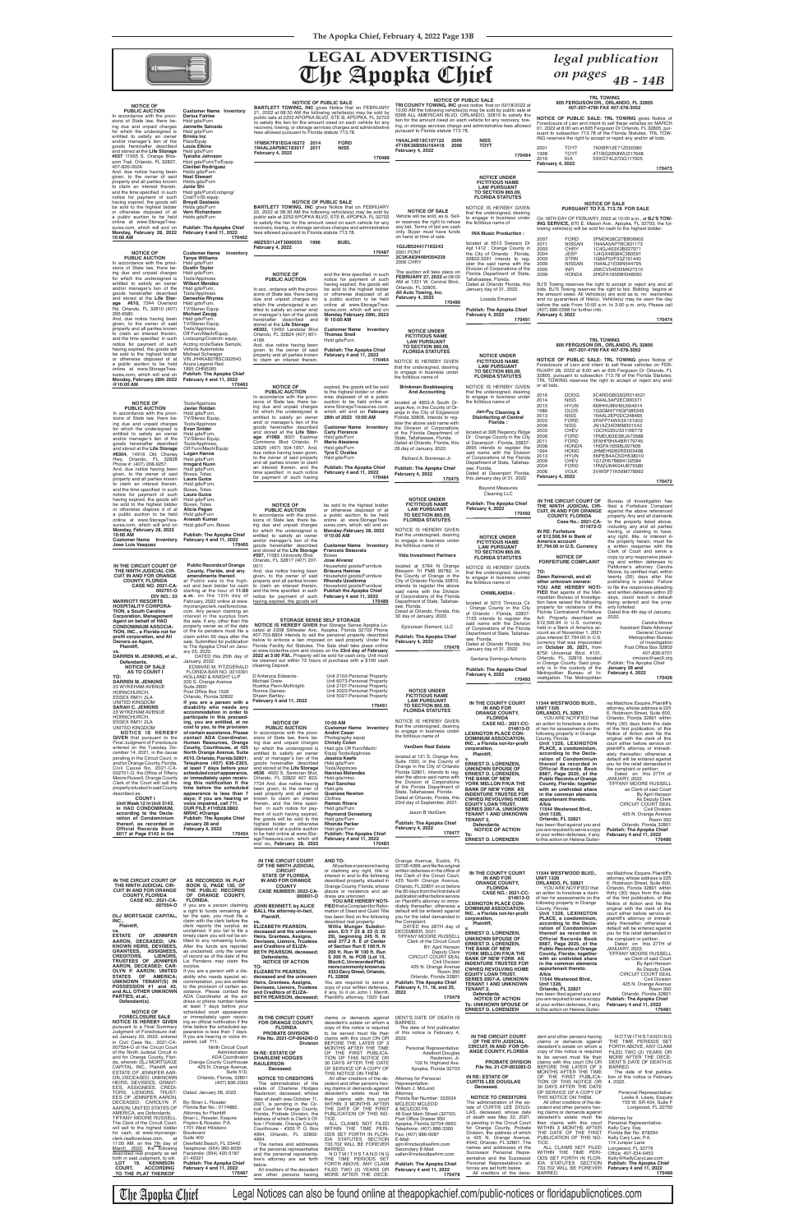## **The Apopka Chief LEGAL ADVERTISING** *legal publication*



*on pages 4B - 14B*

**NOTICE OF PUBLIC SALE: TRL TOWING** gives Notice of<br>Foreclosure of Lien and intent to sell these vehicles on MARCH<br>01, 2022 at 8:00 am at 605 Ferguson Dr Orlando, FL 32805, pur-<br>suant to subsection 713.78 of the Florida St

**STORAGE SENSE SELF STORAGE NOTICE IS HEREBY GIVEN** that Storage Sense Apopka Lo-cated at 2208 Stillwater Ave., Apopka, Florida 32703 Phone

407-703-8854 intends to sell the personal property described<br>below to enforce a lien imposed on said property Under the<br>Florida Facility Act Statutes. The Sale shall take place online<br>at www.lockerfox.com and closes on the

D'Anteryca Edwards- Unit 2102-Personal Property Michael Drew- Unit 6073-Personal Property Rodrika Penn-McKnight- Unit 2107-Personal Property Ronnie Gaines- Unit 2022-Personal Property Shawn Bartley- Unit 5027-Personal Property

### **NOTICE OF**

| <b>Customer Name Inventory</b>   |
|----------------------------------|
| <b>Darius Fairlee</b>            |
| Hsld gds/Furn                    |
| Jannette Salcedo                 |
| Hsld gds/Furn                    |
| <b>Brinks Inc</b>                |
| Files/Equip                      |
| <b>Louis Elkins</b>              |
| Hsld gds/Furn                    |
| Tyeisha Johnson                  |
| Hsld gds/Furn/Tv/Eguip           |
| <b>Claribel Rodriguez</b>        |
| Hslds gds/Furn                   |
| <b>Noel Stewart</b>              |
| Hslds gds/Furn                   |
| Junie Shi                        |
| Hsld gds/Furn/Lndspng/           |
| Cnst/Tv/St equip                 |
| Breydi Destasio                  |
| Hsids gds/Furn                   |
| <b>Vern Richardson</b>           |
| Hsids gds/Furn                   |
|                                  |
| <b>Publish: The Apopka Chief</b> |
| February 4 and 11, 2022          |
| 17046                            |
|                                  |

and the time specified in such notice for payment of such having expired, the goods will be sold to the highest bidder or otherwise disposed of at

### **Breydi Destasio** .<br>son **popka Chief February 4 and 11, 2022 170462**

**NOTICE OF PUBLIC AUCTION** In accordance with the provi-sions of State law, there being due and unpaid charges for which the undersigned is entitled to satisfy an owner and/or manager's lien of the goods hereinafter described and stored at the **Life Storage #610,** 7244 Overland Rd. Orlando, FL 32810 (407) 295-6580. And, due notice having been given, to the owner of said property and all parties known to claim an interest therein, and the time specified in such notice for payment of such having expired, the goods will be sold to the highest bidder or otherwise disposed of at a public auction to be held online at www.StorageTrea-sures.com, which will end on **Monday, February 28th 2022 @10:00 AM February 4 and 11, 2022 170463 Customer Name Inventory Tanya Williams** Hsld gds/Furn **Dustin Taylor** Hsld gds/Furn, Tools/Applnces **Wilbert Mendez** Hsld gds/Furn, Tools/Applnces **Deneshia Rhynes** Hsld gds/Furn, TV/Stereo Equip **Michael Zaugg**<br>Hsld gds/Furn,<br>TV/Stereo Equip, Tools/Applnces, Off Furn/Mach/Equip, Lndscpng/Cnstrctn equip, Acctng rcrds/Sales Sampls, Vehicle Automobile<br>Michael Schwager Michael Schwager VIN JH4KA8278SC002643 Acura Legend Red 1995 CHN5265 **Publish: The Apopka Chief**

2001 TOYT 1NXBR12E71Z550380<br>1998 TOYT 4T1BG22K8WU31764<br>2016 KIA 5XXGT4L37GG11700 1998 TOYT 4T1BG22K8WU317648 2016 KIA 5XXGT4L37GG117005

BJ'S Towing reserves the right to accept or reject any and all<br>bids. BJ'S Towing reserves the right to bid. Bidding begins at<br>the amount owed. All Vehicle(s) are sold as is, no warranties and no guarantees of title(s). Vehicle(s) may be seen the day before the sale From 10:00 a.m. to 3:00 p.m. only. Please call (407) 886-0568 for further info. **February 4, 2022**

**NOTICE OF PUBLIC AUCTION** In acc , ordance with the provisions of State law, there being due and unpaid charges for which the undersigned is en-titled to satisfy an owner and/ or manager's lien of the goods hereinafter described and stored at the **Life Storage #8302,** 13450 Landstar Blvd Orlando, FL 32824 (407) 601-

4169.

And, due notice having been given, to the owner of said property and all parties known to claim an interest therein,

a public auction to be held online at www.StorageTrea-sures.com, which will end on **Monday February 28th, 2022 @ 10:00 AM**

**Customer Name Inventory Thomas Snell**

Hsld gds/Furn

**Publish: The Apopka Chief February 4 and 11, 2022**

 **170464**

**NOTICE OF PUBLIC AUCTION** In accordance with the provi-sions of State law, there being due and unpaid charges for which the undersigned is entitled to satisfy an owner and/or manager's lien of the goods hereinafter described and stored at the **Life Storage #8304,** 14916 Old Cheney Hwy, Orlando, FL 32828 Phone #: (407) 208-9257. And, due notice having been given, to the owner of said property and all parties known to claim an interest therein, and the time specified in such<br>notice for payment of such<br>having expired, the goods will be sold to the highest bidder or otherwise dispose d of at a public auction to be held online at www.StorageTrea-sures.com, which will end on **Monday, February 28, 2022 10:00 AM Customer Name Inventory Jose Luis Vasquez** Tools/Applnces **Javier Roldan** Hsld gds/Furn, TV/Stereo Equip, Tools/Applnces **Evan Snider**<br>Hsld gds/Furn,<br>TV/Stereo Equip, Tools/Applnces, Off Furn/Mach/Equip **Logan Hanna** Hsld gds/Furn **Irmgard Nunn** Hsld gds/Furn, Boxes, Totes **Laura Guice** Hsld gds/Furn, Boxes, Totes **Laura Guice**<br>Hsld gds/Furn,<br>Boxes, Totes **Alicia Pagan** Hsld gds/Furn **Aneesh Kumar** Hsld gds/Furn, Boxes **Publish: The Apopka Chief February 4 and 11, 2022 170465**

**NOTICE OF PUBLIC AUCTION** In accordance with the provi-sions of State law, there being due and unpaid charges for which the undersigned is entitled to satisfy an owner and/ or manager's lien of the goods hereinafter described and stored at the **Life Storage #1068** 9001 Eastmar Commons Blvd Orlando, Fl 32825 (407) 504-1957. And, due notice having been given, to the owner of said property and all parties known to claim an interest therein, and the time specified in such notice<br>for payment of such having

## **TRL TOWING 605 FERGUSON DR., ORLANDO, FL 32805 407-207-4790 FAX 407-578-3052**

**February 4, 2022**

**BARTLETT TOWING, INC OF PUBLIC SALE**<br>21, 2022 at 08:30 AM the following vehicles(s) may be sold by<br>public sale at 2252 APOPKA BLVD, STE B, APOPKA, FL 32703<br>public sale at 2252 APOPKA BLVD, STE B, APOPKA, FL 32703 to satisfy the lien for the amount owed on each vehicle for any recovery, towing, or storage services charges and administrative fees allowed pursuant to Florida statute 713.78.

**170473**

### **NOTICE OF SALE PURSUANT TO F.S. 713.78 FOR SALE**

On 18TH DAY OF FEBUARY, 2022 at 10:00 a.m., at **BJ'S TOW-**<br>**ING SERVICE,** 670 E. Mason Ave., Apopka, FL 32703, the fol-<br>Iowing vehicle(s) will be sold for cash to the highest bidder:

**BARTLETT TOWING, INC OF PUBLIC SALE**<br>22, 2022 at 08:30 AM the following vehicles(s) may be sold by<br>public sale at 2252 APOPKA BLVD, STE B, APOPKA, FL 32703<br>public sale at 2252 APOPKA BLVD, STE B, APOPKA, FL 32703 to satisfy the lien for the amount owed on each vehicle for any recovery, towing, or storage services charges and administrative

| 2007 | FORD          | 2FMDK38C27BB09902 |
|------|---------------|-------------------|
| 2011 | <b>NISSAN</b> | 1N4AA5AP7BC831173 |
| 2003 | CHRY          | 1C4GJ453X3B227971 |
| 2004 | JEEP          | 1J4GX48S84C360591 |
| 2003 | <b>STRN</b>   | 1G8AF52F33Z161440 |
| 2009 | <b>NISSAN</b> | 1N4AL21E09N544795 |
| 2005 | INFI          | JNKCV54E05M427310 |
| 2009 | <b>HONDA</b>  | 2HGFA16569H348590 |
|      |               |                   |

**170474**

**NOTICE UNDER FICTITIOUS NAME LAW PURSUANT TO SECTION 865.09, FLORIDA STATUTES**

**Brinkman Bookkeeping And Accounting** located at 4853-A South Or-

ister the above said name with the Division of Corporations

29 day of January, 2022. Richard A. Brinkman Jr. **Publish: The Apopka Chief February 4, 2022**

**170475**

**TRI COUNTY TOWING, INC OF PUBLIC SALE**<br>10:00 AM the following vehicles(s) may be sold by public sale at<br>6366 ALL AMERICAN BLVD, ORLANDO, 32810 to satisfy the lien for the amount owed on each vehicle for any recovery, tow-ing, or storage services charge and administrative fees allowed pursuant to Florida statute 713.78.

**February 4, 2022**

**NOTICE UNDER FICTITIOUS NAME LAW PURSUANT** 

**NOTICE OF PUBLIC SALE: TRL TOWING** gives Notice of Foreclosure of Lien and intent to sell these vehicles on FEB-Foreclosure of Lien and intent to sell these vehicles on FEB-<br>RUARY 28, 2022 at 8:00 am at 605 Ferguson Dr Orlando, FL<br>32805, pursuant to subsection 713.78 of the Florida Statutes.<br>TRL TOWING reserves the right to accept o or all bids.

**IN THE CIRCUIT COURT OF** Bureau of Investigation has **THE NINTH JUDICIAL CIR-** filed a Forfeiture Complaint **Case No.: 2021-CA-011672-O FORFEITURE COMPLAINT** against the above referenced property. Any and all claimants to the property listed above, including any and all parties having, or claiming to have, any right, title, or interest in the property herein, must file<br>a written response with the Clerk of Court and serve a copy oy any responsive plead-ing and written defenses to Petitioner's attorney Candra Moore, by certified mail, within<br>twenty (20) days after this publishing is posted. Failure<br>to file the responsive pleading<br>and written defenses within 20<br>days, could result in default being entered and the prop-erty forfeited. Dated this 4th day of January, 2022.

n a Bank of America ac count as of November 1, 2021 plus interest \$7,794.00 in U.S. currency that was impounded<br>on **October 26, 2021,** from<br>8750 Universal Blvd. #131,<br>Orlando, FL, 32819, located in Orange County. Said prop-erty is in the custody of the Metropolitan Bureau of In-**January 28 and February 4, 2022** Candra Moore Assistant State Attorney/ General Counsel Metropolitan Bureau of Investigation Post Office Box 32802 407-836-9701 cmoore@sao9.org Publish: The Apopka Chief

NOTICE IS HEREBY GIVEN that the undersigned, desiring<br>to engage in business under<br>the fictitious name of ange Ave, in the County of Or-ange in the City of Edgewood Florida 32806, intends to regof the Florida Department of State, Tallahassee, Florida. Dated at Orlando, Florida, this **NOTICE UNDER FICTITIOUS NAME LAW PURSUANT TO SECTION 865.09, FLORIDA STATUTES** NOTICE IS HEREBY GIVEN that the undersigned, desiring to engage in business under the fictitious name of **Jan-Pro Cleaning & Disinfecting of Central Florida :** located at 306 Regency Ridge Dr : Orange County in the City of Davenport : Florida, 33837- 2695 intends to register the said name with the Division of Corporations of the Florida Department of State, Tallahas-

expired, the goods will be sold to the highest bidder or otherwise disposed of at a public auction to be held online at www.StorageTreasures.com, which will end on **February 28th of 2022 10:00 AM**

**Customer Name Inventory Carly Florence** Hsld gds/Furn

**Mario Atesiano** Hsld gds/Furn **Tyra C Ovalles** Hsld gds/Furn

**Publish: The Apopka Chief February 4 and 11, 2022 170484**

be sold to the highest bidder<br>a public auction to be held<br>andine at www.StorageTrea-<br>sures.com, which will end on<br>**Monday-February 28, 2022** 

**Publish: The Apopka Chief 170476** Department of State, Tallahas-see, Florida. Dated at Orlando Florida, this January day of 31, 2022

**1FM5K7F81EGA16272 2014 FORD 1N4AL2AP5BC183017 2011 NISS February 4, 2022**

**170486**

fees allowed pursuant to Florida statute 713.78. **4MZSS11J4T3000033 1996 BUEL**

**February 4, 2022**

**170487**

**NOTICE OF PUBLIC AUCTION** In accordance with the provi-sions of State law, there being due and unpaid charges for which the undersigned is entitled to satisfy an owner and/or manager's lien of the goods hereinafter described and stored at the **Life Storage #507,** 11583 University Blvd. Orlando, FL 32817 (407) 207-

est and best bidder for cash to claim an interest therein,<br>starting at the hour of 11:00 and the time specified in such **a.m.** on the 15th day of notice for payment of such<br>February, 2022 online at www.<br>myorangeclerk.realforeclose.<br>com. Any person claiming an **IN THE CIRCUIT COURT OF THE NINTH JUDICIAL CIR-CUIT IN AND FOR ORANGE COUNTY, FLORIDA CASE NO. 2021-CA-002701-O DIV NO.: 33 Public Rec ords of Orange County, Florida, and any amendments thereof.** at Public sale to the high-

0011.

And, due notice having been given, to the owner of said property and all parties known

| <b>NOTICE UNDER</b><br><b>FICTITIOUS NAME</b><br><b>LAW PURSUANT</b><br><b>TO SECTION 865.09.</b>                                                       | <b>Publish: The Apopka Chief</b><br>February 4, 2022<br>170492                                                            | IN THE CIRCUIT COURT OF<br>THE NINTH JUDICIAL CIR-<br><b>CUIT, IN AND FOR ORANGE</b><br><b>COUNTY, FLORIDA</b>                  |
|---------------------------------------------------------------------------------------------------------------------------------------------------------|---------------------------------------------------------------------------------------------------------------------------|---------------------------------------------------------------------------------------------------------------------------------|
| <b>FLORIDA STATUTES</b>                                                                                                                                 |                                                                                                                           | Case No.: 2021-CA-                                                                                                              |
| NOTICE IS HEREBY GIVEN<br>that the undersigned, desiring<br>to engage in business under<br>the fictitious name of                                       | <b>NOTICE UNDER</b><br><b>FICTITIOUS NAME</b><br><b>LAW PURSUANT</b>                                                      | 011672-0<br><b>IN RE: Forfeiture</b><br>of \$12,506.94 in Bank of<br>America account<br>\$7,794.00 in U.S. Currency             |
| <b>Vida Investment Partners</b>                                                                                                                         | <b>TO SECTION 865.09,</b><br><b>FLORIDA STATUTES</b>                                                                      | <b>NOTICE OF</b><br><b>FORFEITURE COMPLAINT</b>                                                                                 |
| located at 5764 N Orange<br>Blossom Trl PMB 90782, in<br>the County of Orange in the<br>City of Orlando Florida 32810,<br>intends to register the above | NOTICE IS HEREBY GIVEN<br>that the undersigned, desiring<br>to engage in business under<br>the fictitious name of         | TO:<br>Dawn Raimondi, and all<br>other unknown owners:<br>YOU ARE HEREBY NOTI-                                                  |
| said name with the Division<br>of Corporations of the Florida                                                                                           | <b>CHIMILANDIA:</b>                                                                                                       | <b>FIED</b> that agents of the Met-<br>ropolitan Bureau of Investiga-                                                           |
| Department of State, Tallahas-<br>see, Florida.<br>Dated at Orlando, Florida, this<br>30 day of January, 2022.                                          | located at 3215 Timucua Cir<br>: Orange County in the City<br>of Orlando: Florida, 32837-<br>7125 intends to register the | tion have seized the following<br>property for violations of the<br>Florida Contraband Forfeiture<br>Act: Property described as |
| Epicurean Element, LLC                                                                                                                                  | said name with the Division<br>of Corporations of the Florida                                                             | \$12,506.94 in U.S. currency<br>held in a Bank of America ac-<br>count as of November 1, 2021                                   |
| _ _ _                                                                                                                                                   | Department of State, Tallahas-                                                                                            |                                                                                                                                 |

**@10:00 AM** 

**Customer Name Inventory Francois Beauvais** Boxes **Jose Alvarez**

Household goods/Furniture **Briauna Hannas** Household goods/Furniture **Rhonda Uzodinma** Household goods/Furniture **Publish the Apopka Chief February 4 and 11, 2022**

 **170489**

on hand at time of sale. **1G2JB524417163243** 2001 PONT **2C3KA63H46H304239** 2006 CHRY

**NOTICE OF SALE** Vehicle will be sold, as is. Sell-er reserves the right to refuse any bid. Terms of bid are cash only. Buyer must have funds NOTICE IS HEREBY GIVEN that the undersigned, desiring<br>to engage in business under<br>the fictitious name of **INA Music Production :**

Orlando, FL 32805. **All Auto Towing, Inc. February 4, 2022**

**NOTICE UNDER FICTITIOUS NAME LAW PURSUANT TO SECTION 865.09, FLORIDA STATUTES**

The auction will take place on **FEBRUARY 27, 2022** at 08:00 AM at 1331 W. Central Blvd., located at 6512 Swissco Dr<br>Apt 1412 : Orange County in<br>the City of Orlando : Florida,<br>32822-3291 intends to reg-<br>ister the said name with the<br>Division of Corporations of the Florida Department of State, Tallahassee, Florida. Dated at Orlando Florida, this

**170490** January day of 31, 2022 Lozada Emanuel

> **Publish: The Apopka Chief February 4, 2022 170491**

see, Florida. Dated at Davenport Florida, this January day of 31, 2022

Beyond Measures Cleaning LLC

Santana Domingo Antonio

**Publish: The Apopka Chief February 4, 2022 170493**

**1N4AL24E19C107122 2009 NISS 4T1BK36B56U164418 2006 TOYT February 4, 2022**

**170494**

| HORNCHURCH,<br>ESSEX RM11 2LA<br>UNITED KINGDOM<br><b>SARAH C. JENKINS</b><br>23 WYKEHAM AVENUE<br>HORNCHURCH,<br>ESSEX RM11 2LA<br>UNITED KINGDOM<br>NOTICE IS HEREBY<br><b>GIVEN</b> that pursuant to the<br>Final Judgment of Foreclosure<br>entered on the Tuesday, De-<br>cember 14, 2021, in the cause<br>pending in the Circuit Court, in<br>and for Orange County, Florida,<br>Civil Cause No. 2021-CA-<br>002701-O, the Office of Tiffany<br>Moore Russell, Orange County<br>Clerk of the Court will sell the<br>property situated in said County<br>described as:<br><b>COUNT</b><br>Unit Week 12 in Unit 3143.<br>in HAO CONDOMINIUM,<br>according to the Decla-<br>ration of Condominium<br>thereof, as recorded in<br><b>Official Records Book</b><br>6017 at Page 0143 in the                                                                                                                                                                                                  | Post Office Box 1526<br>Orlando, Florida 32802<br>If you are a person with a<br>disability who needs any<br>accommodation in order to<br>participate in this proceed-<br>ing, you are entitled, at no<br>cost to you, to the provision<br>of certain assistance. Please<br>contact ADA Coordinator,<br>Human Resources, Orange<br>County, Courthouse, at 425<br>North Orange Avenue, Suite<br>#510, Orlando, Florida 32801;<br>Telephone (407) 836-2303,<br>at least 7 days before your<br>scheduled court appearance,<br>or immediately upon receiv-<br>ing this notification if the<br>time before the scheduled<br>appearance is less than 7<br>days; if you are hearing or<br>voice impaired, call 711.<br>OUR FILE #110528.0802<br><b>MRHC #Orange</b><br><b>Publish: The Apopka Chief</b><br>January 28 and<br>February 4, 2022<br>170454 | Ronnie Gaines-<br>Shawn Bartley-<br>February 4 and 11, 2022<br><b>NOTICE OF</b><br><b>PUBLIC AUCTION</b><br>In accordance with the provi-<br>sions of State law, there be-<br>ing due and unpaid charges<br>for which the undersigned is<br>entitled to satisfy an owner<br>and/ or manager's lien of the<br>goods hereinafter described<br>and stored at the Life Storage<br>#636 4650 S. Semoran Blvd,<br>Orlando, FL 32822 407 823-<br>7734 And, due notice having<br>been given, to the owner of<br>said property and all parties<br>known to claim an interest<br>therein, and the time speci-<br>fied in such notice for pay-<br>ment of such having expired,<br>the goods will be sold to the<br>highest bidder or otherwise<br>disposed of at a public auction<br>to be held online at www.Stor-<br>ageTreasures.com, which will<br>end on, February 28, 2022 | Unit 2022-Personal Property<br>Unit 5027-Personal Property<br>170461<br>10:00 AM<br><b>Customer Name</b> Inventory<br><b>Andini Cesar</b><br>Photography equip<br><b>Christy Colon</b><br>Hsld gds Off Furn/Mach/<br>Equip Tools/Applnces<br>Jessica Keefe<br>Hsld gds/Furn<br>Tools/AppInces<br><b>Narciso Melendez</b><br>Hsld gds/misc.<br><b>Paul Sanchez</b><br>Hsld gds<br><b>Quanese Newton</b><br>Clothes<br><b>Ramon Rivera</b><br>Hsld gds/Furn<br><b>Raymond Donastorg</b><br>Hsld gds/Furn<br><b>Rhonda Parker</b><br>Hsld gds/Furn<br><b>Publish: The Apopka Chief</b><br>February 4 and 11, 2022<br>170483                                                                                                                                                                                                                                               | שטווטב טווטבו<br><b>FICTITIOUS NAME</b><br><b>LAW PURSUANT</b><br><b>TO SECTION 865.09,</b><br><b>FLORIDA STATUTES</b><br>NOTICE IS HEREBY GIVEN<br>that the undersigned, desiring<br>to engage in business under<br>the fictitious name of<br>VanDam Real Estate<br>located at 121 S. Orange Ave,<br>Suite 1500, in the County of<br>Orange in the City of Orlando<br>Florida 32801, intends to reg-<br>ister the above said name with<br>the Division of Corporations<br>of the Florida Department of<br>State, Tallahassee, Florida.<br>Dated at Orlando, Florida, this<br>23rd day of September, 2021.<br>Jason B VanDam<br><b>Publish: The Apopka Chief</b><br>February 4, 2022<br>170477                                                                                         | IN THE COUNTY COURT<br>IN AND FOR<br><b>ORANGE COUNTY,</b><br><b>FLORIDA</b><br><b>CASE NO.: 2021-CC-</b><br>014613-0<br><b>LEXINGTON PLACE CON-</b><br><b>DOMINIUM ASSOCIATION,</b><br>INC., a Florida not-for-profit<br>corporation,<br>Plaintiff,<br><b>ERNEST D. LORENZEN.</b><br><b>UNKNOWN SPOUSE OF</b><br><b>ERNEST D. LORENZEN,</b><br>THE BANK OF NEW<br>YORK MELLON F/K/A THE<br><b>BANK OF NEW YORK AS</b><br><b>INDENTURE TRUSTEE FOR</b><br><b>CWHEQ REVOLVING HOME</b><br><b>EQUITY LOAN TRUST,</b><br><b>SERIES 2007-A, UNKNOWN</b><br><b>TENANT 1 AND UNKNOWN</b><br><b>TENANT 2,</b><br>Defendants.<br><b>NOTICE OF ACTION</b><br>To:<br><b>ERNEST D. LORENZEN</b>                                           | 11544 WESTWOOD BLVD.,<br><b>UNIT 1326</b><br>ORLANDO, FL 32821<br>YOU ARE NOTIFIED that<br>an action to foreclose a claim<br>of lien for assessments on the<br>following property in Orange<br>County, Florida:<br>Unit 1326, LEXINGTON<br>PLACE, a condominium,<br>according to the Decla-<br>ration of Condominium<br>thereof as recorded in<br><b>Official Records Book</b><br>8687, Page 2025, of the<br><b>Public Records of Orange</b><br>County, Florida; together<br>with an undivided share<br>in the common elements<br>appurtenant thereto.<br>A/k/a<br>11544 Westwood Blvd.,<br>Unit 1326,<br>Orlando, FL 32821<br>has been filed against you and<br>you are required to serve a copy<br>of your written defenses, if any,<br>to this action on Helena Gutier-             | rez Malchow, Esquire, Plaintiff's<br>attorney, whose address is 225<br>E. Robinson Street, Suite 600,<br>Orlando, Florida 32801 within<br>thirty (30) days from the date<br>of the first publication, of this<br>Notice of Action and file the<br>original with the clerk of this<br>court either before service on<br>plaintiff's attorney or immedi-<br>ately thereafter; otherwise a<br>default will be entered against<br>you for the relief demanded in<br>the complaint or petition.<br>Dated on this 27TH of<br>JANUARY, 2022.<br><b>TIFFANY MOORE RUSSELL</b><br>as Clerk of said Court<br>By April Henson<br>As Deputy Clerk<br>CIRCUIT COURT SEAL<br>Civil Division<br>425 N. Orange Avenue<br><b>Room 350</b><br>Orlando, Florida 32801<br><b>Publish: The Apopka Chief</b><br>February 4 and 11, 2022<br>170480        |
|----------------------------------------------------------------------------------------------------------------------------------------------------------------------------------------------------------------------------------------------------------------------------------------------------------------------------------------------------------------------------------------------------------------------------------------------------------------------------------------------------------------------------------------------------------------------------------------------------------------------------------------------------------------------------------------------------------------------------------------------------------------------------------------------------------------------------------------------------------------------------------------------------------------------------------------------------------------------------------------------|-------------------------------------------------------------------------------------------------------------------------------------------------------------------------------------------------------------------------------------------------------------------------------------------------------------------------------------------------------------------------------------------------------------------------------------------------------------------------------------------------------------------------------------------------------------------------------------------------------------------------------------------------------------------------------------------------------------------------------------------------------------------------------------------------------------------------------------------------|-----------------------------------------------------------------------------------------------------------------------------------------------------------------------------------------------------------------------------------------------------------------------------------------------------------------------------------------------------------------------------------------------------------------------------------------------------------------------------------------------------------------------------------------------------------------------------------------------------------------------------------------------------------------------------------------------------------------------------------------------------------------------------------------------------------------------------------------------------------------------|------------------------------------------------------------------------------------------------------------------------------------------------------------------------------------------------------------------------------------------------------------------------------------------------------------------------------------------------------------------------------------------------------------------------------------------------------------------------------------------------------------------------------------------------------------------------------------------------------------------------------------------------------------------------------------------------------------------------------------------------------------------------------------------------------------------------------------------------------------------------|----------------------------------------------------------------------------------------------------------------------------------------------------------------------------------------------------------------------------------------------------------------------------------------------------------------------------------------------------------------------------------------------------------------------------------------------------------------------------------------------------------------------------------------------------------------------------------------------------------------------------------------------------------------------------------------------------------------------------------------------------------------------------------------|--------------------------------------------------------------------------------------------------------------------------------------------------------------------------------------------------------------------------------------------------------------------------------------------------------------------------------------------------------------------------------------------------------------------------------------------------------------------------------------------------------------------------------------------------------------------------------------------------------------------------------------------------------------------------------------------------------------------------------|----------------------------------------------------------------------------------------------------------------------------------------------------------------------------------------------------------------------------------------------------------------------------------------------------------------------------------------------------------------------------------------------------------------------------------------------------------------------------------------------------------------------------------------------------------------------------------------------------------------------------------------------------------------------------------------------------------------------------------------------------------------------------------------|------------------------------------------------------------------------------------------------------------------------------------------------------------------------------------------------------------------------------------------------------------------------------------------------------------------------------------------------------------------------------------------------------------------------------------------------------------------------------------------------------------------------------------------------------------------------------------------------------------------------------------------------------------------------------------------------------------------------------------------------------------------------------------------------------------------------------------|
| IN THE CIRCUIT COURT OF<br>THE NINTH JUDICIAL CIR-<br><b>CUIT IN AND FOR ORANGE</b><br><b>COUNTY, FLORIDA</b><br><b>CASE NO.: 2021-CA-</b><br>007554-O<br>DLJ MORTGAGE CAPITAL,<br>INC<br>Plaintiff,<br>VS.<br>OF<br><b>JENNIFER</b><br><b>ESTATE</b><br>AARON, DECEASED: UN-<br>KNOWN HEIRS, DEVISEES,<br><b>ASSIGNEES,</b><br><b>GRANTEES,</b><br><b>CREDITORS,</b><br>LIENORS.<br>TRUSTEES OF JENNIFER<br>AARON, DECEASED; CAR-<br>OLYN P. AARON; UNITED<br>OF AMERICA;<br>STATES<br>UNKNOWN TENANT(S) IN<br>POSSESSION #1 and #2,<br>and ALL OTHER UNKNOWN<br>PARTIES, et.al.,<br>Defendant(s).                                                                                                                                                                                                                                                                                                                                                                                          | AS RECORDED IN PLAT<br>BOOK G, PAGE 130, OF<br>THE PUBLIC RECORDS<br>OF ORANGE COUNTY,<br><b>FLORIDA.</b><br>If you are a person claiming<br>a right to funds remaining af-<br>ter the sale, you must file a<br>claim with the clerk before the<br>clerk reports the surplus as<br>unclaimed. If you fail to file a<br>timely claim you will not be en-<br>titled to any remaining funds.<br>After the funds are reported<br>as unclaimed, only the owner<br>of record as of the date of the<br>Lis Pendens may claim the<br>surplus.<br>If you are a person with a dis-<br>ability who needs special ac-<br>commodation, you are entitled<br>to the provision of certain as-<br>sistance. Please contact the<br>ADA Coordinator at the ad-<br>dress or phone number below<br>at least 7 days before your                                       | IN THE CIRCUIT COURT<br>OF THE NINTH JUDICIAL<br><b>CIRCUIT</b><br><b>STATE OF FLORIDA,</b><br>IN AND FOR ORANGE<br><b>COUNTY</b><br><b>CASE NUMBER: 2022-CA-</b><br>000001-O<br>JOHN BENNETT, by ALICE<br><b>BALL His attorney-in-fact,</b><br>Plaintiff,<br>vs.<br><b>ELIZABETH PEARSON,</b><br>deceased and the unknown<br>Heirs, Grantees, Assigns,<br>Devisees, Lienors, Trustees<br>and Creditors of ELIZA-<br><b>BETH PEARSON, deceased;</b><br>Defendants.<br><b>NOTICE OF ACTION</b><br>TO:<br><b>ELIZABETH PEARSON,</b><br>deceased and the unknown<br>Heirs, Grantees, Assigns,<br>Devisees, Lienors, Trustees<br>and Creditors of ELIZA-<br><b>BETH PEARSON, deceased:</b>                                                                                                                                                                                | <b>AND TO:</b><br>All parties or persons having<br>or claiming any right, title or<br>interest in and to the following<br>described property, situated in<br>Orange County, Florida, whose<br>places or residence and ad-<br>dress are unknown.<br>YOU ARE HEREBY NOTI-<br>FIED that a Complaint for Refor-<br>mation of Deed and Quiet Title<br>has been filed on the following<br>described real property:<br>Willis Munger Subdivi-<br>sion, E/3 7 22 & 23 (5 22<br>29), beginning 245 ft. N<br>and 377.2 ft. E of Center<br>of Section Run E 100 ft. N<br>200 ft. Run W 100 ft. Run<br>S 200 ft. to POB (Lot 15,<br>Block C, Unrecorded Plat);<br>more commonly known as<br>4333 Davy Street, Orlando,<br>FL 32808<br>You are required to serve a<br>copy of your written defenses,<br>if any, to it on John I. Merritt,<br>Plaintiff's attorney, 1500 East        | Orange Avenue, Eustis, FL<br>32726-4399, and file the original<br>written defenses in the office of<br>the Clerk of the Circuit Court,<br>425 North Orange Avenue,<br>Orlando, FL32801 on or before<br>the 30 days from the first date of<br>publication either before service<br>on Plaintiff's attorney or imme-<br>diately thereafter; otherwise a<br>default will be entered against<br>you for the relief demanded in<br>the Complaint.<br>DATED this 28TH day of<br>DECEMBER, 2021.<br><b>TIFFANY MOORE RUSSELL</b><br>Clerk of the Circuit Court<br>BY: April Henson<br>Deputy Clerk<br>CIRCUIT COURT SEAL<br>Civil Division<br>425 N. Orange Avenue<br>Room 350<br>Orlando, Florida 32801<br><b>Publish: The Apopka Chief</b><br>February 4, 11, 18, and 25,<br>2022<br>170479 | IN THE COUNTY COURT<br>IN AND FOR<br><b>ORANGE COUNTY,</b><br><b>FLORIDA</b><br><b>CASE NO.: 2021-CC-</b><br>014613-0<br><b>LEXINGTON PLACE CON-</b><br><b>DOMINIUM ASSOCIATION,</b><br>INC., a Florida not-for-profit<br>corporation,<br>Plaintiff.<br><b>ERNEST D. LORENZEN,</b><br>UNKNOWN SPOUSE OF<br><b>ERNEST D. LORENZEN,</b><br>THE BANK OF NEW<br>YORK MELLON F/K/A THE<br><b>BANK OF NEW YORK AS</b><br><b>INDENTURE TRUSTEE FOR</b><br><b>CWHEQ REVOLVING HOME</b><br><b>EQUITY LOAN TRUST,</b><br><b>SERIES 2007-A, UNKNOWN</b><br><b>TENANT 1 AND UNKNOWN</b><br><b>TENANT 2,</b><br>Defendants.<br><b>NOTICE OF ACTION</b><br><b>To: UNKNOWN SPOUSE OF</b><br><b>ERNEST D. LORENZEN</b>                         | 11544 WESTWOOD BLVD.,<br><b>UNIT 1326</b><br>ORLANDO, FL 32821<br>YOU ARE NOTIFIED that<br>an action to foreclose a claim<br>of lien for assessments on the<br>following property in Orange<br>County, Florida:<br>Unit 1326, LEXINGTON<br>PLACE, a condominium,<br>according to the Decla-<br>ration of Condominium<br>thereof as recorded in<br><b>Official Records Book</b><br>8687, Page 2025, of the<br><b>Public Records of Orange</b><br>County, Florida; together<br>with an undivided share<br>in the common elements<br>appurtenant thereto.<br>A/k/a<br>11544 Westwood Blvd.,<br>Unit 1326,<br>Orlando, FL 32821<br>has been filed against you and<br>you are required to serve a copy<br>of your written defenses, if any,<br>to this action on Helena Gutier-             | rez Malchow, Esquire, Plaintiff's<br>attorney, whose address is 225<br>E. Robinson Street, Suite 600,<br>Orlando, Florida 32801 within<br>thirty (30) days from the date<br>of the first publication, of this<br>Notice of Action and file the<br>original with the clerk of this<br>court either before service on<br>plaintiff's attorney or immedi-<br>ately thereafter; otherwise a<br>default will be entered against<br>you for the relief demanded in<br>the complaint or petition.<br>Dated on this 27TH of<br>JANUARY, 2022.<br><b>TIFFANY MOORE RUSSELL</b><br>as Clerk of said Court<br>By April Henson<br>As Deputy Clerk<br>CIRCUIT COURT SEAL<br><b>Civil Division</b><br>425 N. Orange Avenue<br><b>Room 350</b><br>Orlando, Florida 32801<br><b>Publish: The Apopka Chief</b><br>February 4 and 11, 2022<br>170481 |
| <b>NOTICE OF</b><br><b>FORECLOSURE SALE</b><br>NOTICE IS HEREBY GIVEN<br>pursuant to a Final Summary<br>Judgment of Foreclosure dat-<br>ed January 20, 2022, entered<br>in Civil Case No.: 2021-CA-<br>007554-O of the Circuit Court<br>of the Ninth Judicial Circuit in<br>and for Orange County, Flori-<br>da, wherein DLJ MORTGAGE<br>CAPITAL, INC., Plaintiff, and<br>ESTATE OF JENNIFER AAR-<br>ON, DECEASED; UNKNOWN<br>HEIRS, DEVISEES, GRANT-<br>EES, ASSIGNEES, CREDI-<br>TORS, LIENORS, TRUST-<br>EES OF JENNIFER AARON,<br>DECEASED; CAROLYN P.<br>AARON; UNITED STATES OF<br>AMERICA, are Defendants.<br>TIFFANY MOORE RUSSELL,<br>The Clerk of the Circuit Court,<br>will sell to the highest bidder<br>for cash, at www.myorange-<br>clerk.realforeclose.com,<br>at<br>11:00 AM, on the 7th day of<br>March, 2022, the following<br>described real property as set<br>forth in said Judgment, to wit:<br>LOT 19, KENNISON<br>COURT,<br><b>ACCORDING</b><br>TO THE PLAT THEREOF | scheduled court appearance<br>or immediately upon receiv-<br>ing an official notification if the<br>time before the scheduled ap-<br>pearance is less than 7 days.<br>If you are hearing or voice im-<br>paired, call 711.<br>Ninth Circuit Court<br>Administration<br><b>ADA Coordinator</b><br>Orange County Courthouse<br>425 N. Orange Avenue,<br>Suite 510,<br>Orlando, Florida, 32801<br>(407) 836-2303<br>Dated: January 26, 2022<br>By: Brian L. Rosaler<br>Florida Bar No.: 0174882.<br>Attorney for Plaintiff:<br>Brian L. Rosaler, Esquire<br>Popkin & Rosaler, P.A.<br>1701 West Hillsboro<br>Boulevard<br>Suite 400<br>Deerfield Beach, FL 33442<br>Telephone: (954) 360-9030<br>Facsimile: (954) 420-5187<br>21-49321<br>Publish: The Apopka Chief<br>February 4 and 11, 2022<br>170467                                           | IN THE CIRCUIT COURT<br>FOR ORANGE COUNTY,<br><b>FLORIDA</b><br><b>PROBATE DIVISION</b><br>File No. 2021-CP-004240-O<br><b>Division</b><br>IN RE: ESTATE OF<br><b>CHARLENE HODGES</b><br><b>RAULERSON</b><br>Deceased.<br><b>NOTICE TO CREDITORS</b><br>The administration of the<br>estate of Charlene Hodges<br>Raulerson, deceased, whose<br>date of death was October 11,<br>2021, is pending in the Cir-<br>cuit Court for Orange County,<br>Florida, Probate Division, the<br>address of which is Clerk's Of-<br>fice / Probate, Orange County<br>Courthouse - #355 P.O. Box<br>4994, Orlando, FL 32802-<br>4994.<br>The names and addresses<br>of the personal representative<br>and the personal representa-<br>tive's attorney are set forth<br>below.<br>All creditors of the decedent<br>and<br>other persons having                                       | claims or demands against<br>decedent's estate on whom a<br>copy of this notice is required<br>to be served must file their<br>claims with this court ON OR<br>BEFORE THE LATER OF 3<br>MONTHS AFTER THE TIME<br>OF THE FIRST PUBLICA-<br>TION OF THIS NOTICE OR<br>30 DAYS AFTER THE DATE<br>OF SERVICE OF A COPY OF<br>THIS NOTICE ON THEM.<br>All other creditors of the de-<br>cedent and other persons hav-<br>ing claims or demands against<br>decedent's estate must file<br>their claims with this court<br>WITHIN 3 MONTHS AFTER<br>THE DATE OF THE FIRST<br>PUBLICATION OF THIS NO-<br>TICE.<br>ALL CLAIMS NOT FILED<br>WITHIN THE TIME PERI-<br>ODS SET FORTH IN FLOR-<br>IDA STATUTES SECTION<br>733.702 WILL BE FOREVER<br>BARRED.<br>NOTWITHSTANDING<br>THE TIME PERIODS SET<br>FORTH ABOVE, ANY CLAIM<br>FILED TWO (2) YEARS OR<br>MORE AFTER THE DECE- | DENT'S DATE OF DEATH IS<br><b>BARRED</b><br>The date of first publication<br>of this notice is February 4,<br>2022.<br>Personal Representative:<br><b>Adelbert Douglas</b><br>Raulerson, Jr.<br>102 N. Highland Ave.<br>Apopka, Florida 32703<br>Attorney for Personal<br>Representative:<br>William J. McLeod<br>Attorney<br>Florida Bar Number: 322024<br><b>MCLEOD MCLEOD</b><br>& MCLEOD PA<br>48 East Main Street (32703)<br>Post Office Drawer 950<br>Apopka, Florida 32704-0950<br>Telephone: (407) 886-3300<br>Fax: (407) 886-0087<br>E-Mail:<br>wjm@mcleodlawfirm.com<br>Secondary E-Mail:<br>sallen@mcleodlawfirm.com<br><b>Publish: The Apopka Chief</b><br>February 4 and 11, 2022<br>170478                                                                               | IN THE CIRCUIT COURT<br>OF THE 9TH JUDICIAL<br>CIRCUIT, IN AND FOR OR-<br><b>ANGE COUNTY, FLORIDA</b><br>PROBATE DIVISION<br>File No. 21-CP-003283-O<br>IN RE: ESTATE OF<br><b>CURTIS LEE DOUGLAS</b><br>Deceased.<br><b>NOTICE TO CREDITORS</b><br>The administration of the es-<br>tate of CURTIS LEE DOUG-<br>LAS, deceased, whose date<br>of death was May 22, 2021,<br>is pending in the Circuit Court<br>for Orange County, Probate<br>Division, the address of which<br>is 425 N. Orange Avenue,<br>#340, Orlando, FL 32801. The<br>names and addresses of the<br>Successor Personal Repre-<br>sentative and the Successor<br>Personal Represetative's at-<br>torney are set forth below.<br>All creditors of the dece- | dent and other persons having<br>claims or demands against<br>decedent's estate on whom a<br>copy of this notice is required<br>to be served must file their<br>claims with this court ON OR<br>BEFORE THE LATER OF 3<br>MONTHS AFTER THE TIME<br>OF THE FIRST PUBLICA-<br>TION OF THIS NOTICE OR<br>30 DAYS AFTER THE DATE<br>OF SERVICE OF A COPY OF<br>THIS NOTICE ON THEM.<br>All other creditors of the de-<br>cedent and other persons hav-<br>ing claims or demands against<br>decedent's estate must file<br>their claims with this court<br>WITHIN 3 MONTHS AFTER<br>THE DATE OF THE FIRST<br>PUBLICATION OF THIS NO-<br>TICE.<br>ALL CLAIMS NOT FILED<br>WITHIN THE TIME PERI-<br>ODS SET FORTH IN FLOR-<br>IDA STATUTES SECTION<br>733.702 WILL BE FOREVER<br><b>BARRED</b> | NOTWITHSTANDING<br>THE TIME PERIODS SET<br>FORTH ABOVE, ANY CLAIM<br>FILED TWO (2) YEARS OR<br>MORE AFTER THE DECE-<br>DENT'S DATE OF DEATH IS<br>BARRED.<br>The date of first publica-<br>tion of this notice is February<br>4, 2022.<br>Personal Representative:<br>Leslie A. Lewis, Esquire<br>755 W. SR 434, Suite F<br>Longwood, FL 32750<br>Attorney for<br>Personal Representative:<br>Kelly Cary, Esq.<br>Florida Bar No. 878294<br>Kelly Cary Law, P.A.<br>114 Juniper Lane<br>Longwood, FL 32779<br>Office: 407-334-0453<br>Kelly@KellyCaryLaw.com<br><b>Publish: The Apopka Chief</b><br>February 4 and 11, 2022<br>170466                                                                                                                                                                                              |

The Apopka Chief Legal Notices can also be found online at theapopkachief.com/public-notices or floridapublicnotices.com

## **TRL TOWING 605 FERGUSON DR., ORLANDO, FL 32805 407-207-4790 FAX 407-578-3052**

| 2016 | <b>DODG</b>  | 2C4RDGBG9GR314521 |
|------|--------------|-------------------|
| 2014 | NISS         | 1N4AL3AP2EC900371 |
| 2010 | <b>HYUN</b>  | KMHHU6KH6U004914  |
| 1986 | OLDS         | 1G3GM47Y6GP385345 |
| 2013 | NISS         | 1N4AL2EP0DC248465 |
| 2003 | <b>FORD</b>  | 2FAFP74WX3X151002 |
| 2006 | NISS         | JN1AZ34D96M301542 |
| 2003 | <b>CHEV</b>  | 1GCHG35U331166779 |
| 2006 | <b>FORD</b>  | 1FMEU63E36UA73588 |
| 2011 | FORD         | 3FAHP0HA4BR179745 |
| 2008 | <b>HONDA</b> | 1HGFA16598L007606 |
| 1994 | <b>HOND</b>  | JHMEH6262RS003498 |
| 2013 | <b>HYUN</b>  | 5NPEB4AC5DH538010 |
| 2009 | CHEV         | 1G1ZH57B894102584 |
| 2004 | <b>FORD</b>  | 1FMZU64K04UB75580 |
| 2006 | VOLK         | 3VWSF71K56M778992 |
|      |              |                   |

**February 4, 2022**

### **170472**

vestigation. The Metropolitan

**170426**

**TO: DARREN M. JENKINS** 23 WYKEHAM AVENUE HORNCHURCH,

**MARRIOTT RESORTS HOSPITALITY CORPORA-TION, a South Carolina Corporation, Management Agent on behalf of HAO CONDOMINIUM ASSOCIA-TION, INC., a Florida not for**  profit corporation, and All<br>Owners as Agent,  **Plaintiff, vs. DARREN M. JENKINS, et al.,** interest in the surplus from<br>the sale, if any, other than the<br>property owner as of the date<br>of the lis pendens must file a<br>claim within 60 days after the<br>sale. Submitted for publication to The Apopka Chief on Janu-ary 25, 2022. DATED this 25th day of January, 2022. EDWARD M. FITZGERALD

 **Defendants. NOTICE OF SALE AS TO COUNT I** FLORIDA BAR NO. 0010391 HOLLAND & KNIGHT LLP

200 S. Orange Avenue Suite 2600